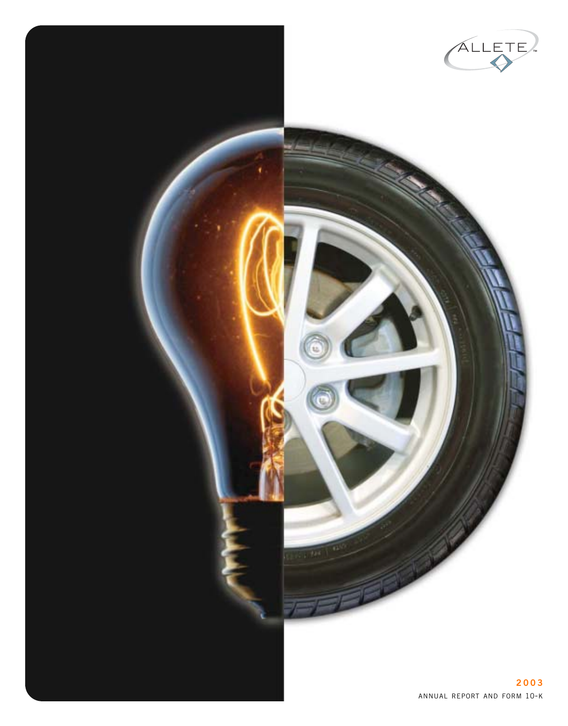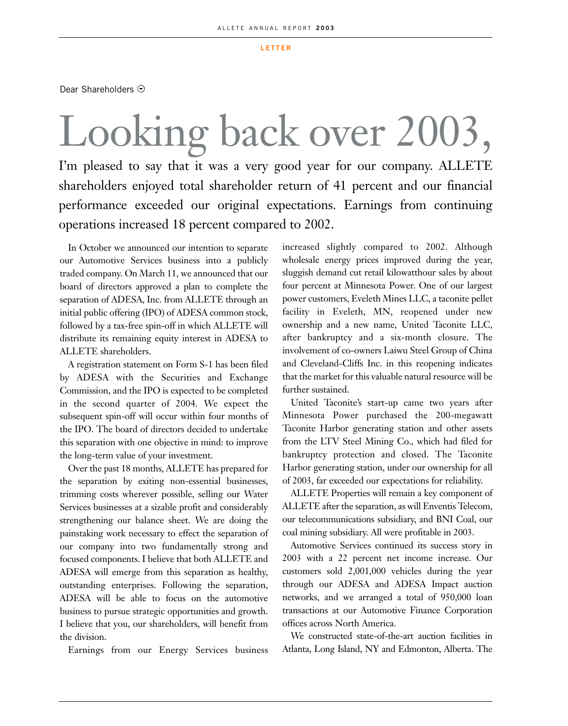#### **LETTER**

Dear Shareholders  $\odot$ 

## Looking back over 2003, I'm pleased to say that it was a very good year for our company. ALLETE shareholders enjoyed total shareholder return of 41 percent and our financial performance exceeded our original expectations. Earnings from continuing operations increased 18 percent compared to 2002.

In October we announced our intention to separate our Automotive Services business into a publicly traded company. On March 11, we announced that our board of directors approved a plan to complete the separation of ADESA, Inc. from ALLETE through an initial public offering (IPO) of ADESA common stock, followed by a tax-free spin-off in which ALLETE will distribute its remaining equity interest in ADESA to ALLETE shareholders.

A registration statement on Form S-1 has been filed by ADESA with the Securities and Exchange Commission, and the IPO is expected to be completed in the second quarter of 2004. We expect the subsequent spin-off will occur within four months of the IPO. The board of directors decided to undertake this separation with one objective in mind: to improve the long-term value of your investment.

Over the past 18 months, ALLETE has prepared for the separation by exiting non-essential businesses, trimming costs wherever possible, selling our Water Services businesses at a sizable profit and considerably strengthening our balance sheet. We are doing the painstaking work necessary to effect the separation of our company into two fundamentally strong and focused components. I believe that both ALLETE and ADESA will emerge from this separation as healthy, outstanding enterprises. Following the separation, ADESA will be able to focus on the automotive business to pursue strategic opportunities and growth. I believe that you, our shareholders, will benefit from the division.

Earnings from our Energy Services business

increased slightly compared to 2002. Although wholesale energy prices improved during the year, sluggish demand cut retail kilowatthour sales by about four percent at Minnesota Power. One of our largest power customers, Eveleth Mines LLC, a taconite pellet facility in Eveleth, MN, reopened under new ownership and a new name, United Taconite LLC, after bankruptcy and a six-month closure. The involvement of co-owners Laiwu Steel Group of China and Cleveland-Cliffs Inc. in this reopening indicates that the market for this valuable natural resource will be further sustained.

United Taconite's start-up came two years after Minnesota Power purchased the 200-megawatt Taconite Harbor generating station and other assets from the LTV Steel Mining Co., which had filed for bankruptcy protection and closed. The Taconite Harbor generating station, under our ownership for all of 2003, far exceeded our expectations for reliability.

ALLETE Properties will remain a key component of ALLETE after the separation, as will Enventis Telecom, our telecommunications subsidiary, and BNI Coal, our coal mining subsidiary. All were profitable in 2003.

Automotive Services continued its success story in 2003 with a 22 percent net income increase. Our customers sold 2,001,000 vehicles during the year through our ADESA and ADESA Impact auction networks, and we arranged a total of 950,000 loan transactions at our Automotive Finance Corporation offices across North America.

We constructed state-of-the-art auction facilities in Atlanta, Long Island, NY and Edmonton, Alberta. The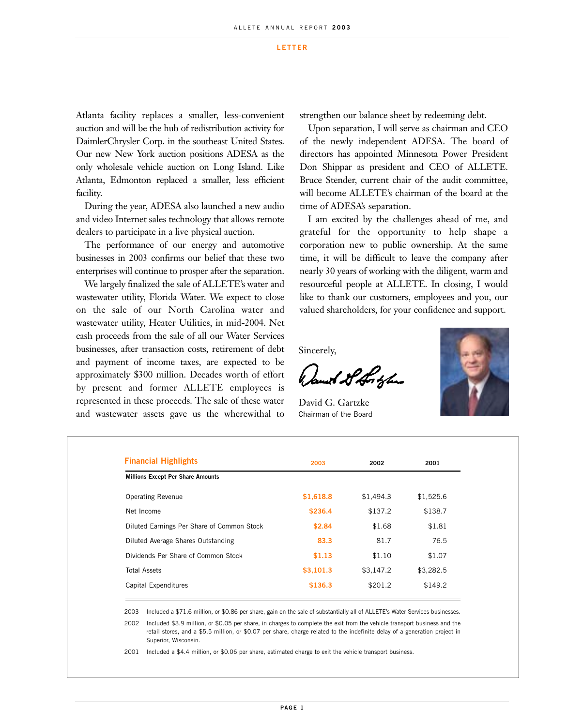#### **LETTER**

Atlanta facility replaces a smaller, less-convenient auction and will be the hub of redistribution activity for DaimlerChrysler Corp. in the southeast United States. Our new New York auction positions ADESA as the only wholesale vehicle auction on Long Island. Like Atlanta, Edmonton replaced a smaller, less efficient facility.

During the year, ADESA also launched a new audio and video Internet sales technology that allows remote dealers to participate in a live physical auction.

The performance of our energy and automotive businesses in 2003 confirms our belief that these two enterprises will continue to prosper after the separation.

We largely finalized the sale of ALLETE's water and wastewater utility, Florida Water. We expect to close on the sale of our North Carolina water and wastewater utility, Heater Utilities, in mid-2004. Net cash proceeds from the sale of all our Water Services businesses, after transaction costs, retirement of debt and payment of income taxes, are expected to be approximately \$300 million. Decades worth of effort by present and former ALLETE employees is represented in these proceeds. The sale of these water and wastewater assets gave us the wherewithal to

strengthen our balance sheet by redeeming debt.

Upon separation, I will serve as chairman and CEO of the newly independent ADESA. The board of directors has appointed Minnesota Power President Don Shippar as president and CEO of ALLETE. Bruce Stender, current chair of the audit committee, will become ALLETE's chairman of the board at the time of ADESA's separation.

I am excited by the challenges ahead of me, and grateful for the opportunity to help shape a corporation new to public ownership. At the same time, it will be difficult to leave the company after nearly 30 years of working with the diligent, warm and resourceful people at ALLETE. In closing, I would like to thank our customers, employees and you, our valued shareholders, for your confidence and support.

Sincerely,

Jamet St Hortzler

David G. Gartzke Chairman of the Board



| <b>Financial Highlights</b>                | 2003      | 2002      | 2001      |
|--------------------------------------------|-----------|-----------|-----------|
| <b>Millions Except Per Share Amounts</b>   |           |           |           |
| <b>Operating Revenue</b>                   | \$1,618.8 | \$1,494.3 | \$1,525.6 |
| Net Income                                 | \$236.4   | \$137.2   | \$138.7   |
| Diluted Earnings Per Share of Common Stock | \$2.84    | \$1.68    | \$1.81    |
| Diluted Average Shares Outstanding         | 83.3      | 81.7      | 76.5      |
| Dividends Per Share of Common Stock        | \$1.13    | \$1.10    | \$1.07    |
| <b>Total Assets</b>                        | \$3,101.3 | \$3,147.2 | \$3,282.5 |
| Capital Expenditures                       | \$136.3   | \$201.2   | \$149.2   |

2003 Included a \$71.6 million, or \$0.86 per share, gain on the sale of substantially all of ALLETE's Water Services businesses.

2002 Included \$3.9 million, or \$0.05 per share, in charges to complete the exit from the vehicle transport business and the retail stores, and a \$5.5 million, or \$0.07 per share, charge related to the indefinite delay of a generation project in Superior, Wisconsin.

2001 Included a \$4.4 million, or \$0.06 per share, estimated charge to exit the vehicle transport business.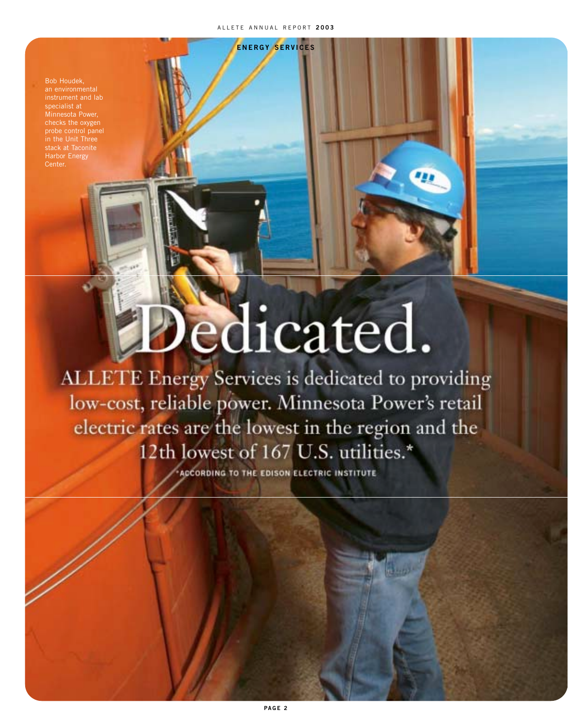Bob Houdek, an environmental checks the oxygen probe control panel in the Unit Three stack at Taconite Harbor Energy Center.

# edicated.

ALLETE Energy Services is dedicated to providing low-cost, reliable power. Minnesota Power's retail electric rates are the lowest in the region and the 12th lowest of 167 U.S. utilities.\*

ACCORDING TO THE EDISON ELECTRIC INSTITUTE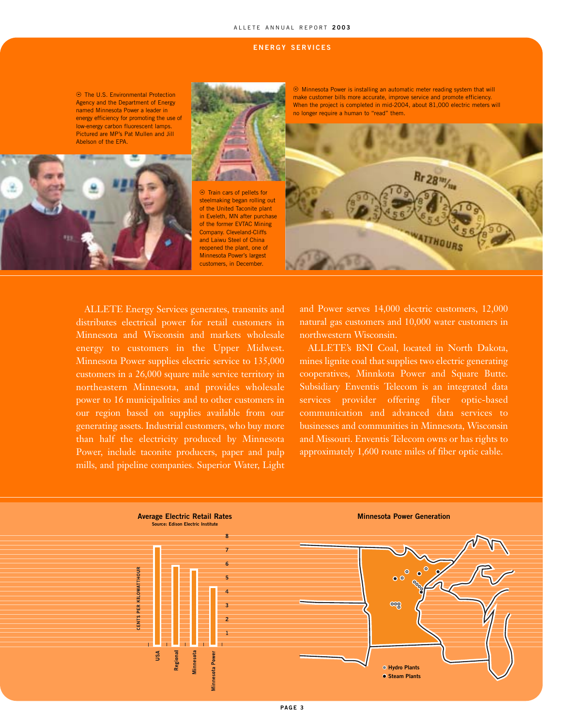#### ALLETE ANNUAL REPORT **2003**

#### **ENERGY SERVICES**



ALLETE Energy Services generates, transmits and distributes electrical power for retail customers in Minnesota and Wisconsin and markets wholesale energy to customers in the Upper Midwest. Minnesota Power supplies electric service to 135,000 customers in a 26,000 square mile service territory in northeastern Minnesota, and provides wholesale power to 16 municipalities and to other customers in our region based on supplies available from our generating assets. Industrial customers, who buy more than half the electricity produced by Minnesota Power, include taconite producers, paper and pulp mills, and pipeline companies. Superior Water, Light

and Power serves 14,000 electric customers, 12,000 natural gas customers and 10,000 water customers in northwestern Wisconsin.

ALLETE's BNI Coal, located in North Dakota, mines lignite coal that supplies two electric generating cooperatives, Minnkota Power and Square Butte. Subsidiary Enventis Telecom is an integrated data services provider offering fiber optic-based communication and advanced data services to businesses and communities in Minnesota, Wisconsin and Missouri. Enventis Telecom owns or has rights to approximately 1,600 route miles of fiber optic cable.

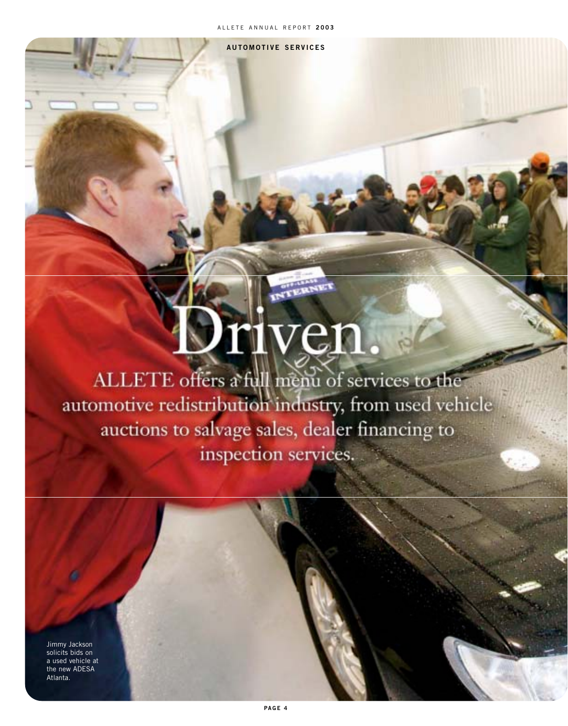**AUTOMOTIVE SERVICES**

# Driven

ALLETE offers a full menu of services to the automotive redistribution industry, from used vehicle auctions to salvage sales, dealer financing to inspection services.

Jimmy Jackson solicits bids on a used vehicle at the new ADESA Atlanta.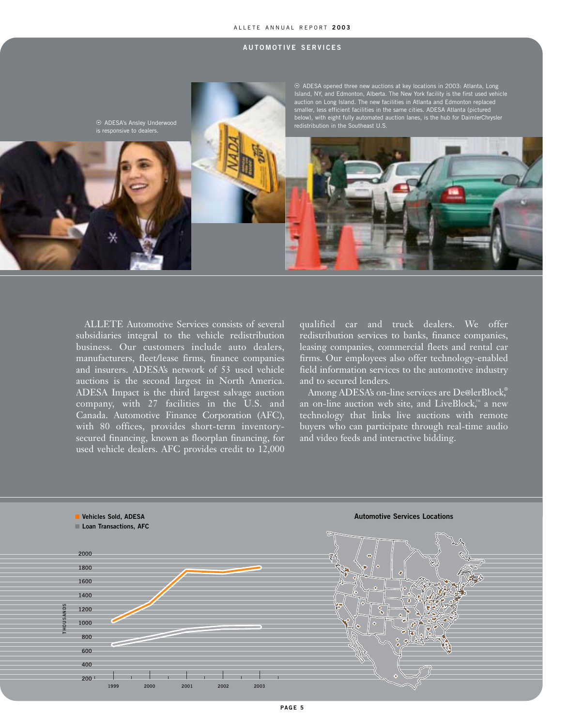#### ALLETE ANNUAL REPORT **2003**

#### **AUTOMOTIVE SERVICES**



ALLETE Automotive Services consists of several subsidiaries integral to the vehicle redistribution business. Our customers include auto dealers, manufacturers, fleet/lease firms, finance companies and insurers. ADESA's network of 53 used vehicle auctions is the second largest in North America. ADESA Impact is the third largest salvage auction company, with 27 facilities in the U.S. and Canada. Automotive Finance Corporation (AFC), with 80 offices, provides short-term inventorysecured financing, known as floorplan financing, for used vehicle dealers. AFC provides credit to 12,000

qualified car and truck dealers. We offer redistribution services to banks, finance companies, leasing companies, commercial fleets and rental car firms. Our employees also offer technology-enabled field information services to the automotive industry and to secured lenders.

Among ADESA's on-line services are De@lerBlock,<sup>®</sup> an on-line auction web site, and LiveBlock,  $\scriptstyle\rm m$  a new technology that links live auctions with remote buyers who can participate through real-time audio and video feeds and interactive bidding.

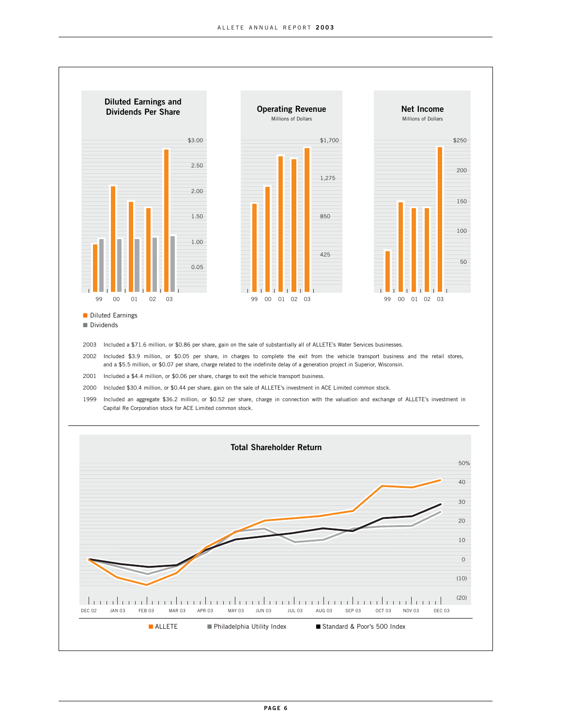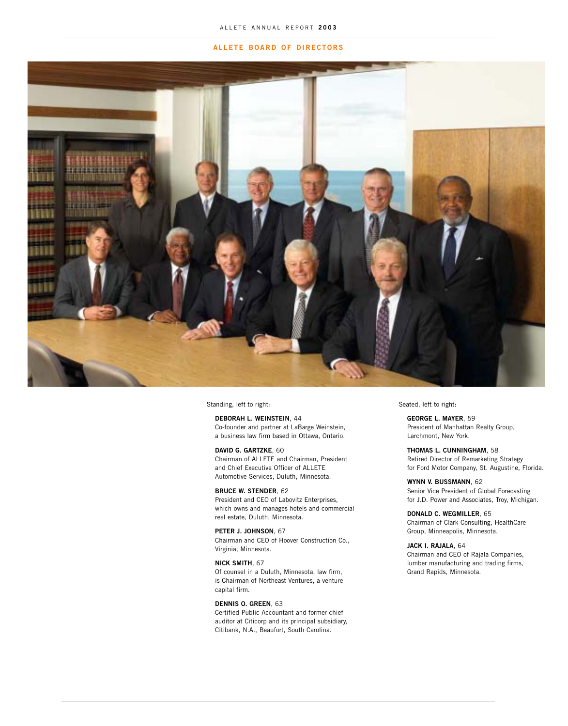#### **ALLETE BOARD OF DIRECTORS**



Standing, left to right:

**DEBORAH L. WEINSTEIN**, 44

Co-founder and partner at LaBarge Weinstein, a business law firm based in Ottawa, Ontario.

#### **DAVID G. GARTZKE**, 60

Chairman of ALLETE and Chairman, President and Chief Executive Officer of ALLETE Automotive Services, Duluth, Minnesota.

#### **BRUCE W. STENDER**, 62

President and CEO of Labovitz Enterprises, which owns and manages hotels and commercial real estate, Duluth, Minnesota.

**PETER J. JOHNSON**, 67

Chairman and CEO of Hoover Construction Co., Virginia, Minnesota.

#### **NICK SMITH**, 67

Of counsel in a Duluth, Minnesota, law firm, is Chairman of Northeast Ventures, a venture capital firm.

#### **DENNIS O. GREEN**, 63

Certified Public Accountant and former chief auditor at Citicorp and its principal subsidiary, Citibank, N.A., Beaufort, South Carolina.

Seated, left to right:

**GEORGE L. MAYER**, 59 President of Manhattan Realty Group, Larchmont, New York.

**THOMAS L. CUNNINGHAM**, 58 Retired Director of Remarketing Strategy for Ford Motor Company, St. Augustine, Florida.

**WYNN V. BUSSMANN**, 62 Senior Vice President of Global Forecasting for J.D. Power and Associates, Troy, Michigan.

**DONALD C. WEGMILLER**, 65 Chairman of Clark Consulting, HealthCare Group, Minneapolis, Minnesota.

#### **JACK I. RAJALA**, 64

Chairman and CEO of Rajala Companies, lumber manufacturing and trading firms, Grand Rapids, Minnesota.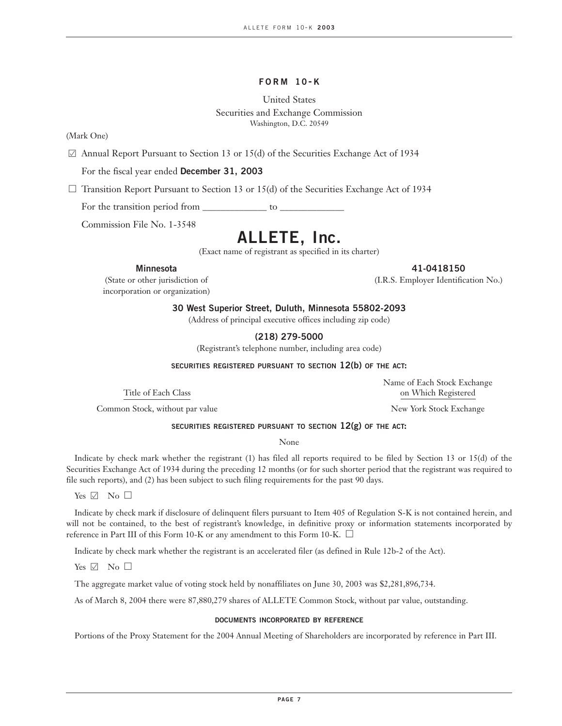#### **FORM 10- K**

### United States Securities and Exchange Commission Washington, D.C. 20549

(Mark One)

 $\boxtimes$  Annual Report Pursuant to Section 13 or 15(d) of the Securities Exchange Act of 1934

For the fiscal year ended **December 31, 2003**

 $\Box$  Transition Report Pursuant to Section 13 or 15(d) of the Securities Exchange Act of 1934

For the transition period from \_\_\_\_\_\_\_\_\_\_\_\_\_\_\_ to \_

Commission File No. 1-3548

### **ALLETE, Inc.**

(Exact name of registrant as specified in its charter)

incorporation or organization)

**Minnesota 41-0418150**

(State or other jurisdiction of (I.R.S. Employer Identification No.)

**30 West Superior Street, Duluth, Minnesota 55802-2093**

(Address of principal executive offices including zip code)

**(218) 279-5000**

(Registrant's telephone number, including area code)

**SECURITIES REGISTERED PURSUANT TO SECTION 12(b) OF THE ACT:**

Title of Each Class on Which Registered

Common Stock, without par value New York Stock Exchange

Name of Each Stock Exchange

#### **SECURITIES REGISTERED PURSUANT TO SECTION 12(g) OF THE ACT:**

None

Indicate by check mark whether the registrant (1) has filed all reports required to be filed by Section 13 or 15(d) of the Securities Exchange Act of 1934 during the preceding 12 months (or for such shorter period that the registrant was required to file such reports), and (2) has been subject to such filing requirements for the past 90 days.

Yes  $\boxdot$  No  $\Box$ 

Indicate by check mark if disclosure of delinquent filers pursuant to Item 405 of Regulation S-K is not contained herein, and will not be contained, to the best of registrant's knowledge, in definitive proxy or information statements incorporated by reference in Part III of this Form 10-K or any amendment to this Form 10-K.  $\square$ 

Indicate by check mark whether the registrant is an accelerated filer (as defined in Rule 12b-2 of the Act).

Yes  $\boxtimes$  No  $\Box$ 

The aggregate market value of voting stock held by nonaffiliates on June 30, 2003 was \$2,281,896,734.

As of March 8, 2004 there were 87,880,279 shares of ALLETE Common Stock, without par value, outstanding.

#### **DOCUMENTS INCORPORATED BY REFERENCE**

Portions of the Proxy Statement for the 2004 Annual Meeting of Shareholders are incorporated by reference in Part III.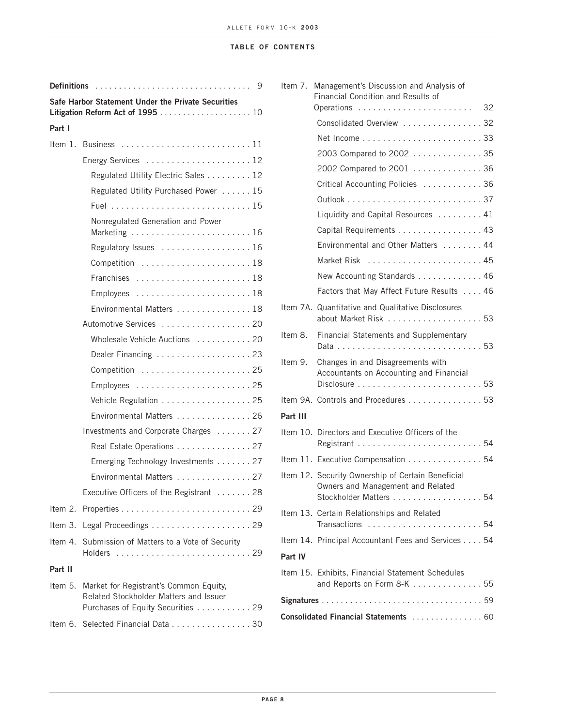#### **TABLE OF CONTENTS**

| <b>Definitions</b> | 9                                                                                                                     |
|--------------------|-----------------------------------------------------------------------------------------------------------------------|
|                    | Safe Harbor Statement Under the Private Securities                                                                    |
| Part I             |                                                                                                                       |
|                    | Item 1. Business 11                                                                                                   |
|                    |                                                                                                                       |
|                    | Regulated Utility Electric Sales 12                                                                                   |
|                    | Regulated Utility Purchased Power 15                                                                                  |
|                    |                                                                                                                       |
|                    | Nonregulated Generation and Power                                                                                     |
|                    | Regulatory Issues 16                                                                                                  |
|                    | Competition 18                                                                                                        |
|                    | Franchises 18                                                                                                         |
|                    |                                                                                                                       |
|                    | Environmental Matters 18                                                                                              |
|                    | Automotive Services 20                                                                                                |
|                    | Wholesale Vehicle Auctions  20                                                                                        |
|                    | Dealer Financing 23                                                                                                   |
|                    |                                                                                                                       |
|                    |                                                                                                                       |
|                    | Vehicle Regulation 25                                                                                                 |
|                    | Environmental Matters 26                                                                                              |
|                    | Investments and Corporate Charges 27                                                                                  |
|                    | Real Estate Operations 27                                                                                             |
|                    | Emerging Technology Investments 27                                                                                    |
|                    | Environmental Matters 27                                                                                              |
|                    | Executive Officers of the Registrant<br>28                                                                            |
|                    |                                                                                                                       |
|                    |                                                                                                                       |
| Item 4.            | Submission of Matters to a Vote of Security<br>Holders 29                                                             |
| Part II            |                                                                                                                       |
| Item 5.            | Market for Registrant's Common Equity,<br>Related Stockholder Matters and Issuer<br>Purchases of Equity Securities 29 |
| Item 6.            | Selected Financial Data 30                                                                                            |

|          | Item 7. Management's Discussion and Analysis of<br>Financial Condition and Results of                            |
|----------|------------------------------------------------------------------------------------------------------------------|
|          |                                                                                                                  |
|          | Consolidated Overview 32                                                                                         |
|          |                                                                                                                  |
|          | 2003 Compared to 2002 35                                                                                         |
|          | 2002 Compared to 2001 36                                                                                         |
|          | Critical Accounting Policies 36                                                                                  |
|          |                                                                                                                  |
|          | Liquidity and Capital Resources  41                                                                              |
|          | Capital Requirements 43                                                                                          |
|          | Environmental and Other Matters 44                                                                               |
|          |                                                                                                                  |
|          | New Accounting Standards 46                                                                                      |
|          | Factors that May Affect Future Results 46                                                                        |
|          | Item 7A. Quantitative and Qualitative Disclosures<br>about Market Risk 53                                        |
| Item 8.  | Financial Statements and Supplementary                                                                           |
| Item 9.  | Changes in and Disagreements with<br>Accountants on Accounting and Financial                                     |
|          | Item 9A. Controls and Procedures 53                                                                              |
| Part III |                                                                                                                  |
|          | Item 10. Directors and Executive Officers of the                                                                 |
|          | Item 11. Executive Compensation 54                                                                               |
|          | Item 12. Security Ownership of Certain Beneficial<br>Owners and Management and Related<br>Stockholder Matters 54 |
|          | Item 13. Certain Relationships and Related                                                                       |
|          | Item 14. Principal Accountant Fees and Services 54                                                               |
| Part IV  |                                                                                                                  |
|          |                                                                                                                  |
|          | Item 15. Exhibits, Financial Statement Schedules<br>and Reports on Form 8-K 55                                   |
|          |                                                                                                                  |
|          | Consolidated Financial Statements  60                                                                            |
|          |                                                                                                                  |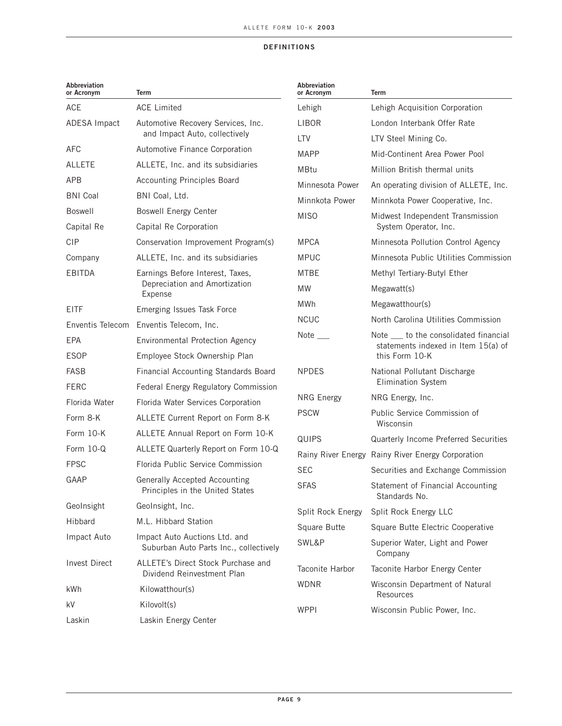#### **DEFINITIONS**

| Abbreviation<br>or Acronym | <b>Term</b>                                                             | Abbreviation<br>or Acronym | <b>Term</b>                                           |
|----------------------------|-------------------------------------------------------------------------|----------------------------|-------------------------------------------------------|
| <b>ACE</b>                 | <b>ACE Limited</b>                                                      | Lehigh                     | Lehigh Acquisition Corporation                        |
| <b>ADESA Impact</b>        | Automotive Recovery Services, Inc.                                      | LIBOR                      | London Interbank Offer Rate                           |
|                            | and Impact Auto, collectively                                           | LTV                        | LTV Steel Mining Co.                                  |
| AFC                        | Automotive Finance Corporation                                          | <b>MAPP</b>                | Mid-Continent Area Power Pool                         |
| <b>ALLETE</b>              | ALLETE, Inc. and its subsidiaries                                       | <b>MBtu</b>                | Million British thermal units                         |
| <b>APB</b>                 | <b>Accounting Principles Board</b>                                      | Minnesota Power            | An operating division of ALLETE, Inc.                 |
| <b>BNI Coal</b>            | BNI Coal, Ltd.                                                          | Minnkota Power             | Minnkota Power Cooperative, Inc.                      |
| <b>Boswell</b>             | <b>Boswell Energy Center</b>                                            | <b>MISO</b>                | Midwest Independent Transmission                      |
| Capital Re                 | Capital Re Corporation                                                  |                            | System Operator, Inc.                                 |
| <b>CIP</b>                 | Conservation Improvement Program(s)                                     | <b>MPCA</b>                | Minnesota Pollution Control Agency                    |
| Company                    | ALLETE, Inc. and its subsidiaries                                       | <b>MPUC</b>                | Minnesota Public Utilities Commission                 |
| EBITDA                     | Earnings Before Interest, Taxes,                                        | <b>MTBE</b>                | Methyl Tertiary-Butyl Ether                           |
|                            | Depreciation and Amortization<br>Expense                                | <b>MW</b>                  | Megawatt(s)                                           |
| <b>EITF</b>                | Emerging Issues Task Force                                              | <b>MWh</b>                 | Megawatthour(s)                                       |
|                            | Enventis Telecom Enventis Telecom, Inc.                                 | <b>NCUC</b>                | North Carolina Utilities Commission                   |
| <b>EPA</b>                 | Environmental Protection Agency                                         | Note ____                  | Note ____ to the consolidated financial               |
| <b>ESOP</b>                | Employee Stock Ownership Plan                                           |                            | statements indexed in Item 15(a) of<br>this Form 10-K |
| <b>FASB</b>                | Financial Accounting Standards Board                                    | <b>NPDES</b>               | National Pollutant Discharge                          |
| <b>FERC</b>                | Federal Energy Regulatory Commission                                    |                            | <b>Elimination System</b>                             |
| Florida Water              | Florida Water Services Corporation                                      | <b>NRG Energy</b>          | NRG Energy, Inc.                                      |
| Form 8-K                   | ALLETE Current Report on Form 8-K                                       | <b>PSCW</b>                | Public Service Commission of<br>Wisconsin             |
| Form 10-K                  | ALLETE Annual Report on Form 10-K                                       | <b>QUIPS</b>               | Quarterly Income Preferred Securities                 |
| Form 10-Q                  | ALLETE Quarterly Report on Form 10-Q                                    |                            | Rainy River Energy Rainy River Energy Corporation     |
| <b>FPSC</b>                | Florida Public Service Commission                                       | <b>SEC</b>                 | Securities and Exchange Commission                    |
| GAAP                       | Generally Accepted Accounting<br>Principles in the United States        | <b>SFAS</b>                | Statement of Financial Accounting<br>Standards No.    |
| GeoInsight                 | GeoInsight, Inc.                                                        | Split Rock Energy          | Split Rock Energy LLC                                 |
| Hibbard                    | M.L. Hibbard Station                                                    | Square Butte               | Square Butte Electric Cooperative                     |
| Impact Auto                | Impact Auto Auctions Ltd. and<br>Suburban Auto Parts Inc., collectively | SWL&P                      | Superior Water, Light and Power<br>Company            |
| <b>Invest Direct</b>       | ALLETE's Direct Stock Purchase and<br>Dividend Reinvestment Plan        | Taconite Harbor            | Taconite Harbor Energy Center                         |
| kWh                        | Kilowatthour(s)                                                         | <b>WDNR</b>                | Wisconsin Department of Natural                       |
| kV                         | Kilovolt(s)                                                             |                            | Resources                                             |
| Laskin                     | Laskin Energy Center                                                    | <b>WPPI</b>                | Wisconsin Public Power, Inc.                          |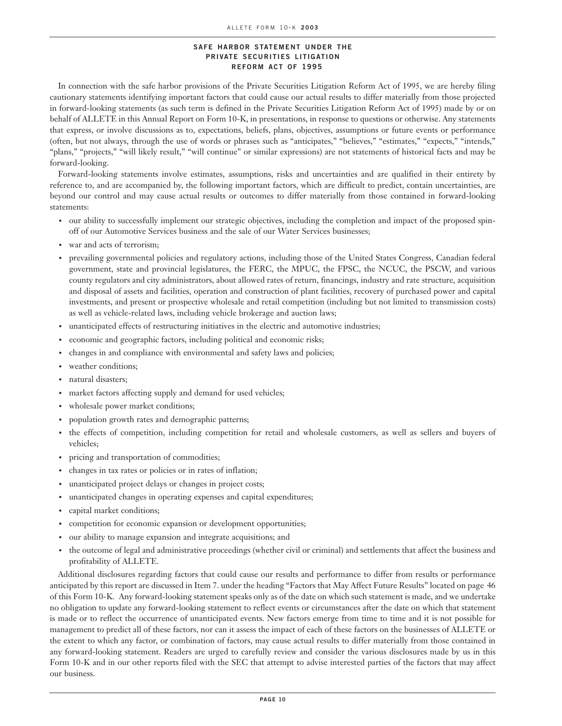#### **SAFE HARBOR STATEMENT UNDER THE PRIVATE SECURITIES LITIGATION REFORM ACT OF 1995**

In connection with the safe harbor provisions of the Private Securities Litigation Reform Act of 1995, we are hereby filing cautionary statements identifying important factors that could cause our actual results to differ materially from those projected in forward-looking statements (as such term is defined in the Private Securities Litigation Reform Act of 1995) made by or on behalf of ALLETE in this Annual Report on Form 10-K, in presentations, in response to questions or otherwise. Any statements that express, or involve discussions as to, expectations, beliefs, plans, objectives, assumptions or future events or performance (often, but not always, through the use of words or phrases such as "anticipates," "believes," "estimates," "expects," "intends," "plans," "projects," "will likely result," "will continue" or similar expressions) are not statements of historical facts and may be forward-looking.

Forward-looking statements involve estimates, assumptions, risks and uncertainties and are qualified in their entirety by reference to, and are accompanied by, the following important factors, which are difficult to predict, contain uncertainties, are beyond our control and may cause actual results or outcomes to differ materially from those contained in forward-looking statements:

- our ability to successfully implement our strategic objectives, including the completion and impact of the proposed spinoff of our Automotive Services business and the sale of our Water Services businesses;
- war and acts of terrorism;
- prevailing governmental policies and regulatory actions, including those of the United States Congress, Canadian federal government, state and provincial legislatures, the FERC, the MPUC, the FPSC, the NCUC, the PSCW, and various county regulators and city administrators, about allowed rates of return, financings, industry and rate structure, acquisition and disposal of assets and facilities, operation and construction of plant facilities, recovery of purchased power and capital investments, and present or prospective wholesale and retail competition (including but not limited to transmission costs) as well as vehicle-related laws, including vehicle brokerage and auction laws;
- unanticipated effects of restructuring initiatives in the electric and automotive industries;
- economic and geographic factors, including political and economic risks;
- changes in and compliance with environmental and safety laws and policies;
- weather conditions;
- natural disasters;
- market factors affecting supply and demand for used vehicles;
- wholesale power market conditions;
- population growth rates and demographic patterns;
- the effects of competition, including competition for retail and wholesale customers, as well as sellers and buyers of vehicles;
- pricing and transportation of commodities;
- changes in tax rates or policies or in rates of inflation;
- unanticipated project delays or changes in project costs;
- unanticipated changes in operating expenses and capital expenditures;
- capital market conditions;
- competition for economic expansion or development opportunities;
- our ability to manage expansion and integrate acquisitions; and
- the outcome of legal and administrative proceedings (whether civil or criminal) and settlements that affect the business and profitability of ALLETE.

Additional disclosures regarding factors that could cause our results and performance to differ from results or performance anticipated by this report are discussed in Item 7. under the heading "Factors that May Affect Future Results" located on page 46 of this Form 10-K. Any forward-looking statement speaks only as of the date on which such statement is made, and we undertake no obligation to update any forward-looking statement to reflect events or circumstances after the date on which that statement is made or to reflect the occurrence of unanticipated events. New factors emerge from time to time and it is not possible for management to predict all of these factors, nor can it assess the impact of each of these factors on the businesses of ALLETE or the extent to which any factor, or combination of factors, may cause actual results to differ materially from those contained in any forward-looking statement. Readers are urged to carefully review and consider the various disclosures made by us in this Form 10-K and in our other reports filed with the SEC that attempt to advise interested parties of the factors that may affect our business.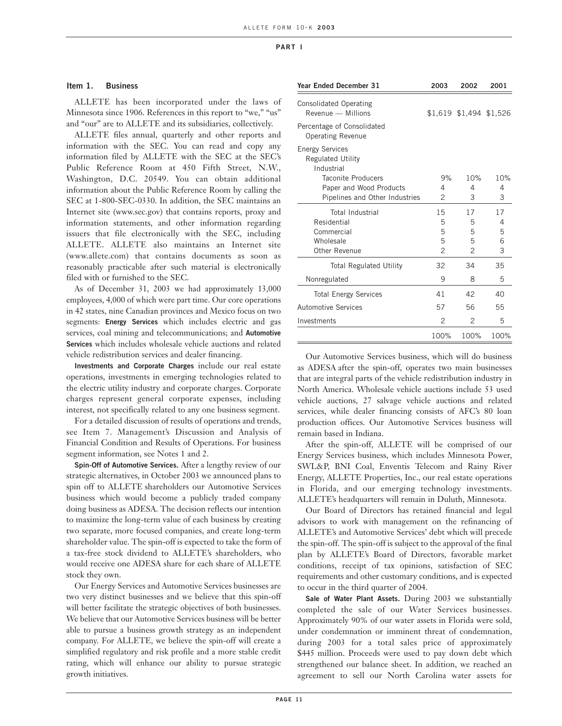#### **Item 1. Business**

ALLETE has been incorporated under the laws of Minnesota since 1906. References in this report to "we," "us" and "our" are to ALLETE and its subsidiaries, collectively.

ALLETE files annual, quarterly and other reports and information with the SEC. You can read and copy any information filed by ALLETE with the SEC at the SEC's Public Reference Room at 450 Fifth Street, N.W., Washington, D.C. 20549. You can obtain additional information about the Public Reference Room by calling the SEC at 1-800-SEC-0330. In addition, the SEC maintains an Internet site (www.sec.gov) that contains reports, proxy and information statements, and other information regarding issuers that file electronically with the SEC, including ALLETE. ALLETE also maintains an Internet site (www.allete.com) that contains documents as soon as reasonably practicable after such material is electronically filed with or furnished to the SEC.

As of December 31, 2003 we had approximately 13,000 employees, 4,000 of which were part time. Our core operations in 42 states, nine Canadian provinces and Mexico focus on two segments: **Energy Services** which includes electric and gas services, coal mining and telecommunications; and **Automotive Services** which includes wholesale vehicle auctions and related vehicle redistribution services and dealer financing.

**Investments and Corporate Charges** include our real estate operations, investments in emerging technologies related to the electric utility industry and corporate charges. Corporate charges represent general corporate expenses, including interest, not specifically related to any one business segment.

For a detailed discussion of results of operations and trends, see Item 7. Management's Discussion and Analysis of Financial Condition and Results of Operations. For business segment information, see Notes 1 and 2.

**Spin-Off of Automotive Services.** After a lengthy review of our strategic alternatives, in October 2003 we announced plans to spin off to ALLETE shareholders our Automotive Services business which would become a publicly traded company doing business as ADESA. The decision reflects our intention to maximize the long-term value of each business by creating two separate, more focused companies, and create long-term shareholder value. The spin-off is expected to take the form of a tax-free stock dividend to ALLETE's shareholders, who would receive one ADESA share for each share of ALLETE stock they own.

Our Energy Services and Automotive Services businesses are two very distinct businesses and we believe that this spin-off will better facilitate the strategic objectives of both businesses. We believe that our Automotive Services business will be better able to pursue a business growth strategy as an independent company. For ALLETE, we believe the spin-off will create a simplified regulatory and risk profile and a more stable credit rating, which will enhance our ability to pursue strategic growth initiatives.

| Year Ended December 31                                           | 2003           | 2002                    | 2001 |
|------------------------------------------------------------------|----------------|-------------------------|------|
| <b>Consolidated Operating</b><br>Revenue - Millions              |                | \$1,619 \$1,494 \$1,526 |      |
| Percentage of Consolidated<br><b>Operating Revenue</b>           |                |                         |      |
| <b>Energy Services</b><br><b>Regulated Utility</b><br>Industrial |                |                         |      |
| Taconite Producers                                               | 9%             | 10%                     | 10%  |
| Paper and Wood Products                                          | 4              | 4                       | 4    |
| Pipelines and Other Industries                                   | 2              | 3                       | 3    |
| <b>Total Industrial</b>                                          | 15             | 17                      | 17   |
| Residential                                                      | 5              | 5                       | 4    |
| Commercial                                                       | 5              | 5                       | 5    |
| Wholesale                                                        | 5              | 5                       | 6    |
| Other Revenue                                                    | $\overline{c}$ | $\overline{c}$          | 3    |
| <b>Total Regulated Utility</b>                                   | 32             | 34                      | 35   |
| Nonregulated                                                     | 9              | 8                       | 5    |
| <b>Total Energy Services</b>                                     | 41             | 42                      | 40   |
| <b>Automotive Services</b>                                       | 57             | 56                      | 55   |
| Investments                                                      | 2              | 2                       | 5    |
|                                                                  | 100%           | 100%                    | 100% |

Our Automotive Services business, which will do business as ADESA after the spin-off, operates two main businesses that are integral parts of the vehicle redistribution industry in North America. Wholesale vehicle auctions include 53 used vehicle auctions, 27 salvage vehicle auctions and related services, while dealer financing consists of AFC's 80 loan production offices. Our Automotive Services business will remain based in Indiana.

After the spin-off, ALLETE will be comprised of our Energy Services business, which includes Minnesota Power, SWL&P, BNI Coal, Enventis Telecom and Rainy River Energy, ALLETE Properties, Inc., our real estate operations in Florida, and our emerging technology investments. ALLETE's headquarters will remain in Duluth, Minnesota.

Our Board of Directors has retained financial and legal advisors to work with management on the refinancing of ALLETE's and Automotive Services' debt which will precede the spin-off. The spin-off is subject to the approval of the final plan by ALLETE's Board of Directors, favorable market conditions, receipt of tax opinions, satisfaction of SEC requirements and other customary conditions, and is expected to occur in the third quarter of 2004.

**Sale of Water Plant Assets.** During 2003 we substantially completed the sale of our Water Services businesses. Approximately 90% of our water assets in Florida were sold, under condemnation or imminent threat of condemnation, during 2003 for a total sales price of approximately \$445 million. Proceeds were used to pay down debt which strengthened our balance sheet. In addition, we reached an agreement to sell our North Carolina water assets for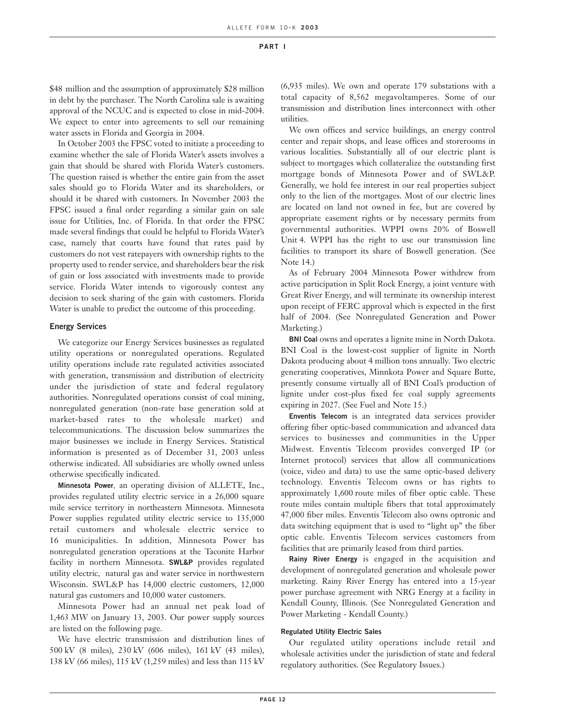\$48 million and the assumption of approximately \$28 million in debt by the purchaser. The North Carolina sale is awaiting approval of the NCUC and is expected to close in mid-2004. We expect to enter into agreements to sell our remaining water assets in Florida and Georgia in 2004.

In October 2003 the FPSC voted to initiate a proceeding to examine whether the sale of Florida Water's assets involves a gain that should be shared with Florida Water's customers. The question raised is whether the entire gain from the asset sales should go to Florida Water and its shareholders, or should it be shared with customers. In November 2003 the FPSC issued a final order regarding a similar gain on sale issue for Utilities, Inc. of Florida. In that order the FPSC made several findings that could be helpful to Florida Water's case, namely that courts have found that rates paid by customers do not vest ratepayers with ownership rights to the property used to render service, and shareholders bear the risk of gain or loss associated with investments made to provide service. Florida Water intends to vigorously contest any decision to seek sharing of the gain with customers. Florida Water is unable to predict the outcome of this proceeding.

#### **Energy Services**

We categorize our Energy Services businesses as regulated utility operations or nonregulated operations. Regulated utility operations include rate regulated activities associated with generation, transmission and distribution of electricity under the jurisdiction of state and federal regulatory authorities. Nonregulated operations consist of coal mining, nonregulated generation (non-rate base generation sold at market-based rates to the wholesale market) and telecommunications. The discussion below summarizes the major businesses we include in Energy Services. Statistical information is presented as of December 31, 2003 unless otherwise indicated. All subsidiaries are wholly owned unless otherwise specifically indicated.

**Minnesota Power**, an operating division of ALLETE, Inc., provides regulated utility electric service in a 26,000 square mile service territory in northeastern Minnesota. Minnesota Power supplies regulated utility electric service to 135,000 retail customers and wholesale electric service to 16 municipalities. In addition, Minnesota Power has nonregulated generation operations at the Taconite Harbor facility in northern Minnesota. **SWL&P** provides regulated utility electric, natural gas and water service in northwestern Wisconsin. SWL&P has 14,000 electric customers, 12,000 natural gas customers and 10,000 water customers.

Minnesota Power had an annual net peak load of 1,463 MW on January 13, 2003. Our power supply sources are listed on the following page.

We have electric transmission and distribution lines of 500 kV (8 miles), 230 kV (606 miles), 161 kV (43 miles), 138 kV (66 miles), 115 kV (1,259 miles) and less than 115 kV

(6,935 miles). We own and operate 179 substations with a total capacity of 8,562 megavoltamperes. Some of our transmission and distribution lines interconnect with other utilities.

We own offices and service buildings, an energy control center and repair shops, and lease offices and storerooms in various localities. Substantially all of our electric plant is subject to mortgages which collateralize the outstanding first mortgage bonds of Minnesota Power and of SWL&P. Generally, we hold fee interest in our real properties subject only to the lien of the mortgages. Most of our electric lines are located on land not owned in fee, but are covered by appropriate easement rights or by necessary permits from governmental authorities. WPPI owns 20% of Boswell Unit 4. WPPI has the right to use our transmission line facilities to transport its share of Boswell generation. (See Note 14.)

As of February 2004 Minnesota Power withdrew from active participation in Split Rock Energy, a joint venture with Great River Energy, and will terminate its ownership interest upon receipt of FERC approval which is expected in the first half of 2004. (See Nonregulated Generation and Power Marketing.)

**BNI Coal** owns and operates a lignite mine in North Dakota. BNI Coal is the lowest-cost supplier of lignite in North Dakota producing about 4 million tons annually. Two electric generating cooperatives, Minnkota Power and Square Butte, presently consume virtually all of BNI Coal's production of lignite under cost-plus fixed fee coal supply agreements expiring in 2027. (See Fuel and Note 15.)

**Enventis Telecom** is an integrated data services provider offering fiber optic-based communication and advanced data services to businesses and communities in the Upper Midwest. Enventis Telecom provides converged IP (or Internet protocol) services that allow all communications (voice, video and data) to use the same optic-based delivery technology. Enventis Telecom owns or has rights to approximately 1,600 route miles of fiber optic cable. These route miles contain multiple fibers that total approximately 47,000 fiber miles. Enventis Telecom also owns optronic and data switching equipment that is used to "light up" the fiber optic cable. Enventis Telecom services customers from facilities that are primarily leased from third parties.

**Rainy River Energy** is engaged in the acquisition and development of nonregulated generation and wholesale power marketing. Rainy River Energy has entered into a 15-year power purchase agreement with NRG Energy at a facility in Kendall County, Illinois. (See Nonregulated Generation and Power Marketing - Kendall County.)

#### **Regulated Utility Electric Sales**

Our regulated utility operations include retail and wholesale activities under the jurisdiction of state and federal regulatory authorities. (See Regulatory Issues.)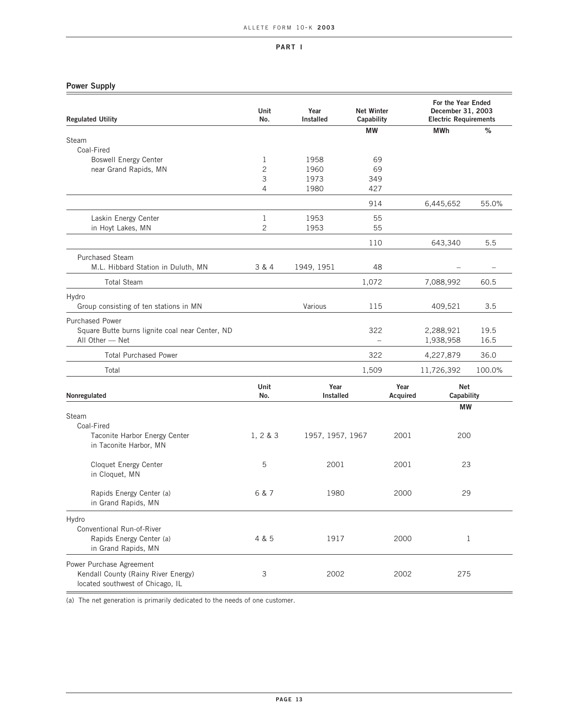#### **Power Supply**

| <b>Regulated Utility</b>                                                                            | Unit<br>No.         | Year<br><b>Installed</b> | <b>Net Winter</b><br>Capability |                  | For the Year Ended<br>December 31, 2003<br><b>Electric Requirements</b> |              |
|-----------------------------------------------------------------------------------------------------|---------------------|--------------------------|---------------------------------|------------------|-------------------------------------------------------------------------|--------------|
|                                                                                                     |                     |                          | <b>MW</b>                       |                  | <b>MWh</b>                                                              | %            |
| Steam                                                                                               |                     |                          |                                 |                  |                                                                         |              |
| Coal-Fired                                                                                          |                     |                          |                                 |                  |                                                                         |              |
| <b>Boswell Energy Center</b>                                                                        | 1<br>$\overline{c}$ | 1958                     | 69                              |                  |                                                                         |              |
| near Grand Rapids, MN                                                                               | 3                   | 1960<br>1973             | 69<br>349                       |                  |                                                                         |              |
|                                                                                                     | 4                   | 1980                     | 427                             |                  |                                                                         |              |
|                                                                                                     |                     |                          | 914                             |                  | 6,445,652                                                               | 55.0%        |
| Laskin Energy Center                                                                                | $\mathbf 1$         | 1953                     | 55                              |                  |                                                                         |              |
| in Hoyt Lakes, MN                                                                                   | $\overline{c}$      | 1953                     | 55                              |                  |                                                                         |              |
|                                                                                                     |                     |                          | 110                             |                  | 643,340                                                                 | 5.5          |
| <b>Purchased Steam</b>                                                                              |                     |                          |                                 |                  |                                                                         |              |
| M.L. Hibbard Station in Duluth, MN                                                                  | 3 & 4               | 1949, 1951               | 48                              |                  |                                                                         |              |
| <b>Total Steam</b>                                                                                  |                     |                          | 1,072                           |                  | 7,088,992                                                               | 60.5         |
| Hydro<br>Group consisting of ten stations in MN                                                     |                     | Various                  | 115                             |                  | 409,521                                                                 | 3.5          |
| <b>Purchased Power</b><br>Square Butte burns lignite coal near Center, ND<br>All Other - Net        |                     |                          | 322<br>$\qquad \qquad -$        |                  | 2,288,921<br>1,938,958                                                  | 19.5<br>16.5 |
| <b>Total Purchased Power</b>                                                                        |                     |                          | 322                             |                  | 4,227,879                                                               | 36.0         |
| Total                                                                                               |                     |                          | 1,509                           |                  | 11,726,392                                                              | 100.0%       |
| Nonregulated                                                                                        | <b>Unit</b><br>No.  | Year<br>Installed        |                                 | Year<br>Acquired | <b>Net</b><br>Capability                                                |              |
| Steam<br>Coal-Fired                                                                                 |                     |                          |                                 |                  | <b>MW</b>                                                               |              |
| Taconite Harbor Energy Center<br>in Taconite Harbor, MN                                             | 1, 2 & 3            | 1957, 1957, 1967         |                                 | 2001             | 200                                                                     |              |
| Cloquet Energy Center<br>in Cloquet, MN                                                             | 5                   | 2001                     |                                 | 2001             | 23                                                                      |              |
| Rapids Energy Center (a)<br>in Grand Rapids, MN                                                     | 6 & 7               | 1980                     |                                 | 2000             | 29                                                                      |              |
| Hydro<br>Conventional Run-of-River<br>Rapids Energy Center (a)<br>in Grand Rapids, MN               | 4 & 5               | 1917                     |                                 | 2000             |                                                                         | $\mathbf 1$  |
| Power Purchase Agreement<br>Kendall County (Rainy River Energy)<br>located southwest of Chicago, IL | 3                   | 2002                     |                                 | 2002             | 275                                                                     |              |

(a) The net generation is primarily dedicated to the needs of one customer.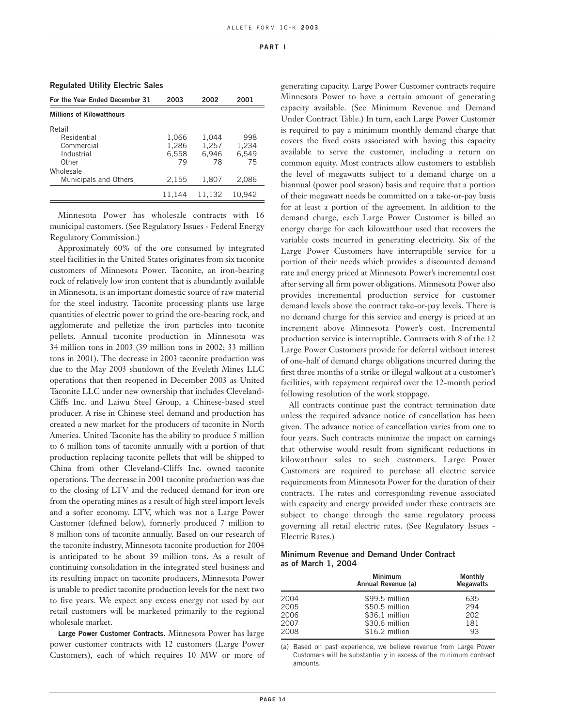| <b>Regulated Utility Electric Sales</b> |  |  |  |
|-----------------------------------------|--|--|--|
|-----------------------------------------|--|--|--|

| 2003   | 2002                    | 2001                    |
|--------|-------------------------|-------------------------|
|        |                         |                         |
|        |                         |                         |
|        |                         | 998<br>1,234            |
|        |                         | 6.549                   |
| 79     | 78                      | 75                      |
|        |                         |                         |
| 2,155  | 1,807                   | 2,086                   |
| 11.144 | 11.132                  | 10.942                  |
|        | 1,066<br>1.286<br>6.558 | 1,044<br>1.257<br>6,946 |

Minnesota Power has wholesale contracts with 16 municipal customers. (See Regulatory Issues - Federal Energy Regulatory Commission.)

Approximately 60% of the ore consumed by integrated steel facilities in the United States originates from six taconite customers of Minnesota Power. Taconite, an iron-bearing rock of relatively low iron content that is abundantly available in Minnesota, is an important domestic source of raw material for the steel industry. Taconite processing plants use large quantities of electric power to grind the ore-bearing rock, and agglomerate and pelletize the iron particles into taconite pellets. Annual taconite production in Minnesota was 34 million tons in 2003 (39 million tons in 2002; 33 million tons in 2001). The decrease in 2003 taconite production was due to the May 2003 shutdown of the Eveleth Mines LLC operations that then reopened in December 2003 as United Taconite LLC under new ownership that includes Cleveland-Cliffs Inc. and Laiwu Steel Group, a Chinese-based steel producer. A rise in Chinese steel demand and production has created a new market for the producers of taconite in North America. United Taconite has the ability to produce 5 million to 6 million tons of taconite annually with a portion of that production replacing taconite pellets that will be shipped to China from other Cleveland-Cliffs Inc. owned taconite operations. The decrease in 2001 taconite production was due to the closing of LTV and the reduced demand for iron ore from the operating mines as a result of high steel import levels and a softer economy. LTV, which was not a Large Power Customer (defined below), formerly produced 7 million to 8 million tons of taconite annually. Based on our research of the taconite industry, Minnesota taconite production for 2004 is anticipated to be about 39 million tons. As a result of continuing consolidation in the integrated steel business and its resulting impact on taconite producers, Minnesota Power is unable to predict taconite production levels for the next two to five years. We expect any excess energy not used by our retail customers will be marketed primarily to the regional wholesale market.

**Large Power Customer Contracts.** Minnesota Power has large power customer contracts with 12 customers (Large Power Customers), each of which requires 10 MW or more of generating capacity. Large Power Customer contracts require Minnesota Power to have a certain amount of generating capacity available. (See Minimum Revenue and Demand Under Contract Table.) In turn, each Large Power Customer is required to pay a minimum monthly demand charge that covers the fixed costs associated with having this capacity available to serve the customer, including a return on common equity. Most contracts allow customers to establish the level of megawatts subject to a demand charge on a biannual (power pool season) basis and require that a portion of their megawatt needs be committed on a take-or-pay basis for at least a portion of the agreement. In addition to the demand charge, each Large Power Customer is billed an energy charge for each kilowatthour used that recovers the variable costs incurred in generating electricity. Six of the Large Power Customers have interruptible service for a portion of their needs which provides a discounted demand rate and energy priced at Minnesota Power's incremental cost after serving all firm power obligations. Minnesota Power also provides incremental production service for customer demand levels above the contract take-or-pay levels. There is no demand charge for this service and energy is priced at an increment above Minnesota Power's cost. Incremental production service is interruptible. Contracts with 8 of the 12 Large Power Customers provide for deferral without interest of one-half of demand charge obligations incurred during the first three months of a strike or illegal walkout at a customer's facilities, with repayment required over the 12-month period following resolution of the work stoppage.

All contracts continue past the contract termination date unless the required advance notice of cancellation has been given. The advance notice of cancellation varies from one to four years. Such contracts minimize the impact on earnings that otherwise would result from significant reductions in kilowatthour sales to such customers. Large Power Customers are required to purchase all electric service requirements from Minnesota Power for the duration of their contracts. The rates and corresponding revenue associated with capacity and energy provided under these contracts are subject to change through the same regulatory process governing all retail electric rates. (See Regulatory Issues - Electric Rates.)

#### **Minimum Revenue and Demand Under Contract as of March 1, 2004**

|      | <b>Minimum</b><br>Annual Revenue (a) | <b>Monthly</b><br><b>Megawatts</b> |
|------|--------------------------------------|------------------------------------|
| 2004 | \$99.5 million                       | 635                                |
| 2005 | \$50.5 million                       | 294                                |
| 2006 | \$36.1 million                       | 202                                |
| 2007 | \$30.6 million                       | 181                                |
| 2008 | $$16.2$ million                      | 93                                 |

(a) Based on past experience, we believe revenue from Large Power Customers will be substantially in excess of the minimum contract amounts.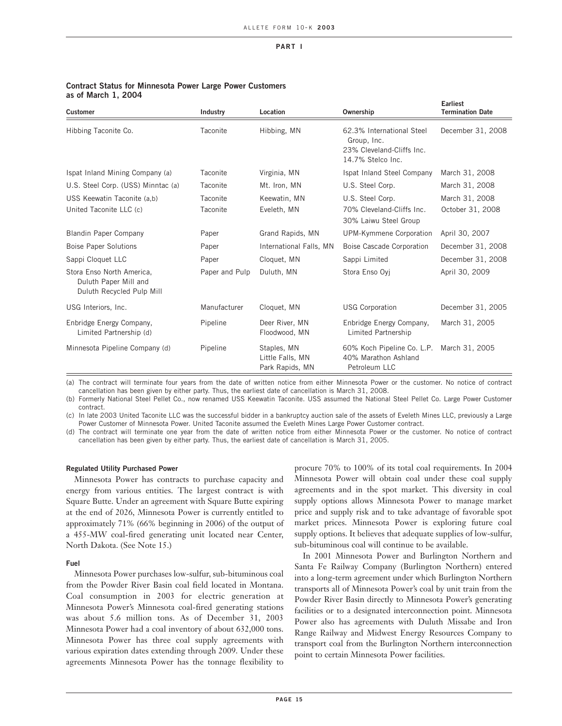| <b>Customer</b>                                                                 | Industry             | Location                                           | Ownership                                                                                  | <b>Earliest</b><br><b>Termination Date</b> |
|---------------------------------------------------------------------------------|----------------------|----------------------------------------------------|--------------------------------------------------------------------------------------------|--------------------------------------------|
| Hibbing Taconite Co.                                                            | Taconite             | Hibbing, MN                                        | 62.3% International Steel<br>Group, Inc.<br>23% Cleveland-Cliffs Inc.<br>14.7% Stelco Inc. | December 31, 2008                          |
| Ispat Inland Mining Company (a)                                                 | Taconite             | Virginia, MN                                       | Ispat Inland Steel Company                                                                 | March 31, 2008                             |
| U.S. Steel Corp. (USS) Minntac (a)                                              | Taconite             | Mt. Iron, MN                                       | U.S. Steel Corp.                                                                           | March 31, 2008                             |
| USS Keewatin Taconite (a,b)<br>United Taconite LLC (c)                          | Taconite<br>Taconite | Keewatin, MN<br>Eveleth, MN                        | U.S. Steel Corp.<br>70% Cleveland-Cliffs Inc.<br>30% Laiwu Steel Group                     | March 31, 2008<br>October 31, 2008         |
| <b>Blandin Paper Company</b>                                                    | Paper                | Grand Rapids, MN                                   | UPM-Kymmene Corporation                                                                    | April 30, 2007                             |
| <b>Boise Paper Solutions</b>                                                    | Paper                | International Falls, MN                            | Boise Cascade Corporation                                                                  | December 31, 2008                          |
| Sappi Cloquet LLC                                                               | Paper                | Cloquet, MN                                        | Sappi Limited                                                                              | December 31, 2008                          |
| Stora Enso North America,<br>Duluth Paper Mill and<br>Duluth Recycled Pulp Mill | Paper and Pulp       | Duluth, MN                                         | Stora Enso Ovi                                                                             | April 30, 2009                             |
| USG Interiors, Inc.                                                             | Manufacturer         | Cloquet, MN                                        | <b>USG Corporation</b>                                                                     | December 31, 2005                          |
| Enbridge Energy Company,<br>Limited Partnership (d)                             | Pipeline             | Deer River, MN<br>Floodwood, MN                    | Enbridge Energy Company,<br>Limited Partnership                                            | March 31, 2005                             |
| Minnesota Pipeline Company (d)                                                  | Pipeline             | Staples, MN<br>Little Falls, MN<br>Park Rapids, MN | 60% Koch Pipeline Co. L.P.<br>40% Marathon Ashland<br>Petroleum LLC                        | March 31, 2005                             |

#### **Contract Status for Minnesota Power Large Power Customers as of March 1, 2004**

(a) The contract will terminate four years from the date of written notice from either Minnesota Power or the customer. No notice of contract cancellation has been given by either party. Thus, the earliest date of cancellation is March 31, 2008.

(b) Formerly National Steel Pellet Co., now renamed USS Keewatin Taconite. USS assumed the National Steel Pellet Co. Large Power Customer contract.

(c) In late 2003 United Taconite LLC was the successful bidder in a bankruptcy auction sale of the assets of Eveleth Mines LLC, previously a Large Power Customer of Minnesota Power. United Taconite assumed the Eveleth Mines Large Power Customer contract.

(d) The contract will terminate one year from the date of written notice from either Minnesota Power or the customer. No notice of contract cancellation has been given by either party. Thus, the earliest date of cancellation is March 31, 2005.

#### **Regulated Utility Purchased Power**

Minnesota Power has contracts to purchase capacity and energy from various entities. The largest contract is with Square Butte. Under an agreement with Square Butte expiring at the end of 2026, Minnesota Power is currently entitled to approximately 71% (66% beginning in 2006) of the output of a 455-MW coal-fired generating unit located near Center, North Dakota. (See Note 15.)

#### **Fuel**

Minnesota Power purchases low-sulfur, sub-bituminous coal from the Powder River Basin coal field located in Montana. Coal consumption in 2003 for electric generation at Minnesota Power's Minnesota coal-fired generating stations was about 5.6 million tons. As of December 31, 2003 Minnesota Power had a coal inventory of about 632,000 tons. Minnesota Power has three coal supply agreements with various expiration dates extending through 2009. Under these agreements Minnesota Power has the tonnage flexibility to procure 70% to 100% of its total coal requirements. In 2004 Minnesota Power will obtain coal under these coal supply agreements and in the spot market. This diversity in coal supply options allows Minnesota Power to manage market price and supply risk and to take advantage of favorable spot market prices. Minnesota Power is exploring future coal supply options. It believes that adequate supplies of low-sulfur, sub-bituminous coal will continue to be available.

In 2001 Minnesota Power and Burlington Northern and Santa Fe Railway Company (Burlington Northern) entered into a long-term agreement under which Burlington Northern transports all of Minnesota Power's coal by unit train from the Powder River Basin directly to Minnesota Power's generating facilities or to a designated interconnection point. Minnesota Power also has agreements with Duluth Missabe and Iron Range Railway and Midwest Energy Resources Company to transport coal from the Burlington Northern interconnection point to certain Minnesota Power facilities.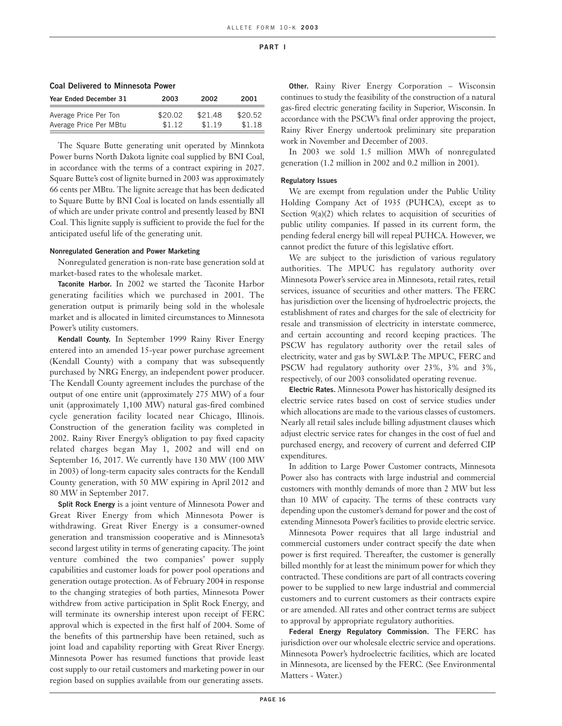| <b>UVUI DUITTUU LU MIIIILUJULU I UMUI</b> |         |         |         |  |  |
|-------------------------------------------|---------|---------|---------|--|--|
| Year Ended December 31                    | 2003    | 2002    | 2001    |  |  |
| Average Price Per Ton                     | \$20.02 | \$21.48 | \$20.52 |  |  |
| Average Price Per MBtu                    | \$1.12  | \$1.19  | \$1.18  |  |  |

The Square Butte generating unit operated by Minnkota Power burns North Dakota lignite coal supplied by BNI Coal, in accordance with the terms of a contract expiring in 2027. Square Butte's cost of lignite burned in 2003 was approximately 66 cents per MBtu. The lignite acreage that has been dedicated to Square Butte by BNI Coal is located on lands essentially all of which are under private control and presently leased by BNI Coal. This lignite supply is sufficient to provide the fuel for the anticipated useful life of the generating unit.

#### **Nonregulated Generation and Power Marketing**

**Coal Delivered to Minnesota Power**

Nonregulated generation is non-rate base generation sold at market-based rates to the wholesale market.

**Taconite Harbor.** In 2002 we started the Taconite Harbor generating facilities which we purchased in 2001. The generation output is primarily being sold in the wholesale market and is allocated in limited circumstances to Minnesota Power's utility customers.

**Kendall County.** In September 1999 Rainy River Energy entered into an amended 15-year power purchase agreement (Kendall County) with a company that was subsequently purchased by NRG Energy, an independent power producer. The Kendall County agreement includes the purchase of the output of one entire unit (approximately 275 MW) of a four unit (approximately 1,100 MW) natural gas-fired combined cycle generation facility located near Chicago, Illinois. Construction of the generation facility was completed in 2002. Rainy River Energy's obligation to pay fixed capacity related charges began May 1, 2002 and will end on September 16, 2017. We currently have 130 MW (100 MW in 2003) of long-term capacity sales contracts for the Kendall County generation, with 50 MW expiring in April 2012 and 80 MW in September 2017.

**Split Rock Energy** is a joint venture of Minnesota Power and Great River Energy from which Minnesota Power is withdrawing. Great River Energy is a consumer-owned generation and transmission cooperative and is Minnesota's second largest utility in terms of generating capacity. The joint venture combined the two companies' power supply capabilities and customer loads for power pool operations and generation outage protection. As of February 2004 in response to the changing strategies of both parties, Minnesota Power withdrew from active participation in Split Rock Energy, and will terminate its ownership interest upon receipt of FERC approval which is expected in the first half of 2004. Some of the benefits of this partnership have been retained, such as joint load and capability reporting with Great River Energy. Minnesota Power has resumed functions that provide least cost supply to our retail customers and marketing power in our region based on supplies available from our generating assets.

**Other.** Rainy River Energy Corporation – Wisconsin continues to study the feasibility of the construction of a natural gas-fired electric generating facility in Superior, Wisconsin. In accordance with the PSCW's final order approving the project, Rainy River Energy undertook preliminary site preparation work in November and December of 2003.

In 2003 we sold 1.5 million MWh of nonregulated generation (1.2 million in 2002 and 0.2 million in 2001).

#### **Regulatory Issues**

We are exempt from regulation under the Public Utility Holding Company Act of 1935 (PUHCA), except as to Section  $9(a)(2)$  which relates to acquisition of securities of public utility companies. If passed in its current form, the pending federal energy bill will repeal PUHCA. However, we cannot predict the future of this legislative effort.

We are subject to the jurisdiction of various regulatory authorities. The MPUC has regulatory authority over Minnesota Power's service area in Minnesota, retail rates, retail services, issuance of securities and other matters. The FERC has jurisdiction over the licensing of hydroelectric projects, the establishment of rates and charges for the sale of electricity for resale and transmission of electricity in interstate commerce, and certain accounting and record keeping practices. The PSCW has regulatory authority over the retail sales of electricity, water and gas by SWL&P. The MPUC, FERC and PSCW had regulatory authority over 23%, 3% and 3%, respectively, of our 2003 consolidated operating revenue.

**Electric Rates.** Minnesota Power has historically designed its electric service rates based on cost of service studies under which allocations are made to the various classes of customers. Nearly all retail sales include billing adjustment clauses which adjust electric service rates for changes in the cost of fuel and purchased energy, and recovery of current and deferred CIP expenditures.

In addition to Large Power Customer contracts, Minnesota Power also has contracts with large industrial and commercial customers with monthly demands of more than 2 MW but less than 10 MW of capacity. The terms of these contracts vary depending upon the customer's demand for power and the cost of extending Minnesota Power's facilities to provide electric service.

Minnesota Power requires that all large industrial and commercial customers under contract specify the date when power is first required. Thereafter, the customer is generally billed monthly for at least the minimum power for which they contracted. These conditions are part of all contracts covering power to be supplied to new large industrial and commercial customers and to current customers as their contracts expire or are amended. All rates and other contract terms are subject to approval by appropriate regulatory authorities.

**Federal Energy Regulatory Commission.** The FERC has jurisdiction over our wholesale electric service and operations. Minnesota Power's hydroelectric facilities, which are located in Minnesota, are licensed by the FERC. (See Environmental Matters - Water.)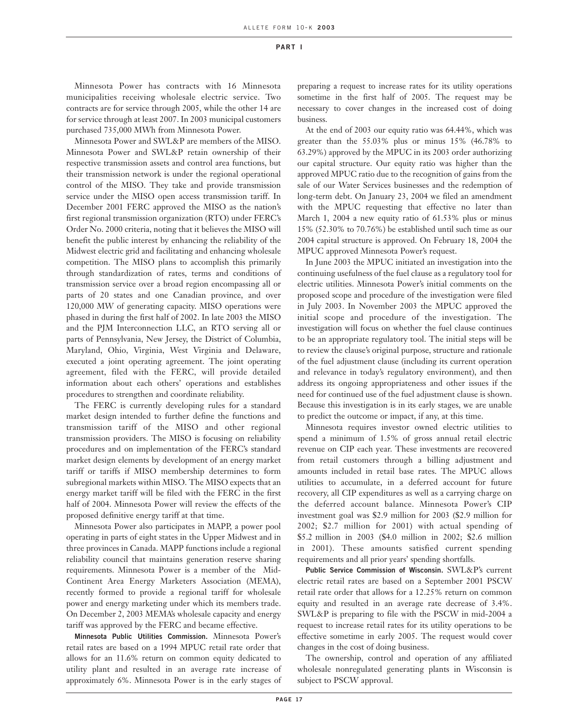Minnesota Power has contracts with 16 Minnesota municipalities receiving wholesale electric service. Two contracts are for service through 2005, while the other 14 are for service through at least 2007. In 2003 municipal customers purchased 735,000 MWh from Minnesota Power.

Minnesota Power and SWL&P are members of the MISO. Minnesota Power and SWL&P retain ownership of their respective transmission assets and control area functions, but their transmission network is under the regional operational control of the MISO. They take and provide transmission service under the MISO open access transmission tariff. In December 2001 FERC approved the MISO as the nation's first regional transmission organization (RTO) under FERC's Order No. 2000 criteria, noting that it believes the MISO will benefit the public interest by enhancing the reliability of the Midwest electric grid and facilitating and enhancing wholesale competition. The MISO plans to accomplish this primarily through standardization of rates, terms and conditions of transmission service over a broad region encompassing all or parts of 20 states and one Canadian province, and over 120,000 MW of generating capacity. MISO operations were phased in during the first half of 2002. In late 2003 the MISO and the PJM Interconnection LLC, an RTO serving all or parts of Pennsylvania, New Jersey, the District of Columbia, Maryland, Ohio, Virginia, West Virginia and Delaware, executed a joint operating agreement. The joint operating agreement, filed with the FERC, will provide detailed information about each others' operations and establishes procedures to strengthen and coordinate reliability.

The FERC is currently developing rules for a standard market design intended to further define the functions and transmission tariff of the MISO and other regional transmission providers. The MISO is focusing on reliability procedures and on implementation of the FERC's standard market design elements by development of an energy market tariff or tariffs if MISO membership determines to form subregional markets within MISO. The MISO expects that an energy market tariff will be filed with the FERC in the first half of 2004. Minnesota Power will review the effects of the proposed definitive energy tariff at that time.

Minnesota Power also participates in MAPP, a power pool operating in parts of eight states in the Upper Midwest and in three provinces in Canada. MAPP functions include a regional reliability council that maintains generation reserve sharing requirements. Minnesota Power is a member of the Mid-Continent Area Energy Marketers Association (MEMA), recently formed to provide a regional tariff for wholesale power and energy marketing under which its members trade. On December 2, 2003 MEMA's wholesale capacity and energy tariff was approved by the FERC and became effective.

**Minnesota Public Utilities Commission.** Minnesota Power's retail rates are based on a 1994 MPUC retail rate order that allows for an 11.6% return on common equity dedicated to utility plant and resulted in an average rate increase of approximately 6%. Minnesota Power is in the early stages of preparing a request to increase rates for its utility operations sometime in the first half of 2005. The request may be necessary to cover changes in the increased cost of doing business.

At the end of 2003 our equity ratio was 64.44%, which was greater than the 55.03% plus or minus 15% (46.78% to 63.29%) approved by the MPUC in its 2003 order authorizing our capital structure. Our equity ratio was higher than the approved MPUC ratio due to the recognition of gains from the sale of our Water Services businesses and the redemption of long-term debt. On January 23, 2004 we filed an amendment with the MPUC requesting that effective no later than March 1, 2004 a new equity ratio of 61.53% plus or minus 15% (52.30% to 70.76%) be established until such time as our 2004 capital structure is approved. On February 18, 2004 the MPUC approved Minnesota Power's request.

In June 2003 the MPUC initiated an investigation into the continuing usefulness of the fuel clause as a regulatory tool for electric utilities. Minnesota Power's initial comments on the proposed scope and procedure of the investigation were filed in July 2003. In November 2003 the MPUC approved the initial scope and procedure of the investigation. The investigation will focus on whether the fuel clause continues to be an appropriate regulatory tool. The initial steps will be to review the clause's original purpose, structure and rationale of the fuel adjustment clause (including its current operation and relevance in today's regulatory environment), and then address its ongoing appropriateness and other issues if the need for continued use of the fuel adjustment clause is shown. Because this investigation is in its early stages, we are unable to predict the outcome or impact, if any, at this time.

Minnesota requires investor owned electric utilities to spend a minimum of 1.5% of gross annual retail electric revenue on CIP each year. These investments are recovered from retail customers through a billing adjustment and amounts included in retail base rates. The MPUC allows utilities to accumulate, in a deferred account for future recovery, all CIP expenditures as well as a carrying charge on the deferred account balance. Minnesota Power's CIP investment goal was \$2.9 million for 2003 (\$2.9 million for 2002; \$2.7 million for 2001) with actual spending of \$5.2 million in 2003 (\$4.0 million in 2002; \$2.6 million in 2001). These amounts satisfied current spending requirements and all prior years' spending shortfalls.

**Public Service Commission of Wisconsin.** SWL&P's current electric retail rates are based on a September 2001 PSCW retail rate order that allows for a 12.25% return on common equity and resulted in an average rate decrease of 3.4%. SWL&P is preparing to file with the PSCW in mid-2004 a request to increase retail rates for its utility operations to be effective sometime in early 2005. The request would cover changes in the cost of doing business.

The ownership, control and operation of any affiliated wholesale nonregulated generating plants in Wisconsin is subject to PSCW approval.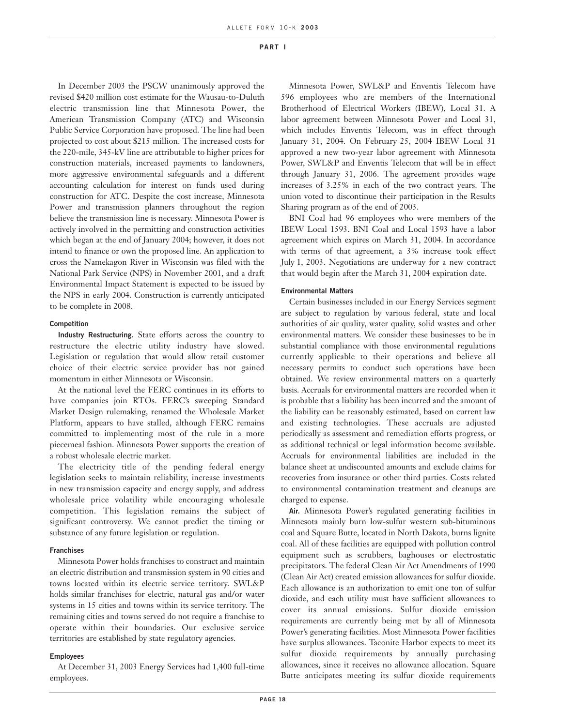In December 2003 the PSCW unanimously approved the revised \$420 million cost estimate for the Wausau-to-Duluth electric transmission line that Minnesota Power, the American Transmission Company (ATC) and Wisconsin Public Service Corporation have proposed. The line had been projected to cost about \$215 million. The increased costs for the 220-mile, 345-kV line are attributable to higher prices for construction materials, increased payments to landowners, more aggressive environmental safeguards and a different accounting calculation for interest on funds used during construction for ATC. Despite the cost increase, Minnesota Power and transmission planners throughout the region believe the transmission line is necessary. Minnesota Power is actively involved in the permitting and construction activities which began at the end of January 2004; however, it does not intend to finance or own the proposed line. An application to cross the Namekagon River in Wisconsin was filed with the National Park Service (NPS) in November 2001, and a draft Environmental Impact Statement is expected to be issued by the NPS in early 2004. Construction is currently anticipated to be complete in 2008.

#### **Competition**

**Industry Restructuring.** State efforts across the country to restructure the electric utility industry have slowed. Legislation or regulation that would allow retail customer choice of their electric service provider has not gained momentum in either Minnesota or Wisconsin.

At the national level the FERC continues in its efforts to have companies join RTOs. FERC's sweeping Standard Market Design rulemaking, renamed the Wholesale Market Platform, appears to have stalled, although FERC remains committed to implementing most of the rule in a more piecemeal fashion. Minnesota Power supports the creation of a robust wholesale electric market.

The electricity title of the pending federal energy legislation seeks to maintain reliability, increase investments in new transmission capacity and energy supply, and address wholesale price volatility while encouraging wholesale competition. This legislation remains the subject of significant controversy. We cannot predict the timing or substance of any future legislation or regulation.

#### **Franchises**

Minnesota Power holds franchises to construct and maintain an electric distribution and transmission system in 90 cities and towns located within its electric service territory. SWL&P holds similar franchises for electric, natural gas and/or water systems in 15 cities and towns within its service territory. The remaining cities and towns served do not require a franchise to operate within their boundaries. Our exclusive service territories are established by state regulatory agencies.

#### **Employees**

At December 31, 2003 Energy Services had 1,400 full-time employees.

Minnesota Power, SWL&P and Enventis Telecom have 596 employees who are members of the International Brotherhood of Electrical Workers (IBEW), Local 31. A labor agreement between Minnesota Power and Local 31, which includes Enventis Telecom, was in effect through January 31, 2004. On February 25, 2004 IBEW Local 31 approved a new two-year labor agreement with Minnesota Power, SWL&P and Enventis Telecom that will be in effect through January 31, 2006. The agreement provides wage increases of 3.25% in each of the two contract years. The union voted to discontinue their participation in the Results Sharing program as of the end of 2003.

BNI Coal had 96 employees who were members of the IBEW Local 1593. BNI Coal and Local 1593 have a labor agreement which expires on March 31, 2004. In accordance with terms of that agreement, a 3% increase took effect July 1, 2003. Negotiations are underway for a new contract that would begin after the March 31, 2004 expiration date.

#### **Environmental Matters**

Certain businesses included in our Energy Services segment are subject to regulation by various federal, state and local authorities of air quality, water quality, solid wastes and other environmental matters. We consider these businesses to be in substantial compliance with those environmental regulations currently applicable to their operations and believe all necessary permits to conduct such operations have been obtained. We review environmental matters on a quarterly basis. Accruals for environmental matters are recorded when it is probable that a liability has been incurred and the amount of the liability can be reasonably estimated, based on current law and existing technologies. These accruals are adjusted periodically as assessment and remediation efforts progress, or as additional technical or legal information become available. Accruals for environmental liabilities are included in the balance sheet at undiscounted amounts and exclude claims for recoveries from insurance or other third parties. Costs related to environmental contamination treatment and cleanups are charged to expense.

**Air.** Minnesota Power's regulated generating facilities in Minnesota mainly burn low-sulfur western sub-bituminous coal and Square Butte, located in North Dakota, burns lignite coal. All of these facilities are equipped with pollution control equipment such as scrubbers, baghouses or electrostatic precipitators. The federal Clean Air Act Amendments of 1990 (Clean Air Act) created emission allowances for sulfur dioxide. Each allowance is an authorization to emit one ton of sulfur dioxide, and each utility must have sufficient allowances to cover its annual emissions. Sulfur dioxide emission requirements are currently being met by all of Minnesota Power's generating facilities. Most Minnesota Power facilities have surplus allowances. Taconite Harbor expects to meet its sulfur dioxide requirements by annually purchasing allowances, since it receives no allowance allocation. Square Butte anticipates meeting its sulfur dioxide requirements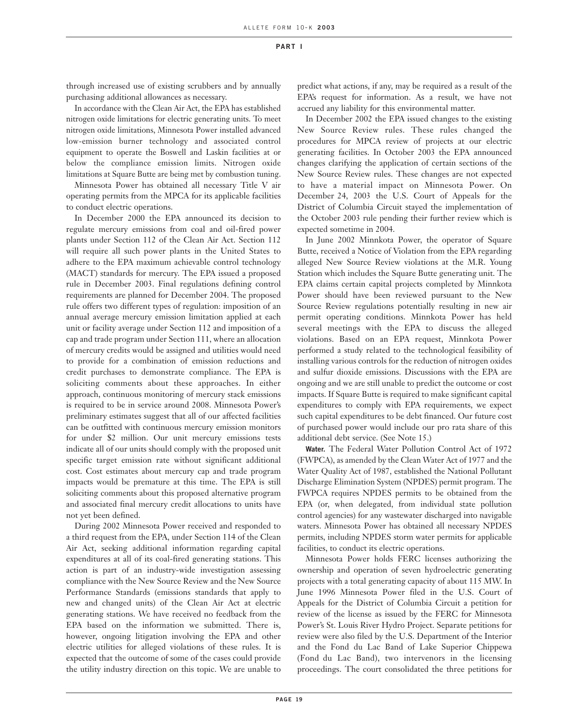through increased use of existing scrubbers and by annually purchasing additional allowances as necessary.

In accordance with the Clean Air Act, the EPA has established nitrogen oxide limitations for electric generating units. To meet nitrogen oxide limitations, Minnesota Power installed advanced low-emission burner technology and associated control equipment to operate the Boswell and Laskin facilities at or below the compliance emission limits. Nitrogen oxide limitations at Square Butte are being met by combustion tuning.

Minnesota Power has obtained all necessary Title V air operating permits from the MPCA for its applicable facilities to conduct electric operations.

In December 2000 the EPA announced its decision to regulate mercury emissions from coal and oil-fired power plants under Section 112 of the Clean Air Act. Section 112 will require all such power plants in the United States to adhere to the EPA maximum achievable control technology (MACT) standards for mercury. The EPA issued a proposed rule in December 2003. Final regulations defining control requirements are planned for December 2004. The proposed rule offers two different types of regulation: imposition of an annual average mercury emission limitation applied at each unit or facility average under Section 112 and imposition of a cap and trade program under Section 111, where an allocation of mercury credits would be assigned and utilities would need to provide for a combination of emission reductions and credit purchases to demonstrate compliance. The EPA is soliciting comments about these approaches. In either approach, continuous monitoring of mercury stack emissions is required to be in service around 2008. Minnesota Power's preliminary estimates suggest that all of our affected facilities can be outfitted with continuous mercury emission monitors for under \$2 million. Our unit mercury emissions tests indicate all of our units should comply with the proposed unit specific target emission rate without significant additional cost. Cost estimates about mercury cap and trade program impacts would be premature at this time. The EPA is still soliciting comments about this proposed alternative program and associated final mercury credit allocations to units have not yet been defined.

During 2002 Minnesota Power received and responded to a third request from the EPA, under Section 114 of the Clean Air Act, seeking additional information regarding capital expenditures at all of its coal-fired generating stations. This action is part of an industry-wide investigation assessing compliance with the New Source Review and the New Source Performance Standards (emissions standards that apply to new and changed units) of the Clean Air Act at electric generating stations. We have received no feedback from the EPA based on the information we submitted. There is, however, ongoing litigation involving the EPA and other electric utilities for alleged violations of these rules. It is expected that the outcome of some of the cases could provide the utility industry direction on this topic. We are unable to

predict what actions, if any, may be required as a result of the EPA's request for information. As a result, we have not accrued any liability for this environmental matter.

In December 2002 the EPA issued changes to the existing New Source Review rules. These rules changed the procedures for MPCA review of projects at our electric generating facilities. In October 2003 the EPA announced changes clarifying the application of certain sections of the New Source Review rules. These changes are not expected to have a material impact on Minnesota Power. On December 24, 2003 the U.S. Court of Appeals for the District of Columbia Circuit stayed the implementation of the October 2003 rule pending their further review which is expected sometime in 2004.

In June 2002 Minnkota Power, the operator of Square Butte, received a Notice of Violation from the EPA regarding alleged New Source Review violations at the M.R. Young Station which includes the Square Butte generating unit. The EPA claims certain capital projects completed by Minnkota Power should have been reviewed pursuant to the New Source Review regulations potentially resulting in new air permit operating conditions. Minnkota Power has held several meetings with the EPA to discuss the alleged violations. Based on an EPA request, Minnkota Power performed a study related to the technological feasibility of installing various controls for the reduction of nitrogen oxides and sulfur dioxide emissions. Discussions with the EPA are ongoing and we are still unable to predict the outcome or cost impacts. If Square Butte is required to make significant capital expenditures to comply with EPA requirements, we expect such capital expenditures to be debt financed. Our future cost of purchased power would include our pro rata share of this additional debt service. (See Note 15.)

**Water.** The Federal Water Pollution Control Act of 1972 (FWPCA), as amended by the Clean Water Act of 1977 and the Water Quality Act of 1987, established the National Pollutant Discharge Elimination System (NPDES) permit program. The FWPCA requires NPDES permits to be obtained from the EPA (or, when delegated, from individual state pollution control agencies) for any wastewater discharged into navigable waters. Minnesota Power has obtained all necessary NPDES permits, including NPDES storm water permits for applicable facilities, to conduct its electric operations.

Minnesota Power holds FERC licenses authorizing the ownership and operation of seven hydroelectric generating projects with a total generating capacity of about 115 MW. In June 1996 Minnesota Power filed in the U.S. Court of Appeals for the District of Columbia Circuit a petition for review of the license as issued by the FERC for Minnesota Power's St. Louis River Hydro Project. Separate petitions for review were also filed by the U.S. Department of the Interior and the Fond du Lac Band of Lake Superior Chippewa (Fond du Lac Band), two intervenors in the licensing proceedings. The court consolidated the three petitions for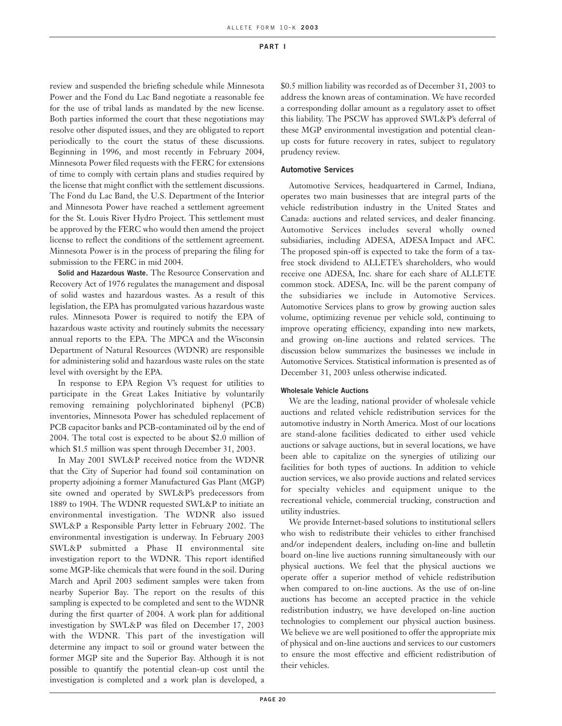review and suspended the briefing schedule while Minnesota Power and the Fond du Lac Band negotiate a reasonable fee for the use of tribal lands as mandated by the new license. Both parties informed the court that these negotiations may resolve other disputed issues, and they are obligated to report periodically to the court the status of these discussions. Beginning in 1996, and most recently in February 2004, Minnesota Power filed requests with the FERC for extensions of time to comply with certain plans and studies required by the license that might conflict with the settlement discussions. The Fond du Lac Band, the U.S. Department of the Interior and Minnesota Power have reached a settlement agreement for the St. Louis River Hydro Project. This settlement must be approved by the FERC who would then amend the project license to reflect the conditions of the settlement agreement. Minnesota Power is in the process of preparing the filing for submission to the FERC in mid 2004.

**Solid and Hazardous Waste.** The Resource Conservation and Recovery Act of 1976 regulates the management and disposal of solid wastes and hazardous wastes. As a result of this legislation, the EPA has promulgated various hazardous waste rules. Minnesota Power is required to notify the EPA of hazardous waste activity and routinely submits the necessary annual reports to the EPA. The MPCA and the Wisconsin Department of Natural Resources (WDNR) are responsible for administering solid and hazardous waste rules on the state level with oversight by the EPA.

In response to EPA Region V's request for utilities to participate in the Great Lakes Initiative by voluntarily removing remaining polychlorinated biphenyl (PCB) inventories, Minnesota Power has scheduled replacement of PCB capacitor banks and PCB-contaminated oil by the end of 2004. The total cost is expected to be about \$2.0 million of which \$1.5 million was spent through December 31, 2003.

In May 2001 SWL&P received notice from the WDNR that the City of Superior had found soil contamination on property adjoining a former Manufactured Gas Plant (MGP) site owned and operated by SWL&P's predecessors from 1889 to 1904. The WDNR requested SWL&P to initiate an environmental investigation. The WDNR also issued SWL&P a Responsible Party letter in February 2002. The environmental investigation is underway. In February 2003 SWL&P submitted a Phase II environmental site investigation report to the WDNR. This report identified some MGP-like chemicals that were found in the soil. During March and April 2003 sediment samples were taken from nearby Superior Bay. The report on the results of this sampling is expected to be completed and sent to the WDNR during the first quarter of 2004. A work plan for additional investigation by SWL&P was filed on December 17, 2003 with the WDNR. This part of the investigation will determine any impact to soil or ground water between the former MGP site and the Superior Bay. Although it is not possible to quantify the potential clean-up cost until the investigation is completed and a work plan is developed, a \$0.5 million liability was recorded as of December 31, 2003 to address the known areas of contamination. We have recorded a corresponding dollar amount as a regulatory asset to offset this liability. The PSCW has approved SWL&P's deferral of these MGP environmental investigation and potential cleanup costs for future recovery in rates, subject to regulatory prudency review.

#### **Automotive Services**

Automotive Services, headquartered in Carmel, Indiana, operates two main businesses that are integral parts of the vehicle redistribution industry in the United States and Canada: auctions and related services, and dealer financing. Automotive Services includes several wholly owned subsidiaries, including ADESA, ADESA Impact and AFC. The proposed spin-off is expected to take the form of a taxfree stock dividend to ALLETE's shareholders, who would receive one ADESA, Inc. share for each share of ALLETE common stock. ADESA, Inc. will be the parent company of the subsidiaries we include in Automotive Services. Automotive Services plans to grow by growing auction sales volume, optimizing revenue per vehicle sold, continuing to improve operating efficiency, expanding into new markets, and growing on-line auctions and related services. The discussion below summarizes the businesses we include in Automotive Services. Statistical information is presented as of December 31, 2003 unless otherwise indicated.

#### **Wholesale Vehicle Auctions**

We are the leading, national provider of wholesale vehicle auctions and related vehicle redistribution services for the automotive industry in North America. Most of our locations are stand-alone facilities dedicated to either used vehicle auctions or salvage auctions, but in several locations, we have been able to capitalize on the synergies of utilizing our facilities for both types of auctions. In addition to vehicle auction services, we also provide auctions and related services for specialty vehicles and equipment unique to the recreational vehicle, commercial trucking, construction and utility industries.

We provide Internet-based solutions to institutional sellers who wish to redistribute their vehicles to either franchised and/or independent dealers, including on-line and bulletin board on-line live auctions running simultaneously with our physical auctions. We feel that the physical auctions we operate offer a superior method of vehicle redistribution when compared to on-line auctions. As the use of on-line auctions has become an accepted practice in the vehicle redistribution industry, we have developed on-line auction technologies to complement our physical auction business. We believe we are well positioned to offer the appropriate mix of physical and on-line auctions and services to our customers to ensure the most effective and efficient redistribution of their vehicles.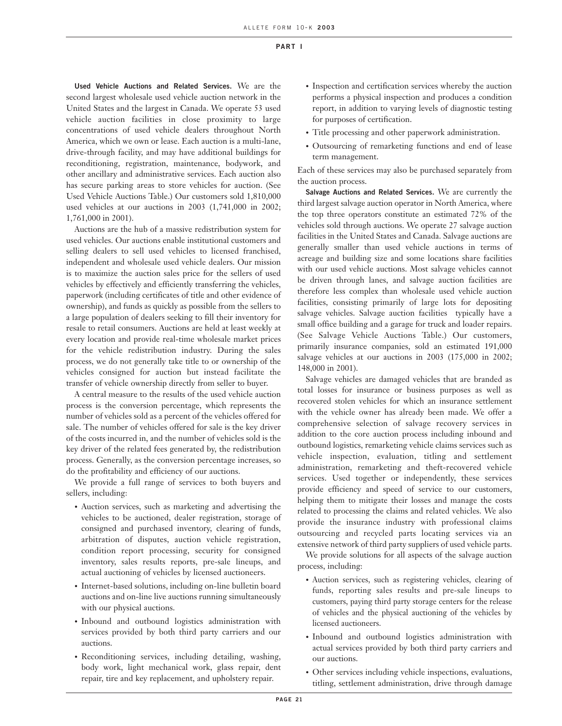**Used Vehicle Auctions and Related Services.** We are the second largest wholesale used vehicle auction network in the United States and the largest in Canada. We operate 53 used vehicle auction facilities in close proximity to large concentrations of used vehicle dealers throughout North America, which we own or lease. Each auction is a multi-lane, drive-through facility, and may have additional buildings for reconditioning, registration, maintenance, bodywork, and other ancillary and administrative services. Each auction also has secure parking areas to store vehicles for auction. (See Used Vehicle Auctions Table.) Our customers sold 1,810,000 used vehicles at our auctions in 2003 (1,741,000 in 2002; 1,761,000 in 2001).

Auctions are the hub of a massive redistribution system for used vehicles. Our auctions enable institutional customers and selling dealers to sell used vehicles to licensed franchised, independent and wholesale used vehicle dealers. Our mission is to maximize the auction sales price for the sellers of used vehicles by effectively and efficiently transferring the vehicles, paperwork (including certificates of title and other evidence of ownership), and funds as quickly as possible from the sellers to a large population of dealers seeking to fill their inventory for resale to retail consumers. Auctions are held at least weekly at every location and provide real-time wholesale market prices for the vehicle redistribution industry. During the sales process, we do not generally take title to or ownership of the vehicles consigned for auction but instead facilitate the transfer of vehicle ownership directly from seller to buyer.

A central measure to the results of the used vehicle auction process is the conversion percentage, which represents the number of vehicles sold as a percent of the vehicles offered for sale. The number of vehicles offered for sale is the key driver of the costs incurred in, and the number of vehicles sold is the key driver of the related fees generated by, the redistribution process. Generally, as the conversion percentage increases, so do the profitability and efficiency of our auctions.

We provide a full range of services to both buyers and sellers, including:

- Auction services, such as marketing and advertising the vehicles to be auctioned, dealer registration, storage of consigned and purchased inventory, clearing of funds, arbitration of disputes, auction vehicle registration, condition report processing, security for consigned inventory, sales results reports, pre-sale lineups, and actual auctioning of vehicles by licensed auctioneers.
- Internet-based solutions, including on-line bulletin board auctions and on-line live auctions running simultaneously with our physical auctions.
- Inbound and outbound logistics administration with services provided by both third party carriers and our auctions.
- Reconditioning services, including detailing, washing, body work, light mechanical work, glass repair, dent repair, tire and key replacement, and upholstery repair.
- Inspection and certification services whereby the auction performs a physical inspection and produces a condition report, in addition to varying levels of diagnostic testing for purposes of certification.
- Title processing and other paperwork administration.
- Outsourcing of remarketing functions and end of lease term management.

Each of these services may also be purchased separately from the auction process.

**Salvage Auctions and Related Services.** We are currently the third largest salvage auction operator in North America, where the top three operators constitute an estimated 72% of the vehicles sold through auctions. We operate 27 salvage auction facilities in the United States and Canada. Salvage auctions are generally smaller than used vehicle auctions in terms of acreage and building size and some locations share facilities with our used vehicle auctions. Most salvage vehicles cannot be driven through lanes, and salvage auction facilities are therefore less complex than wholesale used vehicle auction facilities, consisting primarily of large lots for depositing salvage vehicles. Salvage auction facilities typically have a small office building and a garage for truck and loader repairs. (See Salvage Vehicle Auctions Table.) Our customers, primarily insurance companies, sold an estimated 191,000 salvage vehicles at our auctions in 2003 (175,000 in 2002; 148,000 in 2001).

Salvage vehicles are damaged vehicles that are branded as total losses for insurance or business purposes as well as recovered stolen vehicles for which an insurance settlement with the vehicle owner has already been made. We offer a comprehensive selection of salvage recovery services in addition to the core auction process including inbound and outbound logistics, remarketing vehicle claims services such as vehicle inspection, evaluation, titling and settlement administration, remarketing and theft-recovered vehicle services. Used together or independently, these services provide efficiency and speed of service to our customers, helping them to mitigate their losses and manage the costs related to processing the claims and related vehicles. We also provide the insurance industry with professional claims outsourcing and recycled parts locating services via an extensive network of third party suppliers of used vehicle parts.

We provide solutions for all aspects of the salvage auction process, including:

- Auction services, such as registering vehicles, clearing of funds, reporting sales results and pre-sale lineups to customers, paying third party storage centers for the release of vehicles and the physical auctioning of the vehicles by licensed auctioneers.
- Inbound and outbound logistics administration with actual services provided by both third party carriers and our auctions.
- Other services including vehicle inspections, evaluations, titling, settlement administration, drive through damage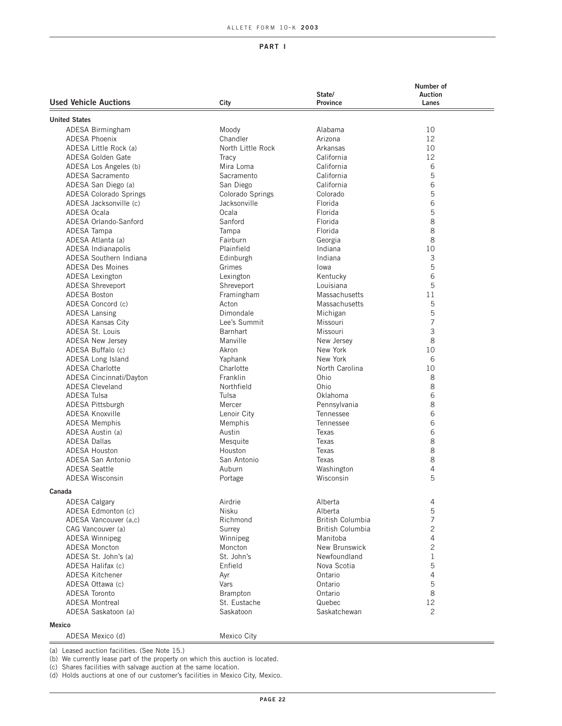|                              |                   |                         | Number of               |
|------------------------------|-------------------|-------------------------|-------------------------|
| <b>Used Vehicle Auctions</b> |                   | State/<br>Province      | <b>Auction</b><br>Lanes |
|                              | City              |                         |                         |
| <b>United States</b>         |                   |                         |                         |
| ADESA Birmingham             | Moody             | Alabama                 | 10                      |
| <b>ADESA Phoenix</b>         | Chandler          | Arizona                 | 12                      |
| ADESA Little Rock (a)        | North Little Rock | Arkansas                | 10                      |
| ADESA Golden Gate            | Tracy             | California              | 12                      |
| ADESA Los Angeles (b)        | Mira Loma         | California              | 6                       |
| ADESA Sacramento             | Sacramento        | California              | 5                       |
| ADESA San Diego (a)          | San Diego         | California              | 6                       |
| ADESA Colorado Springs       | Colorado Springs  | Colorado                | 5                       |
| ADESA Jacksonville (c)       | Jacksonville      |                         | 6                       |
| ADESA Ocala                  |                   | Florida                 |                         |
|                              | Ocala             | Florida                 | 5                       |
| ADESA Orlando-Sanford        | Sanford           | Florida                 | 8                       |
| ADESA Tampa                  | Tampa             | Florida                 | 8                       |
| ADESA Atlanta (a)            | Fairburn          | Georgia                 | 8                       |
| ADESA Indianapolis           | Plainfield        | Indiana                 | 10                      |
| ADESA Southern Indiana       | Edinburgh         | Indiana                 | 3                       |
| <b>ADESA Des Moines</b>      | Grimes            | lowa                    | 5                       |
| <b>ADESA Lexington</b>       | Lexington         | Kentucky                | 6                       |
| <b>ADESA Shreveport</b>      | Shreveport        | Louisiana               | 5                       |
| <b>ADESA Boston</b>          | Framingham        | <b>Massachusetts</b>    | 11                      |
| ADESA Concord (c)            | Acton             | <b>Massachusetts</b>    | 5                       |
| <b>ADESA Lansing</b>         | Dimondale         | Michigan                | 5                       |
| <b>ADESA Kansas City</b>     | Lee's Summit      | Missouri                | 7                       |
| <b>ADESA St. Louis</b>       | <b>Barnhart</b>   | Missouri                | 3                       |
| <b>ADESA New Jersev</b>      | Manville          | New Jersev              | 8                       |
| ADESA Buffalo (c)            | Akron             | New York                | 10                      |
| ADESA Long Island            | Yaphank           | New York                | 6                       |
| <b>ADESA Charlotte</b>       | Charlotte         | North Carolina          | 10                      |
| ADESA Cincinnati/Dayton      | Franklin          | Ohio                    | 8                       |
| <b>ADESA Cleveland</b>       | Northfield        | Ohio                    | 8                       |
| <b>ADESA Tulsa</b>           | Tulsa             | Oklahoma                | 6                       |
| <b>ADESA Pittsburgh</b>      | Mercer            | Pennsylvania            | 8                       |
| <b>ADESA Knoxville</b>       | Lenoir City       | Tennessee               | 6                       |
| <b>ADESA Memphis</b>         | Memphis           | Tennessee               | 6                       |
| ADESA Austin (a)             | Austin            | Texas                   | 6                       |
| <b>ADESA Dallas</b>          |                   |                         | 8                       |
|                              | Mesquite          | Texas                   |                         |
| ADESA Houston                | Houston           | Texas                   | 8                       |
| ADESA San Antonio            | San Antonio       | Texas                   | 8                       |
| <b>ADESA Seattle</b>         | Auburn            | Washington              | 4                       |
| <b>ADESA Wisconsin</b>       | Portage           | Wisconsin               | 5                       |
| Canada                       |                   |                         |                         |
| <b>ADESA Calgary</b>         | Airdrie           | Alberta                 | 4                       |
| ADESA Edmonton (c)           | Nisku             | Alberta                 | 5                       |
| ADESA Vancouver (a.c)        | Richmond          | <b>British Columbia</b> | $\overline{7}$          |
| CAG Vancouver (a)            | Surrey            | British Columbia        | $\overline{c}$          |
| <b>ADESA Winnipeg</b>        | Winnipeg          | Manitoba                | 4                       |
| <b>ADESA Moncton</b>         | Moncton           | New Brunswick           | $\overline{c}$          |
| ADESA St. John's (a)         | St. John's        | Newfoundland            | $\mathbf{1}$            |
| ADESA Halifax (c)            | Enfield           | Nova Scotia             | 5                       |
| <b>ADESA Kitchener</b>       | Ayr               | Ontario                 | 4                       |
| ADESA Ottawa (c)             | Vars              | Ontario                 | 5                       |
| <b>ADESA Toronto</b>         | Brampton          | Ontario                 | 8                       |
| <b>ADESA Montreal</b>        | St. Eustache      | Quebec                  | 12                      |
| ADESA Saskatoon (a)          | Saskatoon         | Saskatchewan            | 2                       |
|                              |                   |                         |                         |
| Mexico                       |                   |                         |                         |
| ADESA Mexico (d)             | Mexico City       |                         |                         |

(a) Leased auction facilities. (See Note 15.)

(b) We currently lease part of the property on which this auction is located.

(c) Shares facilities with salvage auction at the same location.

(d) Holds auctions at one of our customer's facilities in Mexico City, Mexico.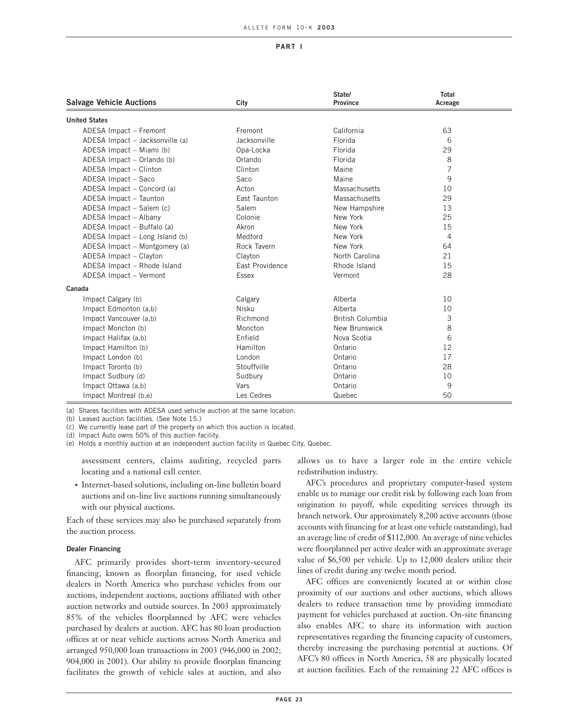#### ALLETE FORM 10- K **2003**

#### **PART I**

| <b>Salvage Vehicle Auctions</b> | City            | State/<br><b>Province</b> | Total<br>Acreage |  |
|---------------------------------|-----------------|---------------------------|------------------|--|
| <b>United States</b>            |                 |                           |                  |  |
| ADESA Impact - Fremont          | Fremont         | California                | 63               |  |
| ADESA Impact - Jacksonville (a) | Jacksonville    | Florida                   | 6                |  |
| ADESA Impact - Miami (b)        | Opa-Locka       | Florida                   | 29               |  |
| ADESA Impact - Orlando (b)      | Orlando         | Florida                   | 8                |  |
| ADESA Impact - Clinton          | Clinton         | Maine                     | $\overline{7}$   |  |
| ADESA Impact - Saco             | Saco            | Maine                     | 9                |  |
| ADESA Impact - Concord (a)      | Acton           | Massachusetts             | 10               |  |
| ADESA Impact - Taunton          | East Taunton    | Massachusetts             | 29               |  |
| ADESA Impact - Salem (c)        | Salem           | New Hampshire             | 13               |  |
| ADESA Impact - Albany           | Colonie         | New York                  | 25               |  |
| ADESA Impact - Buffalo (a)      | Akron           | New York                  | 15               |  |
| ADESA Impact - Long Island (b)  | Medford         | New York                  | 4                |  |
| ADESA Impact - Montgomery (a)   | Rock Tavern     | New York                  | 64               |  |
| ADESA Impact - Clayton          | Clayton         | North Carolina            | 21               |  |
| ADESA Impact - Rhode Island     | East Providence | Rhode Island              | 15               |  |
| ADESA Impact - Vermont          | <b>Essex</b>    | Vermont                   | 28               |  |
| Canada                          |                 |                           |                  |  |
| Impact Calgary (b)              | Calgary         | Alberta                   | 10               |  |
| Impact Edmonton (a,b)           | Nisku           | Alberta                   | 10               |  |
| Impact Vancouver (a,b)          | Richmond        | <b>British Columbia</b>   | 3                |  |
| Impact Moncton (b)              | Moncton         | New Brunswick             | 8                |  |
| Impact Halifax (a,b)            | Enfield         | Nova Scotia               | 6                |  |
| Impact Hamilton (b)             | Hamilton        | Ontario                   | 12               |  |
| Impact London (b)               | London          | Ontario                   | 17               |  |
| Impact Toronto (b)              | Stouffville     | Ontario                   | 28               |  |
| Impact Sudbury (d)              | Sudbury         | Ontario                   | 10               |  |
| Impact Ottawa (a,b)             | Vars            | Ontario                   | 9                |  |
| Impact Montreal (b,e)           | Les Cedres      | Quebec                    | 50               |  |

(a) Shares facilities with ADESA used vehicle auction at the same location.

(b) Leased auction facilities. (See Note 15.)

(c) We currently lease part of the property on which this auction is located.

(d) Impact Auto owns 50% of this auction facility.

(e) Holds a monthly auction at an independent auction facility in Quebec City, Quebec.

assessment centers, claims auditing, recycled parts locating and a national call center.

• Internet-based solutions, including on-line bulletin board auctions and on-line live auctions running simultaneously with our physical auctions.

Each of these services may also be purchased separately from the auction process.

#### **Dealer Financing**

AFC primarily provides short-term inventory-secured financing, known as floorplan financing, for used vehicle dealers in North America who purchase vehicles from our auctions, independent auctions, auctions affiliated with other auction networks and outside sources. In 2003 approximately 85% of the vehicles floorplanned by AFC were vehicles purchased by dealers at auction. AFC has 80 loan production offices at or near vehicle auctions across North America and arranged 950,000 loan transactions in 2003 (946,000 in 2002; 904,000 in 2001). Our ability to provide floorplan financing facilitates the growth of vehicle sales at auction, and also

allows us to have a larger role in the entire vehicle redistribution industry.

AFC's procedures and proprietary computer-based system enable us to manage our credit risk by following each loan from origination to payoff, while expediting services through its branch network. Our approximately 8,200 active accounts (those accounts with financing for at least one vehicle outstanding), had an average line of credit of \$112,000. An average of nine vehicles were floorplanned per active dealer with an approximate average value of \$6,500 per vehicle. Up to 12,000 dealers utilize their lines of credit during any twelve month period.

AFC offices are conveniently located at or within close proximity of our auctions and other auctions, which allows dealers to reduce transaction time by providing immediate payment for vehicles purchased at auction. On-site financing also enables AFC to share its information with auction representatives regarding the financing capacity of customers, thereby increasing the purchasing potential at auctions. Of AFC's 80 offices in North America, 58 are physically located at auction facilities. Each of the remaining 22 AFC offices is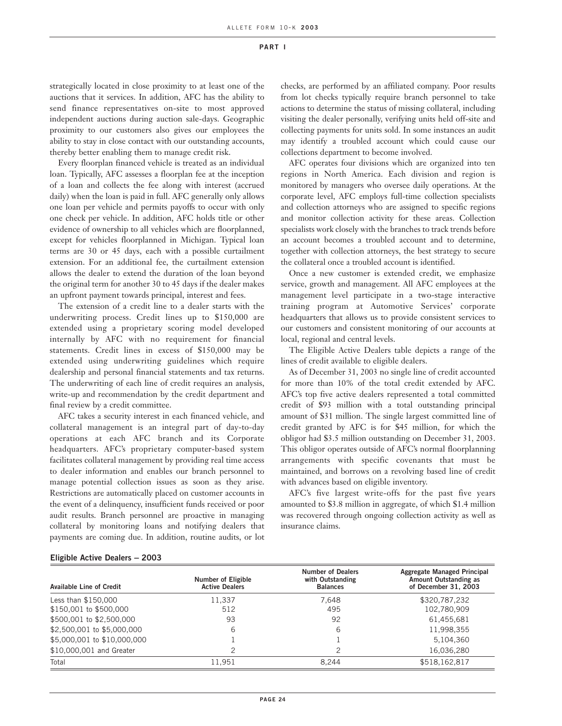strategically located in close proximity to at least one of the auctions that it services. In addition, AFC has the ability to send finance representatives on-site to most approved independent auctions during auction sale-days. Geographic proximity to our customers also gives our employees the ability to stay in close contact with our outstanding accounts, thereby better enabling them to manage credit risk.

Every floorplan financed vehicle is treated as an individual loan. Typically, AFC assesses a floorplan fee at the inception of a loan and collects the fee along with interest (accrued daily) when the loan is paid in full. AFC generally only allows one loan per vehicle and permits payoffs to occur with only one check per vehicle. In addition, AFC holds title or other evidence of ownership to all vehicles which are floorplanned, except for vehicles floorplanned in Michigan. Typical loan terms are 30 or 45 days, each with a possible curtailment extension. For an additional fee, the curtailment extension allows the dealer to extend the duration of the loan beyond the original term for another 30 to 45 days if the dealer makes an upfront payment towards principal, interest and fees.

The extension of a credit line to a dealer starts with the underwriting process. Credit lines up to \$150,000 are extended using a proprietary scoring model developed internally by AFC with no requirement for financial statements. Credit lines in excess of \$150,000 may be extended using underwriting guidelines which require dealership and personal financial statements and tax returns. The underwriting of each line of credit requires an analysis, write-up and recommendation by the credit department and final review by a credit committee.

AFC takes a security interest in each financed vehicle, and collateral management is an integral part of day-to-day operations at each AFC branch and its Corporate headquarters. AFC's proprietary computer-based system facilitates collateral management by providing real time access to dealer information and enables our branch personnel to manage potential collection issues as soon as they arise. Restrictions are automatically placed on customer accounts in the event of a delinquency, insufficient funds received or poor audit results. Branch personnel are proactive in managing collateral by monitoring loans and notifying dealers that payments are coming due. In addition, routine audits, or lot checks, are performed by an affiliated company. Poor results from lot checks typically require branch personnel to take actions to determine the status of missing collateral, including visiting the dealer personally, verifying units held off-site and collecting payments for units sold. In some instances an audit may identify a troubled account which could cause our collections department to become involved.

AFC operates four divisions which are organized into ten regions in North America. Each division and region is monitored by managers who oversee daily operations. At the corporate level, AFC employs full-time collection specialists and collection attorneys who are assigned to specific regions and monitor collection activity for these areas. Collection specialists work closely with the branches to track trends before an account becomes a troubled account and to determine, together with collection attorneys, the best strategy to secure the collateral once a troubled account is identified.

Once a new customer is extended credit, we emphasize service, growth and management. All AFC employees at the management level participate in a two-stage interactive training program at Automotive Services' corporate headquarters that allows us to provide consistent services to our customers and consistent monitoring of our accounts at local, regional and central levels.

The Eligible Active Dealers table depicts a range of the lines of credit available to eligible dealers.

As of December 31, 2003 no single line of credit accounted for more than 10% of the total credit extended by AFC. AFC's top five active dealers represented a total committed credit of \$93 million with a total outstanding principal amount of \$31 million. The single largest committed line of credit granted by AFC is for \$45 million, for which the obligor had \$3.5 million outstanding on December 31, 2003. This obligor operates outside of AFC's normal floorplanning arrangements with specific covenants that must be maintained, and borrows on a revolving based line of credit with advances based on eligible inventory.

AFC's five largest write-offs for the past five years amounted to \$3.8 million in aggregate, of which \$1.4 million was recovered through ongoing collection activity as well as insurance claims.

#### **Eligible Active Dealers** − **2003**

| <b>Available Line of Credit</b> | <b>Number of Eligible</b><br><b>Active Dealers</b> | <b>Number of Dealers</b><br>with Outstanding<br><b>Balances</b> | Aggregate Managed Principal<br>Amount Outstanding as<br>of December 31, 2003 |
|---------------------------------|----------------------------------------------------|-----------------------------------------------------------------|------------------------------------------------------------------------------|
| Less than \$150,000             | 11.337                                             | 7.648                                                           | \$320,787,232                                                                |
| \$150,001 to \$500,000          | 512                                                | 495                                                             | 102,780,909                                                                  |
| \$500,001 to \$2,500,000        | 93                                                 | 92                                                              | 61,455,681                                                                   |
| \$2,500,001 to \$5,000,000      | 6                                                  | 6                                                               | 11,998,355                                                                   |
| \$5,000,001 to \$10,000,000     |                                                    |                                                                 | 5,104,360                                                                    |
| \$10,000,001 and Greater        |                                                    | 2                                                               | 16,036,280                                                                   |
| Total                           | 11.951                                             | 8.244                                                           | \$518,162,817                                                                |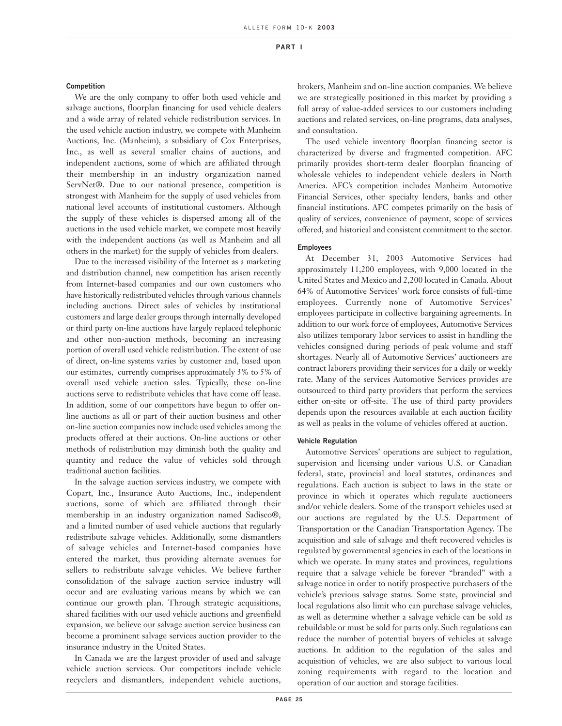#### **Competition**

We are the only company to offer both used vehicle and salvage auctions, floorplan financing for used vehicle dealers and a wide array of related vehicle redistribution services. In the used vehicle auction industry, we compete with Manheim Auctions, Inc. (Manheim), a subsidiary of Cox Enterprises, Inc., as well as several smaller chains of auctions, and independent auctions, some of which are affiliated through their membership in an industry organization named ServNet®. Due to our national presence, competition is strongest with Manheim for the supply of used vehicles from national level accounts of institutional customers. Although the supply of these vehicles is dispersed among all of the auctions in the used vehicle market, we compete most heavily with the independent auctions (as well as Manheim and all others in the market) for the supply of vehicles from dealers.

Due to the increased visibility of the Internet as a marketing and distribution channel, new competition has arisen recently from Internet-based companies and our own customers who have historically redistributed vehicles through various channels including auctions. Direct sales of vehicles by institutional customers and large dealer groups through internally developed or third party on-line auctions have largely replaced telephonic and other non-auction methods, becoming an increasing portion of overall used vehicle redistribution. The extent of use of direct, on-line systems varies by customer and, based upon our estimates, currently comprises approximately 3% to 5% of overall used vehicle auction sales. Typically, these on-line auctions serve to redistribute vehicles that have come off lease. In addition, some of our competitors have begun to offer online auctions as all or part of their auction business and other on-line auction companies now include used vehicles among the products offered at their auctions. On-line auctions or other methods of redistribution may diminish both the quality and quantity and reduce the value of vehicles sold through traditional auction facilities.

In the salvage auction services industry, we compete with Copart, Inc., Insurance Auto Auctions, Inc., independent auctions, some of which are affiliated through their membership in an industry organization named Sadisco®, and a limited number of used vehicle auctions that regularly redistribute salvage vehicles. Additionally, some dismantlers of salvage vehicles and Internet-based companies have entered the market, thus providing alternate avenues for sellers to redistribute salvage vehicles. We believe further consolidation of the salvage auction service industry will occur and are evaluating various means by which we can continue our growth plan. Through strategic acquisitions, shared facilities with our used vehicle auctions and greenfield expansion, we believe our salvage auction service business can become a prominent salvage services auction provider to the insurance industry in the United States.

In Canada we are the largest provider of used and salvage vehicle auction services. Our competitors include vehicle recyclers and dismantlers, independent vehicle auctions,

brokers, Manheim and on-line auction companies. We believe we are strategically positioned in this market by providing a full array of value-added services to our customers including auctions and related services, on-line programs, data analyses, and consultation.

The used vehicle inventory floorplan financing sector is characterized by diverse and fragmented competition. AFC primarily provides short-term dealer floorplan financing of wholesale vehicles to independent vehicle dealers in North America. AFC's competition includes Manheim Automotive Financial Services, other specialty lenders, banks and other financial institutions. AFC competes primarily on the basis of quality of services, convenience of payment, scope of services offered, and historical and consistent commitment to the sector.

#### **Employees**

At December 31, 2003 Automotive Services had approximately 11,200 employees, with 9,000 located in the United States and Mexico and 2,200 located in Canada. About 64% of Automotive Services' work force consists of full-time employees. Currently none of Automotive Services' employees participate in collective bargaining agreements. In addition to our work force of employees, Automotive Services also utilizes temporary labor services to assist in handling the vehicles consigned during periods of peak volume and staff shortages. Nearly all of Automotive Services' auctioneers are contract laborers providing their services for a daily or weekly rate. Many of the services Automotive Services provides are outsourced to third party providers that perform the services either on-site or off-site. The use of third party providers depends upon the resources available at each auction facility as well as peaks in the volume of vehicles offered at auction.

#### **Vehicle Regulation**

Automotive Services' operations are subject to regulation, supervision and licensing under various U.S. or Canadian federal, state, provincial and local statutes, ordinances and regulations. Each auction is subject to laws in the state or province in which it operates which regulate auctioneers and/or vehicle dealers. Some of the transport vehicles used at our auctions are regulated by the U.S. Department of Transportation or the Canadian Transportation Agency. The acquisition and sale of salvage and theft recovered vehicles is regulated by governmental agencies in each of the locations in which we operate. In many states and provinces, regulations require that a salvage vehicle be forever "branded" with a salvage notice in order to notify prospective purchasers of the vehicle's previous salvage status. Some state, provincial and local regulations also limit who can purchase salvage vehicles, as well as determine whether a salvage vehicle can be sold as rebuildable or must be sold for parts only. Such regulations can reduce the number of potential buyers of vehicles at salvage auctions. In addition to the regulation of the sales and acquisition of vehicles, we are also subject to various local zoning requirements with regard to the location and operation of our auction and storage facilities.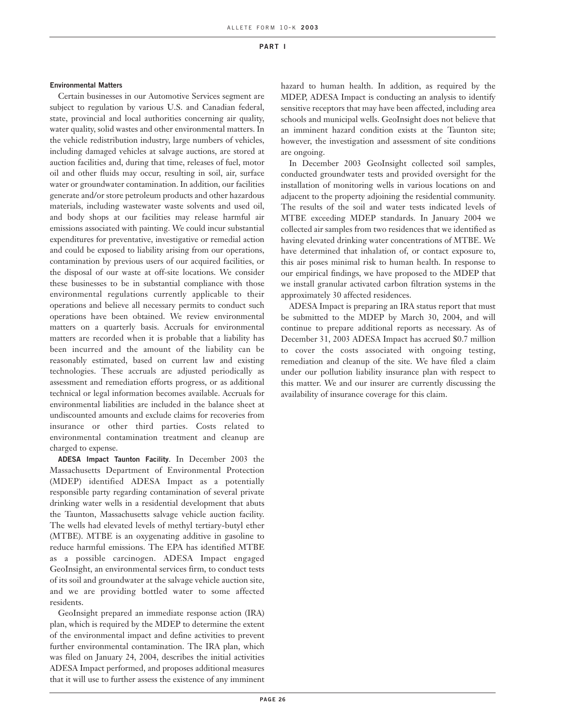#### **Environmental Matters**

Certain businesses in our Automotive Services segment are subject to regulation by various U.S. and Canadian federal, state, provincial and local authorities concerning air quality, water quality, solid wastes and other environmental matters. In the vehicle redistribution industry, large numbers of vehicles, including damaged vehicles at salvage auctions, are stored at auction facilities and, during that time, releases of fuel, motor oil and other fluids may occur, resulting in soil, air, surface water or groundwater contamination. In addition, our facilities generate and/or store petroleum products and other hazardous materials, including wastewater waste solvents and used oil, and body shops at our facilities may release harmful air emissions associated with painting. We could incur substantial expenditures for preventative, investigative or remedial action and could be exposed to liability arising from our operations, contamination by previous users of our acquired facilities, or the disposal of our waste at off-site locations. We consider these businesses to be in substantial compliance with those environmental regulations currently applicable to their operations and believe all necessary permits to conduct such operations have been obtained. We review environmental matters on a quarterly basis. Accruals for environmental matters are recorded when it is probable that a liability has been incurred and the amount of the liability can be reasonably estimated, based on current law and existing technologies. These accruals are adjusted periodically as assessment and remediation efforts progress, or as additional technical or legal information becomes available. Accruals for environmental liabilities are included in the balance sheet at undiscounted amounts and exclude claims for recoveries from insurance or other third parties. Costs related to environmental contamination treatment and cleanup are charged to expense.

**ADESA Impact Taunton Facility**. In December 2003 the Massachusetts Department of Environmental Protection (MDEP) identified ADESA Impact as a potentially responsible party regarding contamination of several private drinking water wells in a residential development that abuts the Taunton, Massachusetts salvage vehicle auction facility. The wells had elevated levels of methyl tertiary-butyl ether (MTBE). MTBE is an oxygenating additive in gasoline to reduce harmful emissions. The EPA has identified MTBE as a possible carcinogen. ADESA Impact engaged GeoInsight, an environmental services firm, to conduct tests of its soil and groundwater at the salvage vehicle auction site, and we are providing bottled water to some affected residents.

GeoInsight prepared an immediate response action (IRA) plan, which is required by the MDEP to determine the extent of the environmental impact and define activities to prevent further environmental contamination. The IRA plan, which was filed on January 24, 2004, describes the initial activities ADESA Impact performed, and proposes additional measures that it will use to further assess the existence of any imminent

hazard to human health. In addition, as required by the MDEP, ADESA Impact is conducting an analysis to identify sensitive receptors that may have been affected, including area schools and municipal wells. GeoInsight does not believe that an imminent hazard condition exists at the Taunton site; however, the investigation and assessment of site conditions are ongoing.

In December 2003 GeoInsight collected soil samples, conducted groundwater tests and provided oversight for the installation of monitoring wells in various locations on and adjacent to the property adjoining the residential community. The results of the soil and water tests indicated levels of MTBE exceeding MDEP standards. In January 2004 we collected air samples from two residences that we identified as having elevated drinking water concentrations of MTBE. We have determined that inhalation of, or contact exposure to, this air poses minimal risk to human health. In response to our empirical findings, we have proposed to the MDEP that we install granular activated carbon filtration systems in the approximately 30 affected residences.

ADESA Impact is preparing an IRA status report that must be submitted to the MDEP by March 30, 2004, and will continue to prepare additional reports as necessary. As of December 31, 2003 ADESA Impact has accrued \$0.7 million to cover the costs associated with ongoing testing, remediation and cleanup of the site. We have filed a claim under our pollution liability insurance plan with respect to this matter. We and our insurer are currently discussing the availability of insurance coverage for this claim.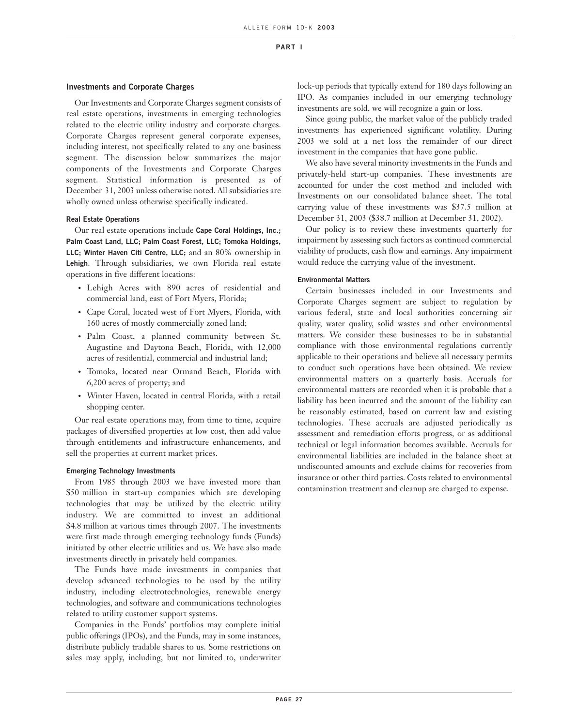#### **Investments and Corporate Charges**

Our Investments and Corporate Charges segment consists of real estate operations, investments in emerging technologies related to the electric utility industry and corporate charges. Corporate Charges represent general corporate expenses, including interest, not specifically related to any one business segment. The discussion below summarizes the major components of the Investments and Corporate Charges segment. Statistical information is presented as of December 31, 2003 unless otherwise noted. All subsidiaries are wholly owned unless otherwise specifically indicated.

#### **Real Estate Operations**

Our real estate operations include **Cape Coral Holdings, Inc.; Palm Coast Land, LLC; Palm Coast Forest, LLC; Tomoka Holdings, LLC; Winter Haven Citi Centre, LLC;** and an 80% ownership in **Lehigh**. Through subsidiaries, we own Florida real estate operations in five different locations:

- Lehigh Acres with 890 acres of residential and commercial land, east of Fort Myers, Florida;
- Cape Coral, located west of Fort Myers, Florida, with 160 acres of mostly commercially zoned land;
- Palm Coast, a planned community between St. Augustine and Daytona Beach, Florida, with 12,000 acres of residential, commercial and industrial land;
- Tomoka, located near Ormand Beach, Florida with 6,200 acres of property; and
- Winter Haven, located in central Florida, with a retail shopping center.

Our real estate operations may, from time to time, acquire packages of diversified properties at low cost, then add value through entitlements and infrastructure enhancements, and sell the properties at current market prices.

#### **Emerging Technology Investments**

From 1985 through 2003 we have invested more than \$50 million in start-up companies which are developing technologies that may be utilized by the electric utility industry. We are committed to invest an additional \$4.8 million at various times through 2007. The investments were first made through emerging technology funds (Funds) initiated by other electric utilities and us. We have also made investments directly in privately held companies.

The Funds have made investments in companies that develop advanced technologies to be used by the utility industry, including electrotechnologies, renewable energy technologies, and software and communications technologies related to utility customer support systems.

Companies in the Funds' portfolios may complete initial public offerings (IPOs), and the Funds, may in some instances, distribute publicly tradable shares to us. Some restrictions on sales may apply, including, but not limited to, underwriter

lock-up periods that typically extend for 180 days following an IPO. As companies included in our emerging technology investments are sold, we will recognize a gain or loss.

Since going public, the market value of the publicly traded investments has experienced significant volatility. During 2003 we sold at a net loss the remainder of our direct investment in the companies that have gone public.

We also have several minority investments in the Funds and privately-held start-up companies. These investments are accounted for under the cost method and included with Investments on our consolidated balance sheet. The total carrying value of these investments was \$37.5 million at December 31, 2003 (\$38.7 million at December 31, 2002).

Our policy is to review these investments quarterly for impairment by assessing such factors as continued commercial viability of products, cash flow and earnings. Any impairment would reduce the carrying value of the investment.

#### **Environmental Matters**

Certain businesses included in our Investments and Corporate Charges segment are subject to regulation by various federal, state and local authorities concerning air quality, water quality, solid wastes and other environmental matters. We consider these businesses to be in substantial compliance with those environmental regulations currently applicable to their operations and believe all necessary permits to conduct such operations have been obtained. We review environmental matters on a quarterly basis. Accruals for environmental matters are recorded when it is probable that a liability has been incurred and the amount of the liability can be reasonably estimated, based on current law and existing technologies. These accruals are adjusted periodically as assessment and remediation efforts progress, or as additional technical or legal information becomes available. Accruals for environmental liabilities are included in the balance sheet at undiscounted amounts and exclude claims for recoveries from insurance or other third parties. Costs related to environmental contamination treatment and cleanup are charged to expense.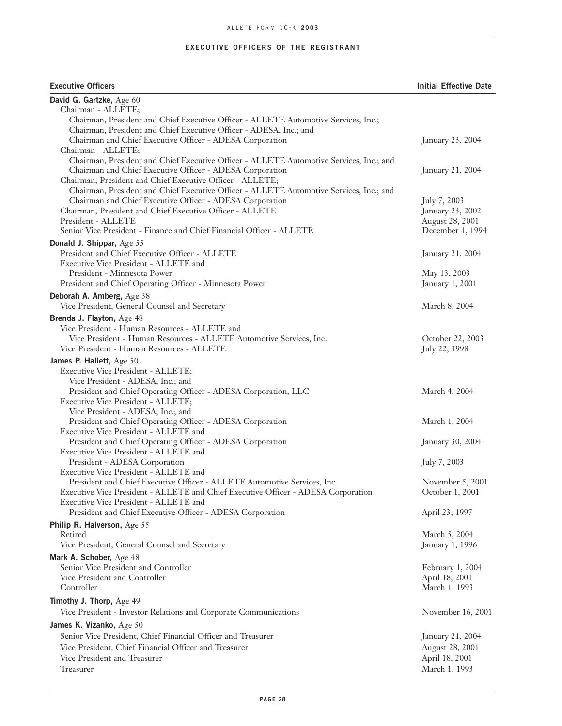#### **EXECUTIVE OFFICERS OF THE REGISTRANT**

#### **Executive Officers Initial Effective Date**

| David G. Gartzke, Age 60                                                                                                                            |                                   |
|-----------------------------------------------------------------------------------------------------------------------------------------------------|-----------------------------------|
| Chairman - ALLETE;                                                                                                                                  |                                   |
| Chairman, President and Chief Executive Officer - ALLETE Automotive Services, Inc.;                                                                 |                                   |
| Chairman, President and Chief Executive Officer - ADESA, Inc.; and                                                                                  |                                   |
| Chairman and Chief Executive Officer - ADESA Corporation                                                                                            | January 23, 2004                  |
| Chairman - ALLETE;                                                                                                                                  |                                   |
| Chairman, President and Chief Executive Officer - ALLETE Automotive Services, Inc.; and<br>Chairman and Chief Executive Officer - ADESA Corporation | January 21, 2004                  |
| Chairman, President and Chief Executive Officer - ALLETE;                                                                                           |                                   |
| Chairman, President and Chief Executive Officer - ALLETE Automotive Services, Inc.; and                                                             |                                   |
| Chairman and Chief Executive Officer - ADESA Corporation                                                                                            | July 7, 2003                      |
| Chairman, President and Chief Executive Officer - ALLETE                                                                                            | January 23, 2002                  |
| President - ALLETE                                                                                                                                  | August 28, 2001                   |
| Senior Vice President - Finance and Chief Financial Officer - ALLETE                                                                                | December 1, 1994                  |
| Donald J. Shippar, Age 55                                                                                                                           |                                   |
| President and Chief Executive Officer - ALLETE                                                                                                      | January 21, 2004                  |
| Executive Vice President - ALLETE and                                                                                                               |                                   |
| President - Minnesota Power                                                                                                                         | May 13, 2003                      |
| President and Chief Operating Officer - Minnesota Power                                                                                             | January 1, 2001                   |
| Deborah A. Amberg, Age 38                                                                                                                           |                                   |
| Vice President, General Counsel and Secretary                                                                                                       | March 8, 2004                     |
|                                                                                                                                                     |                                   |
| Brenda J. Flayton, Age 48                                                                                                                           |                                   |
| Vice President - Human Resources - ALLETE and                                                                                                       |                                   |
| Vice President - Human Resources - ALLETE Automotive Services, Inc.<br>Vice President - Human Resources - ALLETE                                    | October 22, 2003<br>July 22, 1998 |
|                                                                                                                                                     |                                   |
| James P. Hallett, Age 50                                                                                                                            |                                   |
| Executive Vice President - ALLETE;                                                                                                                  |                                   |
| Vice President - ADESA, Inc.; and                                                                                                                   |                                   |
| President and Chief Operating Officer - ADESA Corporation, LLC                                                                                      | March 4, 2004                     |
| Executive Vice President - ALLETE;                                                                                                                  |                                   |
| Vice President - ADESA, Inc.; and                                                                                                                   |                                   |
| President and Chief Operating Officer - ADESA Corporation                                                                                           | March 1, 2004                     |
| Executive Vice President - ALLETE and<br>President and Chief Operating Officer - ADESA Corporation                                                  |                                   |
| Executive Vice President - ALLETE and                                                                                                               | January 30, 2004                  |
| President - ADESA Corporation                                                                                                                       | July 7, 2003                      |
| Executive Vice President - ALLETE and                                                                                                               |                                   |
| President and Chief Executive Officer - ALLETE Automotive Services, Inc.                                                                            | November 5, 2001                  |
| Executive Vice President - ALLETE and Chief Executive Officer - ADESA Corporation                                                                   | October 1, 2001                   |
| Executive Vice President - ALLETE and                                                                                                               |                                   |
| President and Chief Executive Officer - ADESA Corporation                                                                                           | April 23, 1997                    |
| Philip R. Halverson, Age 55                                                                                                                         |                                   |
| Retired                                                                                                                                             | March 5, 2004                     |
| Vice President, General Counsel and Secretary                                                                                                       | January 1, 1996                   |
|                                                                                                                                                     |                                   |
| Mark A. Schober, Age 48                                                                                                                             |                                   |
| Senior Vice President and Controller<br>Vice President and Controller                                                                               | February 1, 2004                  |
| Controller                                                                                                                                          | April 18, 2001                    |
|                                                                                                                                                     | March 1, 1993                     |
| Timothy J. Thorp, Age 49                                                                                                                            |                                   |
| Vice President - Investor Relations and Corporate Communications                                                                                    | November 16, 2001                 |
| James K. Vizanko, Age 50                                                                                                                            |                                   |
| Senior Vice President, Chief Financial Officer and Treasurer                                                                                        | January 21, 2004                  |
| Vice President, Chief Financial Officer and Treasurer                                                                                               | August 28, 2001                   |
| Vice President and Treasurer                                                                                                                        | April 18, 2001                    |
| Treasurer                                                                                                                                           | March 1, 1993                     |
|                                                                                                                                                     |                                   |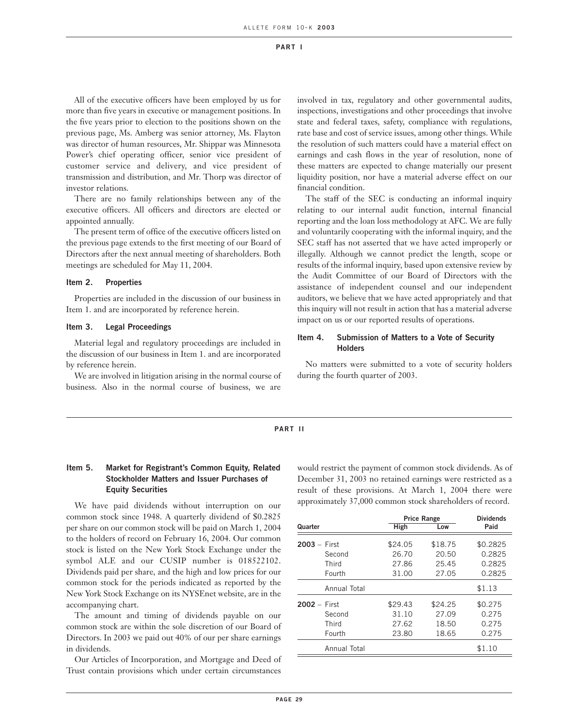All of the executive officers have been employed by us for more than five years in executive or management positions. In the five years prior to election to the positions shown on the previous page, Ms. Amberg was senior attorney, Ms. Flayton was director of human resources, Mr. Shippar was Minnesota Power's chief operating officer, senior vice president of customer service and delivery, and vice president of transmission and distribution, and Mr. Thorp was director of investor relations.

There are no family relationships between any of the executive officers. All officers and directors are elected or appointed annually.

The present term of office of the executive officers listed on the previous page extends to the first meeting of our Board of Directors after the next annual meeting of shareholders. Both meetings are scheduled for May 11, 2004.

#### **Item 2. Properties**

Properties are included in the discussion of our business in Item 1. and are incorporated by reference herein.

#### **Item 3. Legal Proceedings**

Material legal and regulatory proceedings are included in the discussion of our business in Item 1. and are incorporated by reference herein.

We are involved in litigation arising in the normal course of business. Also in the normal course of business, we are

involved in tax, regulatory and other governmental audits, inspections, investigations and other proceedings that involve state and federal taxes, safety, compliance with regulations, rate base and cost of service issues, among other things. While the resolution of such matters could have a material effect on earnings and cash flows in the year of resolution, none of these matters are expected to change materially our present liquidity position, nor have a material adverse effect on our financial condition.

The staff of the SEC is conducting an informal inquiry relating to our internal audit function, internal financial reporting and the loan loss methodology at AFC. We are fully and voluntarily cooperating with the informal inquiry, and the SEC staff has not asserted that we have acted improperly or illegally. Although we cannot predict the length, scope or results of the informal inquiry, based upon extensive review by the Audit Committee of our Board of Directors with the assistance of independent counsel and our independent auditors, we believe that we have acted appropriately and that this inquiry will not result in action that has a material adverse impact on us or our reported results of operations.

#### **Item 4. Submission of Matters to a Vote of Security Holders**

No matters were submitted to a vote of security holders during the fourth quarter of 2003.

#### **PART II**

#### **Item 5. Market for Registrant's Common Equity, Related Stockholder Matters and Issuer Purchases of Equity Securities**

We have paid dividends without interruption on our common stock since 1948. A quarterly dividend of \$0.2825 per share on our common stock will be paid on March 1, 2004 to the holders of record on February 16, 2004. Our common stock is listed on the New York Stock Exchange under the symbol ALE and our CUSIP number is 018522102. Dividends paid per share, and the high and low prices for our common stock for the periods indicated as reported by the New York Stock Exchange on its NYSEnet website, are in the accompanying chart.

The amount and timing of dividends payable on our common stock are within the sole discretion of our Board of Directors. In 2003 we paid out 40% of our per share earnings in dividends.

Our Articles of Incorporation, and Mortgage and Deed of Trust contain provisions which under certain circumstances

would restrict the payment of common stock dividends. As of December 31, 2003 no retained earnings were restricted as a result of these provisions. At March 1, 2004 there were approximately 37,000 common stock shareholders of record.

|                |              |         | <b>Price Range</b> |          |  |
|----------------|--------------|---------|--------------------|----------|--|
| Quarter        |              | High    | Low                | Paid     |  |
| $2003 - First$ |              | \$24.05 | \$18.75            | \$0.2825 |  |
|                | Second       | 26.70   | 20.50              | 0.2825   |  |
|                | Third        | 27.86   | 25.45              | 0.2825   |  |
|                | Fourth       | 31.00   | 27.05              | 0.2825   |  |
|                | Annual Total |         |                    | \$1.13   |  |
| $2002 - First$ |              | \$29.43 | \$24.25            | \$0.275  |  |
|                | Second       | 31.10   | 27.09              | 0.275    |  |
|                | Third        | 27.62   | 18.50              | 0.275    |  |
|                | Fourth       | 23.80   | 18.65              | 0.275    |  |
|                | Annual Total |         |                    | \$1.10   |  |
|                |              |         |                    |          |  |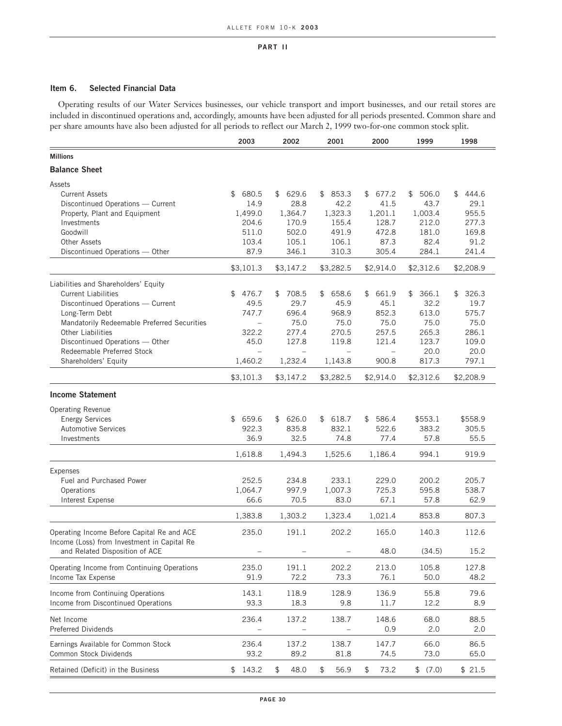#### **Item 6. Selected Financial Data**

Operating results of our Water Services businesses, our vehicle transport and import businesses, and our retail stores are included in discontinued operations and, accordingly, amounts have been adjusted for all periods presented. Common share and per share amounts have also been adjusted for all periods to reflect our March 2, 1999 two-for-one common stock split.

|                                                      | 2003                     | 2002                     | 2001        | 2000        | 1999             | 1998             |
|------------------------------------------------------|--------------------------|--------------------------|-------------|-------------|------------------|------------------|
| <b>Millions</b>                                      |                          |                          |             |             |                  |                  |
| <b>Balance Sheet</b>                                 |                          |                          |             |             |                  |                  |
| Assets                                               |                          |                          |             |             |                  |                  |
| <b>Current Assets</b>                                | 680.5<br>\$              | 629.6<br>\$              | \$853.3     | \$<br>677.2 | 506.0<br>\$      | 444.6<br>\$      |
| Discontinued Operations - Current                    | 14.9                     | 28.8                     | 42.2        | 41.5        | 43.7             | 29.1             |
| Property, Plant and Equipment                        | 1,499.0                  | 1,364.7                  | 1,323.3     | 1,201.1     | 1,003.4          | 955.5            |
| Investments                                          | 204.6                    | 170.9                    | 155.4       | 128.7       | 212.0            | 277.3            |
| Goodwill                                             | 511.0                    | 502.0                    | 491.9       | 472.8       | 181.0            | 169.8            |
| <b>Other Assets</b>                                  | 103.4                    | 105.1                    | 106.1       | 87.3        | 82.4             | 91.2             |
| Discontinued Operations - Other                      | 87.9                     | 346.1                    | 310.3       | 305.4       | 284.1            | 241.4            |
|                                                      | \$3,101.3                | \$3,147.2                | \$3,282.5   | \$2,914.0   | \$2,312.6        | \$2,208.9        |
| Liabilities and Shareholders' Equity                 |                          |                          |             |             |                  |                  |
| <b>Current Liabilities</b>                           | 476.7<br>\$              | 708.5<br>\$              | \$<br>658.6 | 661.9<br>\$ | \$<br>366.1      | 326.3<br>\$      |
| Discontinued Operations - Current                    | 49.5                     | 29.7                     | 45.9        | 45.1        | 32.2             | 19.7             |
| Long-Term Debt                                       | 747.7                    | 696.4                    | 968.9       | 852.3       | 613.0            | 575.7            |
| Mandatorily Redeemable Preferred Securities          | $\qquad \qquad -$        | 75.0                     | 75.0        | 75.0        | 75.0             | 75.0             |
| <b>Other Liabilities</b>                             | 322.2                    | 277.4                    | 270.5       | 257.5       | 265.3            | 286.1            |
| Discontinued Operations - Other                      | 45.0                     | 127.8                    | 119.8       | 121.4       | 123.7            | 109.0            |
| Redeemable Preferred Stock                           | $\overline{\phantom{0}}$ | $\overline{\phantom{0}}$ |             | $\equiv$    | 20.0             | 20.0             |
| Shareholders' Equity                                 | 1,460.2                  | 1,232.4                  | 1,143.8     | 900.8       | 817.3            | 797.1            |
|                                                      | \$3,101.3                | \$3,147.2                | \$3,282.5   | \$2,914.0   | \$2,312.6        | \$2,208.9        |
| <b>Income Statement</b>                              |                          |                          |             |             |                  |                  |
|                                                      |                          |                          |             |             |                  |                  |
| <b>Operating Revenue</b>                             | \$659.6                  | 626.0                    | 618.7       | 586.4       |                  |                  |
| <b>Energy Services</b><br><b>Automotive Services</b> | 922.3                    | \$<br>835.8              | \$<br>832.1 | \$<br>522.6 | \$553.1<br>383.2 | \$558.9<br>305.5 |
| Investments                                          | 36.9                     | 32.5                     | 74.8        | 77.4        | 57.8             | 55.5             |
|                                                      |                          |                          |             |             |                  |                  |
|                                                      | 1,618.8                  | 1,494.3                  | 1,525.6     | 1,186.4     | 994.1            | 919.9            |
| <b>Expenses</b>                                      |                          |                          |             |             |                  |                  |
| Fuel and Purchased Power                             | 252.5                    | 234.8                    | 233.1       | 229.0       | 200.2            | 205.7            |
| Operations                                           | 1,064.7                  | 997.9                    | 1,007.3     | 725.3       | 595.8            | 538.7            |
| Interest Expense                                     | 66.6                     | 70.5                     | 83.0        | 67.1        | 57.8             | 62.9             |
|                                                      | 1,383.8                  | 1,303.2                  | 1,323.4     | 1,021.4     | 853.8            | 807.3            |
| Operating Income Before Capital Re and ACE           | 235.0                    | 191.1                    | 202.2       | 165.0       | 140.3            | 112.6            |
| Income (Loss) from Investment in Capital Re          |                          |                          |             |             |                  |                  |
| and Related Disposition of ACE                       | $\qquad \qquad -$        |                          |             | 48.0        | (34.5)           | 15.2             |
| Operating Income from Continuing Operations          | 235.0                    | 191.1                    | 202.2       | 213.0       | 105.8            | 127.8            |
| Income Tax Expense                                   | 91.9                     | 72.2                     | 73.3        | 76.1        | 50.0             | 48.2             |
| Income from Continuing Operations                    | 143.1                    | 118.9                    | 128.9       | 136.9       | 55.8             | 79.6             |
| Income from Discontinued Operations                  | 93.3                     | 18.3                     | 9.8         | 11.7        | 12.2             | 8.9              |
|                                                      |                          |                          |             |             |                  |                  |
| Net Income                                           | 236.4                    | 137.2                    | 138.7       | 148.6       | 68.0             | 88.5             |
| Preferred Dividends                                  |                          |                          |             | 0.9         | 2.0              | 2.0              |
| Earnings Available for Common Stock                  | 236.4                    | 137.2                    | 138.7       | 147.7       | 66.0             | 86.5             |
| Common Stock Dividends                               | 93.2                     | 89.2                     | 81.8        | 74.5        | 73.0             | 65.0             |
|                                                      |                          | 48.0                     |             |             |                  |                  |
| Retained (Deficit) in the Business                   | \$143.2                  | \$                       | \$<br>56.9  | \$<br>73.2  | \$ (7.0)         | \$21.5           |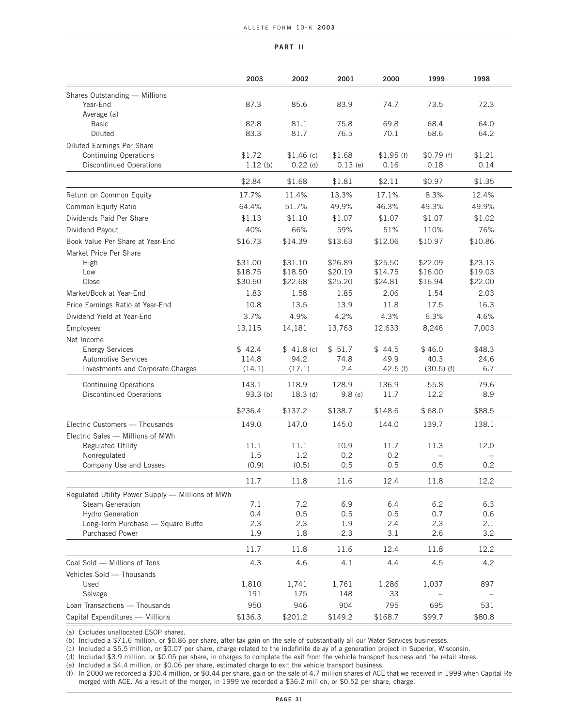|                                                  | 2003               | 2002               | 2001               | 2000               | 1999               | 1998               |
|--------------------------------------------------|--------------------|--------------------|--------------------|--------------------|--------------------|--------------------|
| Shares Outstanding - Millions                    |                    |                    |                    |                    |                    |                    |
| Year-End                                         | 87.3               | 85.6               | 83.9               | 74.7               | 73.5               | 72.3               |
| Average (a)                                      |                    |                    |                    |                    |                    |                    |
| <b>Basic</b>                                     | 82.8               | 81.1               | 75.8               | 69.8               | 68.4               | 64.0               |
| <b>Diluted</b>                                   | 83.3               | 81.7               | 76.5               | 70.1               | 68.6               | 64.2               |
| Diluted Earnings Per Share                       |                    |                    |                    |                    |                    |                    |
| Continuing Operations                            | \$1.72             | \$1.46(c)          | \$1.68             | \$1.95(f)          | \$0.79(f)          | \$1.21             |
| <b>Discontinued Operations</b>                   | 1.12(b)            | $0.22$ (d)         | $0.13$ (e)         | 0.16               | 0.18               | 0.14               |
|                                                  | \$2.84             | \$1.68             | \$1.81             | \$2.11             | \$0.97             | \$1.35             |
| Return on Common Equity                          | 17.7%              | 11.4%              | 13.3%              | 17.1%              | 8.3%               | 12.4%              |
| Common Equity Ratio                              | 64.4%              | 51.7%              | 49.9%              | 46.3%              | 49.3%              | 49.9%              |
| Dividends Paid Per Share                         | \$1.13             | \$1.10             | \$1.07             | \$1.07             | \$1.07             | \$1.02             |
| Dividend Payout                                  | 40%                | 66%                | 59%                | 51%                | 110%               | 76%                |
|                                                  |                    |                    |                    |                    |                    |                    |
| Book Value Per Share at Year-End                 | \$16.73            | \$14.39            | \$13.63            | \$12.06            | \$10.97            | \$10.86            |
| Market Price Per Share                           |                    |                    |                    |                    |                    |                    |
| High<br>Low                                      | \$31.00<br>\$18.75 | \$31.10<br>\$18.50 | \$26.89<br>\$20.19 | \$25.50            | \$22.09<br>\$16.00 | \$23.13            |
| Close                                            | \$30.60            | \$22.68            | \$25.20            | \$14.75<br>\$24.81 | \$16.94            | \$19.03<br>\$22.00 |
| Market/Book at Year-End                          | 1.83               | 1.58               | 1.85               | 2.06               | 1.54               | 2.03               |
|                                                  |                    |                    |                    |                    |                    |                    |
| Price Earnings Ratio at Year-End                 | 10.8               | 13.5               | 13.9               | 11.8               | 17.5               | 16.3               |
| Dividend Yield at Year-End                       | 3.7%               | 4.9%               | 4.2%               | 4.3%               | 6.3%               | 4.6%               |
| Employees                                        | 13,115             | 14,181             | 13,763             | 12,633             | 8,246              | 7,003              |
| Net Income                                       |                    |                    |                    |                    |                    |                    |
| <b>Energy Services</b>                           | \$42.4             | \$41.8(c)          | \$51.7             | \$44.5             | \$46.0             | \$48.3             |
| <b>Automotive Services</b>                       | 114.8              | 94.2               | 74.8               | 49.9               | 40.3               | 24.6               |
| Investments and Corporate Charges                | (14.1)             | (17.1)             | 2.4                | 42.5(f)            | $(30.5)$ (f)       | 6.7                |
| <b>Continuing Operations</b>                     | 143.1              | 118.9              | 128.9              | 136.9              | 55.8               | 79.6               |
| <b>Discontinued Operations</b>                   | 93.3 (b)           | $18.3$ (d)         | 9.8(e)             | 11.7               | 12.2               | 8.9                |
|                                                  | \$236.4            | \$137.2            | \$138.7            | \$148.6            | \$68.0             | \$88.5             |
| Electric Customers - Thousands                   | 149.0              | 147.0              | 145.0              | 144.0              | 139.7              | 138.1              |
| Electric Sales - Millions of MWh                 |                    |                    |                    |                    |                    |                    |
| <b>Regulated Utility</b>                         | 11.1               | 11.1               | 10.9               | 11.7               | 11.3               | 12.0               |
| Nonregulated                                     | 1.5                | 1.2                | 0.2                | 0.2                |                    |                    |
| Company Use and Losses                           | (0.9)              | (0.5)              | 0.5                | 0.5                | 0.5                | 0.2                |
|                                                  | 11.7               | 11.8               | 11.6               | 12.4               | 11.8               | 12.2               |
| Regulated Utility Power Supply - Millions of MWh |                    |                    |                    |                    |                    |                    |
| Steam Generation                                 | 7.1                | 7.2                | 6.9                | 6.4                | 6.2                | 6.3                |
| <b>Hydro Generation</b>                          | 0.4                | 0.5                | 0.5                | 0.5                | 0.7                | 0.6                |
| Long-Term Purchase - Square Butte                | 2.3                | 2.3                | 1.9                | 2.4                | 2.3                | 2.1                |
| <b>Purchased Power</b>                           | 1.9                | 1.8                | 2.3                | 3.1                | 2.6                | 3.2                |
|                                                  | 11.7               | 11.8               | 11.6               | 12.4               | 11.8               | 12.2               |
| Coal Sold - Millions of Tons                     | 4.3                | 4.6                | 4.1                | 4.4                | 4.5                | 4.2                |
| Vehicles Sold - Thousands                        |                    |                    |                    |                    |                    |                    |
| Used                                             | 1,810              | 1,741              | 1,761              | 1,286              | 1,037              | 897                |
| Salvage                                          | 191                | 175                | 148                | 33                 |                    |                    |
| Loan Transactions - Thousands                    | 950                | 946                | 904                | 795                | 695                | 531                |
| Capital Expenditures - Millions                  | \$136.3            | \$201.2            | \$149.2            | \$168.7            | \$99.7             | \$80.8             |

(a) Excludes unallocated ESOP shares.

(b) Included a \$71.6 million, or \$0.86 per share, after-tax gain on the sale of substantially all our Water Services businesses.

(c) Included a \$5.5 million, or \$0.07 per share, charge related to the indefinite delay of a generation project in Superior, Wisconsin.

(d) Included \$3.9 million, or \$0.05 per share, in charges to complete the exit from the vehicle transport business and the retail stores.

(e) Included a \$4.4 million, or \$0.06 per share, estimated charge to exit the vehicle transport business.

(f) In 2000 we recorded a \$30.4 million, or \$0.44 per share, gain on the sale of 4.7 million shares of ACE that we received in 1999 when Capital Re merged with ACE. As a result of the merger, in 1999 we recorded a \$36.2 million, or \$0.52 per share, charge.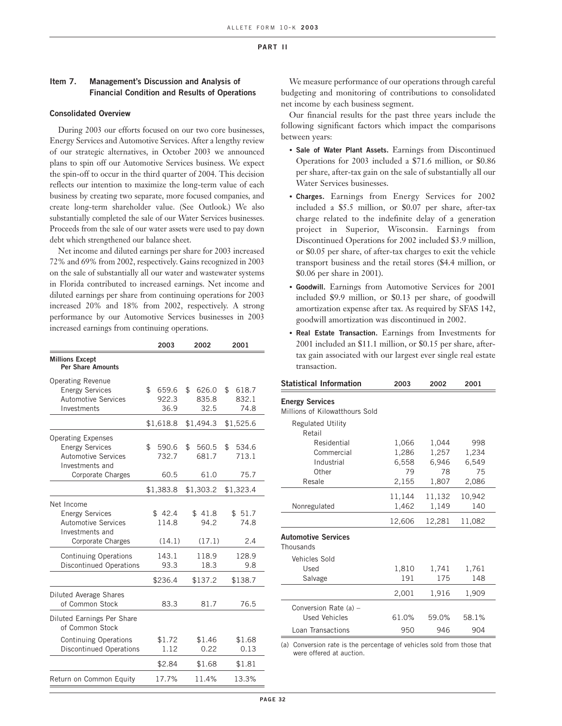#### **Item 7. Management's Discussion and Analysis of Financial Condition and Results of Operations**

#### **Consolidated Overview**

During 2003 our efforts focused on our two core businesses, Energy Services and Automotive Services. After a lengthy review of our strategic alternatives, in October 2003 we announced plans to spin off our Automotive Services business. We expect the spin-off to occur in the third quarter of 2004. This decision reflects our intention to maximize the long-term value of each business by creating two separate, more focused companies, and create long-term shareholder value. (See Outlook.) We also substantially completed the sale of our Water Services businesses. Proceeds from the sale of our water assets were used to pay down debt which strengthened our balance sheet.

Net income and diluted earnings per share for 2003 increased 72% and 69% from 2002, respectively. Gains recognized in 2003 on the sale of substantially all our water and wastewater systems in Florida contributed to increased earnings. Net income and diluted earnings per share from continuing operations for 2003 increased 20% and 18% from 2002, respectively. A strong performance by our Automotive Services businesses in 2003 increased earnings from continuing operations.

|                                                                                                                           | 2003                         | 2002                         | 2001                         |
|---------------------------------------------------------------------------------------------------------------------------|------------------------------|------------------------------|------------------------------|
| <b>Millions Except</b><br><b>Per Share Amounts</b>                                                                        |                              |                              |                              |
| <b>Operating Revenue</b><br><b>Energy Services</b><br><b>Automotive Services</b><br>Investments                           | \$<br>659.6<br>922.3<br>36.9 | \$<br>626.0<br>835.8<br>32.5 | \$<br>618.7<br>832.1<br>74.8 |
|                                                                                                                           | \$1,618.8                    | \$1,494.3                    | \$1,525.6                    |
| <b>Operating Expenses</b><br><b>Energy Services</b><br><b>Automotive Services</b><br>Investments and<br>Corporate Charges | \$<br>590.6<br>732.7<br>60.5 | \$<br>560.5<br>681.7<br>61.0 | \$<br>534.6<br>713.1<br>75.7 |
|                                                                                                                           | \$1,383.8                    | \$1,303.2                    | \$1,323.4                    |
| Net Income<br><b>Energy Services</b><br><b>Automotive Services</b><br>Investments and<br>Corporate Charges                | \$42.4<br>114.8<br>(14.1)    | \$41.8<br>94.2<br>(17.1)     | \$51.7<br>74.8<br>2.4        |
| <b>Continuing Operations</b><br><b>Discontinued Operations</b>                                                            | 143.1<br>93.3                | 118.9<br>18.3                | 128.9<br>9.8                 |
|                                                                                                                           | \$236.4                      | \$137.2                      | \$138.7                      |
| Diluted Average Shares<br>of Common Stock                                                                                 | 83.3                         | 81.7                         | 76.5                         |
| Diluted Earnings Per Share<br>of Common Stock                                                                             |                              |                              |                              |
| <b>Continuing Operations</b><br><b>Discontinued Operations</b>                                                            | \$1.72<br>1.12               | \$1.46<br>0.22               | \$1.68<br>0.13               |
|                                                                                                                           | \$2.84                       | \$1.68                       | \$1.81                       |
| Return on Common Equity                                                                                                   | 17.7%                        | 11.4%                        | 13.3%                        |

We measure performance of our operations through careful budgeting and monitoring of contributions to consolidated net income by each business segment.

Our financial results for the past three years include the following significant factors which impact the comparisons between years:

- **Sale of Water Plant Assets.** Earnings from Discontinued Operations for 2003 included a \$71.6 million, or \$0.86 per share, after-tax gain on the sale of substantially all our Water Services businesses.
- **Charges.** Earnings from Energy Services for 2002 included a \$5.5 million, or \$0.07 per share, after-tax charge related to the indefinite delay of a generation project in Superior, Wisconsin. Earnings from Discontinued Operations for 2002 included \$3.9 million, or \$0.05 per share, of after-tax charges to exit the vehicle transport business and the retail stores (\$4.4 million, or \$0.06 per share in 2001).
- **Goodwill.** Earnings from Automotive Services for 2001 included \$9.9 million, or \$0.13 per share, of goodwill amortization expense after tax. As required by SFAS 142, goodwill amortization was discontinued in 2002.
- **Real Estate Transaction.** Earnings from Investments for 2001 included an \$11.1 million, or \$0.15 per share, aftertax gain associated with our largest ever single real estate transaction.

| <b>Statistical Information</b> | 2003   | 2002   | 2001   |
|--------------------------------|--------|--------|--------|
| <b>Energy Services</b>         |        |        |        |
| Millions of Kilowatthours Sold |        |        |        |
| <b>Regulated Utility</b>       |        |        |        |
| Retail                         |        |        |        |
| Residential                    | 1,066  | 1,044  | 998    |
| Commercial                     | 1,286  | 1,257  | 1,234  |
| Industrial                     | 6,558  | 6,946  | 6,549  |
| Other                          | 79     | 78     | 75     |
| Resale                         | 2,155  | 1,807  | 2,086  |
|                                | 11,144 | 11,132 | 10,942 |
| Nonregulated                   | 1,462  | 1,149  | 140    |
|                                | 12,606 | 12,281 | 11,082 |
| Automotive Services            |        |        |        |
| Thousands                      |        |        |        |
| Vehicles Sold                  |        |        |        |
| Used                           | 1,810  | 1,741  | 1,761  |
| Salvage                        | 191    | 175    | 148    |
|                                | 2,001  | 1,916  | 1,909  |
| Conversion Rate (a) -          |        |        |        |
| <b>Used Vehicles</b>           | 61.0%  | 59.0%  | 58.1%  |
| Loan Transactions              | 950    | 946    | 904    |
|                                |        |        |        |

(a) Conversion rate is the percentage of vehicles sold from those that were offered at auction.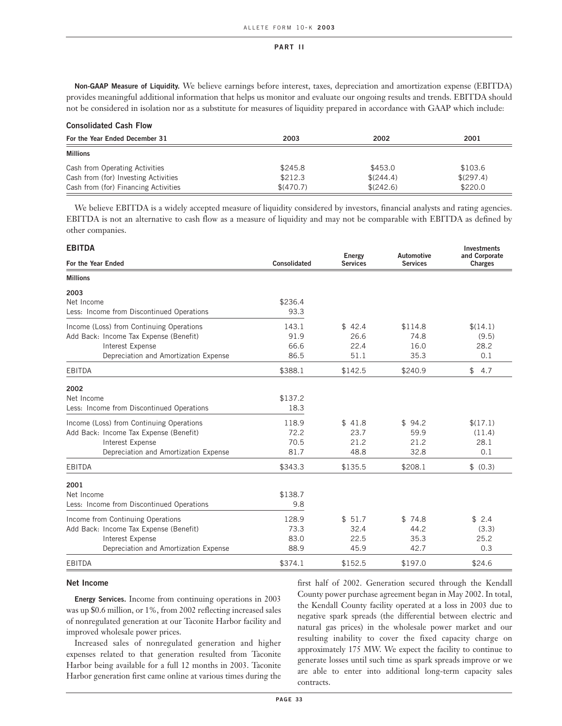**Non-GAAP Measure of Liquidity.** We believe earnings before interest, taxes, depreciation and amortization expense (EBITDA) provides meaningful additional information that helps us monitor and evaluate our ongoing results and trends. EBITDA should not be considered in isolation nor as a substitute for measures of liquidity prepared in accordance with GAAP which include:

#### **Consolidated Cash Flow**

| For the Year Ended December 31       | 2003      | 2002      | 2001      |
|--------------------------------------|-----------|-----------|-----------|
| <b>Millions</b>                      |           |           |           |
| Cash from Operating Activities       | \$245.8   | \$453.0   | \$103.6   |
| Cash from (for) Investing Activities | \$212.3   | \$(244.4) | \$(297.4) |
| Cash from (for) Financing Activities | \$(470.7) | \$(242.6) | \$220.0   |

We believe EBITDA is a widely accepted measure of liquidity considered by investors, financial analysts and rating agencies. EBITDA is not an alternative to cash flow as a measure of liquidity and may not be comparable with EBITDA as defined by other companies.

| <b>EBITDA</b>                             |              |                                  |                                      | <b>Investments</b>              |
|-------------------------------------------|--------------|----------------------------------|--------------------------------------|---------------------------------|
| For the Year Ended                        | Consolidated | <b>Energy</b><br><b>Services</b> | <b>Automotive</b><br><b>Services</b> | and Corporate<br><b>Charges</b> |
| <b>Millions</b>                           |              |                                  |                                      |                                 |
| 2003                                      |              |                                  |                                      |                                 |
| Net Income                                | \$236.4      |                                  |                                      |                                 |
| Less: Income from Discontinued Operations | 93.3         |                                  |                                      |                                 |
| Income (Loss) from Continuing Operations  | 143.1        | \$42.4                           | \$114.8                              | \$(14.1)                        |
| Add Back: Income Tax Expense (Benefit)    | 91.9         | 26.6                             | 74.8                                 | (9.5)                           |
| Interest Expense                          | 66.6         | 22.4                             | 16.0                                 | 28.2                            |
| Depreciation and Amortization Expense     | 86.5         | 51.1                             | 35.3                                 | 0.1                             |
| <b>EBITDA</b>                             | \$388.1      | \$142.5                          | \$240.9                              | \$<br>4.7                       |
| 2002                                      |              |                                  |                                      |                                 |
| Net Income                                | \$137.2      |                                  |                                      |                                 |
| Less: Income from Discontinued Operations | 18.3         |                                  |                                      |                                 |
| Income (Loss) from Continuing Operations  | 118.9        | \$41.8                           | \$94.2                               | \$(17.1)                        |
| Add Back: Income Tax Expense (Benefit)    | 72.2         | 23.7                             | 59.9                                 | (11.4)                          |
| Interest Expense                          | 70.5         | 21.2                             | 21.2                                 | 28.1                            |
| Depreciation and Amortization Expense     | 81.7         | 48.8                             | 32.8                                 | 0.1                             |
| <b>EBITDA</b>                             | \$343.3      | \$135.5                          | \$208.1                              | \$ (0.3)                        |
| 2001                                      |              |                                  |                                      |                                 |
| Net Income                                | \$138.7      |                                  |                                      |                                 |
| Less: Income from Discontinued Operations | 9.8          |                                  |                                      |                                 |
| Income from Continuing Operations         | 128.9        | \$51.7                           | \$74.8                               | \$2.4                           |
| Add Back: Income Tax Expense (Benefit)    | 73.3         | 32.4                             | 44.2                                 | (3.3)                           |
| Interest Expense                          | 83.0         | 22.5                             | 35.3                                 | 25.2                            |
| Depreciation and Amortization Expense     | 88.9         | 45.9                             | 42.7                                 | 0.3                             |
| <b>EBITDA</b>                             | \$374.1      | \$152.5                          | \$197.0                              | \$24.6                          |

#### **Net Income**

**Energy Services.** Income from continuing operations in 2003 was up \$0.6 million, or 1%, from 2002 reflecting increased sales of nonregulated generation at our Taconite Harbor facility and improved wholesale power prices.

Increased sales of nonregulated generation and higher expenses related to that generation resulted from Taconite Harbor being available for a full 12 months in 2003. Taconite Harbor generation first came online at various times during the first half of 2002. Generation secured through the Kendall County power purchase agreement began in May 2002. In total, the Kendall County facility operated at a loss in 2003 due to negative spark spreads (the differential between electric and natural gas prices) in the wholesale power market and our resulting inability to cover the fixed capacity charge on approximately 175 MW. We expect the facility to continue to generate losses until such time as spark spreads improve or we are able to enter into additional long-term capacity sales contracts.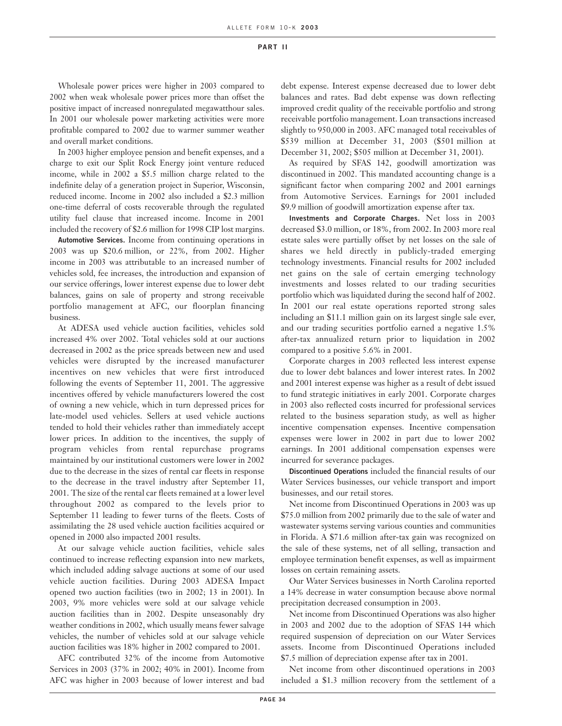Wholesale power prices were higher in 2003 compared to 2002 when weak wholesale power prices more than offset the positive impact of increased nonregulated megawatthour sales. In 2001 our wholesale power marketing activities were more profitable compared to 2002 due to warmer summer weather and overall market conditions.

In 2003 higher employee pension and benefit expenses, and a charge to exit our Split Rock Energy joint venture reduced income, while in 2002 a \$5.5 million charge related to the indefinite delay of a generation project in Superior, Wisconsin, reduced income. Income in 2002 also included a \$2.3 million one-time deferral of costs recoverable through the regulated utility fuel clause that increased income. Income in 2001 included the recovery of \$2.6 million for 1998 CIP lost margins.

**Automotive Services.** Income from continuing operations in 2003 was up \$20.6 million, or 22%, from 2002. Higher income in 2003 was attributable to an increased number of vehicles sold, fee increases, the introduction and expansion of our service offerings, lower interest expense due to lower debt balances, gains on sale of property and strong receivable portfolio management at AFC, our floorplan financing business.

At ADESA used vehicle auction facilities, vehicles sold increased 4% over 2002. Total vehicles sold at our auctions decreased in 2002 as the price spreads between new and used vehicles were disrupted by the increased manufacturer incentives on new vehicles that were first introduced following the events of September 11, 2001. The aggressive incentives offered by vehicle manufacturers lowered the cost of owning a new vehicle, which in turn depressed prices for late-model used vehicles. Sellers at used vehicle auctions tended to hold their vehicles rather than immediately accept lower prices. In addition to the incentives, the supply of program vehicles from rental repurchase programs maintained by our institutional customers were lower in 2002 due to the decrease in the sizes of rental car fleets in response to the decrease in the travel industry after September 11, 2001. The size of the rental car fleets remained at a lower level throughout 2002 as compared to the levels prior to September 11 leading to fewer turns of the fleets. Costs of assimilating the 28 used vehicle auction facilities acquired or opened in 2000 also impacted 2001 results.

At our salvage vehicle auction facilities, vehicle sales continued to increase reflecting expansion into new markets, which included adding salvage auctions at some of our used vehicle auction facilities. During 2003 ADESA Impact opened two auction facilities (two in 2002; 13 in 2001). In 2003, 9% more vehicles were sold at our salvage vehicle auction facilities than in 2002. Despite unseasonably dry weather conditions in 2002, which usually means fewer salvage vehicles, the number of vehicles sold at our salvage vehicle auction facilities was 18% higher in 2002 compared to 2001.

AFC contributed 32% of the income from Automotive Services in 2003 (37% in 2002; 40% in 2001). Income from AFC was higher in 2003 because of lower interest and bad debt expense. Interest expense decreased due to lower debt balances and rates. Bad debt expense was down reflecting improved credit quality of the receivable portfolio and strong receivable portfolio management. Loan transactions increased slightly to 950,000 in 2003. AFC managed total receivables of \$539 million at December 31, 2003 (\$501 million at December 31, 2002; \$505 million at December 31, 2001).

As required by SFAS 142, goodwill amortization was discontinued in 2002. This mandated accounting change is a significant factor when comparing 2002 and 2001 earnings from Automotive Services. Earnings for 2001 included \$9.9 million of goodwill amortization expense after tax.

**Investments and Corporate Charges.** Net loss in 2003 decreased \$3.0 million, or 18%, from 2002. In 2003 more real estate sales were partially offset by net losses on the sale of shares we held directly in publicly-traded emerging technology investments. Financial results for 2002 included net gains on the sale of certain emerging technology investments and losses related to our trading securities portfolio which was liquidated during the second half of 2002. In 2001 our real estate operations reported strong sales including an \$11.1 million gain on its largest single sale ever, and our trading securities portfolio earned a negative 1.5% after-tax annualized return prior to liquidation in 2002 compared to a positive 5.6% in 2001.

Corporate charges in 2003 reflected less interest expense due to lower debt balances and lower interest rates. In 2002 and 2001 interest expense was higher as a result of debt issued to fund strategic initiatives in early 2001. Corporate charges in 2003 also reflected costs incurred for professional services related to the business separation study, as well as higher incentive compensation expenses. Incentive compensation expenses were lower in 2002 in part due to lower 2002 earnings. In 2001 additional compensation expenses were incurred for severance packages.

**Discontinued Operations** included the financial results of our Water Services businesses, our vehicle transport and import businesses, and our retail stores.

Net income from Discontinued Operations in 2003 was up \$75.0 million from 2002 primarily due to the sale of water and wastewater systems serving various counties and communities in Florida. A \$71.6 million after-tax gain was recognized on the sale of these systems, net of all selling, transaction and employee termination benefit expenses, as well as impairment losses on certain remaining assets.

Our Water Services businesses in North Carolina reported a 14% decrease in water consumption because above normal precipitation decreased consumption in 2003.

Net income from Discontinued Operations was also higher in 2003 and 2002 due to the adoption of SFAS 144 which required suspension of depreciation on our Water Services assets. Income from Discontinued Operations included \$7.5 million of depreciation expense after tax in 2001.

Net income from other discontinued operations in 2003 included a \$1.3 million recovery from the settlement of a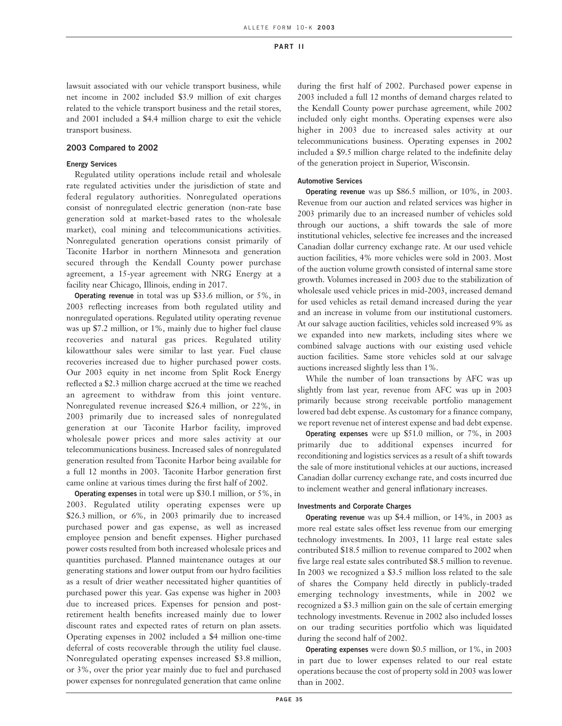lawsuit associated with our vehicle transport business, while net income in 2002 included \$3.9 million of exit charges related to the vehicle transport business and the retail stores, and 2001 included a \$4.4 million charge to exit the vehicle transport business.

# **2003 Compared to 2002**

### **Energy Services**

Regulated utility operations include retail and wholesale rate regulated activities under the jurisdiction of state and federal regulatory authorities. Nonregulated operations consist of nonregulated electric generation (non-rate base generation sold at market-based rates to the wholesale market), coal mining and telecommunications activities. Nonregulated generation operations consist primarily of Taconite Harbor in northern Minnesota and generation secured through the Kendall County power purchase agreement, a 15-year agreement with NRG Energy at a facility near Chicago, Illinois, ending in 2017.

**Operating revenue** in total was up \$33.6 million, or 5%, in 2003 reflecting increases from both regulated utility and nonregulated operations. Regulated utility operating revenue was up \$7.2 million, or 1%, mainly due to higher fuel clause recoveries and natural gas prices. Regulated utility kilowatthour sales were similar to last year. Fuel clause recoveries increased due to higher purchased power costs. Our 2003 equity in net income from Split Rock Energy reflected a \$2.3 million charge accrued at the time we reached an agreement to withdraw from this joint venture. Nonregulated revenue increased \$26.4 million, or 22%, in 2003 primarily due to increased sales of nonregulated generation at our Taconite Harbor facility, improved wholesale power prices and more sales activity at our telecommunications business. Increased sales of nonregulated generation resulted from Taconite Harbor being available for a full 12 months in 2003. Taconite Harbor generation first came online at various times during the first half of 2002.

**Operating expenses** in total were up \$30.1 million, or 5%, in 2003. Regulated utility operating expenses were up \$26.3 million, or 6%, in 2003 primarily due to increased purchased power and gas expense, as well as increased employee pension and benefit expenses. Higher purchased power costs resulted from both increased wholesale prices and quantities purchased. Planned maintenance outages at our generating stations and lower output from our hydro facilities as a result of drier weather necessitated higher quantities of purchased power this year. Gas expense was higher in 2003 due to increased prices. Expenses for pension and postretirement health benefits increased mainly due to lower discount rates and expected rates of return on plan assets. Operating expenses in 2002 included a \$4 million one-time deferral of costs recoverable through the utility fuel clause. Nonregulated operating expenses increased \$3.8 million, or 3%, over the prior year mainly due to fuel and purchased power expenses for nonregulated generation that came online

during the first half of 2002. Purchased power expense in 2003 included a full 12 months of demand charges related to the Kendall County power purchase agreement, while 2002 included only eight months. Operating expenses were also higher in 2003 due to increased sales activity at our telecommunications business. Operating expenses in 2002 included a \$9.5 million charge related to the indefinite delay of the generation project in Superior, Wisconsin.

### **Automotive Services**

**Operating revenue** was up \$86.5 million, or 10%, in 2003. Revenue from our auction and related services was higher in 2003 primarily due to an increased number of vehicles sold through our auctions, a shift towards the sale of more institutional vehicles, selective fee increases and the increased Canadian dollar currency exchange rate. At our used vehicle auction facilities, 4% more vehicles were sold in 2003. Most of the auction volume growth consisted of internal same store growth. Volumes increased in 2003 due to the stabilization of wholesale used vehicle prices in mid-2003, increased demand for used vehicles as retail demand increased during the year and an increase in volume from our institutional customers. At our salvage auction facilities, vehicles sold increased 9% as we expanded into new markets, including sites where we combined salvage auctions with our existing used vehicle auction facilities. Same store vehicles sold at our salvage auctions increased slightly less than 1%.

While the number of loan transactions by AFC was up slightly from last year, revenue from AFC was up in 2003 primarily because strong receivable portfolio management lowered bad debt expense. As customary for a finance company, we report revenue net of interest expense and bad debt expense.

**Operating expenses** were up \$51.0 million, or 7%, in 2003 primarily due to additional expenses incurred for reconditioning and logistics services as a result of a shift towards the sale of more institutional vehicles at our auctions, increased Canadian dollar currency exchange rate, and costs incurred due to inclement weather and general inflationary increases.

### **Investments and Corporate Charges**

**Operating revenue** was up \$4.4 million, or 14%, in 2003 as more real estate sales offset less revenue from our emerging technology investments. In 2003, 11 large real estate sales contributed \$18.5 million to revenue compared to 2002 when five large real estate sales contributed \$8.5 million to revenue. In 2003 we recognized a \$3.5 million loss related to the sale of shares the Company held directly in publicly-traded emerging technology investments, while in 2002 we recognized a \$3.3 million gain on the sale of certain emerging technology investments. Revenue in 2002 also included losses on our trading securities portfolio which was liquidated during the second half of 2002.

**Operating expenses** were down \$0.5 million, or 1%, in 2003 in part due to lower expenses related to our real estate operations because the cost of property sold in 2003 was lower than in 2002.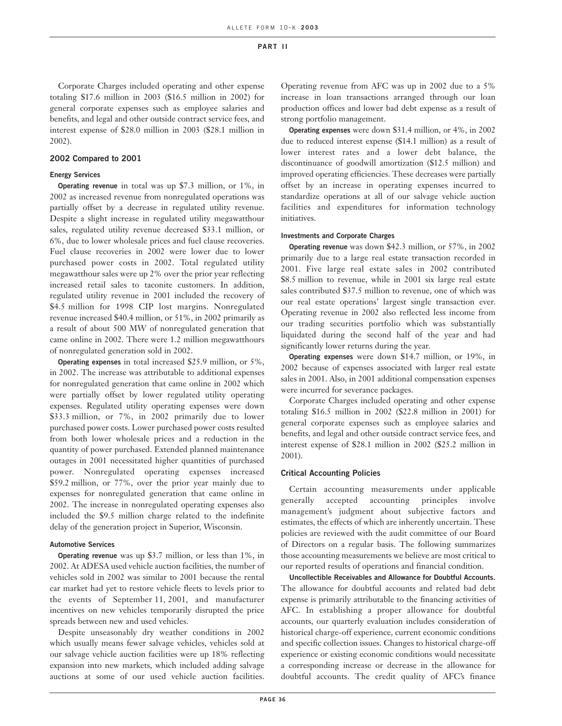Corporate Charges included operating and other expense totaling \$17.6 million in 2003 (\$16.5 million in 2002) for general corporate expenses such as employee salaries and benefits, and legal and other outside contract service fees, and interest expense of \$28.0 million in 2003 (\$28.1 million in 2002).

### **2002 Compared to 2001**

# **Energy Services**

**Operating revenue** in total was up \$7.3 million, or 1%, in 2002 as increased revenue from nonregulated operations was partially offset by a decrease in regulated utility revenue. Despite a slight increase in regulated utility megawatthour sales, regulated utility revenue decreased \$33.1 million, or 6%, due to lower wholesale prices and fuel clause recoveries. Fuel clause recoveries in 2002 were lower due to lower purchased power costs in 2002. Total regulated utility megawatthour sales were up 2% over the prior year reflecting increased retail sales to taconite customers. In addition, regulated utility revenue in 2001 included the recovery of \$4.5 million for 1998 CIP lost margins. Nonregulated revenue increased \$40.4 million, or 51%, in 2002 primarily as a result of about 500 MW of nonregulated generation that came online in 2002. There were 1.2 million megawatthours of nonregulated generation sold in 2002.

**Operating expenses** in total increased \$25.9 million, or 5%, in 2002. The increase was attributable to additional expenses for nonregulated generation that came online in 2002 which were partially offset by lower regulated utility operating expenses. Regulated utility operating expenses were down \$33.3 million, or 7%, in 2002 primarily due to lower purchased power costs. Lower purchased power costs resulted from both lower wholesale prices and a reduction in the quantity of power purchased. Extended planned maintenance outages in 2001 necessitated higher quantities of purchased power. Nonregulated operating expenses increased \$59.2 million, or 77%, over the prior year mainly due to expenses for nonregulated generation that came online in 2002. The increase in nonregulated operating expenses also included the \$9.5 million charge related to the indefinite delay of the generation project in Superior, Wisconsin.

# **Automotive Services**

**Operating revenue** was up \$3.7 million, or less than 1%, in 2002. At ADESA used vehicle auction facilities, the number of vehicles sold in 2002 was similar to 2001 because the rental car market had yet to restore vehicle fleets to levels prior to the events of September 11, 2001, and manufacturer incentives on new vehicles temporarily disrupted the price spreads between new and used vehicles.

Despite unseasonably dry weather conditions in 2002 which usually means fewer salvage vehicles, vehicles sold at our salvage vehicle auction facilities were up 18% reflecting expansion into new markets, which included adding salvage auctions at some of our used vehicle auction facilities.

Operating revenue from AFC was up in 2002 due to a 5% increase in loan transactions arranged through our loan production offices and lower bad debt expense as a result of strong portfolio management.

**Operating expenses** were down \$31.4 million, or 4%, in 2002 due to reduced interest expense (\$14.1 million) as a result of lower interest rates and a lower debt balance, the discontinuance of goodwill amortization (\$12.5 million) and improved operating efficiencies. These decreases were partially offset by an increase in operating expenses incurred to standardize operations at all of our salvage vehicle auction facilities and expenditures for information technology initiatives.

### **Investments and Corporate Charges**

**Operating revenue** was down \$42.3 million, or 57%, in 2002 primarily due to a large real estate transaction recorded in 2001. Five large real estate sales in 2002 contributed \$8.5 million to revenue, while in 2001 six large real estate sales contributed \$37.5 million to revenue, one of which was our real estate operations' largest single transaction ever. Operating revenue in 2002 also reflected less income from our trading securities portfolio which was substantially liquidated during the second half of the year and had significantly lower returns during the year.

**Operating expenses** were down \$14.7 million, or 19%, in 2002 because of expenses associated with larger real estate sales in 2001. Also, in 2001 additional compensation expenses were incurred for severance packages.

Corporate Charges included operating and other expense totaling \$16.5 million in 2002 (\$22.8 million in 2001) for general corporate expenses such as employee salaries and benefits, and legal and other outside contract service fees, and interest expense of \$28.1 million in 2002 (\$25.2 million in 2001).

# **Critical Accounting Policies**

Certain accounting measurements under applicable generally accepted accounting principles involve management's judgment about subjective factors and estimates, the effects of which are inherently uncertain. These policies are reviewed with the audit committee of our Board of Directors on a regular basis. The following summarizes those accounting measurements we believe are most critical to our reported results of operations and financial condition.

**Uncollectible Receivables and Allowance for Doubtful Accounts.** The allowance for doubtful accounts and related bad debt expense is primarily attributable to the financing activities of AFC. In establishing a proper allowance for doubtful accounts, our quarterly evaluation includes consideration of historical charge-off experience, current economic conditions and specific collection issues. Changes to historical charge-off experience or existing economic conditions would necessitate a corresponding increase or decrease in the allowance for doubtful accounts. The credit quality of AFC's finance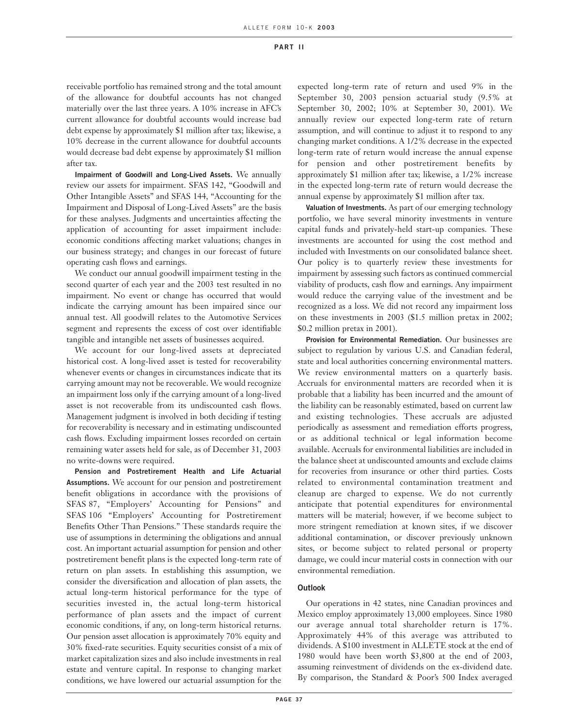receivable portfolio has remained strong and the total amount of the allowance for doubtful accounts has not changed materially over the last three years. A 10% increase in AFC's current allowance for doubtful accounts would increase bad debt expense by approximately \$1 million after tax; likewise, a 10% decrease in the current allowance for doubtful accounts would decrease bad debt expense by approximately \$1 million after tax.

**Impairment of Goodwill and Long-Lived Assets.** We annually review our assets for impairment. SFAS 142, "Goodwill and Other Intangible Assets" and SFAS 144, "Accounting for the Impairment and Disposal of Long-Lived Assets" are the basis for these analyses. Judgments and uncertainties affecting the application of accounting for asset impairment include: economic conditions affecting market valuations; changes in our business strategy; and changes in our forecast of future operating cash flows and earnings.

We conduct our annual goodwill impairment testing in the second quarter of each year and the 2003 test resulted in no impairment. No event or change has occurred that would indicate the carrying amount has been impaired since our annual test. All goodwill relates to the Automotive Services segment and represents the excess of cost over identifiable tangible and intangible net assets of businesses acquired.

We account for our long-lived assets at depreciated historical cost. A long-lived asset is tested for recoverability whenever events or changes in circumstances indicate that its carrying amount may not be recoverable. We would recognize an impairment loss only if the carrying amount of a long-lived asset is not recoverable from its undiscounted cash flows. Management judgment is involved in both deciding if testing for recoverability is necessary and in estimating undiscounted cash flows. Excluding impairment losses recorded on certain remaining water assets held for sale, as of December 31, 2003 no write-downs were required.

**Pension and Postretirement Health and Life Actuarial Assumptions.** We account for our pension and postretirement benefit obligations in accordance with the provisions of SFAS 87, "Employers' Accounting for Pensions" and SFAS 106 "Employers' Accounting for Postretirement Benefits Other Than Pensions." These standards require the use of assumptions in determining the obligations and annual cost. An important actuarial assumption for pension and other postretirement benefit plans is the expected long-term rate of return on plan assets. In establishing this assumption, we consider the diversification and allocation of plan assets, the actual long-term historical performance for the type of securities invested in, the actual long-term historical performance of plan assets and the impact of current economic conditions, if any, on long-term historical returns. Our pension asset allocation is approximately 70% equity and 30% fixed-rate securities. Equity securities consist of a mix of market capitalization sizes and also include investments in real estate and venture capital. In response to changing market conditions, we have lowered our actuarial assumption for the

expected long-term rate of return and used 9% in the September 30, 2003 pension actuarial study (9.5% at September 30, 2002; 10% at September 30, 2001). We annually review our expected long-term rate of return assumption, and will continue to adjust it to respond to any changing market conditions. A 1/2% decrease in the expected long-term rate of return would increase the annual expense for pension and other postretirement benefits by approximately \$1 million after tax; likewise, a 1/2% increase in the expected long-term rate of return would decrease the annual expense by approximately \$1 million after tax.

**Valuation of Investments.** As part of our emerging technology portfolio, we have several minority investments in venture capital funds and privately-held start-up companies. These investments are accounted for using the cost method and included with Investments on our consolidated balance sheet. Our policy is to quarterly review these investments for impairment by assessing such factors as continued commercial viability of products, cash flow and earnings. Any impairment would reduce the carrying value of the investment and be recognized as a loss. We did not record any impairment loss on these investments in 2003 (\$1.5 million pretax in 2002; \$0.2 million pretax in 2001).

**Provision for Environmental Remediation.** Our businesses are subject to regulation by various U.S. and Canadian federal, state and local authorities concerning environmental matters. We review environmental matters on a quarterly basis. Accruals for environmental matters are recorded when it is probable that a liability has been incurred and the amount of the liability can be reasonably estimated, based on current law and existing technologies. These accruals are adjusted periodically as assessment and remediation efforts progress, or as additional technical or legal information become available. Accruals for environmental liabilities are included in the balance sheet at undiscounted amounts and exclude claims for recoveries from insurance or other third parties. Costs related to environmental contamination treatment and cleanup are charged to expense. We do not currently anticipate that potential expenditures for environmental matters will be material; however, if we become subject to more stringent remediation at known sites, if we discover additional contamination, or discover previously unknown sites, or become subject to related personal or property damage, we could incur material costs in connection with our environmental remediation.

### **Outlook**

Our operations in 42 states, nine Canadian provinces and Mexico employ approximately 13,000 employees. Since 1980 our average annual total shareholder return is 17%. Approximately 44% of this average was attributed to dividends. A \$100 investment in ALLETE stock at the end of 1980 would have been worth \$3,800 at the end of 2003, assuming reinvestment of dividends on the ex-dividend date. By comparison, the Standard & Poor's 500 Index averaged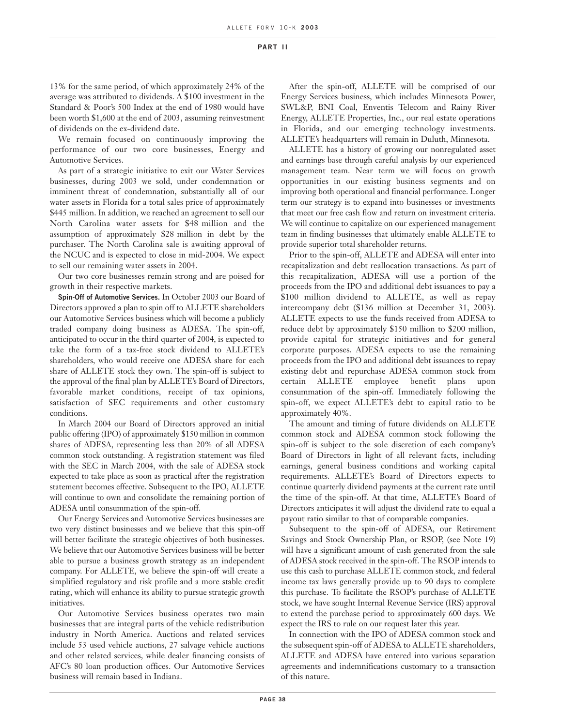13% for the same period, of which approximately 24% of the average was attributed to dividends. A \$100 investment in the Standard & Poor's 500 Index at the end of 1980 would have been worth \$1,600 at the end of 2003, assuming reinvestment of dividends on the ex-dividend date.

We remain focused on continuously improving the performance of our two core businesses, Energy and Automotive Services.

As part of a strategic initiative to exit our Water Services businesses, during 2003 we sold, under condemnation or imminent threat of condemnation, substantially all of our water assets in Florida for a total sales price of approximately \$445 million. In addition, we reached an agreement to sell our North Carolina water assets for \$48 million and the assumption of approximately \$28 million in debt by the purchaser. The North Carolina sale is awaiting approval of the NCUC and is expected to close in mid-2004. We expect to sell our remaining water assets in 2004.

Our two core businesses remain strong and are poised for growth in their respective markets.

**Spin-Off of Automotive Services.** In October 2003 our Board of Directors approved a plan to spin off to ALLETE shareholders our Automotive Services business which will become a publicly traded company doing business as ADESA. The spin-off, anticipated to occur in the third quarter of 2004, is expected to take the form of a tax-free stock dividend to ALLETE's shareholders, who would receive one ADESA share for each share of ALLETE stock they own. The spin-off is subject to the approval of the final plan by ALLETE's Board of Directors, favorable market conditions, receipt of tax opinions, satisfaction of SEC requirements and other customary conditions.

In March 2004 our Board of Directors approved an initial public offering (IPO) of approximately \$150 million in common shares of ADESA, representing less than 20% of all ADESA common stock outstanding. A registration statement was filed with the SEC in March 2004, with the sale of ADESA stock expected to take place as soon as practical after the registration statement becomes effective. Subsequent to the IPO, ALLETE will continue to own and consolidate the remaining portion of ADESA until consummation of the spin-off.

Our Energy Services and Automotive Services businesses are two very distinct businesses and we believe that this spin-off will better facilitate the strategic objectives of both businesses. We believe that our Automotive Services business will be better able to pursue a business growth strategy as an independent company. For ALLETE, we believe the spin-off will create a simplified regulatory and risk profile and a more stable credit rating, which will enhance its ability to pursue strategic growth initiatives.

Our Automotive Services business operates two main businesses that are integral parts of the vehicle redistribution industry in North America. Auctions and related services include 53 used vehicle auctions, 27 salvage vehicle auctions and other related services, while dealer financing consists of AFC's 80 loan production offices. Our Automotive Services business will remain based in Indiana.

After the spin-off, ALLETE will be comprised of our Energy Services business, which includes Minnesota Power, SWL&P, BNI Coal, Enventis Telecom and Rainy River Energy, ALLETE Properties, Inc., our real estate operations in Florida, and our emerging technology investments. ALLETE's headquarters will remain in Duluth, Minnesota.

ALLETE has a history of growing our nonregulated asset and earnings base through careful analysis by our experienced management team. Near term we will focus on growth opportunities in our existing business segments and on improving both operational and financial performance. Longer term our strategy is to expand into businesses or investments that meet our free cash flow and return on investment criteria. We will continue to capitalize on our experienced management team in finding businesses that ultimately enable ALLETE to provide superior total shareholder returns.

Prior to the spin-off, ALLETE and ADESA will enter into recapitalization and debt reallocation transactions. As part of this recapitalization, ADESA will use a portion of the proceeds from the IPO and additional debt issuances to pay a \$100 million dividend to ALLETE, as well as repay intercompany debt (\$136 million at December 31, 2003). ALLETE expects to use the funds received from ADESA to reduce debt by approximately \$150 million to \$200 million, provide capital for strategic initiatives and for general corporate purposes. ADESA expects to use the remaining proceeds from the IPO and additional debt issuances to repay existing debt and repurchase ADESA common stock from certain ALLETE employee benefit plans upon consummation of the spin-off. Immediately following the spin-off, we expect ALLETE's debt to capital ratio to be approximately 40%.

The amount and timing of future dividends on ALLETE common stock and ADESA common stock following the spin-off is subject to the sole discretion of each company's Board of Directors in light of all relevant facts, including earnings, general business conditions and working capital requirements. ALLETE's Board of Directors expects to continue quarterly dividend payments at the current rate until the time of the spin-off. At that time, ALLETE's Board of Directors anticipates it will adjust the dividend rate to equal a payout ratio similar to that of comparable companies.

Subsequent to the spin-off of ADESA, our Retirement Savings and Stock Ownership Plan, or RSOP, (see Note 19) will have a significant amount of cash generated from the sale of ADESA stock received in the spin-off. The RSOP intends to use this cash to purchase ALLETE common stock, and federal income tax laws generally provide up to 90 days to complete this purchase. To facilitate the RSOP's purchase of ALLETE stock, we have sought Internal Revenue Service (IRS) approval to extend the purchase period to approximately 600 days. We expect the IRS to rule on our request later this year.

In connection with the IPO of ADESA common stock and the subsequent spin-off of ADESA to ALLETE shareholders, ALLETE and ADESA have entered into various separation agreements and indemnifications customary to a transaction of this nature.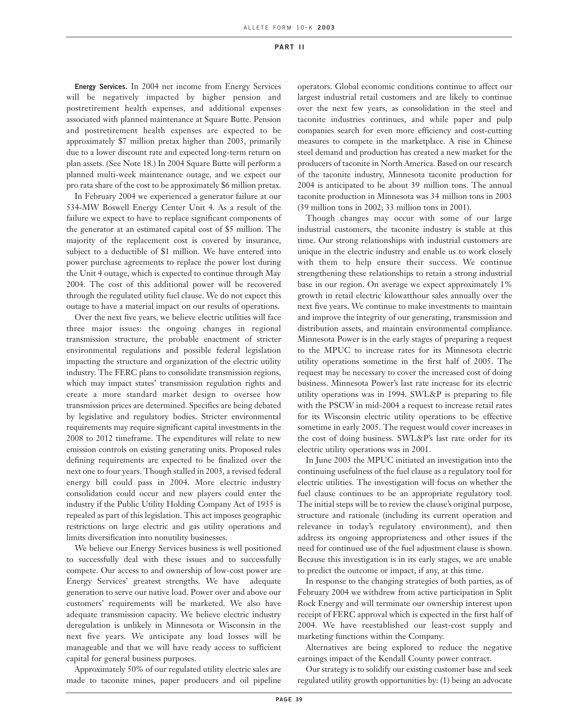**Energy Services.** In 2004 net income from Energy Services will be negatively impacted by higher pension and postretirement health expenses, and additional expenses associated with planned maintenance at Square Butte. Pension and postretirement health expenses are expected to be approximately \$7 million pretax higher than 2003, primarily due to a lower discount rate and expected long-term return on plan assets. (See Note 18.) In 2004 Square Butte will perform a planned multi-week maintenance outage, and we expect our pro rata share of the cost to be approximately \$6 million pretax.

In February 2004 we experienced a generator failure at our 534-MW Boswell Energy Center Unit 4. As a result of the failure we expect to have to replace significant components of the generator at an estimated capital cost of \$5 million. The majority of the replacement cost is covered by insurance, subject to a deductible of \$1 million. We have entered into power purchase agreements to replace the power lost during the Unit 4 outage, which is expected to continue through May 2004. The cost of this additional power will be recovered through the regulated utility fuel clause. We do not expect this outage to have a material impact on our results of operations.

Over the next five years, we believe electric utilities will face three major issues: the ongoing changes in regional transmission structure, the probable enactment of stricter environmental regulations and possible federal legislation impacting the structure and organization of the electric utility industry. The FERC plans to consolidate transmission regions, which may impact states' transmission regulation rights and create a more standard market design to oversee how transmission prices are determined. Specifics are being debated by legislative and regulatory bodies. Stricter environmental requirements may require significant capital investments in the 2008 to 2012 timeframe. The expenditures will relate to new emission controls on existing generating units. Proposed rules defining requirements are expected to be finalized over the next one to four years. Though stalled in 2003, a revised federal energy bill could pass in 2004. More electric industry consolidation could occur and new players could enter the industry if the Public Utility Holding Company Act of 1935 is repealed as part of this legislation. This act imposes geographic restrictions on large electric and gas utility operations and limits diversification into nonutility businesses.

We believe our Energy Services business is well positioned to successfully deal with these issues and to successfully compete. Our access to and ownership of low-cost power are Energy Services' greatest strengths. We have adequate generation to serve our native load. Power over and above our customers' requirements will be marketed. We also have adequate transmission capacity. We believe electric industry deregulation is unlikely in Minnesota or Wisconsin in the next five years. We anticipate any load losses will be manageable and that we will have ready access to sufficient capital for general business purposes.

Approximately 50% of our regulated utility electric sales are made to taconite mines, paper producers and oil pipeline

operators. Global economic conditions continue to affect our largest industrial retail customers and are likely to continue over the next few years, as consolidation in the steel and taconite industries continues, and while paper and pulp companies search for even more efficiency and cost-cutting measures to compete in the marketplace. A rise in Chinese steel demand and production has created a new market for the producers of taconite in North America. Based on our research of the taconite industry, Minnesota taconite production for 2004 is anticipated to be about 39 million tons. The annual taconite production in Minnesota was 34 million tons in 2003 (39 million tons in 2002; 33 million tons in 2001).

Though changes may occur with some of our large industrial customers, the taconite industry is stable at this time. Our strong relationships with industrial customers are unique in the electric industry and enable us to work closely with them to help ensure their success. We continue strengthening these relationships to retain a strong industrial base in our region. On average we expect approximately 1% growth in retail electric kilowatthour sales annually over the next five years. We continue to make investments to maintain and improve the integrity of our generating, transmission and distribution assets, and maintain environmental compliance. Minnesota Power is in the early stages of preparing a request to the MPUC to increase rates for its Minnesota electric utility operations sometime in the first half of 2005. The request may be necessary to cover the increased cost of doing business. Minnesota Power's last rate increase for its electric utility operations was in 1994. SWL&P is preparing to file with the PSCW in mid-2004 a request to increase retail rates for its Wisconsin electric utility operations to be effective sometime in early 2005. The request would cover increases in the cost of doing business. SWL&P's last rate order for its electric utility operations was in 2001.

In June 2003 the MPUC initiated an investigation into the continuing usefulness of the fuel clause as a regulatory tool for electric utilities. The investigation will focus on whether the fuel clause continues to be an appropriate regulatory tool. The initial steps will be to review the clause's original purpose, structure and rationale (including its current operation and relevance in today's regulatory environment), and then address its ongoing appropriateness and other issues if the need for continued use of the fuel adjustment clause is shown. Because this investigation is in its early stages, we are unable to predict the outcome or impact, if any, at this time.

In response to the changing strategies of both parties, as of February 2004 we withdrew from active participation in Split Rock Energy and will terminate our ownership interest upon receipt of FERC approval which is expected in the first half of 2004. We have reestablished our least-cost supply and marketing functions within the Company.

Alternatives are being explored to reduce the negative earnings impact of the Kendall County power contract.

Our strategy is to solidify our existing customer base and seek regulated utility growth opportunities by: (1) being an advocate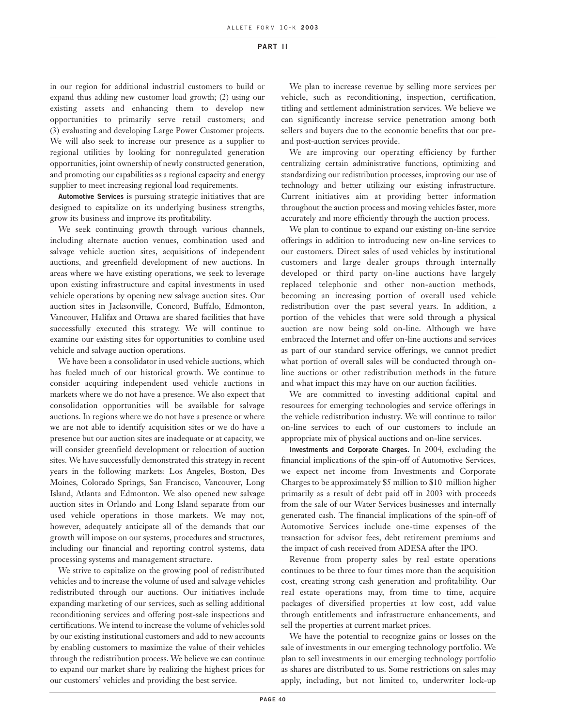in our region for additional industrial customers to build or expand thus adding new customer load growth; (2) using our existing assets and enhancing them to develop new opportunities to primarily serve retail customers; and (3) evaluating and developing Large Power Customer projects. We will also seek to increase our presence as a supplier to regional utilities by looking for nonregulated generation opportunities, joint ownership of newly constructed generation, and promoting our capabilities as a regional capacity and energy supplier to meet increasing regional load requirements.

**Automotive Services** is pursuing strategic initiatives that are designed to capitalize on its underlying business strengths, grow its business and improve its profitability.

We seek continuing growth through various channels, including alternate auction venues, combination used and salvage vehicle auction sites, acquisitions of independent auctions, and greenfield development of new auctions. In areas where we have existing operations, we seek to leverage upon existing infrastructure and capital investments in used vehicle operations by opening new salvage auction sites. Our auction sites in Jacksonville, Concord, Buffalo, Edmonton, Vancouver, Halifax and Ottawa are shared facilities that have successfully executed this strategy. We will continue to examine our existing sites for opportunities to combine used vehicle and salvage auction operations.

We have been a consolidator in used vehicle auctions, which has fueled much of our historical growth. We continue to consider acquiring independent used vehicle auctions in markets where we do not have a presence. We also expect that consolidation opportunities will be available for salvage auctions. In regions where we do not have a presence or where we are not able to identify acquisition sites or we do have a presence but our auction sites are inadequate or at capacity, we will consider greenfield development or relocation of auction sites. We have successfully demonstrated this strategy in recent years in the following markets: Los Angeles, Boston, Des Moines, Colorado Springs, San Francisco, Vancouver, Long Island, Atlanta and Edmonton. We also opened new salvage auction sites in Orlando and Long Island separate from our used vehicle operations in those markets. We may not, however, adequately anticipate all of the demands that our growth will impose on our systems, procedures and structures, including our financial and reporting control systems, data processing systems and management structure.

We strive to capitalize on the growing pool of redistributed vehicles and to increase the volume of used and salvage vehicles redistributed through our auctions. Our initiatives include expanding marketing of our services, such as selling additional reconditioning services and offering post-sale inspections and certifications. We intend to increase the volume of vehicles sold by our existing institutional customers and add to new accounts by enabling customers to maximize the value of their vehicles through the redistribution process. We believe we can continue to expand our market share by realizing the highest prices for our customers' vehicles and providing the best service.

We plan to increase revenue by selling more services per vehicle, such as reconditioning, inspection, certification, titling and settlement administration services. We believe we can significantly increase service penetration among both sellers and buyers due to the economic benefits that our preand post-auction services provide.

We are improving our operating efficiency by further centralizing certain administrative functions, optimizing and standardizing our redistribution processes, improving our use of technology and better utilizing our existing infrastructure. Current initiatives aim at providing better information throughout the auction process and moving vehicles faster, more accurately and more efficiently through the auction process.

We plan to continue to expand our existing on-line service offerings in addition to introducing new on-line services to our customers. Direct sales of used vehicles by institutional customers and large dealer groups through internally developed or third party on-line auctions have largely replaced telephonic and other non-auction methods, becoming an increasing portion of overall used vehicle redistribution over the past several years. In addition, a portion of the vehicles that were sold through a physical auction are now being sold on-line. Although we have embraced the Internet and offer on-line auctions and services as part of our standard service offerings, we cannot predict what portion of overall sales will be conducted through online auctions or other redistribution methods in the future and what impact this may have on our auction facilities.

We are committed to investing additional capital and resources for emerging technologies and service offerings in the vehicle redistribution industry. We will continue to tailor on-line services to each of our customers to include an appropriate mix of physical auctions and on-line services.

**Investments and Corporate Charges.** In 2004, excluding the financial implications of the spin-off of Automotive Services, we expect net income from Investments and Corporate Charges to be approximately \$5 million to \$10 million higher primarily as a result of debt paid off in 2003 with proceeds from the sale of our Water Services businesses and internally generated cash. The financial implications of the spin-off of Automotive Services include one-time expenses of the transaction for advisor fees, debt retirement premiums and the impact of cash received from ADESA after the IPO.

Revenue from property sales by real estate operations continues to be three to four times more than the acquisition cost, creating strong cash generation and profitability. Our real estate operations may, from time to time, acquire packages of diversified properties at low cost, add value through entitlements and infrastructure enhancements, and sell the properties at current market prices.

We have the potential to recognize gains or losses on the sale of investments in our emerging technology portfolio. We plan to sell investments in our emerging technology portfolio as shares are distributed to us. Some restrictions on sales may apply, including, but not limited to, underwriter lock-up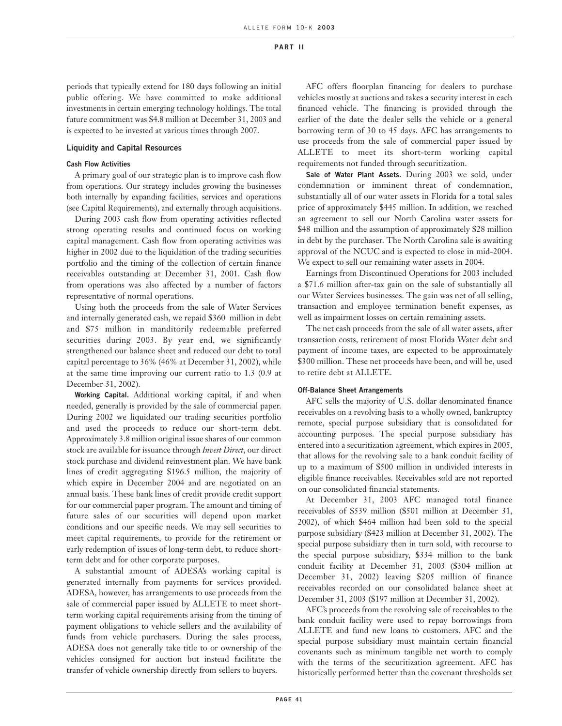periods that typically extend for 180 days following an initial public offering. We have committed to make additional investments in certain emerging technology holdings. The total future commitment was \$4.8 million at December 31, 2003 and is expected to be invested at various times through 2007.

# **Liquidity and Capital Resources**

## **Cash Flow Activities**

A primary goal of our strategic plan is to improve cash flow from operations. Our strategy includes growing the businesses both internally by expanding facilities, services and operations (see Capital Requirements), and externally through acquisitions.

During 2003 cash flow from operating activities reflected strong operating results and continued focus on working capital management. Cash flow from operating activities was higher in 2002 due to the liquidation of the trading securities portfolio and the timing of the collection of certain finance receivables outstanding at December 31, 2001. Cash flow from operations was also affected by a number of factors representative of normal operations.

Using both the proceeds from the sale of Water Services and internally generated cash, we repaid \$360 million in debt and \$75 million in manditorily redeemable preferred securities during 2003. By year end, we significantly strengthened our balance sheet and reduced our debt to total capital percentage to 36% (46% at December 31, 2002), while at the same time improving our current ratio to 1.3 (0.9 at December 31, 2002).

**Working Capital.** Additional working capital, if and when needed, generally is provided by the sale of commercial paper. During 2002 we liquidated our trading securities portfolio and used the proceeds to reduce our short-term debt. Approximately 3.8 million original issue shares of our common stock are available for issuance through *Invest Direct*, our direct stock purchase and dividend reinvestment plan. We have bank lines of credit aggregating \$196.5 million, the majority of which expire in December 2004 and are negotiated on an annual basis. These bank lines of credit provide credit support for our commercial paper program. The amount and timing of future sales of our securities will depend upon market conditions and our specific needs. We may sell securities to meet capital requirements, to provide for the retirement or early redemption of issues of long-term debt, to reduce shortterm debt and for other corporate purposes.

A substantial amount of ADESA's working capital is generated internally from payments for services provided. ADESA, however, has arrangements to use proceeds from the sale of commercial paper issued by ALLETE to meet shortterm working capital requirements arising from the timing of payment obligations to vehicle sellers and the availability of funds from vehicle purchasers. During the sales process, ADESA does not generally take title to or ownership of the vehicles consigned for auction but instead facilitate the transfer of vehicle ownership directly from sellers to buyers.

AFC offers floorplan financing for dealers to purchase vehicles mostly at auctions and takes a security interest in each financed vehicle. The financing is provided through the earlier of the date the dealer sells the vehicle or a general borrowing term of 30 to 45 days. AFC has arrangements to use proceeds from the sale of commercial paper issued by ALLETE to meet its short-term working capital requirements not funded through securitization.

**Sale of Water Plant Assets.** During 2003 we sold, under condemnation or imminent threat of condemnation, substantially all of our water assets in Florida for a total sales price of approximately \$445 million. In addition, we reached an agreement to sell our North Carolina water assets for \$48 million and the assumption of approximately \$28 million in debt by the purchaser. The North Carolina sale is awaiting approval of the NCUC and is expected to close in mid-2004. We expect to sell our remaining water assets in 2004.

Earnings from Discontinued Operations for 2003 included a \$71.6 million after-tax gain on the sale of substantially all our Water Services businesses. The gain was net of all selling, transaction and employee termination benefit expenses, as well as impairment losses on certain remaining assets.

The net cash proceeds from the sale of all water assets, after transaction costs, retirement of most Florida Water debt and payment of income taxes, are expected to be approximately \$300 million. These net proceeds have been, and will be, used to retire debt at ALLETE.

#### **Off-Balance Sheet Arrangements**

AFC sells the majority of U.S. dollar denominated finance receivables on a revolving basis to a wholly owned, bankruptcy remote, special purpose subsidiary that is consolidated for accounting purposes. The special purpose subsidiary has entered into a securitization agreement, which expires in 2005, that allows for the revolving sale to a bank conduit facility of up to a maximum of \$500 million in undivided interests in eligible finance receivables. Receivables sold are not reported on our consolidated financial statements.

At December 31, 2003 AFC managed total finance receivables of \$539 million (\$501 million at December 31, 2002), of which \$464 million had been sold to the special purpose subsidiary (\$423 million at December 31, 2002). The special purpose subsidiary then in turn sold, with recourse to the special purpose subsidiary, \$334 million to the bank conduit facility at December 31, 2003 (\$304 million at December 31, 2002) leaving \$205 million of finance receivables recorded on our consolidated balance sheet at December 31, 2003 (\$197 million at December 31, 2002).

AFC's proceeds from the revolving sale of receivables to the bank conduit facility were used to repay borrowings from ALLETE and fund new loans to customers. AFC and the special purpose subsidiary must maintain certain financial covenants such as minimum tangible net worth to comply with the terms of the securitization agreement. AFC has historically performed better than the covenant thresholds set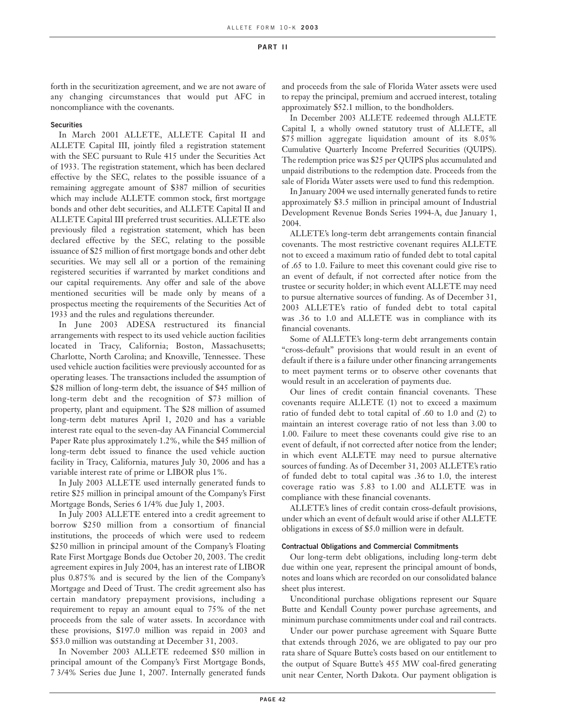forth in the securitization agreement, and we are not aware of any changing circumstances that would put AFC in noncompliance with the covenants.

#### **Securities**

In March 2001 ALLETE, ALLETE Capital II and ALLETE Capital III, jointly filed a registration statement with the SEC pursuant to Rule 415 under the Securities Act of 1933. The registration statement, which has been declared effective by the SEC, relates to the possible issuance of a remaining aggregate amount of \$387 million of securities which may include ALLETE common stock, first mortgage bonds and other debt securities, and ALLETE Capital II and ALLETE Capital III preferred trust securities. ALLETE also previously filed a registration statement, which has been declared effective by the SEC, relating to the possible issuance of \$25 million of first mortgage bonds and other debt securities. We may sell all or a portion of the remaining registered securities if warranted by market conditions and our capital requirements. Any offer and sale of the above mentioned securities will be made only by means of a prospectus meeting the requirements of the Securities Act of 1933 and the rules and regulations thereunder.

In June 2003 ADESA restructured its financial arrangements with respect to its used vehicle auction facilities located in Tracy, California; Boston, Massachusetts; Charlotte, North Carolina; and Knoxville, Tennessee. These used vehicle auction facilities were previously accounted for as operating leases. The transactions included the assumption of \$28 million of long-term debt, the issuance of \$45 million of long-term debt and the recognition of \$73 million of property, plant and equipment. The \$28 million of assumed long-term debt matures April 1, 2020 and has a variable interest rate equal to the seven-day AA Financial Commercial Paper Rate plus approximately 1.2%, while the \$45 million of long-term debt issued to finance the used vehicle auction facility in Tracy, California, matures July 30, 2006 and has a variable interest rate of prime or LIBOR plus 1%.

In July 2003 ALLETE used internally generated funds to retire \$25 million in principal amount of the Company's First Mortgage Bonds, Series 6 1/4% due July 1, 2003.

In July 2003 ALLETE entered into a credit agreement to borrow \$250 million from a consortium of financial institutions, the proceeds of which were used to redeem \$250 million in principal amount of the Company's Floating Rate First Mortgage Bonds due October 20, 2003. The credit agreement expires in July 2004, has an interest rate of LIBOR plus 0.875% and is secured by the lien of the Company's Mortgage and Deed of Trust. The credit agreement also has certain mandatory prepayment provisions, including a requirement to repay an amount equal to 75% of the net proceeds from the sale of water assets. In accordance with these provisions, \$197.0 million was repaid in 2003 and \$53.0 million was outstanding at December 31, 2003.

In November 2003 ALLETE redeemed \$50 million in principal amount of the Company's First Mortgage Bonds, 7 3/4% Series due June 1, 2007. Internally generated funds and proceeds from the sale of Florida Water assets were used to repay the principal, premium and accrued interest, totaling approximately \$52.1 million, to the bondholders.

In December 2003 ALLETE redeemed through ALLETE Capital I, a wholly owned statutory trust of ALLETE, all \$75 million aggregate liquidation amount of its 8.05% Cumulative Quarterly Income Preferred Securities (QUIPS). The redemption price was \$25 per QUIPS plus accumulated and unpaid distributions to the redemption date. Proceeds from the sale of Florida Water assets were used to fund this redemption.

In January 2004 we used internally generated funds to retire approximately \$3.5 million in principal amount of Industrial Development Revenue Bonds Series 1994-A, due January 1, 2004.

ALLETE's long-term debt arrangements contain financial covenants. The most restrictive covenant requires ALLETE not to exceed a maximum ratio of funded debt to total capital of .65 to 1.0. Failure to meet this covenant could give rise to an event of default, if not corrected after notice from the trustee or security holder; in which event ALLETE may need to pursue alternative sources of funding. As of December 31, 2003 ALLETE's ratio of funded debt to total capital was .36 to 1.0 and ALLETE was in compliance with its financial covenants.

Some of ALLETE's long-term debt arrangements contain "cross-default" provisions that would result in an event of default if there is a failure under other financing arrangements to meet payment terms or to observe other covenants that would result in an acceleration of payments due.

Our lines of credit contain financial covenants. These covenants require ALLETE (1) not to exceed a maximum ratio of funded debt to total capital of .60 to 1.0 and (2) to maintain an interest coverage ratio of not less than 3.00 to 1.00. Failure to meet these covenants could give rise to an event of default, if not corrected after notice from the lender; in which event ALLETE may need to pursue alternative sources of funding. As of December 31, 2003 ALLETE's ratio of funded debt to total capital was .36 to 1.0, the interest coverage ratio was 5.83 to 1.00 and ALLETE was in compliance with these financial covenants.

ALLETE's lines of credit contain cross-default provisions, under which an event of default would arise if other ALLETE obligations in excess of \$5.0 million were in default.

### **Contractual Obligations and Commercial Commitments**

Our long-term debt obligations, including long-term debt due within one year, represent the principal amount of bonds, notes and loans which are recorded on our consolidated balance sheet plus interest.

Unconditional purchase obligations represent our Square Butte and Kendall County power purchase agreements, and minimum purchase commitments under coal and rail contracts.

Under our power purchase agreement with Square Butte that extends through 2026, we are obligated to pay our pro rata share of Square Butte's costs based on our entitlement to the output of Square Butte's 455 MW coal-fired generating unit near Center, North Dakota. Our payment obligation is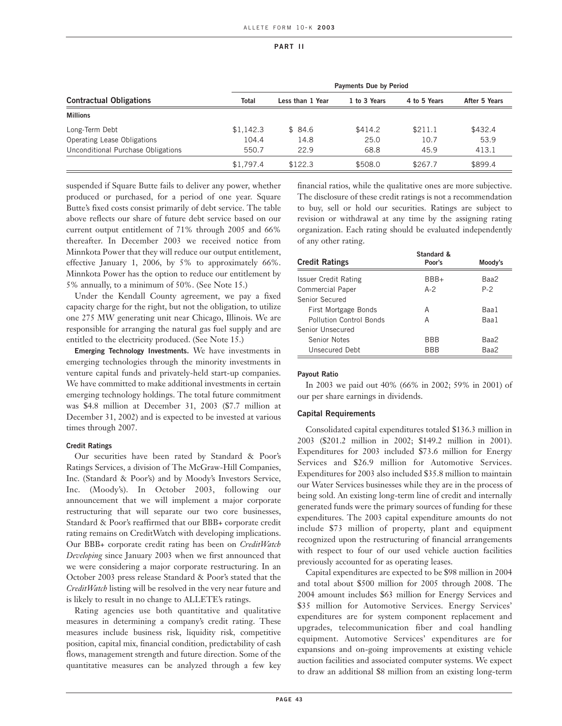|                                    | <b>Payments Due by Period</b> |                  |              |              |               |
|------------------------------------|-------------------------------|------------------|--------------|--------------|---------------|
| <b>Contractual Obligations</b>     | <b>Total</b>                  | Less than 1 Year | 1 to 3 Years | 4 to 5 Years | After 5 Years |
| <b>Millions</b>                    |                               |                  |              |              |               |
| Long-Term Debt                     | \$1,142.3                     | \$84.6           | \$414.2      | \$211.1      | \$432.4       |
| Operating Lease Obligations        | 104.4                         | 14.8             | 25.0         | 10.7         | 53.9          |
| Unconditional Purchase Obligations | 550.7                         | 22.9             | 68.8         | 45.9         | 413.1         |
|                                    | \$1,797.4                     | \$122.3          | \$508.0      | \$267.7      | \$899.4       |

suspended if Square Butte fails to deliver any power, whether produced or purchased, for a period of one year. Square Butte's fixed costs consist primarily of debt service. The table above reflects our share of future debt service based on our current output entitlement of 71% through 2005 and 66% thereafter. In December 2003 we received notice from Minnkota Power that they will reduce our output entitlement, effective January 1, 2006, by 5% to approximately 66%. Minnkota Power has the option to reduce our entitlement by 5% annually, to a minimum of 50%. (See Note 15.)

Under the Kendall County agreement, we pay a fixed capacity charge for the right, but not the obligation, to utilize one 275 MW generating unit near Chicago, Illinois. We are responsible for arranging the natural gas fuel supply and are entitled to the electricity produced. (See Note 15.)

**Emerging Technology Investments.** We have investments in emerging technologies through the minority investments in venture capital funds and privately-held start-up companies. We have committed to make additional investments in certain emerging technology holdings. The total future commitment was \$4.8 million at December 31, 2003 (\$7.7 million at December 31, 2002) and is expected to be invested at various times through 2007.

#### **Credit Ratings**

Our securities have been rated by Standard & Poor's Ratings Services, a division of The McGraw-Hill Companies, Inc. (Standard & Poor's) and by Moody's Investors Service, Inc. (Moody's). In October 2003, following our announcement that we will implement a major corporate restructuring that will separate our two core businesses, Standard & Poor's reaffirmed that our BBB+ corporate credit rating remains on CreditWatch with developing implications. Our BBB+ corporate credit rating has been on *CreditWatch Developing* since January 2003 when we first announced that we were considering a major corporate restructuring. In an October 2003 press release Standard & Poor's stated that the *CreditWatch* listing will be resolved in the very near future and is likely to result in no change to ALLETE's ratings.

Rating agencies use both quantitative and qualitative measures in determining a company's credit rating. These measures include business risk, liquidity risk, competitive position, capital mix, financial condition, predictability of cash flows, management strength and future direction. Some of the quantitative measures can be analyzed through a few key

financial ratios, while the qualitative ones are more subjective. The disclosure of these credit ratings is not a recommendation to buy, sell or hold our securities. Ratings are subject to revision or withdrawal at any time by the assigning rating organization. Each rating should be evaluated independently of any other rating.

| <b>Credit Ratings</b>   | Standard &<br>Poor's | Moody's |
|-------------------------|----------------------|---------|
|                         |                      |         |
| Issuer Credit Rating    | BBB+                 | Baa2    |
| Commercial Paper        | $A-2$                | $P-2$   |
| Senior Secured          |                      |         |
| First Mortgage Bonds    | А                    | Baa1    |
| Pollution Control Bonds | А                    | Baa1    |
| Senior Unsecured        |                      |         |
| Senior Notes            | <b>BBB</b>           | Baa2    |
| Unsecured Debt          | <b>BBB</b>           | Baa2    |

### **Payout Ratio**

In 2003 we paid out 40% (66% in 2002; 59% in 2001) of our per share earnings in dividends.

# **Capital Requirements**

Consolidated capital expenditures totaled \$136.3 million in 2003 (\$201.2 million in 2002; \$149.2 million in 2001). Expenditures for 2003 included \$73.6 million for Energy Services and \$26.9 million for Automotive Services. Expenditures for 2003 also included \$35.8 million to maintain our Water Services businesses while they are in the process of being sold. An existing long-term line of credit and internally generated funds were the primary sources of funding for these expenditures. The 2003 capital expenditure amounts do not include \$73 million of property, plant and equipment recognized upon the restructuring of financial arrangements with respect to four of our used vehicle auction facilities previously accounted for as operating leases.

Capital expenditures are expected to be \$98 million in 2004 and total about \$500 million for 2005 through 2008. The 2004 amount includes \$63 million for Energy Services and \$35 million for Automotive Services. Energy Services' expenditures are for system component replacement and upgrades, telecommunication fiber and coal handling equipment. Automotive Services' expenditures are for expansions and on-going improvements at existing vehicle auction facilities and associated computer systems. We expect to draw an additional \$8 million from an existing long-term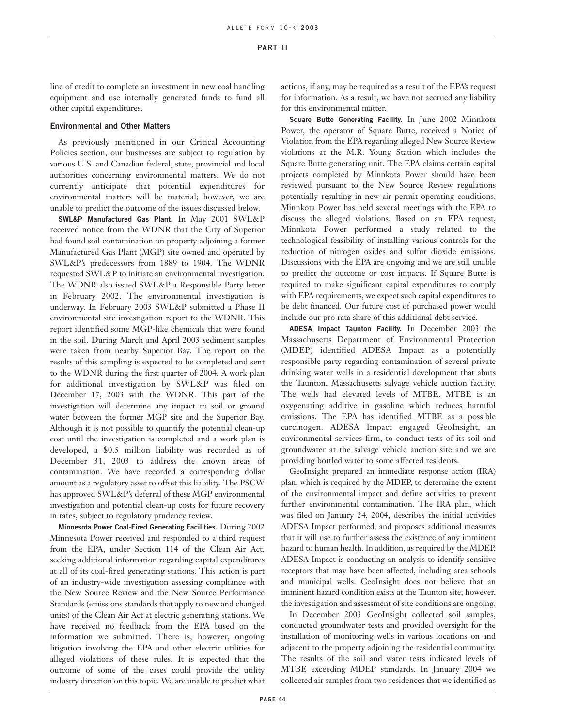line of credit to complete an investment in new coal handling equipment and use internally generated funds to fund all other capital expenditures.

# **Environmental and Other Matters**

As previously mentioned in our Critical Accounting Policies section, our businesses are subject to regulation by various U.S. and Canadian federal, state, provincial and local authorities concerning environmental matters. We do not currently anticipate that potential expenditures for environmental matters will be material; however, we are unable to predict the outcome of the issues discussed below.

**SWL&P Manufactured Gas Plant.** In May 2001 SWL&P received notice from the WDNR that the City of Superior had found soil contamination on property adjoining a former Manufactured Gas Plant (MGP) site owned and operated by SWL&P's predecessors from 1889 to 1904. The WDNR requested SWL&P to initiate an environmental investigation. The WDNR also issued SWL&P a Responsible Party letter in February 2002. The environmental investigation is underway. In February 2003 SWL&P submitted a Phase II environmental site investigation report to the WDNR. This report identified some MGP-like chemicals that were found in the soil. During March and April 2003 sediment samples were taken from nearby Superior Bay. The report on the results of this sampling is expected to be completed and sent to the WDNR during the first quarter of 2004. A work plan for additional investigation by SWL&P was filed on December 17, 2003 with the WDNR. This part of the investigation will determine any impact to soil or ground water between the former MGP site and the Superior Bay. Although it is not possible to quantify the potential clean-up cost until the investigation is completed and a work plan is developed, a \$0.5 million liability was recorded as of December 31, 2003 to address the known areas of contamination. We have recorded a corresponding dollar amount as a regulatory asset to offset this liability. The PSCW has approved SWL&P's deferral of these MGP environmental investigation and potential clean-up costs for future recovery in rates, subject to regulatory prudency review.

**Minnesota Power Coal-Fired Generating Facilities.** During 2002 Minnesota Power received and responded to a third request from the EPA, under Section 114 of the Clean Air Act, seeking additional information regarding capital expenditures at all of its coal-fired generating stations. This action is part of an industry-wide investigation assessing compliance with the New Source Review and the New Source Performance Standards (emissions standards that apply to new and changed units) of the Clean Air Act at electric generating stations. We have received no feedback from the EPA based on the information we submitted. There is, however, ongoing litigation involving the EPA and other electric utilities for alleged violations of these rules. It is expected that the outcome of some of the cases could provide the utility industry direction on this topic. We are unable to predict what actions, if any, may be required as a result of the EPA's request for information. As a result, we have not accrued any liability for this environmental matter.

**Square Butte Generating Facility.** In June 2002 Minnkota Power, the operator of Square Butte, received a Notice of Violation from the EPA regarding alleged New Source Review violations at the M.R. Young Station which includes the Square Butte generating unit. The EPA claims certain capital projects completed by Minnkota Power should have been reviewed pursuant to the New Source Review regulations potentially resulting in new air permit operating conditions. Minnkota Power has held several meetings with the EPA to discuss the alleged violations. Based on an EPA request, Minnkota Power performed a study related to the technological feasibility of installing various controls for the reduction of nitrogen oxides and sulfur dioxide emissions. Discussions with the EPA are ongoing and we are still unable to predict the outcome or cost impacts. If Square Butte is required to make significant capital expenditures to comply with EPA requirements, we expect such capital expenditures to be debt financed. Our future cost of purchased power would include our pro rata share of this additional debt service.

**ADESA Impact Taunton Facility.** In December 2003 the Massachusetts Department of Environmental Protection (MDEP) identified ADESA Impact as a potentially responsible party regarding contamination of several private drinking water wells in a residential development that abuts the Taunton, Massachusetts salvage vehicle auction facility. The wells had elevated levels of MTBE. MTBE is an oxygenating additive in gasoline which reduces harmful emissions. The EPA has identified MTBE as a possible carcinogen. ADESA Impact engaged GeoInsight, an environmental services firm, to conduct tests of its soil and groundwater at the salvage vehicle auction site and we are providing bottled water to some affected residents.

GeoInsight prepared an immediate response action (IRA) plan, which is required by the MDEP, to determine the extent of the environmental impact and define activities to prevent further environmental contamination. The IRA plan, which was filed on January 24, 2004, describes the initial activities ADESA Impact performed, and proposes additional measures that it will use to further assess the existence of any imminent hazard to human health. In addition, as required by the MDEP, ADESA Impact is conducting an analysis to identify sensitive receptors that may have been affected, including area schools and municipal wells. GeoInsight does not believe that an imminent hazard condition exists at the Taunton site; however, the investigation and assessment of site conditions are ongoing.

In December 2003 GeoInsight collected soil samples, conducted groundwater tests and provided oversight for the installation of monitoring wells in various locations on and adjacent to the property adjoining the residential community. The results of the soil and water tests indicated levels of MTBE exceeding MDEP standards. In January 2004 we collected air samples from two residences that we identified as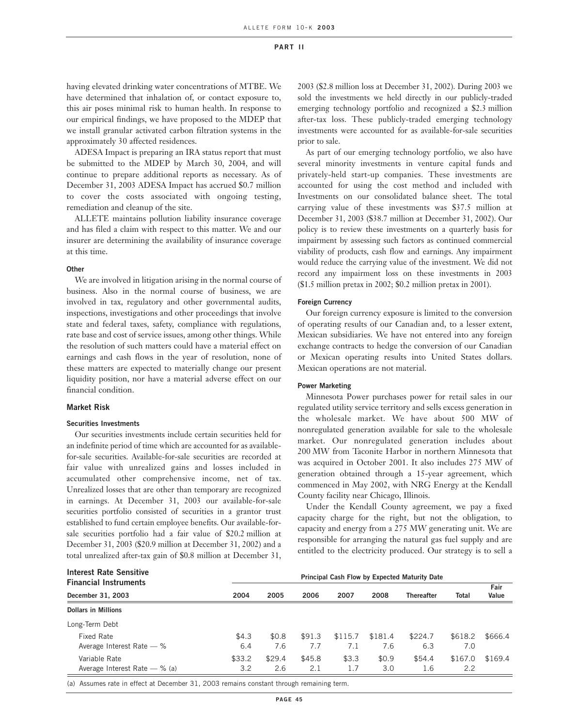having elevated drinking water concentrations of MTBE. We have determined that inhalation of, or contact exposure to, this air poses minimal risk to human health. In response to our empirical findings, we have proposed to the MDEP that we install granular activated carbon filtration systems in the approximately 30 affected residences.

ADESA Impact is preparing an IRA status report that must be submitted to the MDEP by March 30, 2004, and will continue to prepare additional reports as necessary. As of December 31, 2003 ADESA Impact has accrued \$0.7 million to cover the costs associated with ongoing testing, remediation and cleanup of the site.

ALLETE maintains pollution liability insurance coverage and has filed a claim with respect to this matter. We and our insurer are determining the availability of insurance coverage at this time.

#### **Other**

We are involved in litigation arising in the normal course of business. Also in the normal course of business, we are involved in tax, regulatory and other governmental audits, inspections, investigations and other proceedings that involve state and federal taxes, safety, compliance with regulations, rate base and cost of service issues, among other things. While the resolution of such matters could have a material effect on earnings and cash flows in the year of resolution, none of these matters are expected to materially change our present liquidity position, nor have a material adverse effect on our financial condition.

# **Market Risk**

### **Securities Investments**

Our securities investments include certain securities held for an indefinite period of time which are accounted for as availablefor-sale securities. Available-for-sale securities are recorded at fair value with unrealized gains and losses included in accumulated other comprehensive income, net of tax. Unrealized losses that are other than temporary are recognized in earnings. At December 31, 2003 our available-for-sale securities portfolio consisted of securities in a grantor trust established to fund certain employee benefits. Our available-forsale securities portfolio had a fair value of \$20.2 million at December 31, 2003 (\$20.9 million at December 31, 2002) and a total unrealized after-tax gain of \$0.8 million at December 31, 2003 (\$2.8 million loss at December 31, 2002). During 2003 we sold the investments we held directly in our publicly-traded emerging technology portfolio and recognized a \$2.3 million after-tax loss. These publicly-traded emerging technology investments were accounted for as available-for-sale securities prior to sale.

As part of our emerging technology portfolio, we also have several minority investments in venture capital funds and privately-held start-up companies. These investments are accounted for using the cost method and included with Investments on our consolidated balance sheet. The total carrying value of these investments was \$37.5 million at December 31, 2003 (\$38.7 million at December 31, 2002). Our policy is to review these investments on a quarterly basis for impairment by assessing such factors as continued commercial viability of products, cash flow and earnings. Any impairment would reduce the carrying value of the investment. We did not record any impairment loss on these investments in 2003 (\$1.5 million pretax in 2002; \$0.2 million pretax in 2001).

#### **Foreign Currency**

Our foreign currency exposure is limited to the conversion of operating results of our Canadian and, to a lesser extent, Mexican subsidiaries. We have not entered into any foreign exchange contracts to hedge the conversion of our Canadian or Mexican operating results into United States dollars. Mexican operations are not material.

#### **Power Marketing**

Minnesota Power purchases power for retail sales in our regulated utility service territory and sells excess generation in the wholesale market. We have about 500 MW of nonregulated generation available for sale to the wholesale market. Our nonregulated generation includes about 200 MW from Taconite Harbor in northern Minnesota that was acquired in October 2001. It also includes 275 MW of generation obtained through a 15-year agreement, which commenced in May 2002, with NRG Energy at the Kendall County facility near Chicago, Illinois.

Under the Kendall County agreement, we pay a fixed capacity charge for the right, but not the obligation, to capacity and energy from a 275 MW generating unit. We are responsible for arranging the natural gas fuel supply and are entitled to the electricity produced. Our strategy is to sell a

|        | Principal Cash Flow by Expected Maturity Date |        |         |         |                   |         |               |
|--------|-----------------------------------------------|--------|---------|---------|-------------------|---------|---------------|
|        |                                               |        |         | 2008    | <b>Thereafter</b> |         | Fair<br>Value |
|        |                                               |        |         |         |                   |         |               |
|        |                                               |        |         |         |                   |         |               |
|        |                                               |        |         |         |                   |         |               |
| \$4.3  | \$0.8                                         | \$91.3 | \$115.7 | \$181.4 | \$224.7           | \$618.2 | \$666.4       |
| 6.4    | 7.6                                           | 7.7    | 7.1     | 7.6     | 6.3               | 7.0     |               |
| \$33.2 | \$29.4                                        | \$45.8 | \$3.3   | \$0.9   | \$54.4            | \$167.0 | \$169.4       |
| 3.2    | 2.6                                           | 2.1    | 1.7     | 3.0     | 1.6               | 2.2     |               |
|        | 2004                                          | 2005   | 2006    | 2007    |                   |         | Total         |

(a) Assumes rate in effect at December 31, 2003 remains constant through remaining term.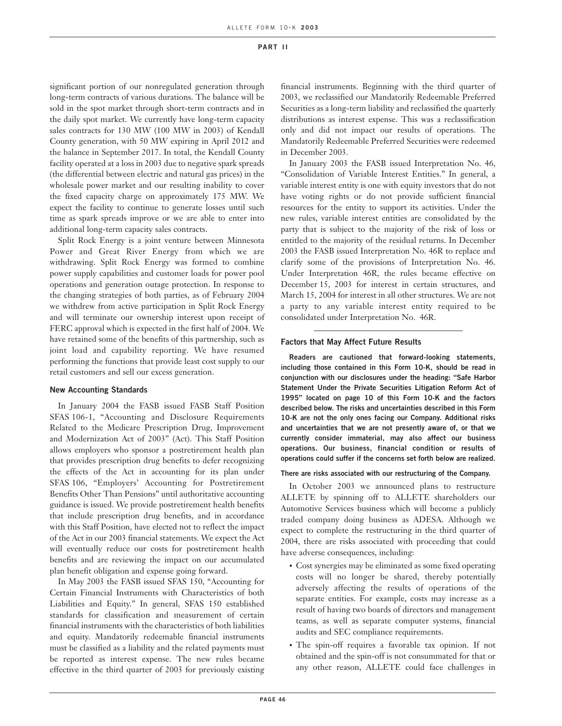significant portion of our nonregulated generation through long-term contracts of various durations. The balance will be sold in the spot market through short-term contracts and in the daily spot market. We currently have long-term capacity sales contracts for 130 MW (100 MW in 2003) of Kendall County generation, with 50 MW expiring in April 2012 and the balance in September 2017. In total, the Kendall County facility operated at a loss in 2003 due to negative spark spreads (the differential between electric and natural gas prices) in the wholesale power market and our resulting inability to cover the fixed capacity charge on approximately 175 MW. We expect the facility to continue to generate losses until such time as spark spreads improve or we are able to enter into additional long-term capacity sales contracts.

Split Rock Energy is a joint venture between Minnesota Power and Great River Energy from which we are withdrawing. Split Rock Energy was formed to combine power supply capabilities and customer loads for power pool operations and generation outage protection. In response to the changing strategies of both parties, as of February 2004 we withdrew from active participation in Split Rock Energy and will terminate our ownership interest upon receipt of FERC approval which is expected in the first half of 2004. We have retained some of the benefits of this partnership, such as joint load and capability reporting. We have resumed performing the functions that provide least cost supply to our retail customers and sell our excess generation.

### **New Accounting Standards**

In January 2004 the FASB issued FASB Staff Position SFAS 106-1, "Accounting and Disclosure Requirements Related to the Medicare Prescription Drug, Improvement and Modernization Act of 2003" (Act). This Staff Position allows employers who sponsor a postretirement health plan that provides prescription drug benefits to defer recognizing the effects of the Act in accounting for its plan under SFAS 106, "Employers' Accounting for Postretirement Benefits Other Than Pensions" until authoritative accounting guidance is issued. We provide postretirement health benefits that include prescription drug benefits, and in accordance with this Staff Position, have elected not to reflect the impact of the Act in our 2003 financial statements. We expect the Act will eventually reduce our costs for postretirement health benefits and are reviewing the impact on our accumulated plan benefit obligation and expense going forward.

In May 2003 the FASB issued SFAS 150, "Accounting for Certain Financial Instruments with Characteristics of both Liabilities and Equity." In general, SFAS 150 established standards for classification and measurement of certain financial instruments with the characteristics of both liabilities and equity. Mandatorily redeemable financial instruments must be classified as a liability and the related payments must be reported as interest expense. The new rules became effective in the third quarter of 2003 for previously existing financial instruments. Beginning with the third quarter of 2003, we reclassified our Mandatorily Redeemable Preferred Securities as a long-term liability and reclassified the quarterly distributions as interest expense. This was a reclassification only and did not impact our results of operations. The Mandatorily Redeemable Preferred Securities were redeemed in December 2003.

In January 2003 the FASB issued Interpretation No. 46, "Consolidation of Variable Interest Entities." In general, a variable interest entity is one with equity investors that do not have voting rights or do not provide sufficient financial resources for the entity to support its activities. Under the new rules, variable interest entities are consolidated by the party that is subject to the majority of the risk of loss or entitled to the majority of the residual returns. In December 2003 the FASB issued Interpretation No. 46R to replace and clarify some of the provisions of Interpretation No. 46. Under Interpretation 46R, the rules became effective on December 15, 2003 for interest in certain structures, and March 15, 2004 for interest in all other structures. We are not a party to any variable interest entity required to be consolidated under Interpretation No. 46R.

### **Factors that May Affect Future Results**

**Readers are cautioned that forward-looking statements, including those contained in this Form 10-K, should be read in conjunction with our disclosures under the heading: "Safe Harbor Statement Under the Private Securities Litigation Reform Act of 1995" located on page 10 of this Form 10-K and the factors described below. The risks and uncertainties described in this Form 10-K are not the only ones facing our Company. Additional risks and uncertainties that we are not presently aware of, or that we currently consider immaterial, may also affect our business operations. Our business, financial condition or results of operations could suffer if the concerns set forth below are realized.**

#### **There are risks associated with our restructuring of the Company.**

In October 2003 we announced plans to restructure ALLETE by spinning off to ALLETE shareholders our Automotive Services business which will become a publicly traded company doing business as ADESA. Although we expect to complete the restructuring in the third quarter of 2004, there are risks associated with proceeding that could have adverse consequences, including:

- Cost synergies may be eliminated as some fixed operating costs will no longer be shared, thereby potentially adversely affecting the results of operations of the separate entities. For example, costs may increase as a result of having two boards of directors and management teams, as well as separate computer systems, financial audits and SEC compliance requirements.
- The spin-off requires a favorable tax opinion. If not obtained and the spin-off is not consummated for that or any other reason, ALLETE could face challenges in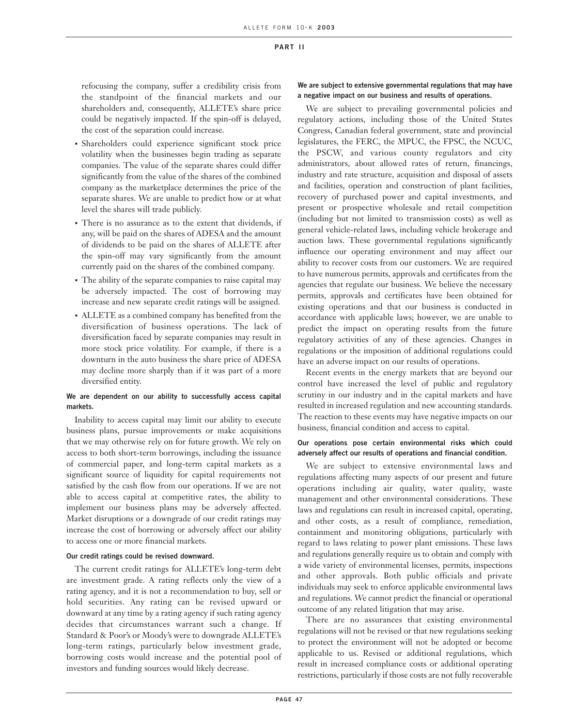refocusing the company, suffer a credibility crisis from the standpoint of the financial markets and our shareholders and, consequently, ALLETE's share price could be negatively impacted. If the spin-off is delayed, the cost of the separation could increase.

- Shareholders could experience significant stock price volatility when the businesses begin trading as separate companies. The value of the separate shares could differ significantly from the value of the shares of the combined company as the marketplace determines the price of the separate shares. We are unable to predict how or at what level the shares will trade publicly.
- There is no assurance as to the extent that dividends, if any, will be paid on the shares of ADESA and the amount of dividends to be paid on the shares of ALLETE after the spin-off may vary significantly from the amount currently paid on the shares of the combined company.
- The ability of the separate companies to raise capital may be adversely impacted. The cost of borrowing may increase and new separate credit ratings will be assigned.
- ALLETE as a combined company has benefited from the diversification of business operations. The lack of diversification faced by separate companies may result in more stock price volatility. For example, if there is a downturn in the auto business the share price of ADESA may decline more sharply than if it was part of a more diversified entity.

# **We are dependent on our ability to successfully access capital markets.**

Inability to access capital may limit our ability to execute business plans, pursue improvements or make acquisitions that we may otherwise rely on for future growth. We rely on access to both short-term borrowings, including the issuance of commercial paper, and long-term capital markets as a significant source of liquidity for capital requirements not satisfied by the cash flow from our operations. If we are not able to access capital at competitive rates, the ability to implement our business plans may be adversely affected. Market disruptions or a downgrade of our credit ratings may increase the cost of borrowing or adversely affect our ability to access one or more financial markets.

### **Our credit ratings could be revised downward.**

The current credit ratings for ALLETE's long-term debt are investment grade. A rating reflects only the view of a rating agency, and it is not a recommendation to buy, sell or hold securities. Any rating can be revised upward or downward at any time by a rating agency if such rating agency decides that circumstances warrant such a change. If Standard & Poor's or Moody's were to downgrade ALLETE's long-term ratings, particularly below investment grade, borrowing costs would increase and the potential pool of investors and funding sources would likely decrease.

# **We are subject to extensive governmental regulations that may have a negative impact on our business and results of operations.**

We are subject to prevailing governmental policies and regulatory actions, including those of the United States Congress, Canadian federal government, state and provincial legislatures, the FERC, the MPUC, the FPSC, the NCUC, the PSCW, and various county regulators and city administrators, about allowed rates of return, financings, industry and rate structure, acquisition and disposal of assets and facilities, operation and construction of plant facilities, recovery of purchased power and capital investments, and present or prospective wholesale and retail competition (including but not limited to transmission costs) as well as general vehicle-related laws, including vehicle brokerage and auction laws. These governmental regulations significantly influence our operating environment and may affect our ability to recover costs from our customers. We are required to have numerous permits, approvals and certificates from the agencies that regulate our business. We believe the necessary permits, approvals and certificates have been obtained for existing operations and that our business is conducted in accordance with applicable laws; however, we are unable to predict the impact on operating results from the future regulatory activities of any of these agencies. Changes in regulations or the imposition of additional regulations could have an adverse impact on our results of operations.

Recent events in the energy markets that are beyond our control have increased the level of public and regulatory scrutiny in our industry and in the capital markets and have resulted in increased regulation and new accounting standards. The reaction to these events may have negative impacts on our business, financial condition and access to capital.

# **Our operations pose certain environmental risks which could adversely affect our results of operations and financial condition.**

We are subject to extensive environmental laws and regulations affecting many aspects of our present and future operations including air quality, water quality, waste management and other environmental considerations. These laws and regulations can result in increased capital, operating, and other costs, as a result of compliance, remediation, containment and monitoring obligations, particularly with regard to laws relating to power plant emissions. These laws and regulations generally require us to obtain and comply with a wide variety of environmental licenses, permits, inspections and other approvals. Both public officials and private individuals may seek to enforce applicable environmental laws and regulations. We cannot predict the financial or operational outcome of any related litigation that may arise.

There are no assurances that existing environmental regulations will not be revised or that new regulations seeking to protect the environment will not be adopted or become applicable to us. Revised or additional regulations, which result in increased compliance costs or additional operating restrictions, particularly if those costs are not fully recoverable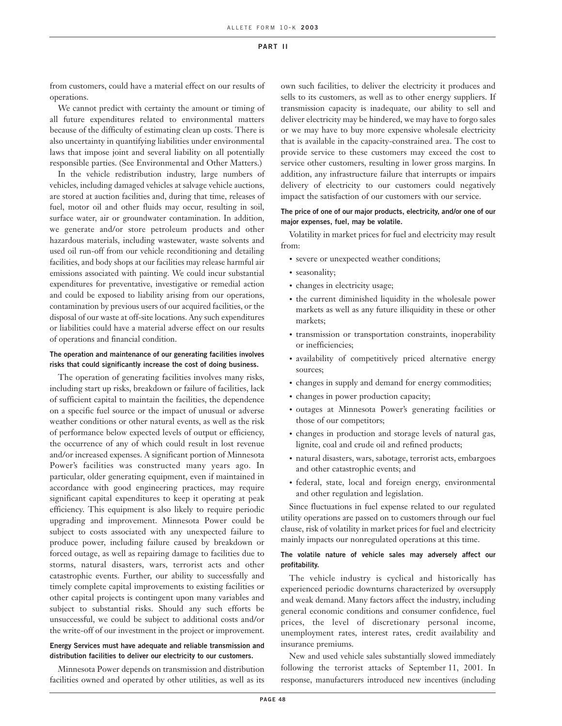from customers, could have a material effect on our results of operations.

We cannot predict with certainty the amount or timing of all future expenditures related to environmental matters because of the difficulty of estimating clean up costs. There is also uncertainty in quantifying liabilities under environmental laws that impose joint and several liability on all potentially responsible parties. (See Environmental and Other Matters.)

In the vehicle redistribution industry, large numbers of vehicles, including damaged vehicles at salvage vehicle auctions, are stored at auction facilities and, during that time, releases of fuel, motor oil and other fluids may occur, resulting in soil, surface water, air or groundwater contamination. In addition, we generate and/or store petroleum products and other hazardous materials, including wastewater, waste solvents and used oil run-off from our vehicle reconditioning and detailing facilities, and body shops at our facilities may release harmful air emissions associated with painting. We could incur substantial expenditures for preventative, investigative or remedial action and could be exposed to liability arising from our operations, contamination by previous users of our acquired facilities, or the disposal of our waste at off-site locations. Any such expenditures or liabilities could have a material adverse effect on our results of operations and financial condition.

# **The operation and maintenance of our generating facilities involves risks that could significantly increase the cost of doing business.**

The operation of generating facilities involves many risks, including start up risks, breakdown or failure of facilities, lack of sufficient capital to maintain the facilities, the dependence on a specific fuel source or the impact of unusual or adverse weather conditions or other natural events, as well as the risk of performance below expected levels of output or efficiency, the occurrence of any of which could result in lost revenue and/or increased expenses. A significant portion of Minnesota Power's facilities was constructed many years ago. In particular, older generating equipment, even if maintained in accordance with good engineering practices, may require significant capital expenditures to keep it operating at peak efficiency. This equipment is also likely to require periodic upgrading and improvement. Minnesota Power could be subject to costs associated with any unexpected failure to produce power, including failure caused by breakdown or forced outage, as well as repairing damage to facilities due to storms, natural disasters, wars, terrorist acts and other catastrophic events. Further, our ability to successfully and timely complete capital improvements to existing facilities or other capital projects is contingent upon many variables and subject to substantial risks. Should any such efforts be unsuccessful, we could be subject to additional costs and/or the write-off of our investment in the project or improvement.

# **Energy Services must have adequate and reliable transmission and distribution facilities to deliver our electricity to our customers.**

Minnesota Power depends on transmission and distribution facilities owned and operated by other utilities, as well as its own such facilities, to deliver the electricity it produces and sells to its customers, as well as to other energy suppliers. If transmission capacity is inadequate, our ability to sell and deliver electricity may be hindered, we may have to forgo sales or we may have to buy more expensive wholesale electricity that is available in the capacity-constrained area. The cost to provide service to these customers may exceed the cost to service other customers, resulting in lower gross margins. In addition, any infrastructure failure that interrupts or impairs delivery of electricity to our customers could negatively impact the satisfaction of our customers with our service.

# **The price of one of our major products, electricity, and/or one of our major expenses, fuel, may be volatile.**

Volatility in market prices for fuel and electricity may result from:

- severe or unexpected weather conditions;
- seasonality;
- changes in electricity usage;
- the current diminished liquidity in the wholesale power markets as well as any future illiquidity in these or other markets;
- transmission or transportation constraints, inoperability or inefficiencies;
- availability of competitively priced alternative energy sources;
- changes in supply and demand for energy commodities;
- changes in power production capacity;
- outages at Minnesota Power's generating facilities or those of our competitors;
- changes in production and storage levels of natural gas, lignite, coal and crude oil and refined products;
- natural disasters, wars, sabotage, terrorist acts, embargoes and other catastrophic events; and
- federal, state, local and foreign energy, environmental and other regulation and legislation.

Since fluctuations in fuel expense related to our regulated utility operations are passed on to customers through our fuel clause, risk of volatility in market prices for fuel and electricity mainly impacts our nonregulated operations at this time.

# **The volatile nature of vehicle sales may adversely affect our profitability.**

The vehicle industry is cyclical and historically has experienced periodic downturns characterized by oversupply and weak demand. Many factors affect the industry, including general economic conditions and consumer confidence, fuel prices, the level of discretionary personal income, unemployment rates, interest rates, credit availability and insurance premiums.

New and used vehicle sales substantially slowed immediately following the terrorist attacks of September 11, 2001. In response, manufacturers introduced new incentives (including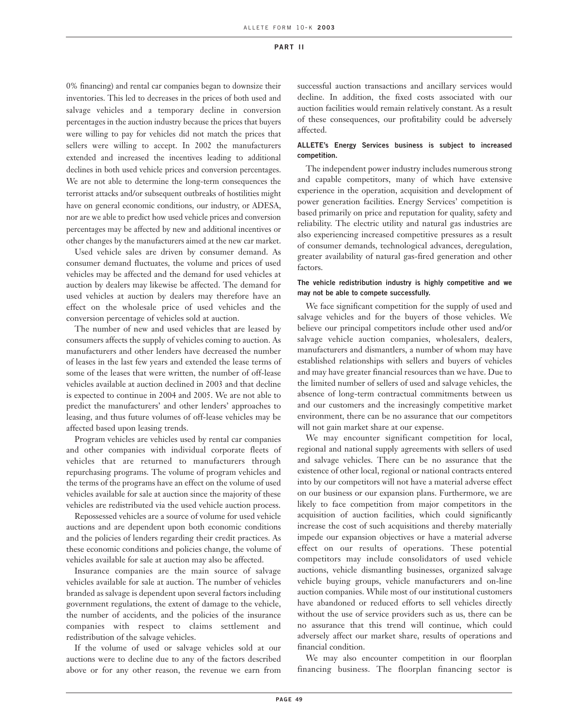0% financing) and rental car companies began to downsize their inventories. This led to decreases in the prices of both used and salvage vehicles and a temporary decline in conversion percentages in the auction industry because the prices that buyers were willing to pay for vehicles did not match the prices that sellers were willing to accept. In 2002 the manufacturers extended and increased the incentives leading to additional declines in both used vehicle prices and conversion percentages. We are not able to determine the long-term consequences the terrorist attacks and/or subsequent outbreaks of hostilities might have on general economic conditions, our industry, or ADESA, nor are we able to predict how used vehicle prices and conversion percentages may be affected by new and additional incentives or other changes by the manufacturers aimed at the new car market.

Used vehicle sales are driven by consumer demand. As consumer demand fluctuates, the volume and prices of used vehicles may be affected and the demand for used vehicles at auction by dealers may likewise be affected. The demand for used vehicles at auction by dealers may therefore have an effect on the wholesale price of used vehicles and the conversion percentage of vehicles sold at auction.

The number of new and used vehicles that are leased by consumers affects the supply of vehicles coming to auction. As manufacturers and other lenders have decreased the number of leases in the last few years and extended the lease terms of some of the leases that were written, the number of off-lease vehicles available at auction declined in 2003 and that decline is expected to continue in 2004 and 2005. We are not able to predict the manufacturers' and other lenders' approaches to leasing, and thus future volumes of off-lease vehicles may be affected based upon leasing trends.

Program vehicles are vehicles used by rental car companies and other companies with individual corporate fleets of vehicles that are returned to manufacturers through repurchasing programs. The volume of program vehicles and the terms of the programs have an effect on the volume of used vehicles available for sale at auction since the majority of these vehicles are redistributed via the used vehicle auction process.

Repossessed vehicles are a source of volume for used vehicle auctions and are dependent upon both economic conditions and the policies of lenders regarding their credit practices. As these economic conditions and policies change, the volume of vehicles available for sale at auction may also be affected.

Insurance companies are the main source of salvage vehicles available for sale at auction. The number of vehicles branded as salvage is dependent upon several factors including government regulations, the extent of damage to the vehicle, the number of accidents, and the policies of the insurance companies with respect to claims settlement and redistribution of the salvage vehicles.

If the volume of used or salvage vehicles sold at our auctions were to decline due to any of the factors described above or for any other reason, the revenue we earn from

successful auction transactions and ancillary services would decline. In addition, the fixed costs associated with our auction facilities would remain relatively constant. As a result of these consequences, our profitability could be adversely affected.

# **ALLETE's Energy Services business is subject to increased competition.**

The independent power industry includes numerous strong and capable competitors, many of which have extensive experience in the operation, acquisition and development of power generation facilities. Energy Services' competition is based primarily on price and reputation for quality, safety and reliability. The electric utility and natural gas industries are also experiencing increased competitive pressures as a result of consumer demands, technological advances, deregulation, greater availability of natural gas-fired generation and other factors.

# **The vehicle redistribution industry is highly competitive and we may not be able to compete successfully.**

We face significant competition for the supply of used and salvage vehicles and for the buyers of those vehicles. We believe our principal competitors include other used and/or salvage vehicle auction companies, wholesalers, dealers, manufacturers and dismantlers, a number of whom may have established relationships with sellers and buyers of vehicles and may have greater financial resources than we have. Due to the limited number of sellers of used and salvage vehicles, the absence of long-term contractual commitments between us and our customers and the increasingly competitive market environment, there can be no assurance that our competitors will not gain market share at our expense.

We may encounter significant competition for local, regional and national supply agreements with sellers of used and salvage vehicles. There can be no assurance that the existence of other local, regional or national contracts entered into by our competitors will not have a material adverse effect on our business or our expansion plans. Furthermore, we are likely to face competition from major competitors in the acquisition of auction facilities, which could significantly increase the cost of such acquisitions and thereby materially impede our expansion objectives or have a material adverse effect on our results of operations. These potential competitors may include consolidators of used vehicle auctions, vehicle dismantling businesses, organized salvage vehicle buying groups, vehicle manufacturers and on-line auction companies. While most of our institutional customers have abandoned or reduced efforts to sell vehicles directly without the use of service providers such as us, there can be no assurance that this trend will continue, which could adversely affect our market share, results of operations and financial condition.

We may also encounter competition in our floorplan financing business. The floorplan financing sector is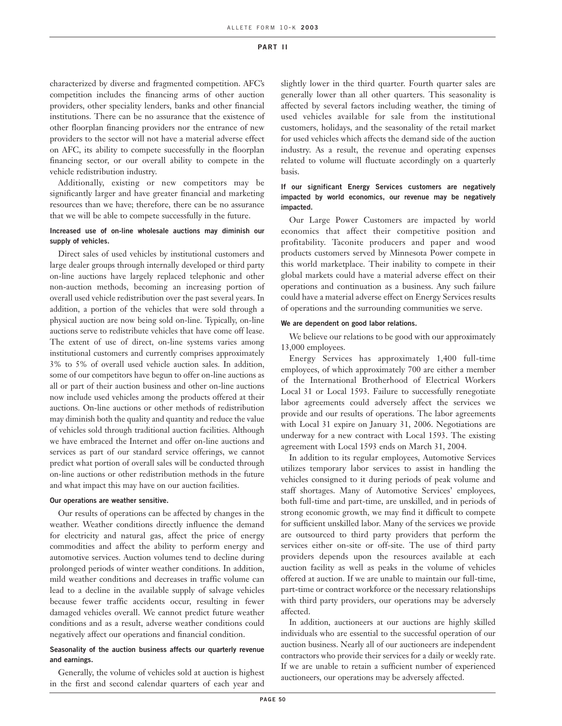characterized by diverse and fragmented competition. AFC's competition includes the financing arms of other auction providers, other speciality lenders, banks and other financial institutions. There can be no assurance that the existence of other floorplan financing providers nor the entrance of new providers to the sector will not have a material adverse effect on AFC, its ability to compete successfully in the floorplan financing sector, or our overall ability to compete in the vehicle redistribution industry.

Additionally, existing or new competitors may be significantly larger and have greater financial and marketing resources than we have; therefore, there can be no assurance that we will be able to compete successfully in the future.

# **Increased use of on-line wholesale auctions may diminish our supply of vehicles.**

Direct sales of used vehicles by institutional customers and large dealer groups through internally developed or third party on-line auctions have largely replaced telephonic and other non-auction methods, becoming an increasing portion of overall used vehicle redistribution over the past several years. In addition, a portion of the vehicles that were sold through a physical auction are now being sold on-line. Typically, on-line auctions serve to redistribute vehicles that have come off lease. The extent of use of direct, on-line systems varies among institutional customers and currently comprises approximately 3% to 5% of overall used vehicle auction sales. In addition, some of our competitors have begun to offer on-line auctions as all or part of their auction business and other on-line auctions now include used vehicles among the products offered at their auctions. On-line auctions or other methods of redistribution may diminish both the quality and quantity and reduce the value of vehicles sold through traditional auction facilities. Although we have embraced the Internet and offer on-line auctions and services as part of our standard service offerings, we cannot predict what portion of overall sales will be conducted through on-line auctions or other redistribution methods in the future and what impact this may have on our auction facilities.

#### **Our operations are weather sensitive.**

Our results of operations can be affected by changes in the weather. Weather conditions directly influence the demand for electricity and natural gas, affect the price of energy commodities and affect the ability to perform energy and automotive services. Auction volumes tend to decline during prolonged periods of winter weather conditions. In addition, mild weather conditions and decreases in traffic volume can lead to a decline in the available supply of salvage vehicles because fewer traffic accidents occur, resulting in fewer damaged vehicles overall. We cannot predict future weather conditions and as a result, adverse weather conditions could negatively affect our operations and financial condition.

# **Seasonality of the auction business affects our quarterly revenue and earnings.**

Generally, the volume of vehicles sold at auction is highest in the first and second calendar quarters of each year and slightly lower in the third quarter. Fourth quarter sales are generally lower than all other quarters. This seasonality is affected by several factors including weather, the timing of used vehicles available for sale from the institutional customers, holidays, and the seasonality of the retail market for used vehicles which affects the demand side of the auction industry. As a result, the revenue and operating expenses related to volume will fluctuate accordingly on a quarterly basis.

# **If our significant Energy Services customers are negatively impacted by world economics, our revenue may be negatively impacted.**

Our Large Power Customers are impacted by world economics that affect their competitive position and profitability. Taconite producers and paper and wood products customers served by Minnesota Power compete in this world marketplace. Their inability to compete in their global markets could have a material adverse effect on their operations and continuation as a business. Any such failure could have a material adverse effect on Energy Services results of operations and the surrounding communities we serve.

### **We are dependent on good labor relations.**

We believe our relations to be good with our approximately 13,000 employees.

Energy Services has approximately 1,400 full-time employees, of which approximately 700 are either a member of the International Brotherhood of Electrical Workers Local 31 or Local 1593. Failure to successfully renegotiate labor agreements could adversely affect the services we provide and our results of operations. The labor agreements with Local 31 expire on January 31, 2006. Negotiations are underway for a new contract with Local 1593. The existing agreement with Local 1593 ends on March 31, 2004.

In addition to its regular employees, Automotive Services utilizes temporary labor services to assist in handling the vehicles consigned to it during periods of peak volume and staff shortages. Many of Automotive Services' employees, both full-time and part-time, are unskilled, and in periods of strong economic growth, we may find it difficult to compete for sufficient unskilled labor. Many of the services we provide are outsourced to third party providers that perform the services either on-site or off-site. The use of third party providers depends upon the resources available at each auction facility as well as peaks in the volume of vehicles offered at auction. If we are unable to maintain our full-time, part-time or contract workforce or the necessary relationships with third party providers, our operations may be adversely affected.

In addition, auctioneers at our auctions are highly skilled individuals who are essential to the successful operation of our auction business. Nearly all of our auctioneers are independent contractors who provide their services for a daily or weekly rate. If we are unable to retain a sufficient number of experienced auctioneers, our operations may be adversely affected.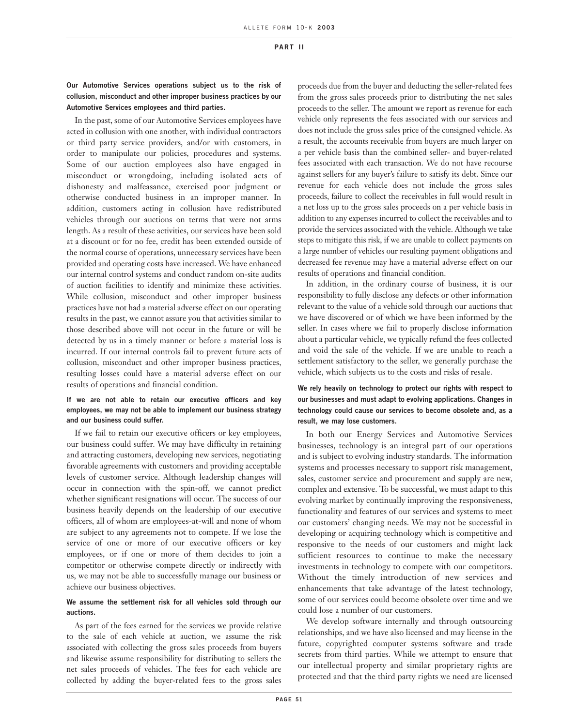# **Our Automotive Services operations subject us to the risk of collusion, misconduct and other improper business practices by our Automotive Services employees and third parties.**

In the past, some of our Automotive Services employees have acted in collusion with one another, with individual contractors or third party service providers, and/or with customers, in order to manipulate our policies, procedures and systems. Some of our auction employees also have engaged in misconduct or wrongdoing, including isolated acts of dishonesty and malfeasance, exercised poor judgment or otherwise conducted business in an improper manner. In addition, customers acting in collusion have redistributed vehicles through our auctions on terms that were not arms length. As a result of these activities, our services have been sold at a discount or for no fee, credit has been extended outside of the normal course of operations, unnecessary services have been provided and operating costs have increased. We have enhanced our internal control systems and conduct random on-site audits of auction facilities to identify and minimize these activities. While collusion, misconduct and other improper business practices have not had a material adverse effect on our operating results in the past, we cannot assure you that activities similar to those described above will not occur in the future or will be detected by us in a timely manner or before a material loss is incurred. If our internal controls fail to prevent future acts of collusion, misconduct and other improper business practices, resulting losses could have a material adverse effect on our results of operations and financial condition.

# **If we are not able to retain our executive officers and key employees, we may not be able to implement our business strategy and our business could suffer.**

If we fail to retain our executive officers or key employees, our business could suffer. We may have difficulty in retaining and attracting customers, developing new services, negotiating favorable agreements with customers and providing acceptable levels of customer service. Although leadership changes will occur in connection with the spin-off, we cannot predict whether significant resignations will occur. The success of our business heavily depends on the leadership of our executive officers, all of whom are employees-at-will and none of whom are subject to any agreements not to compete. If we lose the service of one or more of our executive officers or key employees, or if one or more of them decides to join a competitor or otherwise compete directly or indirectly with us, we may not be able to successfully manage our business or achieve our business objectives.

### **We assume the settlement risk for all vehicles sold through our auctions.**

As part of the fees earned for the services we provide relative to the sale of each vehicle at auction, we assume the risk associated with collecting the gross sales proceeds from buyers and likewise assume responsibility for distributing to sellers the net sales proceeds of vehicles. The fees for each vehicle are collected by adding the buyer-related fees to the gross sales proceeds due from the buyer and deducting the seller-related fees from the gross sales proceeds prior to distributing the net sales proceeds to the seller. The amount we report as revenue for each vehicle only represents the fees associated with our services and does not include the gross sales price of the consigned vehicle. As a result, the accounts receivable from buyers are much larger on a per vehicle basis than the combined seller- and buyer-related fees associated with each transaction. We do not have recourse against sellers for any buyer's failure to satisfy its debt. Since our revenue for each vehicle does not include the gross sales proceeds, failure to collect the receivables in full would result in a net loss up to the gross sales proceeds on a per vehicle basis in addition to any expenses incurred to collect the receivables and to provide the services associated with the vehicle. Although we take steps to mitigate this risk, if we are unable to collect payments on a large number of vehicles our resulting payment obligations and decreased fee revenue may have a material adverse effect on our results of operations and financial condition.

In addition, in the ordinary course of business, it is our responsibility to fully disclose any defects or other information relevant to the value of a vehicle sold through our auctions that we have discovered or of which we have been informed by the seller. In cases where we fail to properly disclose information about a particular vehicle, we typically refund the fees collected and void the sale of the vehicle. If we are unable to reach a settlement satisfactory to the seller, we generally purchase the vehicle, which subjects us to the costs and risks of resale.

# **We rely heavily on technology to protect our rights with respect to our businesses and must adapt to evolving applications. Changes in technology could cause our services to become obsolete and, as a result, we may lose customers.**

In both our Energy Services and Automotive Services businesses, technology is an integral part of our operations and is subject to evolving industry standards. The information systems and processes necessary to support risk management, sales, customer service and procurement and supply are new, complex and extensive. To be successful, we must adapt to this evolving market by continually improving the responsiveness, functionality and features of our services and systems to meet our customers' changing needs. We may not be successful in developing or acquiring technology which is competitive and responsive to the needs of our customers and might lack sufficient resources to continue to make the necessary investments in technology to compete with our competitors. Without the timely introduction of new services and enhancements that take advantage of the latest technology, some of our services could become obsolete over time and we could lose a number of our customers.

We develop software internally and through outsourcing relationships, and we have also licensed and may license in the future, copyrighted computer systems software and trade secrets from third parties. While we attempt to ensure that our intellectual property and similar proprietary rights are protected and that the third party rights we need are licensed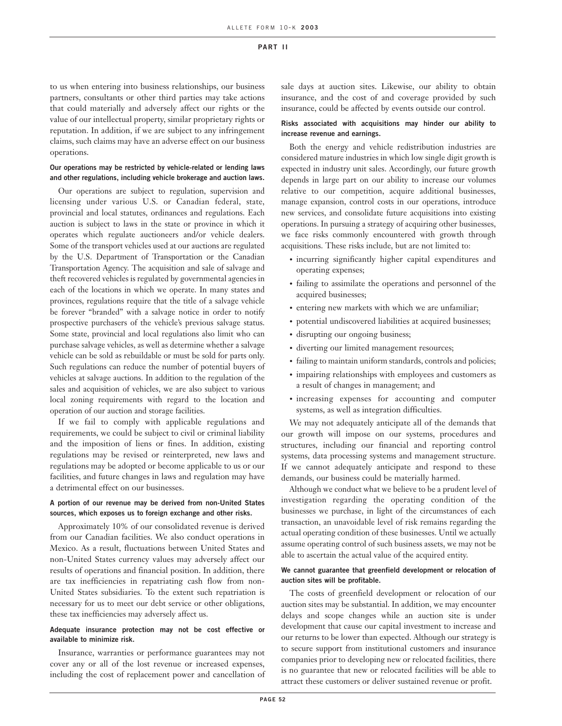to us when entering into business relationships, our business partners, consultants or other third parties may take actions that could materially and adversely affect our rights or the value of our intellectual property, similar proprietary rights or reputation. In addition, if we are subject to any infringement claims, such claims may have an adverse effect on our business operations.

# **Our operations may be restricted by vehicle-related or lending laws and other regulations, including vehicle brokerage and auction laws.**

Our operations are subject to regulation, supervision and licensing under various U.S. or Canadian federal, state, provincial and local statutes, ordinances and regulations. Each auction is subject to laws in the state or province in which it operates which regulate auctioneers and/or vehicle dealers. Some of the transport vehicles used at our auctions are regulated by the U.S. Department of Transportation or the Canadian Transportation Agency. The acquisition and sale of salvage and theft recovered vehicles is regulated by governmental agencies in each of the locations in which we operate. In many states and provinces, regulations require that the title of a salvage vehicle be forever "branded" with a salvage notice in order to notify prospective purchasers of the vehicle's previous salvage status. Some state, provincial and local regulations also limit who can purchase salvage vehicles, as well as determine whether a salvage vehicle can be sold as rebuildable or must be sold for parts only. Such regulations can reduce the number of potential buyers of vehicles at salvage auctions. In addition to the regulation of the sales and acquisition of vehicles, we are also subject to various local zoning requirements with regard to the location and operation of our auction and storage facilities.

If we fail to comply with applicable regulations and requirements, we could be subject to civil or criminal liability and the imposition of liens or fines. In addition, existing regulations may be revised or reinterpreted, new laws and regulations may be adopted or become applicable to us or our facilities, and future changes in laws and regulation may have a detrimental effect on our businesses.

### **A portion of our revenue may be derived from non-United States sources, which exposes us to foreign exchange and other risks.**

Approximately 10% of our consolidated revenue is derived from our Canadian facilities. We also conduct operations in Mexico. As a result, fluctuations between United States and non-United States currency values may adversely affect our results of operations and financial position. In addition, there are tax inefficiencies in repatriating cash flow from non-United States subsidiaries. To the extent such repatriation is necessary for us to meet our debt service or other obligations, these tax inefficiencies may adversely affect us.

# **Adequate insurance protection may not be cost effective or available to minimize risk.**

Insurance, warranties or performance guarantees may not cover any or all of the lost revenue or increased expenses, including the cost of replacement power and cancellation of sale days at auction sites. Likewise, our ability to obtain insurance, and the cost of and coverage provided by such insurance, could be affected by events outside our control.

# **Risks associated with acquisitions may hinder our ability to increase revenue and earnings.**

Both the energy and vehicle redistribution industries are considered mature industries in which low single digit growth is expected in industry unit sales. Accordingly, our future growth depends in large part on our ability to increase our volumes relative to our competition, acquire additional businesses, manage expansion, control costs in our operations, introduce new services, and consolidate future acquisitions into existing operations. In pursuing a strategy of acquiring other businesses, we face risks commonly encountered with growth through acquisitions. These risks include, but are not limited to:

- incurring significantly higher capital expenditures and operating expenses;
- failing to assimilate the operations and personnel of the acquired businesses;
- entering new markets with which we are unfamiliar;
- potential undiscovered liabilities at acquired businesses;
- disrupting our ongoing business;
- diverting our limited management resources;
- failing to maintain uniform standards, controls and policies;
- impairing relationships with employees and customers as a result of changes in management; and
- increasing expenses for accounting and computer systems, as well as integration difficulties.

We may not adequately anticipate all of the demands that our growth will impose on our systems, procedures and structures, including our financial and reporting control systems, data processing systems and management structure. If we cannot adequately anticipate and respond to these demands, our business could be materially harmed.

Although we conduct what we believe to be a prudent level of investigation regarding the operating condition of the businesses we purchase, in light of the circumstances of each transaction, an unavoidable level of risk remains regarding the actual operating condition of these businesses. Until we actually assume operating control of such business assets, we may not be able to ascertain the actual value of the acquired entity.

# **We cannot guarantee that greenfield development or relocation of auction sites will be profitable.**

The costs of greenfield development or relocation of our auction sites may be substantial. In addition, we may encounter delays and scope changes while an auction site is under development that cause our capital investment to increase and our returns to be lower than expected. Although our strategy is to secure support from institutional customers and insurance companies prior to developing new or relocated facilities, there is no guarantee that new or relocated facilities will be able to attract these customers or deliver sustained revenue or profit.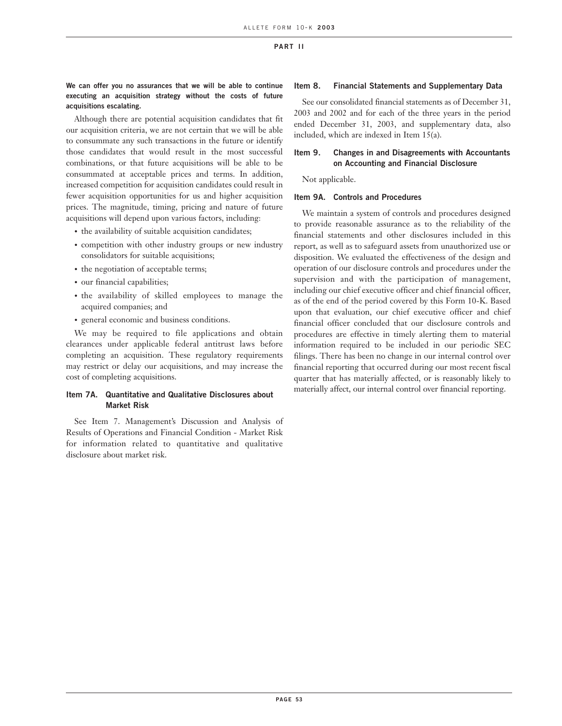# **We can offer you no assurances that we will be able to continue executing an acquisition strategy without the costs of future acquisitions escalating.**

Although there are potential acquisition candidates that fit our acquisition criteria, we are not certain that we will be able to consummate any such transactions in the future or identify those candidates that would result in the most successful combinations, or that future acquisitions will be able to be consummated at acceptable prices and terms. In addition, increased competition for acquisition candidates could result in fewer acquisition opportunities for us and higher acquisition prices. The magnitude, timing, pricing and nature of future acquisitions will depend upon various factors, including:

- the availability of suitable acquisition candidates;
- competition with other industry groups or new industry consolidators for suitable acquisitions;
- the negotiation of acceptable terms;
- our financial capabilities;
- the availability of skilled employees to manage the acquired companies; and
- general economic and business conditions.

We may be required to file applications and obtain clearances under applicable federal antitrust laws before completing an acquisition. These regulatory requirements may restrict or delay our acquisitions, and may increase the cost of completing acquisitions.

## **Item 7A. Quantitative and Qualitative Disclosures about Market Risk**

See Item 7. Management's Discussion and Analysis of Results of Operations and Financial Condition - Market Risk for information related to quantitative and qualitative disclosure about market risk.

## **Item 8. Financial Statements and Supplementary Data**

See our consolidated financial statements as of December 31, 2003 and 2002 and for each of the three years in the period ended December 31, 2003, and supplementary data, also included, which are indexed in Item 15(a).

# **Item 9. Changes in and Disagreements with Accountants on Accounting and Financial Disclosure**

Not applicable.

### **Item 9A. Controls and Procedures**

We maintain a system of controls and procedures designed to provide reasonable assurance as to the reliability of the financial statements and other disclosures included in this report, as well as to safeguard assets from unauthorized use or disposition. We evaluated the effectiveness of the design and operation of our disclosure controls and procedures under the supervision and with the participation of management, including our chief executive officer and chief financial officer, as of the end of the period covered by this Form 10-K. Based upon that evaluation, our chief executive officer and chief financial officer concluded that our disclosure controls and procedures are effective in timely alerting them to material information required to be included in our periodic SEC filings. There has been no change in our internal control over financial reporting that occurred during our most recent fiscal quarter that has materially affected, or is reasonably likely to materially affect, our internal control over financial reporting.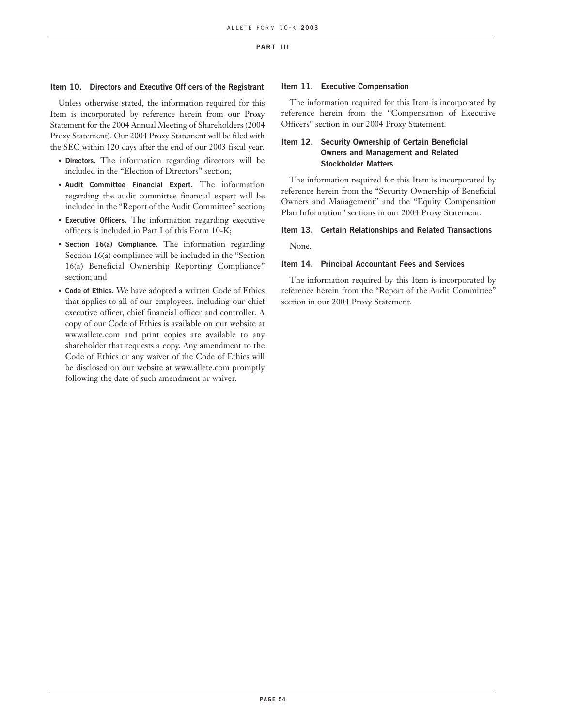# **Item 10. Directors and Executive Officers of the Registrant**

Unless otherwise stated, the information required for this Item is incorporated by reference herein from our Proxy Statement for the 2004 Annual Meeting of Shareholders (2004 Proxy Statement). Our 2004 Proxy Statement will be filed with the SEC within 120 days after the end of our 2003 fiscal year.

- **Directors.** The information regarding directors will be included in the "Election of Directors" section;
- **Audit Committee Financial Expert.** The information regarding the audit committee financial expert will be included in the "Report of the Audit Committee" section;
- **Executive Officers.** The information regarding executive officers is included in Part I of this Form 10-K;
- **Section 16(a) Compliance.** The information regarding Section 16(a) compliance will be included in the "Section 16(a) Beneficial Ownership Reporting Compliance" section; and
- **Code of Ethics.** We have adopted a written Code of Ethics that applies to all of our employees, including our chief executive officer, chief financial officer and controller. A copy of our Code of Ethics is available on our website at www.allete.com and print copies are available to any shareholder that requests a copy. Any amendment to the Code of Ethics or any waiver of the Code of Ethics will be disclosed on our website at www.allete.com promptly following the date of such amendment or waiver.

### **Item 11. Executive Compensation**

The information required for this Item is incorporated by reference herein from the "Compensation of Executive Officers" section in our 2004 Proxy Statement.

# **Item 12. Security Ownership of Certain Beneficial Owners and Management and Related Stockholder Matters**

The information required for this Item is incorporated by reference herein from the "Security Ownership of Beneficial Owners and Management" and the "Equity Compensation Plan Information" sections in our 2004 Proxy Statement.

# **Item 13. Certain Relationships and Related Transactions**

None.

### **Item 14. Principal Accountant Fees and Services**

The information required by this Item is incorporated by reference herein from the "Report of the Audit Committee" section in our 2004 Proxy Statement.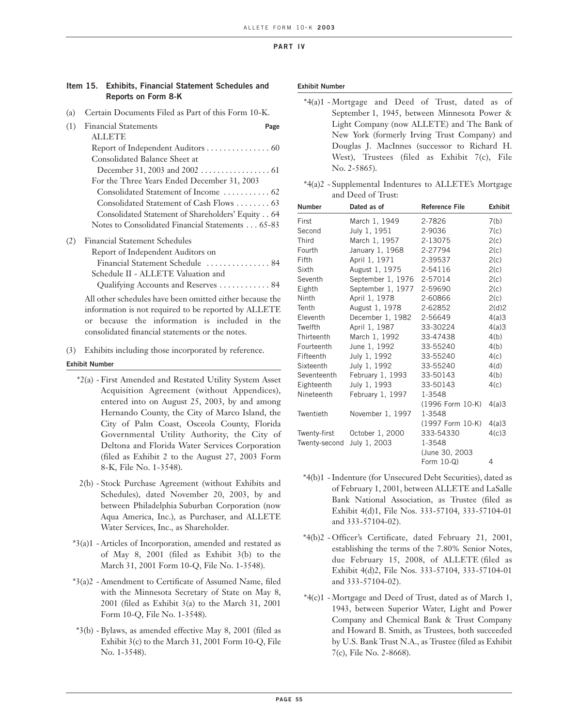# **Item 15. Exhibits, Financial Statement Schedules and Reports on Form 8-K**

(a) Certain Documents Filed as Part of this Form 10-K.

| (1) | <b>Financial Statements</b><br>Page                      |  |
|-----|----------------------------------------------------------|--|
|     | <b>ALLETE</b>                                            |  |
|     | Report of Independent Auditors 60                        |  |
|     | Consolidated Balance Sheet at                            |  |
|     |                                                          |  |
|     | For the Three Years Ended December 31, 2003              |  |
|     |                                                          |  |
|     | Consolidated Statement of Cash Flows  63                 |  |
|     | Consolidated Statement of Shareholders' Equity 64        |  |
|     | Notes to Consolidated Financial Statements 65-83         |  |
| (2) | <b>Financial Statement Schedules</b>                     |  |
|     | Report of Independent Auditors on                        |  |
|     | Financial Statement Schedule  84                         |  |
|     | Schedule II - ALLETE Valuation and                       |  |
|     | Qualifying Accounts and Reserves 84                      |  |
|     | All other schedules have been omitted either because the |  |
|     | information is not required to be reported by ALLETE     |  |
|     | or because the information is included in the            |  |
|     | consolidated financial statements or the notes.          |  |

(3) Exhibits including those incorporated by reference.

**Exhibit Number**

- \*2(a) First Amended and Restated Utility System Asset Acquisition Agreement (without Appendices), entered into on August 25, 2003, by and among Hernando County, the City of Marco Island, the City of Palm Coast, Osceola County, Florida Governmental Utility Authority, the City of Deltona and Florida Water Services Corporation (filed as Exhibit 2 to the August 27, 2003 Form 8-K, File No. 1-3548).
- 2(b) Stock Purchase Agreement (without Exhibits and Schedules), dated November 20, 2003, by and between Philadelphia Suburban Corporation (now Aqua America, Inc.), as Purchaser, and ALLETE Water Services, Inc., as Shareholder.
- \*3(a)1 Articles of Incorporation, amended and restated as of May 8, 2001 (filed as Exhibit 3(b) to the March 31, 2001 Form 10-Q, File No. 1-3548).
- \*3(a)2 Amendment to Certificate of Assumed Name, filed with the Minnesota Secretary of State on May 8, 2001 (filed as Exhibit 3(a) to the March 31, 2001 Form 10-Q, File No. 1-3548).
- \*3(b) Bylaws, as amended effective May 8, 2001 (filed as Exhibit 3(c) to the March 31, 2001 Form 10-Q, File No. 1-3548).

#### **Exhibit Number**

- \*4(a)1 Mortgage and Deed of Trust, dated as of September 1, 1945, between Minnesota Power & Light Company (now ALLETE) and The Bank of New York (formerly Irving Trust Company) and Douglas J. MacInnes (successor to Richard H. West), Trustees (filed as Exhibit 7(c), File No. 2-5865).
- \*4(a)2 Supplemental Indentures to ALLETE's Mortgage and Deed of Trust:

| <b>Number</b> | Dated as of       | <b>Reference File</b> | <b>Exhibit</b> |
|---------------|-------------------|-----------------------|----------------|
| First         | March 1, 1949     | 2-7826                | 7(b)           |
| Second        | July 1, 1951      | 2-9036                | 7(c)           |
| Third         | March 1, 1957     | 2-13075               | 2(c)           |
| Fourth        | January 1, 1968   | 2-27794               | 2(c)           |
| Fifth         | April 1, 1971     | 2-39537               | 2(c)           |
| Sixth         | August 1, 1975    | 2-54116               | 2(c)           |
| Seventh       | September 1, 1976 | 2-57014               | 2(c)           |
| Eighth        | September 1, 1977 | 2-59690               | 2(c)           |
| Ninth         | April 1, 1978     | 2-60866               | 2(c)           |
| Tenth         | August 1, 1978    | 2-62852               | 2(d)2          |
| Eleventh      | December 1, 1982  | 2-56649               | 4(a)3          |
| Twelfth       | April 1, 1987     | 33-30224              | 4(a)3          |
| Thirteenth    | March 1, 1992     | 33-47438              | 4(b)           |
| Fourteenth    | June 1, 1992      | 33-55240              | 4(b)           |
| Fifteenth     | July 1, 1992      | 33-55240              | 4(c)           |
| Sixteenth     | July 1, 1992      | 33-55240              | 4(d)           |
| Seventeenth   | February 1, 1993  | 33-50143              | 4(b)           |
| Eighteenth    | July 1, 1993      | 33-50143              | 4(c)           |
| Nineteenth    | February 1, 1997  | 1-3548                |                |
|               |                   | (1996 Form 10-K)      | 4(a)3          |
| Twentieth     | November 1, 1997  | 1-3548                |                |
|               |                   | (1997 Form 10-K)      | 4(a)3          |
| Twenty-first  | October 1, 2000   | 333-54330             | 4(c)3          |
| Twenty-second | July 1, 2003      | 1-3548                |                |
|               |                   | (June 30, 2003)       |                |
|               |                   | Form $10-Q$ )         | 4              |

- \*4(b)1 Indenture (for Unsecured Debt Securities), dated as of February 1, 2001, between ALLETE and LaSalle Bank National Association, as Trustee (filed as Exhibit 4(d)1, File Nos. 333-57104, 333-57104-01 and 333-57104-02).
- \*4(b)2 Officer's Certificate, dated February 21, 2001, establishing the terms of the 7.80% Senior Notes, due February 15, 2008, of ALLETE (filed as Exhibit 4(d)2, File Nos. 333-57104, 333-57104-01 and 333-57104-02).
- \*4(c)1 Mortgage and Deed of Trust, dated as of March 1, 1943, between Superior Water, Light and Power Company and Chemical Bank & Trust Company and Howard B. Smith, as Trustees, both succeeded by U.S. Bank Trust N.A., as Trustee (filed as Exhibit 7(c), File No. 2-8668).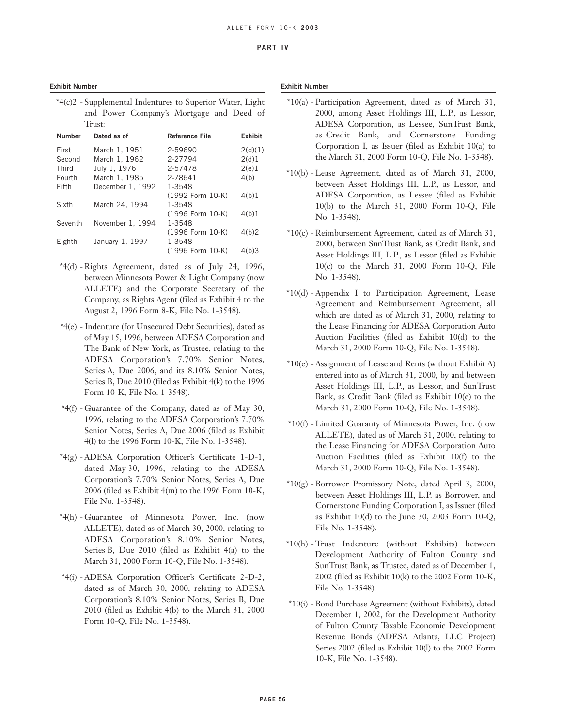### **Exhibit Number**

| *4(c)2 - Supplemental Indentures to Superior Water, Light |                                          |  |  |
|-----------------------------------------------------------|------------------------------------------|--|--|
|                                                           | and Power Company's Mortgage and Deed of |  |  |
| Trust:                                                    |                                          |  |  |

| Dated as of      | <b>Reference File</b> | <b>Exhibit</b> |
|------------------|-----------------------|----------------|
| March 1, 1951    | 2-59690               | 2(d)(1)        |
| March 1, 1962    | 2-27794               | 2(d)1          |
| July 1, 1976     | 2-57478               | 2(e)1          |
| March 1, 1985    | 2-78641               | 4(b)           |
| December 1, 1992 | 1-3548                |                |
|                  | (1992 Form 10-K)      | 4(b)1          |
| March 24, 1994   | 1-3548                |                |
|                  | (1996 Form 10-K)      | 4(b)1          |
| November 1, 1994 | 1-3548                |                |
|                  | (1996 Form 10-K)      | 4(b)2          |
| January 1, 1997  | 1-3548                |                |
|                  | (1996 Form 10-K)      | 4(b)3          |
|                  |                       |                |

- \*4(d) Rights Agreement, dated as of July 24, 1996, between Minnesota Power & Light Company (now ALLETE) and the Corporate Secretary of the Company, as Rights Agent (filed as Exhibit 4 to the August 2, 1996 Form 8-K, File No. 1-3548).
- \*4(e) Indenture (for Unsecured Debt Securities), dated as of May 15, 1996, between ADESA Corporation and The Bank of New York, as Trustee, relating to the ADESA Corporation's 7.70% Senior Notes, Series A, Due 2006, and its 8.10% Senior Notes, Series B, Due 2010 (filed as Exhibit 4(k) to the 1996 Form 10-K, File No. 1-3548).
- \*4(f) Guarantee of the Company, dated as of May 30, 1996, relating to the ADESA Corporation's 7.70% Senior Notes, Series A, Due 2006 (filed as Exhibit 4(l) to the 1996 Form 10-K, File No. 1-3548).
- \*4(g) ADESA Corporation Officer's Certificate 1-D-1, dated May 30, 1996, relating to the ADESA Corporation's 7.70% Senior Notes, Series A, Due 2006 (filed as Exhibit 4(m) to the 1996 Form 10-K, File No. 1-3548).
- \*4(h) Guarantee of Minnesota Power, Inc. (now ALLETE), dated as of March 30, 2000, relating to ADESA Corporation's 8.10% Senior Notes, Series B, Due 2010 (filed as Exhibit 4(a) to the March 31, 2000 Form 10-Q, File No. 1-3548).
- \*4(i) ADESA Corporation Officer's Certificate 2-D-2, dated as of March 30, 2000, relating to ADESA Corporation's 8.10% Senior Notes, Series B, Due 2010 (filed as Exhibit 4(b) to the March 31, 2000 Form 10-Q, File No. 1-3548).

#### **Exhibit Number**

- \*10(a) Participation Agreement, dated as of March 31, 2000, among Asset Holdings III, L.P., as Lessor, ADESA Corporation, as Lessee, SunTrust Bank, as Credit Bank, and Cornerstone Funding Corporation I, as Issuer (filed as Exhibit 10(a) to the March 31, 2000 Form 10-Q, File No. 1-3548).
- \*10(b) Lease Agreement, dated as of March 31, 2000, between Asset Holdings III, L.P., as Lessor, and ADESA Corporation, as Lessee (filed as Exhibit 10(b) to the March 31, 2000 Form 10-Q, File No. 1-3548).
- \*10(c) Reimbursement Agreement, dated as of March 31, 2000, between SunTrust Bank, as Credit Bank, and Asset Holdings III, L.P., as Lessor (filed as Exhibit 10(c) to the March 31, 2000 Form 10-Q, File No. 1-3548).
- \*10(d) Appendix I to Participation Agreement, Lease Agreement and Reimbursement Agreement, all which are dated as of March 31, 2000, relating to the Lease Financing for ADESA Corporation Auto Auction Facilities (filed as Exhibit 10(d) to the March 31, 2000 Form 10-Q, File No. 1-3548).
- \*10(e) Assignment of Lease and Rents (without Exhibit A) entered into as of March 31, 2000, by and between Asset Holdings III, L.P., as Lessor, and SunTrust Bank, as Credit Bank (filed as Exhibit 10(e) to the March 31, 2000 Form 10-Q, File No. 1-3548).
- \*10(f) Limited Guaranty of Minnesota Power, Inc. (now ALLETE), dated as of March 31, 2000, relating to the Lease Financing for ADESA Corporation Auto Auction Facilities (filed as Exhibit 10(f) to the March 31, 2000 Form 10-Q, File No. 1-3548).
- \*10(g) Borrower Promissory Note, dated April 3, 2000, between Asset Holdings III, L.P. as Borrower, and Cornerstone Funding Corporation I, as Issuer (filed as Exhibit 10(d) to the June 30, 2003 Form 10-Q, File No. 1-3548).
- \*10(h) Trust Indenture (without Exhibits) between Development Authority of Fulton County and SunTrust Bank, as Trustee, dated as of December 1, 2002 (filed as Exhibit 10(k) to the 2002 Form 10-K, File No. 1-3548).
- \*10(i) Bond Purchase Agreement (without Exhibits), dated December 1, 2002, for the Development Authority of Fulton County Taxable Economic Development Revenue Bonds (ADESA Atlanta, LLC Project) Series 2002 (filed as Exhibit 10(l) to the 2002 Form 10-K, File No. 1-3548).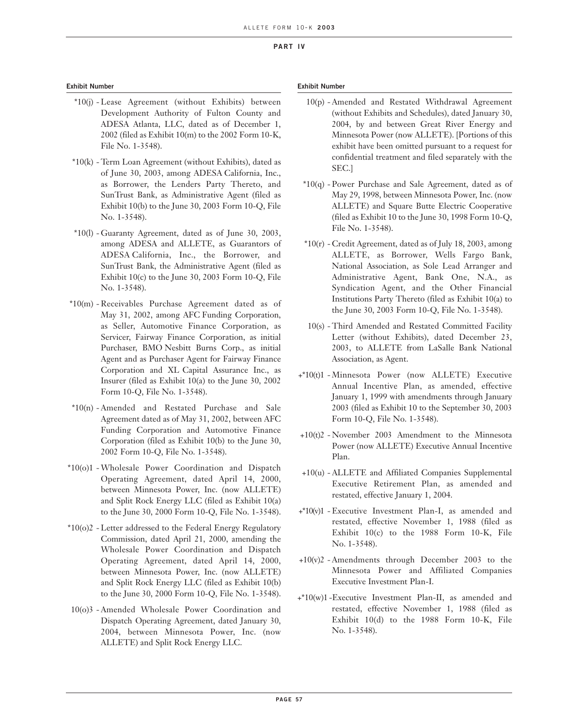### **Exhibit Number**

- \*10(j) Lease Agreement (without Exhibits) between Development Authority of Fulton County and ADESA Atlanta, LLC, dated as of December 1, 2002 (filed as Exhibit 10(m) to the 2002 Form 10-K, File No. 1-3548).
- \*10(k) Term Loan Agreement (without Exhibits), dated as of June 30, 2003, among ADESA California, Inc., as Borrower, the Lenders Party Thereto, and SunTrust Bank, as Administrative Agent (filed as Exhibit 10(b) to the June 30, 2003 Form 10-Q, File No. 1-3548).
- \*10(l) Guaranty Agreement, dated as of June 30, 2003, among ADESA and ALLETE, as Guarantors of ADESA California, Inc., the Borrower, and SunTrust Bank, the Administrative Agent (filed as Exhibit 10(c) to the June 30, 2003 Form 10-Q, File No. 1-3548).
- \*10(m) Receivables Purchase Agreement dated as of May 31, 2002, among AFC Funding Corporation, as Seller, Automotive Finance Corporation, as Servicer, Fairway Finance Corporation, as initial Purchaser, BMO Nesbitt Burns Corp., as initial Agent and as Purchaser Agent for Fairway Finance Corporation and XL Capital Assurance Inc., as Insurer (filed as Exhibit 10(a) to the June 30, 2002 Form 10-Q, File No. 1-3548).
- \*10(n) Amended and Restated Purchase and Sale Agreement dated as of May 31, 2002, between AFC Funding Corporation and Automotive Finance Corporation (filed as Exhibit 10(b) to the June 30, 2002 Form 10-Q, File No. 1-3548).
- \*10(o)1 -Wholesale Power Coordination and Dispatch Operating Agreement, dated April 14, 2000, between Minnesota Power, Inc. (now ALLETE) and Split Rock Energy LLC (filed as Exhibit 10(a) to the June 30, 2000 Form 10-Q, File No. 1-3548).
- \*10(o)2 Letter addressed to the Federal Energy Regulatory Commission, dated April 21, 2000, amending the Wholesale Power Coordination and Dispatch Operating Agreement, dated April 14, 2000, between Minnesota Power, Inc. (now ALLETE) and Split Rock Energy LLC (filed as Exhibit 10(b) to the June 30, 2000 Form 10-Q, File No. 1-3548).
- 10(o)3 Amended Wholesale Power Coordination and Dispatch Operating Agreement, dated January 30, 2004, between Minnesota Power, Inc. (now ALLETE) and Split Rock Energy LLC.

### **Exhibit Number**

- 10(p) Amended and Restated Withdrawal Agreement (without Exhibits and Schedules), dated January 30, 2004, by and between Great River Energy and Minnesota Power (now ALLETE). [Portions of this exhibit have been omitted pursuant to a request for confidential treatment and filed separately with the SEC.]
- \*10(q) Power Purchase and Sale Agreement, dated as of May 29, 1998, between Minnesota Power, Inc. (now ALLETE) and Square Butte Electric Cooperative (filed as Exhibit 10 to the June 30, 1998 Form 10-Q, File No. 1-3548).
- $*10(r)$  Credit Agreement, dated as of July 18, 2003, among ALLETE, as Borrower, Wells Fargo Bank, National Association, as Sole Lead Arranger and Administrative Agent, Bank One, N.A., as Syndication Agent, and the Other Financial Institutions Party Thereto (filed as Exhibit 10(a) to the June 30, 2003 Form 10-Q, File No. 1-3548).
- 10(s) Third Amended and Restated Committed Facility Letter (without Exhibits), dated December 23, 2003, to ALLETE from LaSalle Bank National Association, as Agent.
- +\*10(t)1 Minnesota Power (now ALLETE) Executive Annual Incentive Plan, as amended, effective January 1, 1999 with amendments through January 2003 (filed as Exhibit 10 to the September 30, 2003 Form 10-Q, File No. 1-3548).
- +10(t)2 November 2003 Amendment to the Minnesota Power (now ALLETE) Executive Annual Incentive Plan.
- +10(u) ALLETE and Affiliated Companies Supplemental Executive Retirement Plan, as amended and restated, effective January 1, 2004.
- +\*10(v)1 Executive Investment Plan-I, as amended and restated, effective November 1, 1988 (filed as Exhibit 10(c) to the 1988 Form 10-K, File No. 1-3548).
- +10(v)2 Amendments through December 2003 to the Minnesota Power and Affiliated Companies Executive Investment Plan-I.
- +\*10(w)1 -Executive Investment Plan-II, as amended and restated, effective November 1, 1988 (filed as Exhibit 10(d) to the 1988 Form 10-K, File No. 1-3548).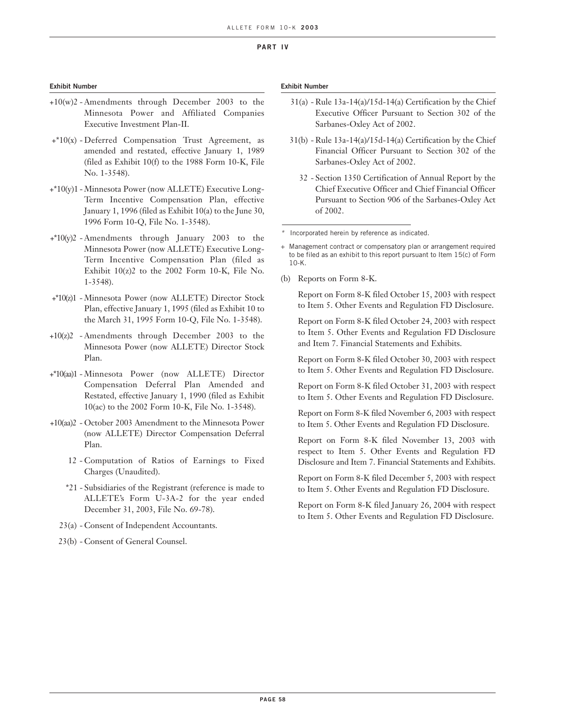## **Exhibit Number**

- +10(w)2 Amendments through December 2003 to the Minnesota Power and Affiliated Companies Executive Investment Plan-II.
- +\*10(x) Deferred Compensation Trust Agreement, as amended and restated, effective January 1, 1989 (filed as Exhibit 10(f) to the 1988 Form 10-K, File No. 1-3548).
- +\*10(y)1 Minnesota Power (now ALLETE) Executive Long-Term Incentive Compensation Plan, effective January 1, 1996 (filed as Exhibit 10(a) to the June 30, 1996 Form 10-Q, File No. 1-3548).
- +\*10(y)2 Amendments through January 2003 to the Minnesota Power (now ALLETE) Executive Long-Term Incentive Compensation Plan (filed as Exhibit  $10(z)$ <sup>2</sup> to the 2002 Form 10-K, File No. 1-3548).
- +\*10(z)1 Minnesota Power (now ALLETE) Director Stock Plan, effective January 1, 1995 (filed as Exhibit 10 to the March 31, 1995 Form 10-Q, File No. 1-3548).
- +10(z)2 Amendments through December 2003 to the Minnesota Power (now ALLETE) Director Stock Plan.
- +\*10(aa)1 Minnesota Power (now ALLETE) Director Compensation Deferral Plan Amended and Restated, effective January 1, 1990 (filed as Exhibit 10(ac) to the 2002 Form 10-K, File No. 1-3548).
- +10(aa)2 October 2003 Amendment to the Minnesota Power (now ALLETE) Director Compensation Deferral Plan.
	- 12 Computation of Ratios of Earnings to Fixed Charges (Unaudited).
	- \*21 Subsidiaries of the Registrant (reference is made to ALLETE's Form U-3A-2 for the year ended December 31, 2003, File No. 69-78).
	- 23(a) Consent of Independent Accountants.
	- 23(b) Consent of General Counsel.

### **Exhibit Number**

- 31(a) Rule 13a-14(a)/15d-14(a) Certification by the Chief Executive Officer Pursuant to Section 302 of the Sarbanes-Oxley Act of 2002.
- 31(b) Rule 13a-14(a)/15d-14(a) Certification by the Chief Financial Officer Pursuant to Section 302 of the Sarbanes-Oxley Act of 2002.
	- 32 Section 1350 Certification of Annual Report by the Chief Executive Officer and Chief Financial Officer Pursuant to Section 906 of the Sarbanes-Oxley Act of 2002.

\*Incorporated herein by reference as indicated.

(b) Reports on Form 8-K.

Report on Form 8-K filed October 15, 2003 with respect to Item 5. Other Events and Regulation FD Disclosure.

Report on Form 8-K filed October 24, 2003 with respect to Item 5. Other Events and Regulation FD Disclosure and Item 7. Financial Statements and Exhibits.

Report on Form 8-K filed October 30, 2003 with respect to Item 5. Other Events and Regulation FD Disclosure.

Report on Form 8-K filed October 31, 2003 with respect to Item 5. Other Events and Regulation FD Disclosure.

Report on Form 8-K filed November 6, 2003 with respect to Item 5. Other Events and Regulation FD Disclosure.

Report on Form 8-K filed November 13, 2003 with respect to Item 5. Other Events and Regulation FD Disclosure and Item 7. Financial Statements and Exhibits.

Report on Form 8-K filed December 5, 2003 with respect to Item 5. Other Events and Regulation FD Disclosure.

Report on Form 8-K filed January 26, 2004 with respect to Item 5. Other Events and Regulation FD Disclosure.

<sup>+</sup> Management contract or compensatory plan or arrangement required to be filed as an exhibit to this report pursuant to Item 15(c) of Form 10-K.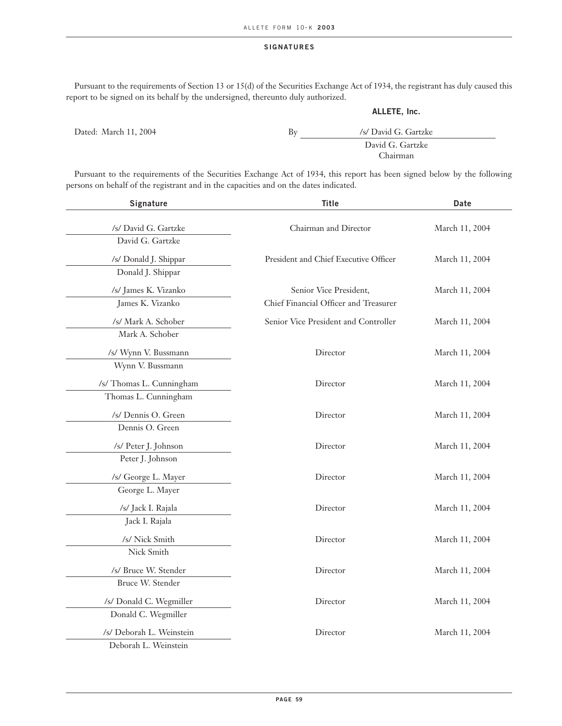# **SIGNATURES**

Pursuant to the requirements of Section 13 or 15(d) of the Securities Exchange Act of 1934, the registrant has duly caused this report to be signed on its behalf by the undersigned, thereunto duly authorized.

# **ALLETE, Inc.**

| Dated: March 11, 2004 | Бv | /s/ David G. Gartzke |
|-----------------------|----|----------------------|
|                       |    | David G. Gartzke     |
|                       |    | Chairman             |
|                       |    |                      |

Pursuant to the requirements of the Securities Exchange Act of 1934, this report has been signed below by the following persons on behalf of the registrant and in the capacities and on the dates indicated.

| Signature                | <b>Title</b>                          | Date           |
|--------------------------|---------------------------------------|----------------|
| /s/ David G. Gartzke     | Chairman and Director                 | March 11, 2004 |
| David G. Gartzke         |                                       |                |
| /s/ Donald J. Shippar    | President and Chief Executive Officer | March 11, 2004 |
| Donald J. Shippar        |                                       |                |
| /s/ James K. Vizanko     | Senior Vice President,                | March 11, 2004 |
| James K. Vizanko         | Chief Financial Officer and Treasurer |                |
| /s/ Mark A. Schober      | Senior Vice President and Controller  | March 11, 2004 |
| Mark A. Schober          |                                       |                |
| /s/ Wynn V. Bussmann     | Director                              | March 11, 2004 |
| Wynn V. Bussmann         |                                       |                |
| /s/ Thomas L. Cunningham | Director                              | March 11, 2004 |
| Thomas L. Cunningham     |                                       |                |
| /s/ Dennis O. Green      | Director                              | March 11, 2004 |
| Dennis O. Green          |                                       |                |
| /s/ Peter J. Johnson     | Director                              | March 11, 2004 |
| Peter J. Johnson         |                                       |                |
| /s/ George L. Mayer      | Director                              | March 11, 2004 |
| George L. Mayer          |                                       |                |
| /s/ Jack I. Rajala       | Director                              | March 11, 2004 |
| Jack I. Rajala           |                                       |                |
| /s/ Nick Smith           | Director                              | March 11, 2004 |
| Nick Smith               |                                       |                |
| /s/ Bruce W. Stender     | Director                              | March 11, 2004 |
| Bruce W. Stender         |                                       |                |
| /s/ Donald C. Wegmiller  | Director                              | March 11, 2004 |
| Donald C. Wegmiller      |                                       |                |
| /s/ Deborah L. Weinstein | Director                              | March 11, 2004 |
| Deborah L. Weinstein     |                                       |                |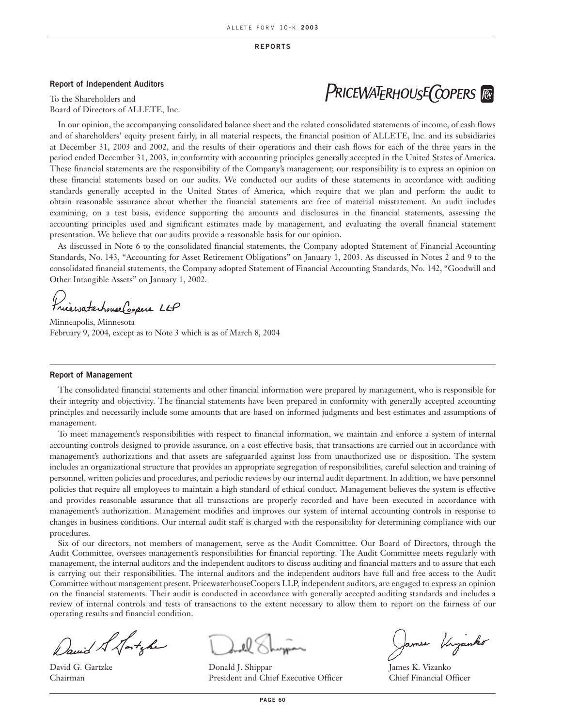**REPORTS**

### **Report of Independent Auditors**

To the Shareholders and Board of Directors of ALLETE, Inc.

In our opinion, the accompanying consolidated balance sheet and the related consolidated statements of income, of cash flows and of shareholders' equity present fairly, in all material respects, the financial position of ALLETE, Inc. and its subsidiaries at December 31, 2003 and 2002, and the results of their operations and their cash flows for each of the three years in the period ended December 31, 2003, in conformity with accounting principles generally accepted in the United States of America. These financial statements are the responsibility of the Company's management; our responsibility is to express an opinion on these financial statements based on our audits. We conducted our audits of these statements in accordance with auditing standards generally accepted in the United States of America, which require that we plan and perform the audit to obtain reasonable assurance about whether the financial statements are free of material misstatement. An audit includes examining, on a test basis, evidence supporting the amounts and disclosures in the financial statements, assessing the accounting principles used and significant estimates made by management, and evaluating the overall financial statement presentation. We believe that our audits provide a reasonable basis for our opinion.

As discussed in Note 6 to the consolidated financial statements, the Company adopted Statement of Financial Accounting Standards, No. 143, "Accounting for Asset Retirement Obligations" on January 1, 2003. As discussed in Notes 2 and 9 to the consolidated financial statements, the Company adopted Statement of Financial Accounting Standards, No. 142, "Goodwill and Other Intangible Assets" on January 1, 2002.

Princewaterhouse Copers LLP

Minneapolis, Minnesota February 9, 2004, except as to Note 3 which is as of March 8, 2004

#### **Report of Management**

The consolidated financial statements and other financial information were prepared by management, who is responsible for their integrity and objectivity. The financial statements have been prepared in conformity with generally accepted accounting principles and necessarily include some amounts that are based on informed judgments and best estimates and assumptions of management.

To meet management's responsibilities with respect to financial information, we maintain and enforce a system of internal accounting controls designed to provide assurance, on a cost effective basis, that transactions are carried out in accordance with management's authorizations and that assets are safeguarded against loss from unauthorized use or disposition. The system includes an organizational structure that provides an appropriate segregation of responsibilities, careful selection and training of personnel, written policies and procedures, and periodic reviews by our internal audit department. In addition, we have personnel policies that require all employees to maintain a high standard of ethical conduct. Management believes the system is effective and provides reasonable assurance that all transactions are properly recorded and have been executed in accordance with management's authorization. Management modifies and improves our system of internal accounting controls in response to changes in business conditions. Our internal audit staff is charged with the responsibility for determining compliance with our procedures.

Six of our directors, not members of management, serve as the Audit Committee. Our Board of Directors, through the Audit Committee, oversees management's responsibilities for financial reporting. The Audit Committee meets regularly with management, the internal auditors and the independent auditors to discuss auditing and financial matters and to assure that each is carrying out their responsibilities. The internal auditors and the independent auditors have full and free access to the Audit Committee without management present. PricewaterhouseCoopers LLP, independent auditors, are engaged to express an opinion on the financial statements. Their audit is conducted in accordance with generally accepted auditing standards and includes a review of internal controls and tests of transactions to the extent necessary to allow them to report on the fairness of our operating results and financial condition.

David & Satyle

David G. Gartzke Donald J. Shippar James K. Vizanko Chairman President and Chief Executive Officer Chief Financial Officer

James Virganko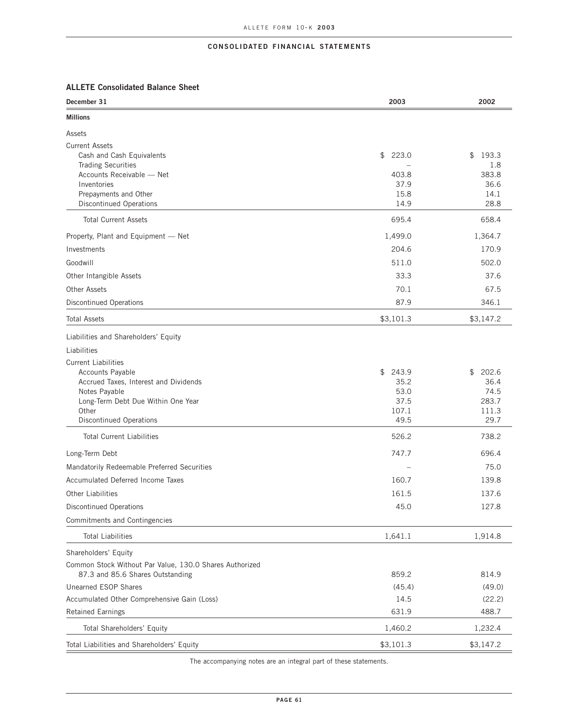# **ALLETE Consolidated Balance Sheet**

| December 31                                                                                 | 2003                   | 2002               |
|---------------------------------------------------------------------------------------------|------------------------|--------------------|
| <b>Millions</b>                                                                             |                        |                    |
| Assets                                                                                      |                        |                    |
| <b>Current Assets</b>                                                                       |                        |                    |
| Cash and Cash Equivalents<br><b>Trading Securities</b>                                      | $\frac{1}{2}$<br>223.0 | 193.3<br>\$<br>1.8 |
| Accounts Receivable - Net                                                                   | 403.8                  | 383.8              |
| Inventories                                                                                 | 37.9                   | 36.6               |
| Prepayments and Other<br><b>Discontinued Operations</b>                                     | 15.8<br>14.9           | 14.1<br>28.8       |
| <b>Total Current Assets</b>                                                                 | 695.4                  | 658.4              |
|                                                                                             |                        |                    |
| Property, Plant and Equipment - Net                                                         | 1,499.0                | 1,364.7            |
| Investments                                                                                 | 204.6                  | 170.9              |
| Goodwill                                                                                    | 511.0                  | 502.0              |
| Other Intangible Assets                                                                     | 33.3                   | 37.6               |
| <b>Other Assets</b>                                                                         | 70.1                   | 67.5               |
| <b>Discontinued Operations</b>                                                              | 87.9                   | 346.1              |
| <b>Total Assets</b>                                                                         | \$3,101.3              | \$3,147.2          |
| Liabilities and Shareholders' Equity                                                        |                        |                    |
| Liabilities                                                                                 |                        |                    |
| <b>Current Liabilities</b>                                                                  |                        |                    |
| Accounts Payable                                                                            | \$<br>243.9            | \$<br>202.6        |
| Accrued Taxes, Interest and Dividends<br>Notes Payable                                      | 35.2<br>53.0           | 36.4<br>74.5       |
| Long-Term Debt Due Within One Year                                                          | 37.5                   | 283.7              |
| Other                                                                                       | 107.1                  | 111.3              |
| <b>Discontinued Operations</b>                                                              | 49.5                   | 29.7               |
| <b>Total Current Liabilities</b>                                                            | 526.2                  | 738.2              |
| Long-Term Debt                                                                              | 747.7                  | 696.4              |
| Mandatorily Redeemable Preferred Securities                                                 |                        | 75.0               |
| Accumulated Deferred Income Taxes                                                           | 160.7                  | 139.8              |
| <b>Other Liabilities</b>                                                                    | 161.5                  | 137.6              |
| <b>Discontinued Operations</b>                                                              | 45.0                   | 127.8              |
| Commitments and Contingencies                                                               |                        |                    |
| <b>Total Liabilities</b>                                                                    | 1,641.1                | 1,914.8            |
| Shareholders' Equity                                                                        |                        |                    |
| Common Stock Without Par Value, 130.0 Shares Authorized<br>87.3 and 85.6 Shares Outstanding | 859.2                  | 814.9              |
| Unearned ESOP Shares                                                                        | (45.4)                 | (49.0)             |
| Accumulated Other Comprehensive Gain (Loss)                                                 | 14.5                   | (22.2)             |
| <b>Retained Earnings</b>                                                                    | 631.9                  | 488.7              |
| Total Shareholders' Equity                                                                  | 1,460.2                | 1,232.4            |
|                                                                                             |                        |                    |
| Total Liabilities and Shareholders' Equity                                                  | \$3,101.3              | \$3,147.2          |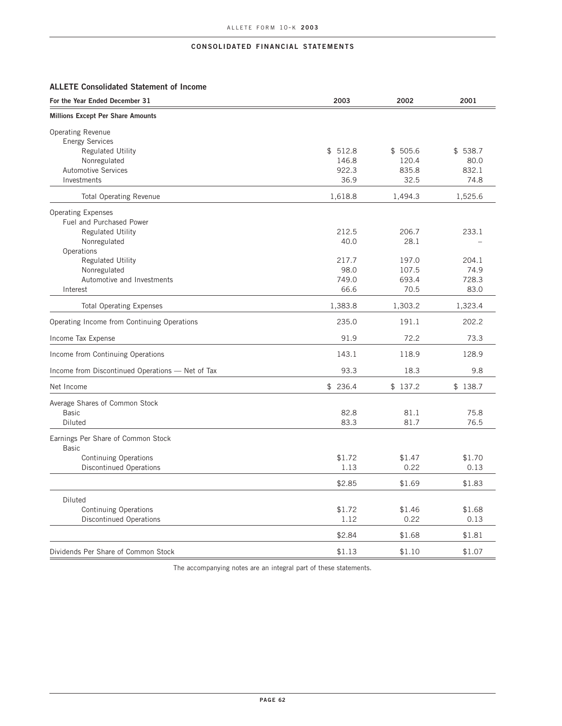# **ALLETE Consolidated Statement of Income**

| For the Year Ended December 31                     | 2003    | 2002    | 2001    |
|----------------------------------------------------|---------|---------|---------|
| <b>Millions Except Per Share Amounts</b>           |         |         |         |
| <b>Operating Revenue</b>                           |         |         |         |
| <b>Energy Services</b>                             |         |         |         |
| <b>Regulated Utility</b>                           | \$512.8 | \$505.6 | \$538.7 |
| Nonregulated                                       | 146.8   | 120.4   | 80.0    |
| <b>Automotive Services</b>                         | 922.3   | 835.8   | 832.1   |
| Investments                                        | 36.9    | 32.5    | 74.8    |
| <b>Total Operating Revenue</b>                     | 1,618.8 | 1,494.3 | 1,525.6 |
| <b>Operating Expenses</b>                          |         |         |         |
| Fuel and Purchased Power                           |         |         |         |
| <b>Regulated Utility</b>                           | 212.5   | 206.7   | 233.1   |
| Nonregulated                                       | 40.0    | 28.1    |         |
| Operations                                         |         |         |         |
| <b>Regulated Utility</b>                           | 217.7   | 197.0   | 204.1   |
| Nonregulated                                       | 98.0    | 107.5   | 74.9    |
|                                                    |         |         |         |
| Automotive and Investments                         | 749.0   | 693.4   | 728.3   |
| Interest                                           | 66.6    | 70.5    | 83.0    |
| <b>Total Operating Expenses</b>                    | 1,383.8 | 1,303.2 | 1,323.4 |
| Operating Income from Continuing Operations        | 235.0   | 191.1   | 202.2   |
| Income Tax Expense                                 | 91.9    | 72.2    | 73.3    |
| Income from Continuing Operations                  | 143.1   | 118.9   | 128.9   |
| Income from Discontinued Operations - Net of Tax   | 93.3    | 18.3    | 9.8     |
| Net Income                                         | \$236.4 | \$137.2 | \$138.7 |
| Average Shares of Common Stock                     |         |         |         |
| <b>Basic</b>                                       | 82.8    | 81.1    | 75.8    |
| Diluted                                            | 83.3    | 81.7    | 76.5    |
| Earnings Per Share of Common Stock<br><b>Basic</b> |         |         |         |
| <b>Continuing Operations</b>                       | \$1.72  | \$1.47  | \$1.70  |
| <b>Discontinued Operations</b>                     | 1.13    | 0.22    | 0.13    |
|                                                    | \$2.85  | \$1.69  | \$1.83  |
| Diluted                                            |         |         |         |
| <b>Continuing Operations</b>                       | \$1.72  | \$1.46  | \$1.68  |
| <b>Discontinued Operations</b>                     | 1.12    | 0.22    | 0.13    |
|                                                    |         |         |         |
|                                                    | \$2.84  | \$1.68  | \$1.81  |
| Dividends Per Share of Common Stock                | \$1.13  | \$1.10  | \$1.07  |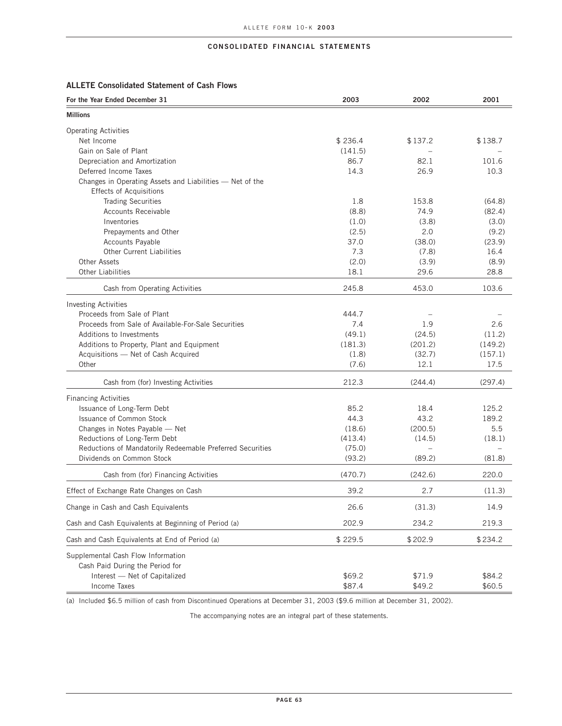# **ALLETE Consolidated Statement of Cash Flows**

| For the Year Ended December 31                            | 2003           | 2002           | 2001            |
|-----------------------------------------------------------|----------------|----------------|-----------------|
| <b>Millions</b>                                           |                |                |                 |
| <b>Operating Activities</b>                               |                |                |                 |
| Net Income                                                | \$236.4        | \$137.2        | \$138.7         |
| Gain on Sale of Plant                                     | (141.5)        |                |                 |
| Depreciation and Amortization                             | 86.7           | 82.1           | 101.6           |
| Deferred Income Taxes                                     | 14.3           | 26.9           | 10.3            |
| Changes in Operating Assets and Liabilities - Net of the  |                |                |                 |
| <b>Effects of Acquisitions</b>                            |                |                |                 |
| <b>Trading Securities</b>                                 | 1.8            | 153.8          | (64.8)          |
| <b>Accounts Receivable</b>                                | (8.8)          | 74.9           | (82.4)          |
| Inventories                                               | (1.0)          | (3.8)          | (3.0)           |
| Prepayments and Other                                     | (2.5)          | 2.0            | (9.2)           |
| <b>Accounts Payable</b>                                   | 37.0           | (38.0)         | (23.9)          |
| <b>Other Current Liabilities</b>                          | 7.3            | (7.8)          | 16.4            |
| <b>Other Assets</b>                                       | (2.0)          | (3.9)          | (8.9)           |
| <b>Other Liabilities</b>                                  | 18.1           | 29.6           | 28.8            |
| Cash from Operating Activities                            | 245.8          | 453.0          | 103.6           |
| <b>Investing Activities</b>                               |                |                |                 |
| Proceeds from Sale of Plant                               | 444.7          |                |                 |
| Proceeds from Sale of Available-For-Sale Securities       | 7.4            | 1.9            | 2.6             |
| Additions to Investments                                  | (49.1)         | (24.5)         | (11.2)          |
| Additions to Property, Plant and Equipment                | (181.3)        | (201.2)        | (149.2)         |
| Acquisitions - Net of Cash Acquired<br>Other              | (1.8)<br>(7.6) | (32.7)<br>12.1 | (157.1)<br>17.5 |
|                                                           |                |                |                 |
| Cash from (for) Investing Activities                      | 212.3          | (244.4)        | (297.4)         |
| <b>Financing Activities</b>                               |                |                |                 |
| Issuance of Long-Term Debt                                | 85.2           | 18.4           | 125.2           |
| Issuance of Common Stock                                  | 44.3           | 43.2           | 189.2           |
| Changes in Notes Payable - Net                            | (18.6)         | (200.5)        | 5.5             |
| Reductions of Long-Term Debt                              | (413.4)        | (14.5)         | (18.1)          |
| Reductions of Mandatorily Redeemable Preferred Securities | (75.0)         |                |                 |
| Dividends on Common Stock                                 | (93.2)         | (89.2)         | (81.8)          |
| Cash from (for) Financing Activities                      | (470.7)        | (242.6)        | 220.0           |
| Effect of Exchange Rate Changes on Cash                   | 39.2           | 2.7            | (11.3)          |
| Change in Cash and Cash Equivalents                       | 26.6           | (31.3)         | 14.9            |
| Cash and Cash Equivalents at Beginning of Period (a)      | 202.9          | 234.2          | 219.3           |
| Cash and Cash Equivalents at End of Period (a)            | \$229.5        | \$202.9        | \$234.2         |
| Supplemental Cash Flow Information                        |                |                |                 |
| Cash Paid During the Period for                           |                |                |                 |
| Interest - Net of Capitalized                             | \$69.2         | \$71.9         | \$84.2          |
| <b>Income Taxes</b>                                       | \$87.4         | \$49.2         | \$60.5          |

(a) Included \$6.5 million of cash from Discontinued Operations at December 31, 2003 (\$9.6 million at December 31, 2002).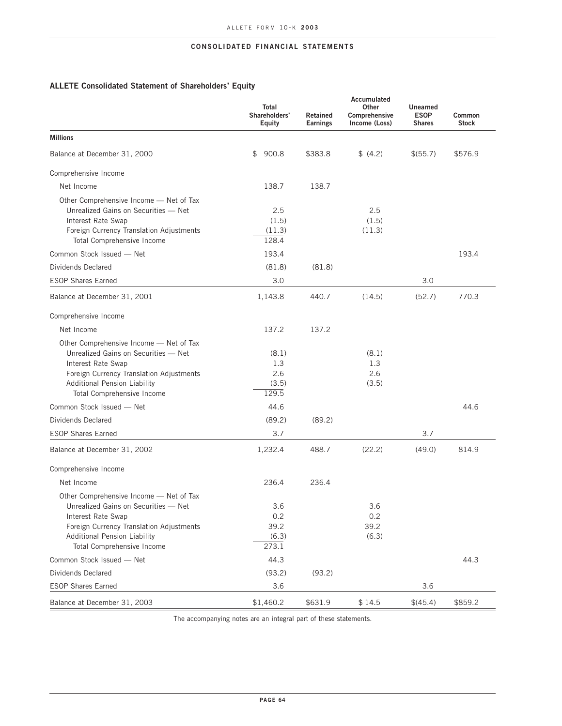# **ALLETE Consolidated Statement of Shareholders' Equity**

|                                                                                                                                                                                                                        | Total<br>Shareholders'<br>Equity      | Retained<br><b>Earnings</b> | Accumulated<br>Other<br>Comprehensive<br>Income (Loss) | Unearned<br><b>ESOP</b><br><b>Shares</b> | Common<br><b>Stock</b> |
|------------------------------------------------------------------------------------------------------------------------------------------------------------------------------------------------------------------------|---------------------------------------|-----------------------------|--------------------------------------------------------|------------------------------------------|------------------------|
| <b>Millions</b>                                                                                                                                                                                                        |                                       |                             |                                                        |                                          |                        |
| Balance at December 31, 2000                                                                                                                                                                                           | \$<br>900.8                           | \$383.8                     | \$ (4.2)                                               | \$(55.7)                                 | \$576.9                |
| Comprehensive Income                                                                                                                                                                                                   |                                       |                             |                                                        |                                          |                        |
| Net Income                                                                                                                                                                                                             | 138.7                                 | 138.7                       |                                                        |                                          |                        |
| Other Comprehensive Income - Net of Tax<br>Unrealized Gains on Securities - Net<br>Interest Rate Swap<br>Foreign Currency Translation Adjustments<br>Total Comprehensive Income                                        | 2.5<br>(1.5)<br>(11.3)<br>128.4       |                             | 2.5<br>(1.5)<br>(11.3)                                 |                                          |                        |
| Common Stock Issued - Net                                                                                                                                                                                              | 193.4                                 |                             |                                                        |                                          | 193.4                  |
| Dividends Declared                                                                                                                                                                                                     | (81.8)                                | (81.8)                      |                                                        |                                          |                        |
| <b>ESOP Shares Earned</b>                                                                                                                                                                                              | 3.0                                   |                             |                                                        | 3.0                                      |                        |
| Balance at December 31, 2001                                                                                                                                                                                           | 1,143.8                               | 440.7                       | (14.5)                                                 | (52.7)                                   | 770.3                  |
| Comprehensive Income                                                                                                                                                                                                   |                                       |                             |                                                        |                                          |                        |
| Net Income                                                                                                                                                                                                             | 137.2                                 | 137.2                       |                                                        |                                          |                        |
| Other Comprehensive Income - Net of Tax<br>Unrealized Gains on Securities - Net<br>Interest Rate Swap<br>Foreign Currency Translation Adjustments<br><b>Additional Pension Liability</b><br>Total Comprehensive Income | (8.1)<br>1.3<br>2.6<br>(3.5)<br>129.5 |                             | (8.1)<br>1.3<br>2.6<br>(3.5)                           |                                          |                        |
| Common Stock Issued - Net                                                                                                                                                                                              | 44.6                                  |                             |                                                        |                                          | 44.6                   |
| Dividends Declared                                                                                                                                                                                                     | (89.2)                                | (89.2)                      |                                                        |                                          |                        |
| <b>ESOP Shares Earned</b>                                                                                                                                                                                              | 3.7                                   |                             |                                                        | 3.7                                      |                        |
| Balance at December 31, 2002                                                                                                                                                                                           | 1,232.4                               | 488.7                       | (22.2)                                                 | (49.0)                                   | 814.9                  |
| Comprehensive Income                                                                                                                                                                                                   |                                       |                             |                                                        |                                          |                        |
| Net Income                                                                                                                                                                                                             | 236.4                                 | 236.4                       |                                                        |                                          |                        |
| Other Comprehensive Income - Net of Tax<br>Unrealized Gains on Securities - Net<br>Interest Rate Swap<br>Foreign Currency Translation Adjustments<br><b>Additional Pension Liability</b><br>Total Comprehensive Income | 3.6<br>0.2<br>39.2<br>(6.3)<br>273.1  |                             | 3.6<br>0.2<br>39.2<br>(6.3)                            |                                          |                        |
| Common Stock Issued - Net                                                                                                                                                                                              | 44.3                                  |                             |                                                        |                                          | 44.3                   |
| Dividends Declared                                                                                                                                                                                                     | (93.2)                                | (93.2)                      |                                                        |                                          |                        |
| <b>ESOP Shares Earned</b>                                                                                                                                                                                              | 3.6                                   |                             |                                                        | 3.6                                      |                        |
| Balance at December 31, 2003                                                                                                                                                                                           | \$1,460.2                             | \$631.9                     | \$14.5                                                 | \$(45.4)                                 | \$859.2                |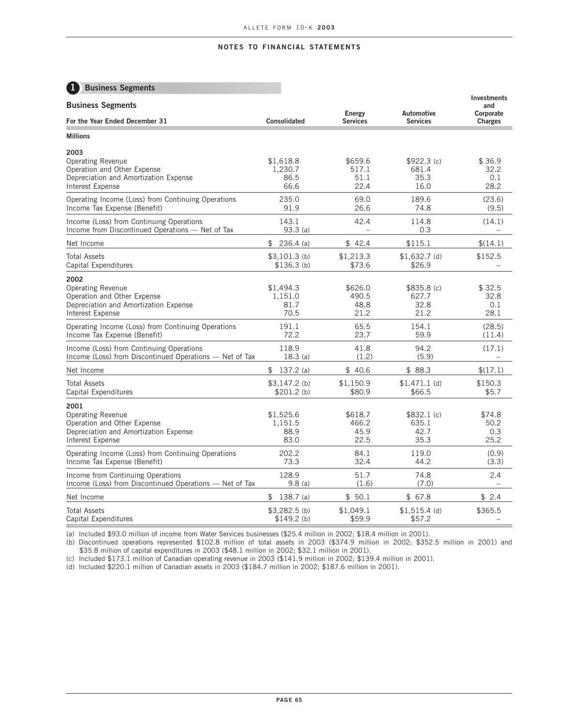# **1 Business Segments**

| <b>Business Segments</b>                                                                                                     |                                      | Energy                           | Automotive                          | <b>Investments</b><br>and<br>Corporate |
|------------------------------------------------------------------------------------------------------------------------------|--------------------------------------|----------------------------------|-------------------------------------|----------------------------------------|
| For the Year Ended December 31                                                                                               | Consolidated                         | <b>Services</b>                  | <b>Services</b>                     | <b>Charges</b>                         |
| <b>Millions</b>                                                                                                              |                                      |                                  |                                     |                                        |
| 2003<br><b>Operating Revenue</b><br>Operation and Other Expense<br>Depreciation and Amortization Expense<br>Interest Expense | \$1,618.8<br>1,230.7<br>86.5<br>66.6 | \$659.6<br>517.1<br>51.1<br>22.4 | \$922.3(c)<br>681.4<br>35.3<br>16.0 | \$36.9<br>32.2<br>0.1<br>28.2          |
| Operating Income (Loss) from Continuing Operations                                                                           | 235.0                                | 69.0                             | 189.6                               | (23.6)                                 |
| Income Tax Expense (Benefit)                                                                                                 | 91.9                                 | 26.6                             | 74.8                                | (9.5)                                  |
| Income (Loss) from Continuing Operations                                                                                     | 143.1                                | 42.4                             | 114.8                               | (14.1)                                 |
| Income from Discontinued Operations - Net of Tax                                                                             | 93.3(a)                              | $\equiv$                         | 0.3                                 |                                        |
| Net Income                                                                                                                   | \$<br>$236.4$ (a)                    | \$42.4                           | \$115.1                             | \$(14.1)                               |
| <b>Total Assets</b>                                                                                                          | $$3,101.3$ (b)                       | \$1,213.3                        | $$1,632.7$ (d)                      | \$152.5                                |
| Capital Expenditures                                                                                                         | \$136.3(b)                           | \$73.6                           | \$26.9                              |                                        |
| 2002<br><b>Operating Revenue</b><br>Operation and Other Expense<br>Depreciation and Amortization Expense<br>Interest Expense | \$1,494.3<br>1,151.0<br>81.7<br>70.5 | \$626.0<br>490.5<br>48.8<br>21.2 | \$835.8(c)<br>627.7<br>32.8<br>21.2 | \$32.5<br>32.8<br>0.1<br>28.1          |
| Operating Income (Loss) from Continuing Operations                                                                           | 191.1                                | 65.5                             | 154.1                               | (28.5)                                 |
| Income Tax Expense (Benefit)                                                                                                 | 72.2                                 | 23.7                             | 59.9                                | (11.4)                                 |
| Income (Loss) from Continuing Operations                                                                                     | 118.9                                | 41.8                             | 94.2                                | (17.1)                                 |
| Income (Loss) from Discontinued Operations - Net of Tax                                                                      | 18.3(a)                              | (1.2)                            | (5.9)                               | $\equiv$                               |
| Net Income                                                                                                                   | 137.2(a)<br>\$                       | \$40.6                           | \$88.3                              | \$(17.1)                               |
| <b>Total Assets</b>                                                                                                          | $$3,147.2$ (b)                       | \$1,150.9                        | $$1,471.1$ (d)                      | \$150.3                                |
| Capital Expenditures                                                                                                         | $$201.2$ (b)                         | \$80.9                           | \$66.5                              | \$5.7                                  |
| 2001<br><b>Operating Revenue</b><br>Operation and Other Expense<br>Depreciation and Amortization Expense<br>Interest Expense | \$1,525.6<br>1,151.5<br>88.9<br>83.0 | \$618.7<br>466.2<br>45.9<br>22.5 | \$832.1(c)<br>635.1<br>42.7<br>35.3 | \$74.8<br>50.2<br>0.3<br>25.2          |
| Operating Income (Loss) from Continuing Operations                                                                           | 202.2                                | 84.1                             | 119.0                               | (0.9)                                  |
| Income Tax Expense (Benefit)                                                                                                 | 73.3                                 | 32.4                             | 44.2                                | (3.3)                                  |
| Income from Continuing Operations                                                                                            | 128.9                                | 51.7                             | 74.8                                | 2.4                                    |
| Income (Loss) from Discontinued Operations - Net of Tax                                                                      | 9.8(a)                               | (1.6)                            | (7.0)                               |                                        |
| Net Income                                                                                                                   | \$<br>138.7 (a)                      | \$50.1                           | \$67.8                              | \$2.4                                  |
| <b>Total Assets</b>                                                                                                          | $$3,282.5$ (b)                       | \$1,049.1                        | $$1,515.4$ (d)                      | \$365.5                                |
| Capital Expenditures                                                                                                         | $$149.2$ (b)                         | \$59.9                           | \$57.2                              |                                        |

(a) Included \$93.0 million of income from Water Services businesses (\$25.4 million in 2002; \$18.4 million in 2001).

(b) Discontinued operations represented \$102.8 million of total assets in 2003 (\$374.9 million in 2002; \$352.5 million in 2001) and \$35.8 million of capital expenditures in 2003 (\$48.1 million in 2002; \$32.1 million in 2001).

(c) Included \$173.1 million of Canadian operating revenue in 2003 (\$141.9 million in 2002; \$139.4 million in 2001).

(d) Included \$220.1 million of Canadian assets in 2003 (\$184.7 million in 2002; \$187.6 million in 2001).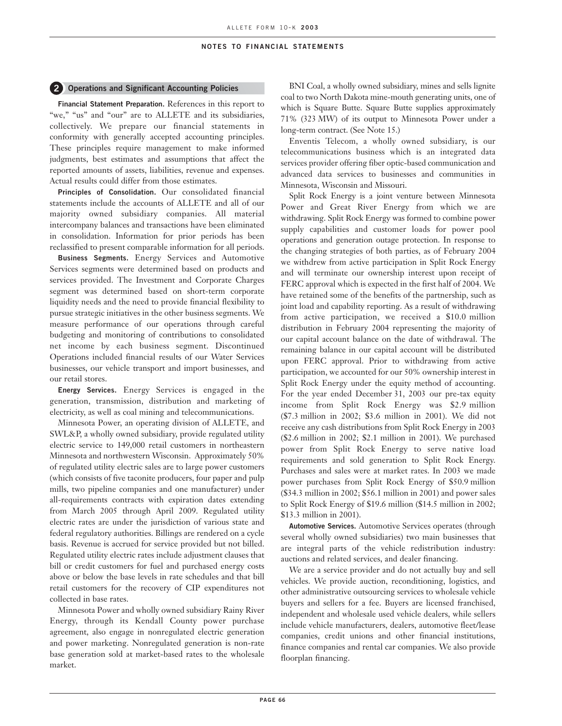### **2 Operations and Significant Accounting Policies**

**Financial Statement Preparation.** References in this report to "we," "us" and "our" are to ALLETE and its subsidiaries, collectively. We prepare our financial statements in conformity with generally accepted accounting principles. These principles require management to make informed judgments, best estimates and assumptions that affect the reported amounts of assets, liabilities, revenue and expenses. Actual results could differ from those estimates.

**Principles of Consolidation.** Our consolidated financial statements include the accounts of ALLETE and all of our majority owned subsidiary companies. All material intercompany balances and transactions have been eliminated in consolidation. Information for prior periods has been reclassified to present comparable information for all periods.

**Business Segments.** Energy Services and Automotive Services segments were determined based on products and services provided. The Investment and Corporate Charges segment was determined based on short-term corporate liquidity needs and the need to provide financial flexibility to pursue strategic initiatives in the other business segments. We measure performance of our operations through careful budgeting and monitoring of contributions to consolidated net income by each business segment. Discontinued Operations included financial results of our Water Services businesses, our vehicle transport and import businesses, and our retail stores.

**Energy Services.** Energy Services is engaged in the generation, transmission, distribution and marketing of electricity, as well as coal mining and telecommunications.

Minnesota Power, an operating division of ALLETE, and SWL&P, a wholly owned subsidiary, provide regulated utility electric service to 149,000 retail customers in northeastern Minnesota and northwestern Wisconsin. Approximately 50% of regulated utility electric sales are to large power customers (which consists of five taconite producers, four paper and pulp mills, two pipeline companies and one manufacturer) under all-requirements contracts with expiration dates extending from March 2005 through April 2009. Regulated utility electric rates are under the jurisdiction of various state and federal regulatory authorities. Billings are rendered on a cycle basis. Revenue is accrued for service provided but not billed. Regulated utility electric rates include adjustment clauses that bill or credit customers for fuel and purchased energy costs above or below the base levels in rate schedules and that bill retail customers for the recovery of CIP expenditures not collected in base rates.

Minnesota Power and wholly owned subsidiary Rainy River Energy, through its Kendall County power purchase agreement, also engage in nonregulated electric generation and power marketing. Nonregulated generation is non-rate base generation sold at market-based rates to the wholesale market.

BNI Coal, a wholly owned subsidiary, mines and sells lignite coal to two North Dakota mine-mouth generating units, one of which is Square Butte. Square Butte supplies approximately 71% (323 MW) of its output to Minnesota Power under a long-term contract. (See Note 15.)

Enventis Telecom, a wholly owned subsidiary, is our telecommunications business which is an integrated data services provider offering fiber optic-based communication and advanced data services to businesses and communities in Minnesota, Wisconsin and Missouri.

Split Rock Energy is a joint venture between Minnesota Power and Great River Energy from which we are withdrawing. Split Rock Energy was formed to combine power supply capabilities and customer loads for power pool operations and generation outage protection. In response to the changing strategies of both parties, as of February 2004 we withdrew from active participation in Split Rock Energy and will terminate our ownership interest upon receipt of FERC approval which is expected in the first half of 2004. We have retained some of the benefits of the partnership, such as joint load and capability reporting. As a result of withdrawing from active participation, we received a \$10.0 million distribution in February 2004 representing the majority of our capital account balance on the date of withdrawal. The remaining balance in our capital account will be distributed upon FERC approval. Prior to withdrawing from active participation, we accounted for our 50% ownership interest in Split Rock Energy under the equity method of accounting. For the year ended December 31, 2003 our pre-tax equity income from Split Rock Energy was \$2.9 million (\$7.3 million in 2002; \$3.6 million in 2001). We did not receive any cash distributions from Split Rock Energy in 2003 (\$2.6 million in 2002; \$2.1 million in 2001). We purchased power from Split Rock Energy to serve native load requirements and sold generation to Split Rock Energy. Purchases and sales were at market rates. In 2003 we made power purchases from Split Rock Energy of \$50.9 million (\$34.3 million in 2002; \$56.1 million in 2001) and power sales to Split Rock Energy of \$19.6 million (\$14.5 million in 2002; \$13.3 million in 2001).

**Automotive Services.** Automotive Services operates (through several wholly owned subsidiaries) two main businesses that are integral parts of the vehicle redistribution industry: auctions and related services, and dealer financing.

We are a service provider and do not actually buy and sell vehicles. We provide auction, reconditioning, logistics, and other administrative outsourcing services to wholesale vehicle buyers and sellers for a fee. Buyers are licensed franchised, independent and wholesale used vehicle dealers, while sellers include vehicle manufacturers, dealers, automotive fleet/lease companies, credit unions and other financial institutions, finance companies and rental car companies. We also provide floorplan financing.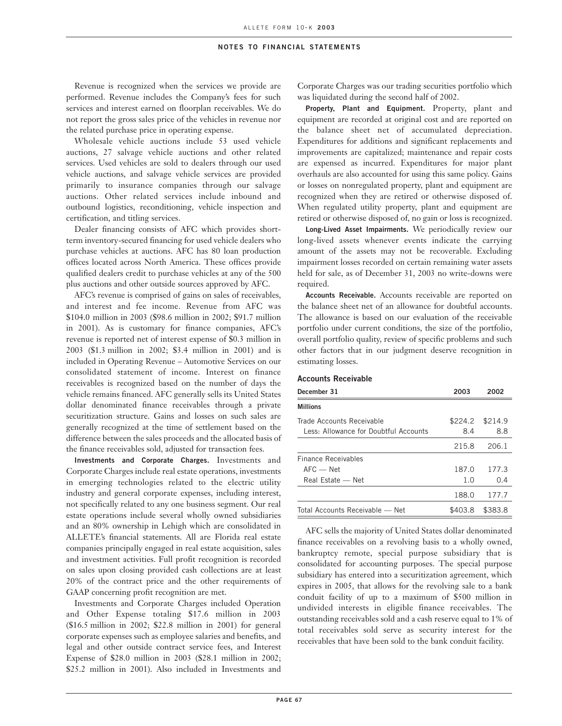Revenue is recognized when the services we provide are performed. Revenue includes the Company's fees for such services and interest earned on floorplan receivables. We do not report the gross sales price of the vehicles in revenue nor the related purchase price in operating expense.

Wholesale vehicle auctions include 53 used vehicle auctions, 27 salvage vehicle auctions and other related services. Used vehicles are sold to dealers through our used vehicle auctions, and salvage vehicle services are provided primarily to insurance companies through our salvage auctions. Other related services include inbound and outbound logistics, reconditioning, vehicle inspection and certification, and titling services.

Dealer financing consists of AFC which provides shortterm inventory-secured financing for used vehicle dealers who purchase vehicles at auctions. AFC has 80 loan production offices located across North America. These offices provide qualified dealers credit to purchase vehicles at any of the 500 plus auctions and other outside sources approved by AFC.

AFC's revenue is comprised of gains on sales of receivables, and interest and fee income. Revenue from AFC was \$104.0 million in 2003 (\$98.6 million in 2002; \$91.7 million in 2001). As is customary for finance companies, AFC's revenue is reported net of interest expense of \$0.3 million in 2003 (\$1.3 million in 2002; \$3.4 million in 2001) and is included in Operating Revenue – Automotive Services on our consolidated statement of income. Interest on finance receivables is recognized based on the number of days the vehicle remains financed. AFC generally sells its United States dollar denominated finance receivables through a private securitization structure. Gains and losses on such sales are generally recognized at the time of settlement based on the difference between the sales proceeds and the allocated basis of the finance receivables sold, adjusted for transaction fees.

**Investments and Corporate Charges.** Investments and Corporate Charges include real estate operations, investments in emerging technologies related to the electric utility industry and general corporate expenses, including interest, not specifically related to any one business segment. Our real estate operations include several wholly owned subsidiaries and an 80% ownership in Lehigh which are consolidated in ALLETE's financial statements. All are Florida real estate companies principally engaged in real estate acquisition, sales and investment activities. Full profit recognition is recorded on sales upon closing provided cash collections are at least 20% of the contract price and the other requirements of GAAP concerning profit recognition are met.

Investments and Corporate Charges included Operation and Other Expense totaling \$17.6 million in 2003 (\$16.5 million in 2002; \$22.8 million in 2001) for general corporate expenses such as employee salaries and benefits, and legal and other outside contract service fees, and Interest Expense of \$28.0 million in 2003 (\$28.1 million in 2002; \$25.2 million in 2001). Also included in Investments and

Corporate Charges was our trading securities portfolio which was liquidated during the second half of 2002.

**Property, Plant and Equipment.** Property, plant and equipment are recorded at original cost and are reported on the balance sheet net of accumulated depreciation. Expenditures for additions and significant replacements and improvements are capitalized; maintenance and repair costs are expensed as incurred. Expenditures for major plant overhauls are also accounted for using this same policy. Gains or losses on nonregulated property, plant and equipment are recognized when they are retired or otherwise disposed of. When regulated utility property, plant and equipment are retired or otherwise disposed of, no gain or loss is recognized.

**Long-Lived Asset Impairments.** We periodically review our long-lived assets whenever events indicate the carrying amount of the assets may not be recoverable. Excluding impairment losses recorded on certain remaining water assets held for sale, as of December 31, 2003 no write-downs were required.

**Accounts Receivable.** Accounts receivable are reported on the balance sheet net of an allowance for doubtful accounts. The allowance is based on our evaluation of the receivable portfolio under current conditions, the size of the portfolio, overall portfolio quality, review of specific problems and such other factors that in our judgment deserve recognition in estimating losses.

#### **Accounts Receivable**

| December 31                           | 2003    | 2002    |
|---------------------------------------|---------|---------|
| <b>Millions</b>                       |         |         |
| Trade Accounts Receivable             | \$224.2 | \$214.9 |
| Less: Allowance for Doubtful Accounts | 8.4     | 8.8     |
|                                       | 215.8   | 206.1   |
| Finance Receivables                   |         |         |
| $AFC$ — Net                           | 187.0   | 177.3   |
| Real Estate - Net                     | 1.0     | 0.4     |
|                                       | 188.0   | 177.7   |
| Total Accounts Receivable - Net       | \$403.8 | \$383.8 |

AFC sells the majority of United States dollar denominated finance receivables on a revolving basis to a wholly owned, bankruptcy remote, special purpose subsidiary that is consolidated for accounting purposes. The special purpose subsidiary has entered into a securitization agreement, which expires in 2005, that allows for the revolving sale to a bank conduit facility of up to a maximum of \$500 million in undivided interests in eligible finance receivables. The outstanding receivables sold and a cash reserve equal to 1% of total receivables sold serve as security interest for the receivables that have been sold to the bank conduit facility.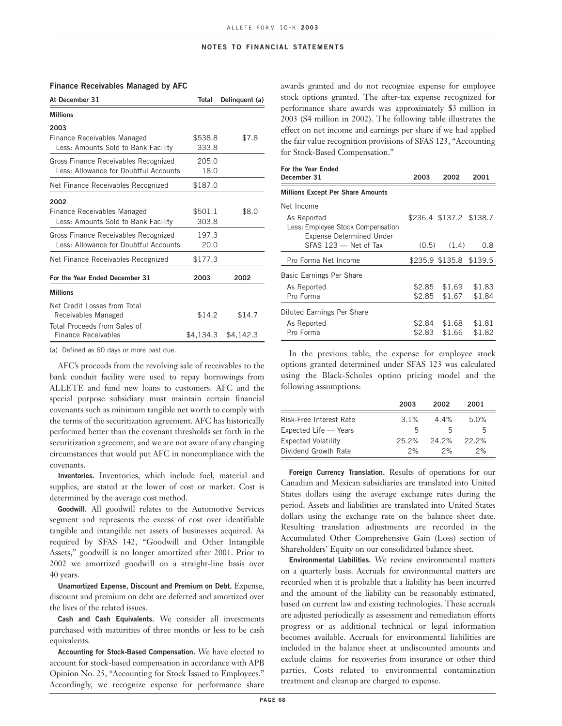# At December 31 Total Delinquent (a) **Millions 2003** Finance Receivables Managed  $$538.8$  \$7.8 Less: Amounts Sold to Bank Facility 333.8 Gross Finance Receivables Recognized 205.0 Less: Allowance for Doubtful Accounts 18.0 Net Finance Receivables Recognized \$187.0 **2002** Finance Receivables Managed  $$501.1$  \$8.0 Less: Amounts Sold to Bank Facility 303.8 Gross Finance Receivables Recognized 197.3 Less: Allowance for Doubtful Accounts 20.0 Net Finance Receivables Recognized \$177.3 **For the Year Ended December 31 2003 2002 Millions** Net Credit Losses from Total Receivables Managed  $$14.2$   $$14.7$ Total Proceeds from Sales of Finance Receivables  $$4,134.3$   $$4,142.3$

**Finance Receivables Managed by AFC**

(a) Defined as 60 days or more past due.

AFC's proceeds from the revolving sale of receivables to the bank conduit facility were used to repay borrowings from ALLETE and fund new loans to customers. AFC and the special purpose subsidiary must maintain certain financial covenants such as minimum tangible net worth to comply with the terms of the securitization agreement. AFC has historically performed better than the covenant thresholds set forth in the securitization agreement, and we are not aware of any changing circumstances that would put AFC in noncompliance with the covenants.

**Inventories.** Inventories, which include fuel, material and supplies, are stated at the lower of cost or market. Cost is determined by the average cost method.

**Goodwill.** All goodwill relates to the Automotive Services segment and represents the excess of cost over identifiable tangible and intangible net assets of businesses acquired. As required by SFAS 142, "Goodwill and Other Intangible Assets," goodwill is no longer amortized after 2001. Prior to 2002 we amortized goodwill on a straight-line basis over 40 years.

**Unamortized Expense, Discount and Premium on Debt.** Expense, discount and premium on debt are deferred and amortized over the lives of the related issues.

**Cash and Cash Equivalents.** We consider all investments purchased with maturities of three months or less to be cash equivalents.

**Accounting for Stock-Based Compensation.** We have elected to account for stock-based compensation in accordance with APB Opinion No. 25, "Accounting for Stock Issued to Employees." Accordingly, we recognize expense for performance share awards granted and do not recognize expense for employee stock options granted. The after-tax expense recognized for performance share awards was approximately \$3 million in 2003 (\$4 million in 2002). The following table illustrates the effect on net income and earnings per share if we had applied the fair value recognition provisions of SFAS 123, "Accounting for Stock-Based Compensation."

| For the Year Ended<br>December 31                                                   | 2003 | 2002                    | 2001   |
|-------------------------------------------------------------------------------------|------|-------------------------|--------|
| <b>Millions Except Per Share Amounts</b>                                            |      |                         |        |
| Net Income                                                                          |      |                         |        |
| As Reported<br>Less: Employee Stock Compensation<br><b>Expense Determined Under</b> |      | \$236.4 \$137.2 \$138.7 |        |
| SFAS 123 - Net of Tax                                                               |      | $(0.5)$ $(1.4)$         | 0.8    |
| Pro Forma Net Income                                                                |      | \$235.9 \$135.8 \$139.5 |        |
| Basic Earnings Per Share                                                            |      |                         |        |
| As Reported                                                                         |      | \$2.85 \$1.69           | \$1.83 |
| Pro Forma                                                                           |      | $$2.85$ $$1.67$         | \$1.84 |
| Diluted Earnings Per Share                                                          |      |                         |        |
| As Reported                                                                         |      | \$2.84 \$1.68           | \$1.81 |
| Pro Forma                                                                           |      | \$2.83 \$1.66           | \$1.82 |

In the previous table, the expense for employee stock options granted determined under SFAS 123 was calculated using the Black-Scholes option pricing model and the following assumptions:

|                            | 2003    | 2002         | 2001  |
|----------------------------|---------|--------------|-------|
| Risk-Free Interest Rate    | $3.1\%$ | $4.4\%$      | 5.0%  |
| Expected Life - Years      | 5.      | $\mathsf{h}$ | h     |
| <b>Expected Volatility</b> | 25.2%   | 24.2%        | 22.2% |
| Dividend Growth Rate       | 2%      | 2%           | 2%    |

**Foreign Currency Translation.** Results of operations for our Canadian and Mexican subsidiaries are translated into United States dollars using the average exchange rates during the period. Assets and liabilities are translated into United States dollars using the exchange rate on the balance sheet date. Resulting translation adjustments are recorded in the Accumulated Other Comprehensive Gain (Loss) section of Shareholders' Equity on our consolidated balance sheet.

**Environmental Liabilities.** We review environmental matters on a quarterly basis. Accruals for environmental matters are recorded when it is probable that a liability has been incurred and the amount of the liability can be reasonably estimated, based on current law and existing technologies. These accruals are adjusted periodically as assessment and remediation efforts progress or as additional technical or legal information becomes available. Accruals for environmental liabilities are included in the balance sheet at undiscounted amounts and exclude claims for recoveries from insurance or other third parties. Costs related to environmental contamination treatment and cleanup are charged to expense.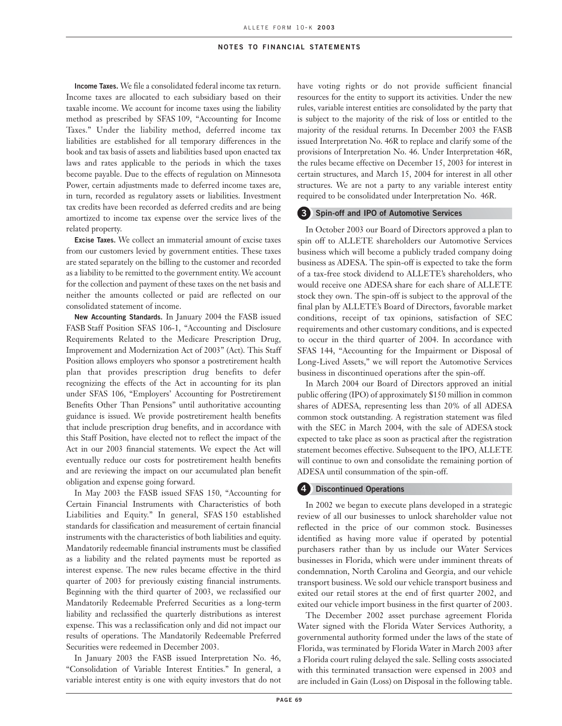**Income Taxes.** We file a consolidated federal income tax return. Income taxes are allocated to each subsidiary based on their taxable income. We account for income taxes using the liability method as prescribed by SFAS 109, "Accounting for Income Taxes." Under the liability method, deferred income tax liabilities are established for all temporary differences in the book and tax basis of assets and liabilities based upon enacted tax laws and rates applicable to the periods in which the taxes become payable. Due to the effects of regulation on Minnesota Power, certain adjustments made to deferred income taxes are, in turn, recorded as regulatory assets or liabilities. Investment tax credits have been recorded as deferred credits and are being amortized to income tax expense over the service lives of the related property.

**Excise Taxes.** We collect an immaterial amount of excise taxes from our customers levied by government entities. These taxes are stated separately on the billing to the customer and recorded as a liability to be remitted to the government entity. We account for the collection and payment of these taxes on the net basis and neither the amounts collected or paid are reflected on our consolidated statement of income.

**New Accounting Standards.** In January 2004 the FASB issued FASB Staff Position SFAS 106-1, "Accounting and Disclosure Requirements Related to the Medicare Prescription Drug, Improvement and Modernization Act of 2003" (Act). This Staff Position allows employers who sponsor a postretirement health plan that provides prescription drug benefits to defer recognizing the effects of the Act in accounting for its plan under SFAS 106, "Employers' Accounting for Postretirement Benefits Other Than Pensions" until authoritative accounting guidance is issued. We provide postretirement health benefits that include prescription drug benefits, and in accordance with this Staff Position, have elected not to reflect the impact of the Act in our 2003 financial statements. We expect the Act will eventually reduce our costs for postretirement health benefits and are reviewing the impact on our accumulated plan benefit obligation and expense going forward.

In May 2003 the FASB issued SFAS 150, "Accounting for Certain Financial Instruments with Characteristics of both Liabilities and Equity." In general, SFAS 150 established standards for classification and measurement of certain financial instruments with the characteristics of both liabilities and equity. Mandatorily redeemable financial instruments must be classified as a liability and the related payments must be reported as interest expense. The new rules became effective in the third quarter of 2003 for previously existing financial instruments. Beginning with the third quarter of 2003, we reclassified our Mandatorily Redeemable Preferred Securities as a long-term liability and reclassified the quarterly distributions as interest expense. This was a reclassification only and did not impact our results of operations. The Mandatorily Redeemable Preferred Securities were redeemed in December 2003.

In January 2003 the FASB issued Interpretation No. 46, "Consolidation of Variable Interest Entities." In general, a variable interest entity is one with equity investors that do not have voting rights or do not provide sufficient financial resources for the entity to support its activities. Under the new rules, variable interest entities are consolidated by the party that is subject to the majority of the risk of loss or entitled to the majority of the residual returns. In December 2003 the FASB issued Interpretation No. 46R to replace and clarify some of the provisions of Interpretation No. 46. Under Interpretation 46R, the rules became effective on December 15, 2003 for interest in certain structures, and March 15, 2004 for interest in all other structures. We are not a party to any variable interest entity required to be consolidated under Interpretation No. 46R.

### **3 Spin-off and IPO of Automotive Services**

In October 2003 our Board of Directors approved a plan to spin off to ALLETE shareholders our Automotive Services business which will become a publicly traded company doing business as ADESA. The spin-off is expected to take the form of a tax-free stock dividend to ALLETE's shareholders, who would receive one ADESA share for each share of ALLETE stock they own. The spin-off is subject to the approval of the final plan by ALLETE's Board of Directors, favorable market conditions, receipt of tax opinions, satisfaction of SEC requirements and other customary conditions, and is expected to occur in the third quarter of 2004. In accordance with SFAS 144, "Accounting for the Impairment or Disposal of Long-Lived Assets," we will report the Automotive Services business in discontinued operations after the spin-off.

In March 2004 our Board of Directors approved an initial public offering (IPO) of approximately \$150 million in common shares of ADESA, representing less than 20% of all ADESA common stock outstanding. A registration statement was filed with the SEC in March 2004, with the sale of ADESA stock expected to take place as soon as practical after the registration statement becomes effective. Subsequent to the IPO, ALLETE will continue to own and consolidate the remaining portion of ADESA until consummation of the spin-off.

# **4 Discontinued Operations**

In 2002 we began to execute plans developed in a strategic review of all our businesses to unlock shareholder value not reflected in the price of our common stock. Businesses identified as having more value if operated by potential purchasers rather than by us include our Water Services businesses in Florida, which were under imminent threats of condemnation, North Carolina and Georgia, and our vehicle transport business. We sold our vehicle transport business and exited our retail stores at the end of first quarter 2002, and exited our vehicle import business in the first quarter of 2003.

The December 2002 asset purchase agreement Florida Water signed with the Florida Water Services Authority, a governmental authority formed under the laws of the state of Florida, was terminated by Florida Water in March 2003 after a Florida court ruling delayed the sale. Selling costs associated with this terminated transaction were expensed in 2003 and are included in Gain (Loss) on Disposal in the following table.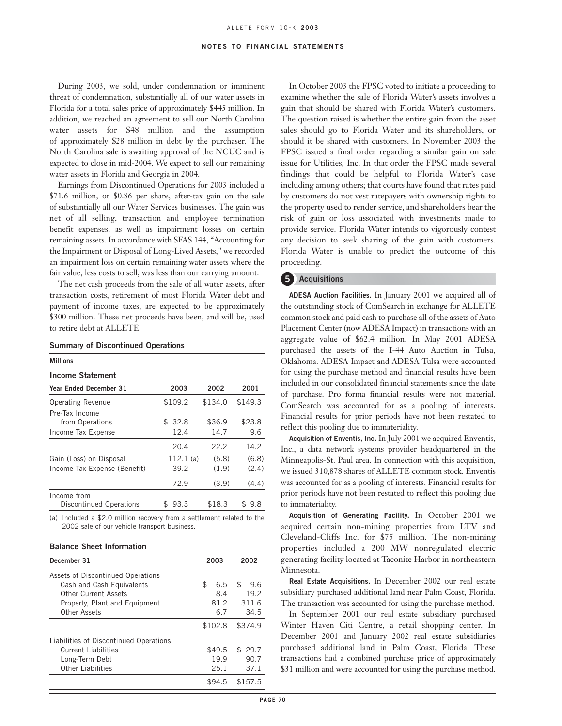During 2003, we sold, under condemnation or imminent threat of condemnation, substantially all of our water assets in Florida for a total sales price of approximately \$445 million. In addition, we reached an agreement to sell our North Carolina water assets for \$48 million and the assumption of approximately \$28 million in debt by the purchaser. The North Carolina sale is awaiting approval of the NCUC and is expected to close in mid-2004. We expect to sell our remaining water assets in Florida and Georgia in 2004.

Earnings from Discontinued Operations for 2003 included a \$71.6 million, or \$0.86 per share, after-tax gain on the sale of substantially all our Water Services businesses. The gain was net of all selling, transaction and employee termination benefit expenses, as well as impairment losses on certain remaining assets. In accordance with SFAS 144, "Accounting for the Impairment or Disposal of Long-Lived Assets," we recorded an impairment loss on certain remaining water assets where the fair value, less costs to sell, was less than our carrying amount.

The net cash proceeds from the sale of all water assets, after transaction costs, retirement of most Florida Water debt and payment of income taxes, are expected to be approximately \$300 million. These net proceeds have been, and will be, used to retire debt at ALLETE.

#### **Summary of Discontinued Operations**

#### **Millions**

#### **Income Statement**

| <b>Year Ended December 31</b>          | 2003      | 2002    | 2001     |
|----------------------------------------|-----------|---------|----------|
| <b>Operating Revenue</b>               | \$109.2   | \$134.0 | \$149.3  |
| Pre-Tax Income<br>from Operations      | \$32.8    | \$36.9  | \$23.8   |
| Income Tax Expense                     | 12.4      | 14.7    | 9.6      |
|                                        | 20.4      | 22.2    | 14.2     |
| Gain (Loss) on Disposal                | 112.1(a)  | (5.8)   | (6.8)    |
| Income Tax Expense (Benefit)           | 39.2      | (1.9)   | (2.4)    |
|                                        | 72.9      | (3.9)   | (4.4)    |
| Income from<br>Discontinued Operations | 93.3<br>S | \$18.3  | S<br>9.8 |

(a) Included a \$2.0 million recovery from a settlement related to the 2002 sale of our vehicle transport business.

### **Balance Sheet Information**

| December 31                            | 2003      | 2002      |
|----------------------------------------|-----------|-----------|
| Assets of Discontinued Operations      |           |           |
| Cash and Cash Equivalents              | \$<br>6.5 | \$<br>9.6 |
| <b>Other Current Assets</b>            | 8.4       | 19.2      |
| Property, Plant and Equipment          | 81.2      | 311.6     |
| Other Assets                           | 6.7       | 34.5      |
|                                        | \$102.8   | \$374.9   |
| Liabilities of Discontinued Operations |           |           |
| <b>Current Liabilities</b>             | \$49.5    | \$29.7    |
| Long-Term Debt                         | 19.9      | 90.7      |
| Other Liabilities                      | 25.1      | 37.1      |
|                                        | \$94.5    | \$157.5   |

In October 2003 the FPSC voted to initiate a proceeding to examine whether the sale of Florida Water's assets involves a gain that should be shared with Florida Water's customers. The question raised is whether the entire gain from the asset sales should go to Florida Water and its shareholders, or should it be shared with customers. In November 2003 the FPSC issued a final order regarding a similar gain on sale issue for Utilities, Inc. In that order the FPSC made several findings that could be helpful to Florida Water's case including among others; that courts have found that rates paid by customers do not vest ratepayers with ownership rights to the property used to render service, and shareholders bear the risk of gain or loss associated with investments made to provide service. Florida Water intends to vigorously contest any decision to seek sharing of the gain with customers. Florida Water is unable to predict the outcome of this proceeding.

## **5 Acquisitions**

**ADESA Auction Facilities.** In January 2001 we acquired all of the outstanding stock of ComSearch in exchange for ALLETE common stock and paid cash to purchase all of the assets of Auto Placement Center (now ADESA Impact) in transactions with an aggregate value of \$62.4 million. In May 2001 ADESA purchased the assets of the I-44 Auto Auction in Tulsa, Oklahoma. ADESA Impact and ADESA Tulsa were accounted for using the purchase method and financial results have been included in our consolidated financial statements since the date of purchase. Pro forma financial results were not material. ComSearch was accounted for as a pooling of interests. Financial results for prior periods have not been restated to reflect this pooling due to immateriality.

**Acquisition of Enventis, Inc.** In July 2001 we acquired Enventis, Inc., a data network systems provider headquartered in the Minneapolis-St. Paul area. In connection with this acquisition, we issued 310,878 shares of ALLETE common stock. Enventis was accounted for as a pooling of interests. Financial results for prior periods have not been restated to reflect this pooling due to immateriality.

**Acquisition of Generating Facility.** In October 2001 we acquired certain non-mining properties from LTV and Cleveland-Cliffs Inc. for \$75 million. The non-mining properties included a 200 MW nonregulated electric generating facility located at Taconite Harbor in northeastern Minnesota.

**Real Estate Acquisitions.** In December 2002 our real estate subsidiary purchased additional land near Palm Coast, Florida. The transaction was accounted for using the purchase method.

In September 2001 our real estate subsidiary purchased Winter Haven Citi Centre, a retail shopping center. In December 2001 and January 2002 real estate subsidiaries purchased additional land in Palm Coast, Florida. These transactions had a combined purchase price of approximately \$31 million and were accounted for using the purchase method.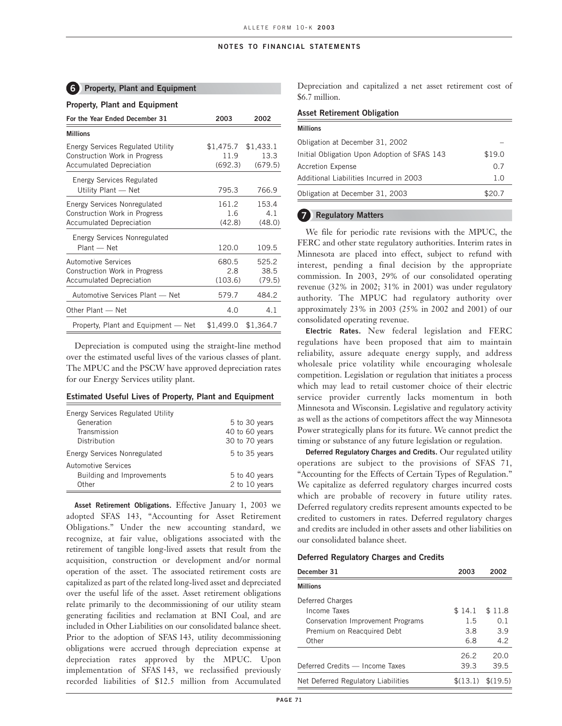## **6 Property, Plant and Equipment**

## **Property, Plant and Equipment**

| For the Year Ended December 31                                                                                      | 2003                                     | 2002                    |
|---------------------------------------------------------------------------------------------------------------------|------------------------------------------|-------------------------|
| <b>Millions</b>                                                                                                     |                                          |                         |
| <b>Energy Services Regulated Utility</b><br><b>Construction Work in Progress</b><br><b>Accumulated Depreciation</b> | $$1,475.7$ $$1,433.1$<br>11.9<br>(692.3) | 13.3<br>(679.5)         |
| Energy Services Regulated<br>Utility Plant - Net                                                                    | 795.3                                    | 766.9                   |
| <b>Energy Services Nonregulated</b><br><b>Construction Work in Progress</b><br><b>Accumulated Depreciation</b>      | 161.2<br>1.6<br>(42.8)                   | 153.4<br>4.1<br>(48.0)  |
| Energy Services Nonregulated<br>Plant - Net                                                                         | 120.0                                    | 109.5                   |
| <b>Automotive Services</b><br>Construction Work in Progress<br><b>Accumulated Depreciation</b>                      | 680.5<br>2.8<br>(103.6)                  | 525.2<br>38.5<br>(79.5) |
| Automotive Services Plant - Net                                                                                     | 579.7                                    | 484.2                   |
| Other Plant - Net                                                                                                   | 4.0                                      | 4.1                     |
| Property, Plant and Equipment — Net                                                                                 | \$1,499.0                                | \$1,364.7               |

Depreciation is computed using the straight-line method over the estimated useful lives of the various classes of plant. The MPUC and the PSCW have approved depreciation rates for our Energy Services utility plant.

#### **Estimated Useful Lives of Property, Plant and Equipment**

| Energy Services Regulated Utility |                |
|-----------------------------------|----------------|
| Generation                        | 5 to 30 years  |
| Transmission                      | 40 to 60 years |
| Distribution                      | 30 to 70 years |
| Energy Services Nonregulated      | 5 to 35 years  |
| Automotive Services               |                |
| Building and Improvements         | 5 to 40 years  |
| Other                             | 2 to 10 years  |
|                                   |                |

**Asset Retirement Obligations.** Effective January 1, 2003 we adopted SFAS 143, "Accounting for Asset Retirement Obligations." Under the new accounting standard, we recognize, at fair value, obligations associated with the retirement of tangible long-lived assets that result from the acquisition, construction or development and/or normal operation of the asset. The associated retirement costs are capitalized as part of the related long-lived asset and depreciated over the useful life of the asset. Asset retirement obligations relate primarily to the decommissioning of our utility steam generating facilities and reclamation at BNI Coal, and are included in Other Liabilities on our consolidated balance sheet. Prior to the adoption of SFAS 143, utility decommissioning obligations were accrued through depreciation expense at depreciation rates approved by the MPUC. Upon implementation of SFAS 143, we reclassified previously recorded liabilities of \$12.5 million from Accumulated

Depreciation and capitalized a net asset retirement cost of \$6.7 million.

#### **Asset Retirement Obligation**

| <b>Millions</b>                              |        |
|----------------------------------------------|--------|
| Obligation at December 31, 2002              |        |
| Initial Obligation Upon Adoption of SFAS 143 | \$19.0 |
| <b>Accretion Expense</b>                     | 07     |
| Additional Liabilities Incurred in 2003      | 1.0    |
| Obligation at December 31, 2003              | \$20.7 |
|                                              |        |

## **7 Regulatory Matters**

We file for periodic rate revisions with the MPUC, the FERC and other state regulatory authorities. Interim rates in Minnesota are placed into effect, subject to refund with interest, pending a final decision by the appropriate commission. In 2003, 29% of our consolidated operating revenue (32% in 2002; 31% in 2001) was under regulatory authority. The MPUC had regulatory authority over approximately 23% in 2003 (25% in 2002 and 2001) of our consolidated operating revenue.

**Electric Rates.** New federal legislation and FERC regulations have been proposed that aim to maintain reliability, assure adequate energy supply, and address wholesale price volatility while encouraging wholesale competition. Legislation or regulation that initiates a process which may lead to retail customer choice of their electric service provider currently lacks momentum in both Minnesota and Wisconsin. Legislative and regulatory activity as well as the actions of competitors affect the way Minnesota Power strategically plans for its future. We cannot predict the timing or substance of any future legislation or regulation.

**Deferred Regulatory Charges and Credits.** Our regulated utility operations are subject to the provisions of SFAS 71, "Accounting for the Effects of Certain Types of Regulation." We capitalize as deferred regulatory charges incurred costs which are probable of recovery in future utility rates. Deferred regulatory credits represent amounts expected to be credited to customers in rates. Deferred regulatory charges and credits are included in other assets and other liabilities on our consolidated balance sheet.

#### **Deferred Regulatory Charges and Credits**

| December 31                              | 2003   | 2002                |
|------------------------------------------|--------|---------------------|
| <b>Millions</b>                          |        |                     |
| Deferred Charges                         |        |                     |
| Income Taxes                             | \$14.1 | \$11.8              |
| <b>Conservation Improvement Programs</b> | 1.5    | 0.1                 |
| Premium on Reacquired Debt               | 3.8    | 3.9                 |
| Other                                    | 6.8    | 4.2                 |
|                                          | 26.2   | 20.0                |
| Deferred Credits - Income Taxes          | 39.3   | 39.5                |
| Net Deferred Regulatory Liabilities      |        | $\$(13.1) \$(19.5)$ |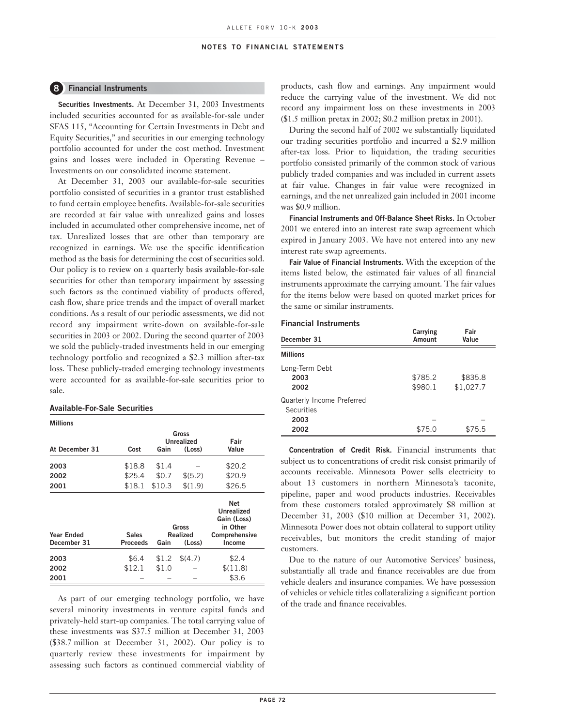#### **8 Financial Instruments**

**Securities Investments.** At December 31, 2003 Investments included securities accounted for as available-for-sale under SFAS 115, "Accounting for Certain Investments in Debt and Equity Securities," and securities in our emerging technology portfolio accounted for under the cost method. Investment gains and losses were included in Operating Revenue – Investments on our consolidated income statement.

At December 31, 2003 our available-for-sale securities portfolio consisted of securities in a grantor trust established to fund certain employee benefits. Available-for-sale securities are recorded at fair value with unrealized gains and losses included in accumulated other comprehensive income, net of tax. Unrealized losses that are other than temporary are recognized in earnings. We use the specific identification method as the basis for determining the cost of securities sold. Our policy is to review on a quarterly basis available-for-sale securities for other than temporary impairment by assessing such factors as the continued viability of products offered, cash flow, share price trends and the impact of overall market conditions. As a result of our periodic assessments, we did not record any impairment write-down on available-for-sale securities in 2003 or 2002. During the second quarter of 2003 we sold the publicly-traded investments held in our emerging technology portfolio and recognized a \$2.3 million after-tax loss. These publicly-traded emerging technology investments were accounted for as available-for-sale securities prior to sale.

#### **Available-For-Sale Securities**

**Millions Gross Unrealized** Fair<br> **Gain** (Loss) Value At December 31 Cost **2003** \$18.8 \$1.4 − \$20.2 **2002** \$25.4 \$0.7 \$(5.2) \$20.9 **2001** \$18.1 \$10.3 \$(1.9) \$26.5 **Net Unrealized Gain (Loss) Gross** in Other<br>Realized Comprehens **Year Ended** Sales Realized Comprehensive<br> **December 31** Proceeds Gain (Loss) Income **December 31 Proceeds Gain (Loss) Income 2003** \$6.4 \$1.2 \$(4.7) \$2.4 **2002** \$12.1 \$1.0 − \$(11.8) **2001** − − − \$3.6

As part of our emerging technology portfolio, we have several minority investments in venture capital funds and privately-held start-up companies. The total carrying value of these investments was \$37.5 million at December 31, 2003 (\$38.7 million at December 31, 2002). Our policy is to quarterly review these investments for impairment by assessing such factors as continued commercial viability of products, cash flow and earnings. Any impairment would reduce the carrying value of the investment. We did not record any impairment loss on these investments in 2003 (\$1.5 million pretax in 2002; \$0.2 million pretax in 2001).

During the second half of 2002 we substantially liquidated our trading securities portfolio and incurred a \$2.9 million after-tax loss. Prior to liquidation, the trading securities portfolio consisted primarily of the common stock of various publicly traded companies and was included in current assets at fair value. Changes in fair value were recognized in earnings, and the net unrealized gain included in 2001 income was \$0.9 million.

**Financial Instruments and Off-Balance Sheet Risks.** In October 2001 we entered into an interest rate swap agreement which expired in January 2003. We have not entered into any new interest rate swap agreements.

**Fair Value of Financial Instruments.** With the exception of the items listed below, the estimated fair values of all financial instruments approximate the carrying amount. The fair values for the items below were based on quoted market prices for the same or similar instruments.

#### **Financial Instruments**

| December 31                                                     | Carrying<br>Amount | Fair<br>Value        |
|-----------------------------------------------------------------|--------------------|----------------------|
| <b>Millions</b>                                                 |                    |                      |
| Long-Term Debt<br>2003<br>2002                                  | \$785.2<br>\$980.1 | \$835.8<br>\$1,027.7 |
| <b>Quarterly Income Preferred</b><br>Securities<br>2003<br>2002 | \$75.0             | \$75.5               |

**Concentration of Credit Risk.** Financial instruments that subject us to concentrations of credit risk consist primarily of accounts receivable. Minnesota Power sells electricity to about 13 customers in northern Minnesota's taconite, pipeline, paper and wood products industries. Receivables from these customers totaled approximately \$8 million at December 31, 2003 (\$10 million at December 31, 2002). Minnesota Power does not obtain collateral to support utility receivables, but monitors the credit standing of major customers.

Due to the nature of our Automotive Services' business, substantially all trade and finance receivables are due from vehicle dealers and insurance companies. We have possession of vehicles or vehicle titles collateralizing a significant portion of the trade and finance receivables.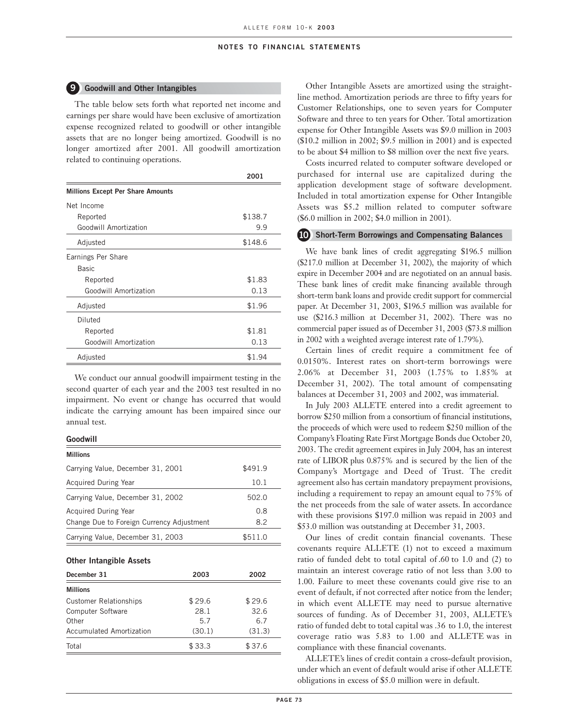### **9 Goodwill and Other Intangibles**

The table below sets forth what reported net income and earnings per share would have been exclusive of amortization expense recognized related to goodwill or other intangible assets that are no longer being amortized. Goodwill is no longer amortized after 2001. All goodwill amortization related to continuing operations.

|                                          | 2001    |
|------------------------------------------|---------|
| <b>Millions Except Per Share Amounts</b> |         |
| Net Income                               |         |
| Reported                                 | \$138.7 |
| Goodwill Amortization                    | 9.9     |
| Adjusted                                 | \$148.6 |
| Earnings Per Share                       |         |
| <b>Basic</b>                             |         |
| Reported                                 | \$1.83  |
| Goodwill Amortization                    | 0.13    |
| Adjusted                                 | \$1.96  |
| Diluted                                  |         |
| Reported                                 | \$1.81  |
| Goodwill Amortization                    | 0.13    |
| Adjusted                                 | \$1.94  |

We conduct our annual goodwill impairment testing in the second quarter of each year and the 2003 test resulted in no impairment. No event or change has occurred that would indicate the carrying amount has been impaired since our annual test.

## **Goodwill**

| <b>Millions</b>                           |         |
|-------------------------------------------|---------|
| Carrying Value, December 31, 2001         | \$491.9 |
| <b>Acquired During Year</b>               | 10.1    |
| Carrying Value, December 31, 2002         | 502.0   |
| <b>Acquired During Year</b>               | 0.8     |
| Change Due to Foreign Currency Adjustment | 8.2     |
| Carrying Value, December 31, 2003         | \$511.0 |

#### **Other Intangible Assets**

| December 31                   | 2003   | 2002   |
|-------------------------------|--------|--------|
| <b>Millions</b>               |        |        |
| <b>Customer Relationships</b> | \$29.6 | \$29.6 |
| Computer Software             | 28.1   | 32.6   |
| Other                         | 5.7    | 6.7    |
| Accumulated Amortization      | (30.1) | (31.3) |
| Total                         | \$33.3 | \$37.6 |

Other Intangible Assets are amortized using the straightline method. Amortization periods are three to fifty years for Customer Relationships, one to seven years for Computer Software and three to ten years for Other. Total amortization expense for Other Intangible Assets was \$9.0 million in 2003 (\$10.2 million in 2002; \$9.5 million in 2001) and is expected to be about \$4 million to \$8 million over the next five years.

Costs incurred related to computer software developed or purchased for internal use are capitalized during the application development stage of software development. Included in total amortization expense for Other Intangible Assets was \$5.2 million related to computer software (\$6.0 million in 2002; \$4.0 million in 2001).

### **10 Short-Term Borrowings and Compensating Balances**

We have bank lines of credit aggregating \$196.5 million (\$217.0 million at December 31, 2002), the majority of which expire in December 2004 and are negotiated on an annual basis. These bank lines of credit make financing available through short-term bank loans and provide credit support for commercial paper. At December 31, 2003, \$196.5 million was available for use (\$216.3 million at December 31, 2002). There was no commercial paper issued as of December 31, 2003 (\$73.8 million in 2002 with a weighted average interest rate of 1.79%).

Certain lines of credit require a commitment fee of 0.0150%. Interest rates on short-term borrowings were 2.06% at December 31, 2003 (1.75% to 1.85% at December 31, 2002). The total amount of compensating balances at December 31, 2003 and 2002, was immaterial.

In July 2003 ALLETE entered into a credit agreement to borrow \$250 million from a consortium of financial institutions, the proceeds of which were used to redeem \$250 million of the Company's Floating Rate First Mortgage Bonds due October 20, 2003. The credit agreement expires in July 2004, has an interest rate of LIBOR plus 0.875% and is secured by the lien of the Company's Mortgage and Deed of Trust. The credit agreement also has certain mandatory prepayment provisions, including a requirement to repay an amount equal to 75% of the net proceeds from the sale of water assets. In accordance with these provisions \$197.0 million was repaid in 2003 and \$53.0 million was outstanding at December 31, 2003.

Our lines of credit contain financial covenants. These covenants require ALLETE (1) not to exceed a maximum ratio of funded debt to total capital of .60 to 1.0 and (2) to maintain an interest coverage ratio of not less than 3.00 to 1.00. Failure to meet these covenants could give rise to an event of default, if not corrected after notice from the lender; in which event ALLETE may need to pursue alternative sources of funding. As of December 31, 2003, ALLETE's ratio of funded debt to total capital was .36 to 1.0, the interest coverage ratio was 5.83 to 1.00 and ALLETE was in compliance with these financial covenants.

ALLETE's lines of credit contain a cross-default provision, under which an event of default would arise if other ALLETE obligations in excess of \$5.0 million were in default.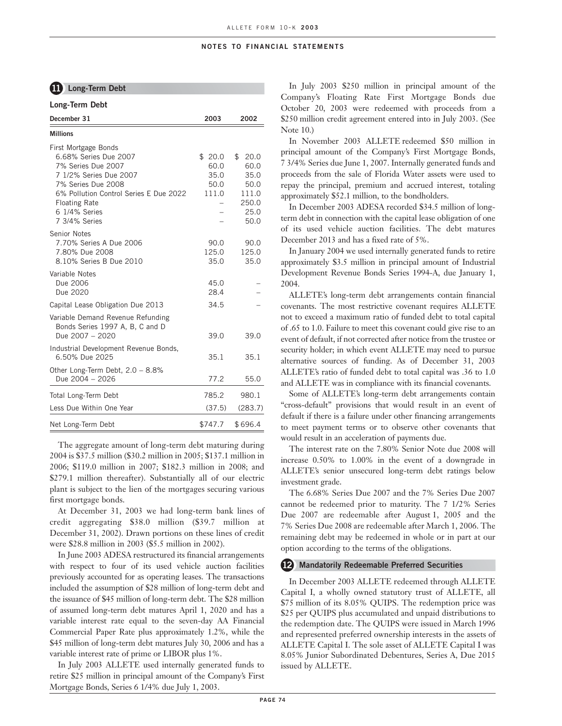## **11 Long-Term Debt**

| Long-Term Debt                                                                                                                                                                                                          |                                         |                                                                              |
|-------------------------------------------------------------------------------------------------------------------------------------------------------------------------------------------------------------------------|-----------------------------------------|------------------------------------------------------------------------------|
| December 31                                                                                                                                                                                                             | 2003                                    | 2002                                                                         |
| <b>Millions</b>                                                                                                                                                                                                         |                                         |                                                                              |
| First Mortgage Bonds<br>6.68% Series Due 2007<br>7% Series Due 2007<br>7 1/2% Series Due 2007<br>7% Series Due 2008<br>6% Pollution Control Series E Due 2022<br><b>Floating Rate</b><br>6 1/4% Series<br>7 3/4% Series | \$20.0<br>60.0<br>35.0<br>50.0<br>111.0 | $^{\circ}$<br>20.0<br>60.0<br>35.0<br>50.0<br>111.0<br>250.0<br>25.0<br>50.0 |
| Senior Notes<br>7.70% Series A Due 2006<br>7.80% Due 2008<br>8.10% Series B Due 2010                                                                                                                                    | 90.0<br>125.0<br>35.0                   | 90.0<br>125.0<br>35.0                                                        |
| Variable Notes<br>Due 2006<br>Due 2020                                                                                                                                                                                  | 45.0<br>28.4                            |                                                                              |
| Capital Lease Obligation Due 2013                                                                                                                                                                                       | 34.5                                    |                                                                              |
| Variable Demand Revenue Refunding<br>Bonds Series 1997 A, B, C and D<br>Due 2007 - 2020                                                                                                                                 | 39.0                                    | 39.0                                                                         |
| Industrial Development Revenue Bonds,<br>6.50% Due 2025                                                                                                                                                                 | 35.1                                    | 35.1                                                                         |
| Other Long-Term Debt, 2.0 - 8.8%<br>Due 2004 - 2026                                                                                                                                                                     | 77.2                                    | 55.0                                                                         |
| Total Long-Term Debt                                                                                                                                                                                                    | 785.2                                   | 980.1                                                                        |
| Less Due Within One Year                                                                                                                                                                                                | (37.5)                                  | (283.7)                                                                      |
| Net Long-Term Debt                                                                                                                                                                                                      | \$747.7                                 | \$696.4                                                                      |

The aggregate amount of long-term debt maturing during 2004 is \$37.5 million (\$30.2 million in 2005; \$137.1 million in 2006; \$119.0 million in 2007; \$182.3 million in 2008; and \$279.1 million thereafter). Substantially all of our electric plant is subject to the lien of the mortgages securing various first mortgage bonds.

At December 31, 2003 we had long-term bank lines of credit aggregating \$38.0 million (\$39.7 million at December 31, 2002). Drawn portions on these lines of credit were \$28.8 million in 2003 (\$5.5 million in 2002).

In June 2003 ADESA restructured its financial arrangements with respect to four of its used vehicle auction facilities previously accounted for as operating leases. The transactions included the assumption of \$28 million of long-term debt and the issuance of \$45 million of long-term debt. The \$28 million of assumed long-term debt matures April 1, 2020 and has a variable interest rate equal to the seven-day AA Financial Commercial Paper Rate plus approximately 1.2%, while the \$45 million of long-term debt matures July 30, 2006 and has a variable interest rate of prime or LIBOR plus 1%.

In July 2003 ALLETE used internally generated funds to retire \$25 million in principal amount of the Company's First Mortgage Bonds, Series 6 1/4% due July 1, 2003.

In July 2003 \$250 million in principal amount of the Company's Floating Rate First Mortgage Bonds due October 20, 2003 were redeemed with proceeds from a \$250 million credit agreement entered into in July 2003. (See Note 10.)

In November 2003 ALLETE redeemed \$50 million in principal amount of the Company's First Mortgage Bonds, 7 3/4% Series due June 1, 2007. Internally generated funds and proceeds from the sale of Florida Water assets were used to repay the principal, premium and accrued interest, totaling approximately \$52.1 million, to the bondholders.

In December 2003 ADESA recorded \$34.5 million of longterm debt in connection with the capital lease obligation of one of its used vehicle auction facilities. The debt matures December 2013 and has a fixed rate of 5%.

In January 2004 we used internally generated funds to retire approximately \$3.5 million in principal amount of Industrial Development Revenue Bonds Series 1994-A, due January 1, 2004.

ALLETE's long-term debt arrangements contain financial covenants. The most restrictive covenant requires ALLETE not to exceed a maximum ratio of funded debt to total capital of .65 to 1.0. Failure to meet this covenant could give rise to an event of default, if not corrected after notice from the trustee or security holder; in which event ALLETE may need to pursue alternative sources of funding. As of December 31, 2003 ALLETE's ratio of funded debt to total capital was .36 to 1.0 and ALLETE was in compliance with its financial covenants.

Some of ALLETE's long-term debt arrangements contain "cross-default" provisions that would result in an event of default if there is a failure under other financing arrangements to meet payment terms or to observe other covenants that would result in an acceleration of payments due.

The interest rate on the 7.80% Senior Note due 2008 will increase 0.50% to 1.00% in the event of a downgrade in ALLETE's senior unsecured long-term debt ratings below investment grade.

The 6.68% Series Due 2007 and the 7% Series Due 2007 cannot be redeemed prior to maturity. The 7 1/2% Series Due 2007 are redeemable after August 1, 2005 and the 7% Series Due 2008 are redeemable after March 1, 2006. The remaining debt may be redeemed in whole or in part at our option according to the terms of the obligations.

### **12 Mandatorily Redeemable Preferred Securities**

In December 2003 ALLETE redeemed through ALLETE Capital I, a wholly owned statutory trust of ALLETE, all \$75 million of its 8.05% QUIPS. The redemption price was \$25 per QUIPS plus accumulated and unpaid distributions to the redemption date. The QUIPS were issued in March 1996 and represented preferred ownership interests in the assets of ALLETE Capital I. The sole asset of ALLETE Capital I was 8.05% Junior Subordinated Debentures, Series A, Due 2015 issued by ALLETE.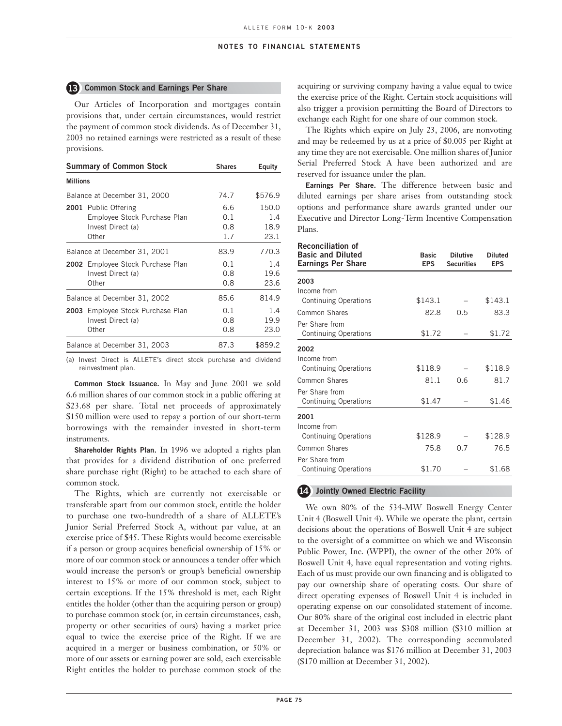#### **13 Common Stock and Earnings Per Share**

Our Articles of Incorporation and mortgages contain provisions that, under certain circumstances, would restrict the payment of common stock dividends. As of December 31, 2003 no retained earnings were restricted as a result of these provisions.

|                 | <b>Summary of Common Stock</b>                                                     | <b>Shares</b>            | Equity                       |
|-----------------|------------------------------------------------------------------------------------|--------------------------|------------------------------|
| <b>Millions</b> |                                                                                    |                          |                              |
|                 | Balance at December 31, 2000                                                       | 74.7                     | \$576.9                      |
|                 | 2001 Public Offering<br>Employee Stock Purchase Plan<br>Invest Direct (a)<br>Other | 6.6<br>0.1<br>0.8<br>1.7 | 150.0<br>1.4<br>18.9<br>23.1 |
|                 | Balance at December 31, 2001                                                       | 83.9                     | 770.3                        |
|                 | 2002 Employee Stock Purchase Plan<br>Invest Direct (a)<br>Other                    | 0.1<br>0.8<br>0.8        | 1.4<br>19.6<br>23.6          |
|                 | Balance at December 31, 2002                                                       | 85.6                     | 814.9                        |
|                 | 2003 Employee Stock Purchase Plan<br>Invest Direct (a)<br>Other                    | 0.1<br>0.8<br>0.8        | 1.4<br>19.9<br>23.0          |
|                 | Balance at December 31, 2003                                                       | 87.3                     | \$859.2                      |

(a) Invest Direct is ALLETE's direct stock purchase and dividend reinvestment plan.

**Common Stock Issuance.** In May and June 2001 we sold 6.6 million shares of our common stock in a public offering at \$23.68 per share. Total net proceeds of approximately \$150 million were used to repay a portion of our short-term borrowings with the remainder invested in short-term instruments.

**Shareholder Rights Plan.** In 1996 we adopted a rights plan that provides for a dividend distribution of one preferred share purchase right (Right) to be attached to each share of common stock.

The Rights, which are currently not exercisable or transferable apart from our common stock, entitle the holder to purchase one two-hundredth of a share of ALLETE's Junior Serial Preferred Stock A, without par value, at an exercise price of \$45. These Rights would become exercisable if a person or group acquires beneficial ownership of 15% or more of our common stock or announces a tender offer which would increase the person's or group's beneficial ownership interest to 15% or more of our common stock, subject to certain exceptions. If the 15% threshold is met, each Right entitles the holder (other than the acquiring person or group) to purchase common stock (or, in certain circumstances, cash, property or other securities of ours) having a market price equal to twice the exercise price of the Right. If we are acquired in a merger or business combination, or 50% or more of our assets or earning power are sold, each exercisable Right entitles the holder to purchase common stock of the

acquiring or surviving company having a value equal to twice the exercise price of the Right. Certain stock acquisitions will also trigger a provision permitting the Board of Directors to exchange each Right for one share of our common stock.

The Rights which expire on July 23, 2006, are nonvoting and may be redeemed by us at a price of \$0.005 per Right at any time they are not exercisable. One million shares of Junior Serial Preferred Stock A have been authorized and are reserved for issuance under the plan.

**Earnings Per Share.** The difference between basic and diluted earnings per share arises from outstanding stock options and performance share awards granted under our Executive and Director Long-Term Incentive Compensation Plans.

| <b>Reconciliation of</b><br><b>Basic and Diluted</b><br><b>Earnings Per Share</b> | <b>Basic</b><br><b>EPS</b> | <b>Dilutive</b><br><b>Securities</b> | Diluted<br><b>EPS</b> |
|-----------------------------------------------------------------------------------|----------------------------|--------------------------------------|-----------------------|
| 2003                                                                              |                            |                                      |                       |
| Income from                                                                       |                            |                                      |                       |
| <b>Continuing Operations</b>                                                      | \$143.1                    |                                      | \$143.1               |
| Common Shares                                                                     | 82.8                       | 0.5                                  | 83.3                  |
| Per Share from                                                                    |                            |                                      |                       |
| <b>Continuing Operations</b>                                                      | \$1.72                     |                                      | \$1.72                |
| 2002                                                                              |                            |                                      |                       |
| Income from                                                                       |                            |                                      |                       |
| <b>Continuing Operations</b>                                                      | \$118.9                    |                                      | \$118.9               |
| Common Shares                                                                     | 81.1                       | 0.6                                  | 81.7                  |
| Per Share from                                                                    |                            |                                      |                       |
| <b>Continuing Operations</b>                                                      | \$1.47                     |                                      | \$1.46                |
| 2001                                                                              |                            |                                      |                       |
| Income from                                                                       |                            |                                      |                       |
| <b>Continuing Operations</b>                                                      | \$128.9                    |                                      | \$128.9               |
| Common Shares                                                                     | 75.8                       | 0.7                                  | 76.5                  |
| Per Share from                                                                    |                            |                                      |                       |
| <b>Continuing Operations</b>                                                      | \$1.70                     |                                      | \$1.68                |

## **14 Jointly Owned Electric Facility**

We own 80% of the 534-MW Boswell Energy Center Unit 4 (Boswell Unit 4). While we operate the plant, certain decisions about the operations of Boswell Unit 4 are subject to the oversight of a committee on which we and Wisconsin Public Power, Inc. (WPPI), the owner of the other 20% of Boswell Unit 4, have equal representation and voting rights. Each of us must provide our own financing and is obligated to pay our ownership share of operating costs. Our share of direct operating expenses of Boswell Unit 4 is included in operating expense on our consolidated statement of income. Our 80% share of the original cost included in electric plant at December 31, 2003 was \$308 million (\$310 million at December 31, 2002). The corresponding accumulated depreciation balance was \$176 million at December 31, 2003 (\$170 million at December 31, 2002).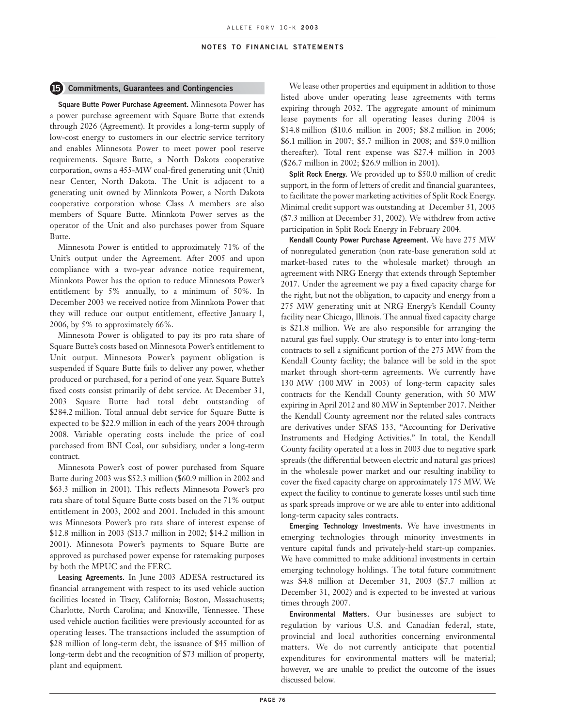#### **15 Commitments, Guarantees and Contingencies**

**Square Butte Power Purchase Agreement.** Minnesota Power has a power purchase agreement with Square Butte that extends through 2026 (Agreement). It provides a long-term supply of low-cost energy to customers in our electric service territory and enables Minnesota Power to meet power pool reserve requirements. Square Butte, a North Dakota cooperative corporation, owns a 455-MW coal-fired generating unit (Unit) near Center, North Dakota. The Unit is adjacent to a generating unit owned by Minnkota Power, a North Dakota cooperative corporation whose Class A members are also members of Square Butte. Minnkota Power serves as the operator of the Unit and also purchases power from Square Butte.

Minnesota Power is entitled to approximately 71% of the Unit's output under the Agreement. After 2005 and upon compliance with a two-year advance notice requirement, Minnkota Power has the option to reduce Minnesota Power's entitlement by 5% annually, to a minimum of 50%. In December 2003 we received notice from Minnkota Power that they will reduce our output entitlement, effective January 1, 2006, by 5% to approximately 66%.

Minnesota Power is obligated to pay its pro rata share of Square Butte's costs based on Minnesota Power's entitlement to Unit output. Minnesota Power's payment obligation is suspended if Square Butte fails to deliver any power, whether produced or purchased, for a period of one year. Square Butte's fixed costs consist primarily of debt service. At December 31, 2003 Square Butte had total debt outstanding of \$284.2 million. Total annual debt service for Square Butte is expected to be \$22.9 million in each of the years 2004 through 2008. Variable operating costs include the price of coal purchased from BNI Coal, our subsidiary, under a long-term contract.

Minnesota Power's cost of power purchased from Square Butte during 2003 was \$52.3 million (\$60.9 million in 2002 and \$63.3 million in 2001). This reflects Minnesota Power's pro rata share of total Square Butte costs based on the 71% output entitlement in 2003, 2002 and 2001. Included in this amount was Minnesota Power's pro rata share of interest expense of \$12.8 million in 2003 (\$13.7 million in 2002; \$14.2 million in 2001). Minnesota Power's payments to Square Butte are approved as purchased power expense for ratemaking purposes by both the MPUC and the FERC.

**Leasing Agreements.** In June 2003 ADESA restructured its financial arrangement with respect to its used vehicle auction facilities located in Tracy, California; Boston, Massachusetts; Charlotte, North Carolina; and Knoxville, Tennessee. These used vehicle auction facilities were previously accounted for as operating leases. The transactions included the assumption of \$28 million of long-term debt, the issuance of \$45 million of long-term debt and the recognition of \$73 million of property, plant and equipment.

We lease other properties and equipment in addition to those listed above under operating lease agreements with terms expiring through 2032. The aggregate amount of minimum lease payments for all operating leases during 2004 is \$14.8 million (\$10.6 million in 2005; \$8.2 million in 2006; \$6.1 million in 2007; \$5.7 million in 2008; and \$59.0 million thereafter). Total rent expense was \$27.4 million in 2003 (\$26.7 million in 2002; \$26.9 million in 2001).

**Split Rock Energy.** We provided up to \$50.0 million of credit support, in the form of letters of credit and financial guarantees, to facilitate the power marketing activities of Split Rock Energy. Minimal credit support was outstanding at December 31, 2003 (\$7.3 million at December 31, 2002). We withdrew from active participation in Split Rock Energy in February 2004.

**Kendall County Power Purchase Agreement.** We have 275 MW of nonregulated generation (non rate-base generation sold at market-based rates to the wholesale market) through an agreement with NRG Energy that extends through September 2017. Under the agreement we pay a fixed capacity charge for the right, but not the obligation, to capacity and energy from a 275 MW generating unit at NRG Energy's Kendall County facility near Chicago, Illinois. The annual fixed capacity charge is \$21.8 million. We are also responsible for arranging the natural gas fuel supply. Our strategy is to enter into long-term contracts to sell a significant portion of the 275 MW from the Kendall County facility; the balance will be sold in the spot market through short-term agreements. We currently have 130 MW (100 MW in 2003) of long-term capacity sales contracts for the Kendall County generation, with 50 MW expiring in April 2012 and 80 MW in September 2017. Neither the Kendall County agreement nor the related sales contracts are derivatives under SFAS 133, "Accounting for Derivative Instruments and Hedging Activities." In total, the Kendall County facility operated at a loss in 2003 due to negative spark spreads (the differential between electric and natural gas prices) in the wholesale power market and our resulting inability to cover the fixed capacity charge on approximately 175 MW. We expect the facility to continue to generate losses until such time as spark spreads improve or we are able to enter into additional long-term capacity sales contracts.

**Emerging Technology Investments.** We have investments in emerging technologies through minority investments in venture capital funds and privately-held start-up companies. We have committed to make additional investments in certain emerging technology holdings. The total future commitment was \$4.8 million at December 31, 2003 (\$7.7 million at December 31, 2002) and is expected to be invested at various times through 2007.

**Environmental Matters.** Our businesses are subject to regulation by various U.S. and Canadian federal, state, provincial and local authorities concerning environmental matters. We do not currently anticipate that potential expenditures for environmental matters will be material; however, we are unable to predict the outcome of the issues discussed below.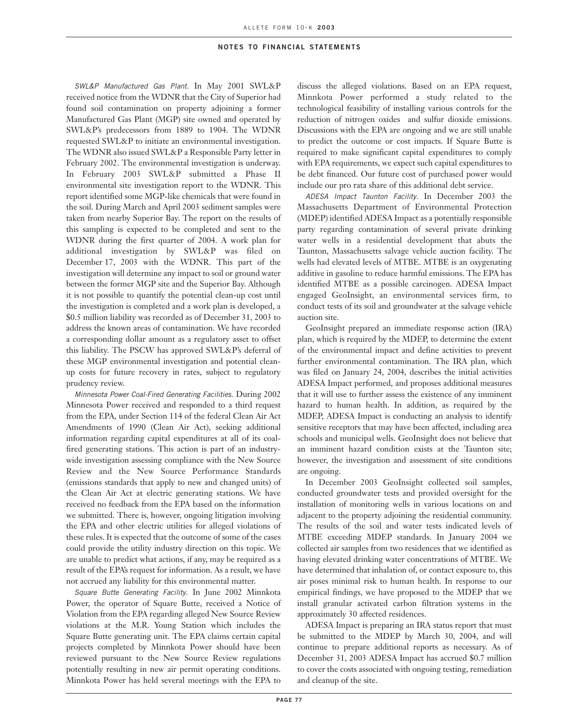SWL&P Manufactured Gas Plant. In May 2001 SWL&P received notice from the WDNR that the City of Superior had found soil contamination on property adjoining a former Manufactured Gas Plant (MGP) site owned and operated by SWL&P's predecessors from 1889 to 1904. The WDNR requested SWL&P to initiate an environmental investigation. The WDNR also issued SWL&P a Responsible Party letter in February 2002. The environmental investigation is underway. In February 2003 SWL&P submitted a Phase II environmental site investigation report to the WDNR. This report identified some MGP-like chemicals that were found in the soil. During March and April 2003 sediment samples were taken from nearby Superior Bay. The report on the results of this sampling is expected to be completed and sent to the WDNR during the first quarter of 2004. A work plan for additional investigation by SWL&P was filed on December 17, 2003 with the WDNR. This part of the investigation will determine any impact to soil or ground water between the former MGP site and the Superior Bay. Although it is not possible to quantify the potential clean-up cost until the investigation is completed and a work plan is developed, a \$0.5 million liability was recorded as of December 31, 2003 to address the known areas of contamination. We have recorded a corresponding dollar amount as a regulatory asset to offset this liability. The PSCW has approved SWL&P's deferral of these MGP environmental investigation and potential cleanup costs for future recovery in rates, subject to regulatory prudency review.

Minnesota Power Coal-Fired Generating Facilities. During 2002 Minnesota Power received and responded to a third request from the EPA, under Section 114 of the federal Clean Air Act Amendments of 1990 (Clean Air Act), seeking additional information regarding capital expenditures at all of its coalfired generating stations. This action is part of an industrywide investigation assessing compliance with the New Source Review and the New Source Performance Standards (emissions standards that apply to new and changed units) of the Clean Air Act at electric generating stations. We have received no feedback from the EPA based on the information we submitted. There is, however, ongoing litigation involving the EPA and other electric utilities for alleged violations of these rules. It is expected that the outcome of some of the cases could provide the utility industry direction on this topic. We are unable to predict what actions, if any, may be required as a result of the EPA's request for information. As a result, we have not accrued any liability for this environmental matter.

Square Butte Generating Facility. In June 2002 Minnkota Power, the operator of Square Butte, received a Notice of Violation from the EPA regarding alleged New Source Review violations at the M.R. Young Station which includes the Square Butte generating unit. The EPA claims certain capital projects completed by Minnkota Power should have been reviewed pursuant to the New Source Review regulations potentially resulting in new air permit operating conditions. Minnkota Power has held several meetings with the EPA to

discuss the alleged violations. Based on an EPA request, Minnkota Power performed a study related to the technological feasibility of installing various controls for the reduction of nitrogen oxides and sulfur dioxide emissions. Discussions with the EPA are ongoing and we are still unable to predict the outcome or cost impacts. If Square Butte is required to make significant capital expenditures to comply with EPA requirements, we expect such capital expenditures to be debt financed. Our future cost of purchased power would include our pro rata share of this additional debt service.

ADESA Impact Taunton Facility. In December 2003 the Massachusetts Department of Environmental Protection (MDEP) identified ADESA Impact as a potentially responsible party regarding contamination of several private drinking water wells in a residential development that abuts the Taunton, Massachusetts salvage vehicle auction facility. The wells had elevated levels of MTBE. MTBE is an oxygenating additive in gasoline to reduce harmful emissions. The EPA has identified MTBE as a possible carcinogen. ADESA Impact engaged GeoInsight, an environmental services firm, to conduct tests of its soil and groundwater at the salvage vehicle auction site.

GeoInsight prepared an immediate response action (IRA) plan, which is required by the MDEP, to determine the extent of the environmental impact and define activities to prevent further environmental contamination. The IRA plan, which was filed on January 24, 2004, describes the initial activities ADESA Impact performed, and proposes additional measures that it will use to further assess the existence of any imminent hazard to human health. In addition, as required by the MDEP, ADESA Impact is conducting an analysis to identify sensitive receptors that may have been affected, including area schools and municipal wells. GeoInsight does not believe that an imminent hazard condition exists at the Taunton site; however, the investigation and assessment of site conditions are ongoing.

In December 2003 GeoInsight collected soil samples, conducted groundwater tests and provided oversight for the installation of monitoring wells in various locations on and adjacent to the property adjoining the residential community. The results of the soil and water tests indicated levels of MTBE exceeding MDEP standards. In January 2004 we collected air samples from two residences that we identified as having elevated drinking water concentrations of MTBE. We have determined that inhalation of, or contact exposure to, this air poses minimal risk to human health. In response to our empirical findings, we have proposed to the MDEP that we install granular activated carbon filtration systems in the approximately 30 affected residences.

ADESA Impact is preparing an IRA status report that must be submitted to the MDEP by March 30, 2004, and will continue to prepare additional reports as necessary. As of December 31, 2003 ADESA Impact has accrued \$0.7 million to cover the costs associated with ongoing testing, remediation and cleanup of the site.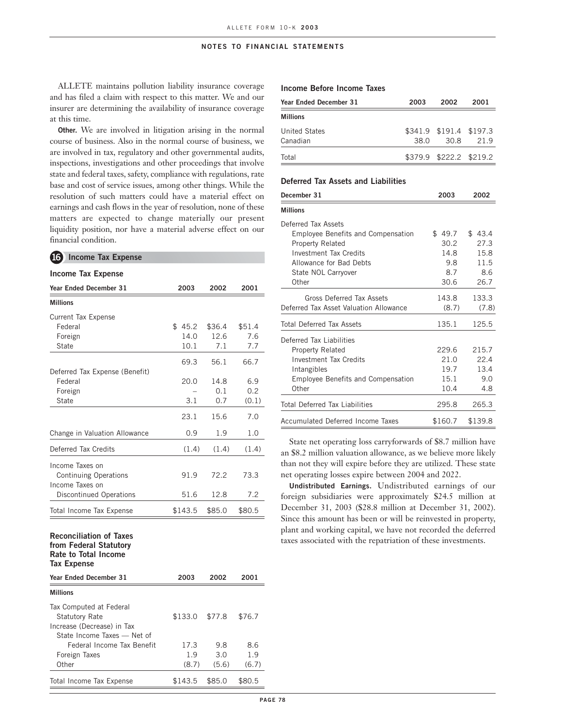ALLETE maintains pollution liability insurance coverage and has filed a claim with respect to this matter. We and our insurer are determining the availability of insurance coverage at this time.

**Other.** We are involved in litigation arising in the normal course of business. Also in the normal course of business, we are involved in tax, regulatory and other governmental audits, inspections, investigations and other proceedings that involve state and federal taxes, safety, compliance with regulations, rate base and cost of service issues, among other things. While the resolution of such matters could have a material effect on earnings and cash flows in the year of resolution, none of these matters are expected to change materially our present liquidity position, nor have a material adverse effect on our financial condition.

## **16 Income Tax Expense**

#### **Income Tax Expense**

| <b>Year Ended December 31</b>                                                                          | 2003    | 2002   | 2001   |
|--------------------------------------------------------------------------------------------------------|---------|--------|--------|
| <b>Millions</b>                                                                                        |         |        |        |
| <b>Current Tax Expense</b>                                                                             |         |        |        |
| Federal                                                                                                | \$45.2  | \$36.4 | \$51.4 |
| Foreign                                                                                                | 14.0    | 12.6   | 7.6    |
| <b>State</b>                                                                                           | 10.1    | 7.1    | 7.7    |
|                                                                                                        | 69.3    | 56.1   | 66.7   |
| Deferred Tax Expense (Benefit)                                                                         |         |        |        |
| Federal                                                                                                | 20.0    | 14.8   | 6.9    |
| Foreign                                                                                                |         | 0.1    | 0.2    |
| <b>State</b>                                                                                           | 3.1     | 0.7    | (0.1)  |
|                                                                                                        | 23.1    | 15.6   | 7.0    |
| Change in Valuation Allowance                                                                          | 0.9     | 1.9    | 1.0    |
| Deferred Tax Credits                                                                                   | (1.4)   | (1.4)  | (1.4)  |
| Income Taxes on                                                                                        |         |        |        |
| <b>Continuing Operations</b>                                                                           | 91.9    | 72.2   | 73.3   |
| Income Taxes on                                                                                        |         |        |        |
| <b>Discontinued Operations</b>                                                                         | 51.6    | 12.8   | 7.2    |
| Total Income Tax Expense                                                                               | \$143.5 | \$85.0 | \$80.5 |
| <b>Reconciliation of Taxes</b><br>from Federal Statutory<br>Rate to Total Income<br><b>Tax Expense</b> |         |        |        |
| Year Ended December 31                                                                                 | 2003    | 2002   | 2001   |
| <b>Millions</b>                                                                                        |         |        |        |
| Tax Computed at Federal                                                                                |         |        |        |
| <b>Statutory Rate</b>                                                                                  | \$133.0 | \$77.8 | \$76.7 |
| Increase (Decrease) in Tax                                                                             |         |        |        |
| State Income Taxes - Net of                                                                            |         |        |        |
| Federal Income Tax Benefit                                                                             | 17.3    | 9.8    | 8.6    |

Foreign Taxes 1.9 3.0 1.9 Other (8.7) (5.6) (6.7) Total Income Tax Expense  $$143.5$  \$85.0 \$80.5

### **Income Before Income Taxes**

| Year Ended December 31 | 2003 | 2002                    | 2001 |
|------------------------|------|-------------------------|------|
| <b>Millions</b>        |      |                         |      |
| <b>United States</b>   |      | \$341.9 \$191.4 \$197.3 |      |
| Canadian               | 38.0 | 30.8                    | 21.9 |
| Total                  |      | \$379.9 \$222.2 \$219.2 |      |

#### **Deferred Tax Assets and Liabilities**

| December 31                               | 2003    | 2002    |
|-------------------------------------------|---------|---------|
| <b>Millions</b>                           |         |         |
| Deferred Tax Assets                       |         |         |
| <b>Employee Benefits and Compensation</b> | \$49.7  | \$43.4  |
| <b>Property Related</b>                   | 30.2    | 27.3    |
| <b>Investment Tax Credits</b>             | 14.8    | 15.8    |
| Allowance for Bad Debts                   | 9.8     | 11.5    |
| State NOL Carryover                       | 8.7     | 8.6     |
| Other                                     | 30.6    | 26.7    |
| Gross Deferred Tax Assets                 | 143.8   | 133.3   |
| Deferred Tax Asset Valuation Allowance    | (8.7)   | (7.8)   |
| Total Deferred Tax Assets                 | 135.1   | 125.5   |
| Deferred Tax Liabilities                  |         |         |
| <b>Property Related</b>                   | 229.6   | 215.7   |
| <b>Investment Tax Credits</b>             | 21.0    | 22.4    |
| Intangibles                               | 19.7    | 13.4    |
| <b>Employee Benefits and Compensation</b> | 15.1    | 9.0     |
| Other                                     | 10.4    | 4.8     |
| <b>Total Deferred Tax Liabilities</b>     | 295.8   | 265.3   |
| Accumulated Deferred Income Taxes         | \$160.7 | \$139.8 |

State net operating loss carryforwards of \$8.7 million have an \$8.2 million valuation allowance, as we believe more likely than not they will expire before they are utilized. These state net operating losses expire between 2004 and 2022.

**Undistributed Earnings.** Undistributed earnings of our foreign subsidiaries were approximately \$24.5 million at December 31, 2003 (\$28.8 million at December 31, 2002). Since this amount has been or will be reinvested in property, plant and working capital, we have not recorded the deferred taxes associated with the repatriation of these investments.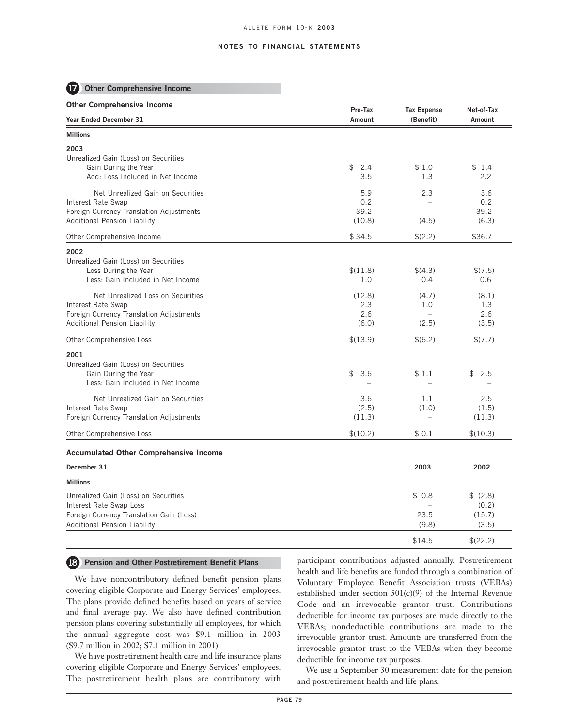## **17 Other Comprehensive Income**

| <b>Other Comprehensive Income</b>                                                                   | Pre-Tax                               | <b>Tax Expense</b> | Net-of-Tax             |
|-----------------------------------------------------------------------------------------------------|---------------------------------------|--------------------|------------------------|
| Year Ended December 31                                                                              | Amount                                | (Benefit)          | Amount                 |
| <b>Millions</b>                                                                                     |                                       |                    |                        |
| 2003<br>Unrealized Gain (Loss) on Securities                                                        |                                       |                    |                        |
| Gain During the Year<br>Add: Loss Included in Net Income                                            | \$<br>2.4<br>3.5                      | \$1.0<br>1.3       | \$1.4<br>2.2           |
| Net Unrealized Gain on Securities<br>Interest Rate Swap                                             | 5.9<br>0.2                            | 2.3                | 3.6<br>0.2             |
| Foreign Currency Translation Adjustments<br><b>Additional Pension Liability</b>                     | 39.2<br>(10.8)                        | $\equiv$<br>(4.5)  | 39.2<br>(6.3)          |
| Other Comprehensive Income                                                                          | \$34.5                                | \$(2.2)            | \$36.7                 |
| 2002<br>Unrealized Gain (Loss) on Securities                                                        |                                       |                    |                        |
| Loss During the Year<br>Less: Gain Included in Net Income                                           | \$(11.8)<br>1.0                       | \$(4.3)<br>0.4     | \$(7.5)<br>0.6         |
| Net Unrealized Loss on Securities<br>Interest Rate Swap                                             | (12.8)<br>2.3                         | (4.7)<br>1.0       | (8.1)<br>1.3           |
| Foreign Currency Translation Adjustments<br><b>Additional Pension Liability</b>                     | 2.6<br>(6.0)                          | (2.5)              | 2.6<br>(3.5)           |
| Other Comprehensive Loss                                                                            | \$(13.9)                              | \$(6.2)            | \$(7.7)                |
| 2001                                                                                                |                                       |                    |                        |
| Unrealized Gain (Loss) on Securities<br>Gain During the Year<br>Less: Gain Included in Net Income   | \$<br>3.6<br>$\overline{\phantom{a}}$ | \$1.1<br>$\equiv$  | \$<br>2.5              |
| Net Unrealized Gain on Securities<br>Interest Rate Swap<br>Foreign Currency Translation Adjustments | 3.6<br>(2.5)<br>(11.3)                | 1.1<br>(1.0)       | 2.5<br>(1.5)<br>(11.3) |
| Other Comprehensive Loss                                                                            | \$(10.2)                              | \$0.1              | \$(10.3)               |
| <b>Accumulated Other Comprehensive Income</b>                                                       |                                       |                    |                        |
| December 31                                                                                         |                                       | 2003               | 2002                   |
| <b>Millions</b>                                                                                     |                                       |                    |                        |
| Unrealized Gain (Loss) on Securities<br>Interest Rate Swap Loss                                     |                                       | \$0.8              | \$(2.8)<br>(0.2)       |
| Foreign Currency Translation Gain (Loss)<br><b>Additional Pension Liability</b>                     |                                       | 23.5<br>(9.8)      | (15.7)<br>(3.5)        |
|                                                                                                     |                                       | \$14.5             | \$(22.2)               |

### **18 Pension and Other Postretirement Benefit Plans**

We have noncontributory defined benefit pension plans covering eligible Corporate and Energy Services' employees. The plans provide defined benefits based on years of service and final average pay. We also have defined contribution pension plans covering substantially all employees, for which the annual aggregate cost was \$9.1 million in 2003 (\$9.7 million in 2002; \$7.1 million in 2001).

We have postretirement health care and life insurance plans covering eligible Corporate and Energy Services' employees. The postretirement health plans are contributory with

participant contributions adjusted annually. Postretirement health and life benefits are funded through a combination of Voluntary Employee Benefit Association trusts (VEBAs) established under section 501(c)(9) of the Internal Revenue Code and an irrevocable grantor trust. Contributions deductible for income tax purposes are made directly to the VEBAs; nondeductible contributions are made to the irrevocable grantor trust. Amounts are transferred from the irrevocable grantor trust to the VEBAs when they become deductible for income tax purposes.

We use a September 30 measurement date for the pension and postretirement health and life plans.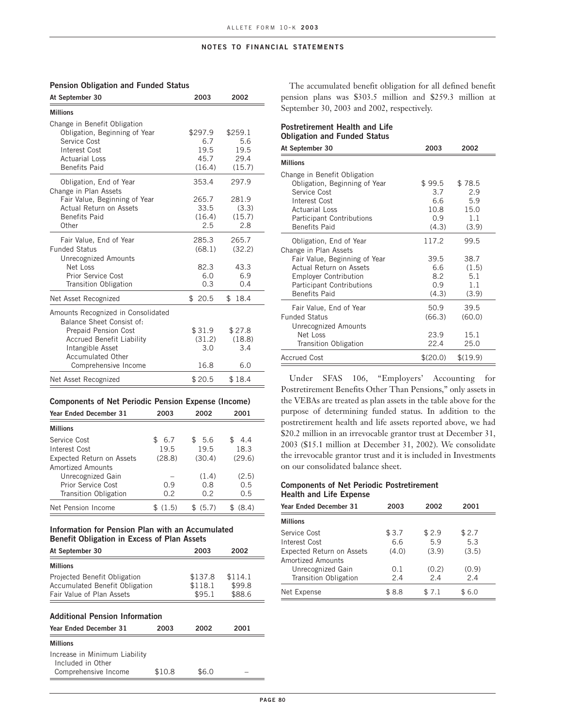| At September 30                                                                                                                                                                                            | 2003                                     | 2002                                     |
|------------------------------------------------------------------------------------------------------------------------------------------------------------------------------------------------------------|------------------------------------------|------------------------------------------|
| <b>Millions</b>                                                                                                                                                                                            |                                          |                                          |
| Change in Benefit Obligation<br>Obligation, Beginning of Year<br>Service Cost<br>Interest Cost<br><b>Actuarial Loss</b><br><b>Benefits Paid</b>                                                            | \$297.9<br>6.7<br>19.5<br>45.7<br>(16.4) | \$259.1<br>5.6<br>19.5<br>29.4<br>(15.7) |
| Obligation, End of Year<br>Change in Plan Assets<br>Fair Value, Beginning of Year<br>Actual Return on Assets<br><b>Benefits Paid</b><br>Other                                                              | 353.4<br>265.7<br>33.5<br>(16.4)<br>2.5  | 297.9<br>281.9<br>(3.3)<br>(15.7)<br>2.8 |
| Fair Value, End of Year<br><b>Funded Status</b><br><b>Unrecognized Amounts</b><br>Net Loss<br>Prior Service Cost<br><b>Transition Obligation</b>                                                           | 285.3<br>(68.1)<br>82.3<br>6.0<br>0.3    | 265.7<br>(32.2)<br>43.3<br>6.9<br>0.4    |
| Net Asset Recognized                                                                                                                                                                                       | \$20.5                                   | \$18.4                                   |
| Amounts Recognized in Consolidated<br>Balance Sheet Consist of:<br><b>Prepaid Pension Cost</b><br><b>Accrued Benefit Liability</b><br>Intangible Asset<br><b>Accumulated Other</b><br>Comprehensive Income | \$31.9<br>(31.2)<br>3.0<br>16.8          | \$27.8<br>(18.8)<br>3.4<br>6.0           |
| Net Asset Recognized                                                                                                                                                                                       | \$20.5                                   | \$18.4                                   |

## **Pension Obligation and Funded Status**

### **Components of Net Periodic Pension Expense (Income)**

| <b>Year Ended December 31</b>    | 2003      | 2002   | 2001   |
|----------------------------------|-----------|--------|--------|
| <b>Millions</b>                  |           |        |        |
| Service Cost                     | 6.7<br>£. | \$5.6  | 4.4    |
| Interest Cost                    | 19.5      | 19.5   | 18.3   |
| <b>Expected Return on Assets</b> | (28.8)    | (30.4) | (29.6) |
| Amortized Amounts                |           |        |        |
| Unrecognized Gain                |           | (1.4)  | (2.5)  |
| Prior Service Cost               | 0.9       | 0.8    | 0.5    |
| <b>Transition Obligation</b>     | 0.2       | 0.2    | 0.5    |
| Net Pension Income               | (1.5)     | (5.7)  | (8.4)  |

## **Information for Pension Plan with an Accumulated Benefit Obligation in Excess of Plan Assets**

| At September 30                                                                                    | 2003                         | 2002                        |
|----------------------------------------------------------------------------------------------------|------------------------------|-----------------------------|
| <b>Millions</b>                                                                                    |                              |                             |
| Projected Benefit Obligation<br><b>Accumulated Benefit Obligation</b><br>Fair Value of Plan Assets | \$137.8<br>\$118.1<br>\$95.1 | \$114.1<br>\$99.8<br>\$88.6 |
|                                                                                                    |                              |                             |

# **Additional Pension Information**

| Year Ended December 31                             | 2003   | 2002  | 2001 |
|----------------------------------------------------|--------|-------|------|
| <b>Millions</b>                                    |        |       |      |
| Increase in Minimum Liability<br>Included in Other |        |       |      |
| Comprehensive Income                               | \$10.8 | \$6.0 |      |

The accumulated benefit obligation for all defined benefit pension plans was \$303.5 million and \$259.3 million at September 30, 2003 and 2002, respectively.

# **Postretirement Health and Life Obligation and Funded Status**

| At September 30                                                                                                                                                                                          | 2003                                          | 2002                                         |
|----------------------------------------------------------------------------------------------------------------------------------------------------------------------------------------------------------|-----------------------------------------------|----------------------------------------------|
| <b>Millions</b>                                                                                                                                                                                          |                                               |                                              |
| Change in Benefit Obligation<br>Obligation, Beginning of Year<br>Service Cost<br>Interest Cost<br><b>Actuarial Loss</b><br><b>Participant Contributions</b><br><b>Benefits Paid</b>                      | \$ 99.5<br>3.7<br>6.6<br>10.8<br>0.9<br>(4.3) | \$78.5<br>2.9<br>5.9<br>15.0<br>1.1<br>(3.9) |
| Obligation, End of Year<br>Change in Plan Assets<br>Fair Value, Beginning of Year<br>Actual Return on Assets<br><b>Employer Contribution</b><br><b>Participant Contributions</b><br><b>Benefits Paid</b> | 117.2<br>39.5<br>6.6<br>8.2<br>0.9<br>(4.3)   | 99.5<br>38.7<br>(1.5)<br>5.1<br>1.1<br>(3.9) |
| Fair Value, End of Year<br><b>Funded Status</b><br>Unrecognized Amounts<br>Net Loss<br><b>Transition Obligation</b>                                                                                      | 50.9<br>(66.3)<br>23.9<br>22.4                | 39.5<br>(60.0)<br>15.1<br>25.0               |
| <b>Accrued Cost</b>                                                                                                                                                                                      | \$(20.0)                                      | \$(19.9)                                     |

Under SFAS 106, "Employers' Accounting for Postretirement Benefits Other Than Pensions," only assets in the VEBAs are treated as plan assets in the table above for the purpose of determining funded status. In addition to the postretirement health and life assets reported above, we had \$20.2 million in an irrevocable grantor trust at December 31, 2003 (\$15.1 million at December 31, 2002). We consolidate the irrevocable grantor trust and it is included in Investments on our consolidated balance sheet.

## **Components of Net Periodic Postretirement Health and Life Expense**

| Year Ended December 31           | 2003  | 2002  | 2001   |
|----------------------------------|-------|-------|--------|
| <b>Millions</b>                  |       |       |        |
| Service Cost                     | \$3.7 | \$2.9 | \$2.7  |
| Interest Cost                    | 6.6   | 5.9   | 5.3    |
| <b>Expected Return on Assets</b> | (4.0) | (3.9) | (3.5)  |
| Amortized Amounts                |       |       |        |
| Unrecognized Gain                | 0.1   | (0.2) | (0.9)  |
| <b>Transition Obligation</b>     | 2.4   | 2.4   | 2.4    |
| Net Expense                      | \$8.8 | \$7.1 | \$ 6.0 |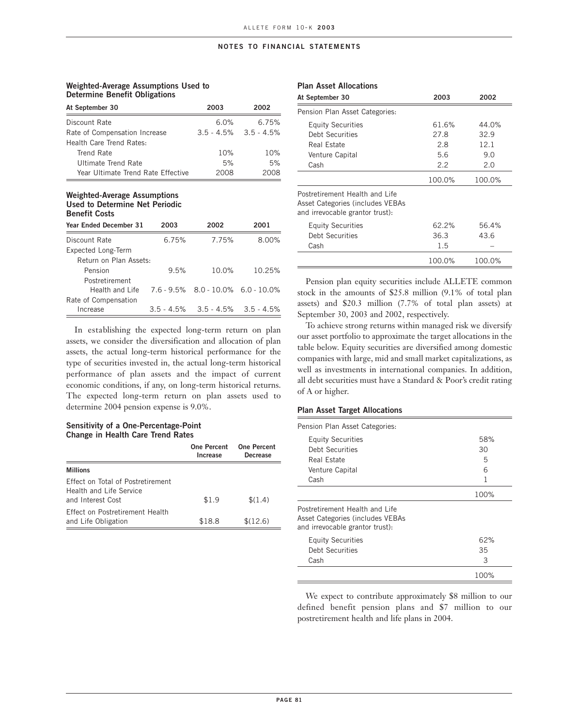## **Weighted-Average Assumptions Used to Determine Benefit Obligations**

| At September 30                    | 2003    | 2002                        |
|------------------------------------|---------|-----------------------------|
| Discount Rate                      | $6.0\%$ | 6.75%                       |
| Rate of Compensation Increase      |         | $3.5 - 4.5\%$ $3.5 - 4.5\%$ |
| Health Care Trend Rates:           |         |                             |
| Trend Rate                         | 10%     | 10%                         |
| Ultimate Trend Rate                | 5%      | 5%                          |
| Year Ultimate Trend Rate Effective | 2008    |                             |

### **Weighted-Average Assumptions Used to Determine Net Periodic Benefit Costs**

| <b>Year Ended December 31</b> | 2003  | 2002                                      | 2001   |
|-------------------------------|-------|-------------------------------------------|--------|
| Discount Rate                 | 6.75% | 7.75%                                     | 8.00%  |
| Expected Long-Term            |       |                                           |        |
| Return on Plan Assets:        |       |                                           |        |
| Pension                       | 9.5%  | 10.0%                                     | 10.25% |
| Postretirement                |       |                                           |        |
| Health and Life               |       | $7.6 - 9.5\%$ 8.0 - 10.0% 6.0 - 10.0%     |        |
| Rate of Compensation          |       |                                           |        |
| Increase                      |       | $3.5 - 4.5\%$ $3.5 - 4.5\%$ $3.5 - 4.5\%$ |        |

In establishing the expected long-term return on plan assets, we consider the diversification and allocation of plan assets, the actual long-term historical performance for the type of securities invested in, the actual long-term historical performance of plan assets and the impact of current economic conditions, if any, on long-term historical returns. The expected long-term return on plan assets used to determine 2004 pension expense is 9.0%.

### **Sensitivity of a One-Percentage-Point Change in Health Care Trend Rates**

|                                                                                          | <b>One Percent</b><br>Increase | One Percent<br>Decrease |
|------------------------------------------------------------------------------------------|--------------------------------|-------------------------|
| <b>Millions</b>                                                                          |                                |                         |
| <b>Effect on Total of Postretirement</b><br>Health and Life Service<br>and Interest Cost | \$1.9                          | \$(1.4)                 |
| Fffect on Postretirement Health<br>and Life Obligation                                   | \$18.8                         | \$(12.6)                |

## **Plan Asset Allocations**

| At September 30                                                                                       | 2003   | 2002   |  |
|-------------------------------------------------------------------------------------------------------|--------|--------|--|
| Pension Plan Asset Categories:                                                                        |        |        |  |
| <b>Equity Securities</b>                                                                              | 61.6%  | 44.0%  |  |
| Debt Securities                                                                                       | 27.8   | 32.9   |  |
| Real Estate                                                                                           | 2.8    | 12.1   |  |
| Venture Capital                                                                                       | 5.6    | 9.0    |  |
| Cash                                                                                                  | 2.2    | 2.0    |  |
|                                                                                                       | 100.0% | 100.0% |  |
| Postretirement Health and Life<br>Asset Categories (includes VEBAs<br>and irrevocable grantor trust): |        |        |  |
| <b>Equity Securities</b>                                                                              | 62.2%  | 56.4%  |  |
| Debt Securities                                                                                       | 36.3   | 43.6   |  |
| Cash                                                                                                  | 1.5    |        |  |
|                                                                                                       | 100.0% | 100.0% |  |

Pension plan equity securities include ALLETE common stock in the amounts of \$25.8 million (9.1% of total plan assets) and \$20.3 million (7.7% of total plan assets) at September 30, 2003 and 2002, respectively.

To achieve strong returns within managed risk we diversify our asset portfolio to approximate the target allocations in the table below. Equity securities are diversified among domestic companies with large, mid and small market capitalizations, as well as investments in international companies. In addition, all debt securities must have a Standard & Poor's credit rating of A or higher.

#### **Plan Asset Target Allocations**

| Pension Plan Asset Categories:                                                                        |      |
|-------------------------------------------------------------------------------------------------------|------|
| <b>Equity Securities</b>                                                                              | 58%  |
| Debt Securities                                                                                       | 30   |
| Real Estate                                                                                           | 5    |
| Venture Capital                                                                                       | 6    |
| Cash                                                                                                  | 1    |
|                                                                                                       | 100% |
| Postretirement Health and Life<br>Asset Categories (includes VEBAs<br>and irrevocable grantor trust): |      |
| <b>Equity Securities</b>                                                                              | 62%  |
| Debt Securities                                                                                       | 35   |
| Cash                                                                                                  | 3    |
|                                                                                                       | 100% |

We expect to contribute approximately \$8 million to our defined benefit pension plans and \$7 million to our postretirement health and life plans in 2004.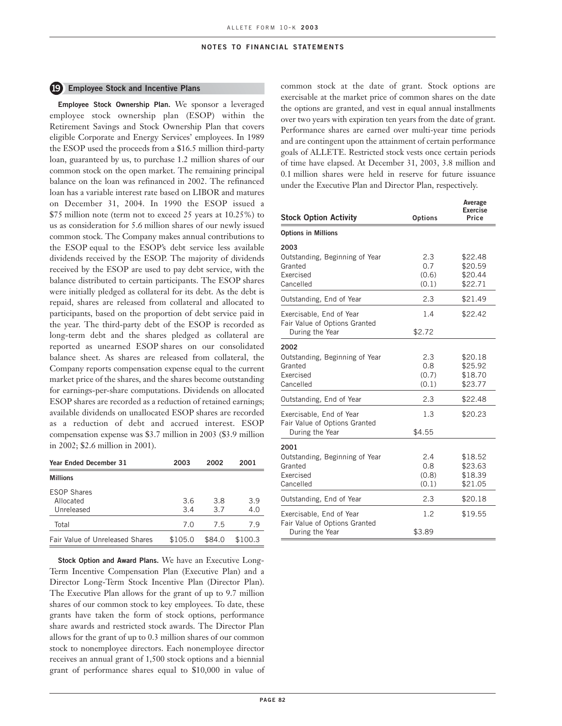## **19 Employee Stock and Incentive Plans**

**Employee Stock Ownership Plan.** We sponsor a leveraged employee stock ownership plan (ESOP) within the Retirement Savings and Stock Ownership Plan that covers eligible Corporate and Energy Services' employees. In 1989 the ESOP used the proceeds from a \$16.5 million third-party loan, guaranteed by us, to purchase 1.2 million shares of our common stock on the open market. The remaining principal balance on the loan was refinanced in 2002. The refinanced loan has a variable interest rate based on LIBOR and matures on December 31, 2004. In 1990 the ESOP issued a \$75 million note (term not to exceed 25 years at 10.25%) to us as consideration for 5.6 million shares of our newly issued common stock. The Company makes annual contributions to the ESOP equal to the ESOP's debt service less available dividends received by the ESOP. The majority of dividends received by the ESOP are used to pay debt service, with the balance distributed to certain participants. The ESOP shares were initially pledged as collateral for its debt. As the debt is repaid, shares are released from collateral and allocated to participants, based on the proportion of debt service paid in the year. The third-party debt of the ESOP is recorded as long-term debt and the shares pledged as collateral are reported as unearned ESOP shares on our consolidated balance sheet. As shares are released from collateral, the Company reports compensation expense equal to the current market price of the shares, and the shares become outstanding for earnings-per-share computations. Dividends on allocated ESOP shares are recorded as a reduction of retained earnings; available dividends on unallocated ESOP shares are recorded as a reduction of debt and accrued interest. ESOP compensation expense was \$3.7 million in 2003 (\$3.9 million in 2002; \$2.6 million in 2001).

| Year Ended December 31                        | 2003       | 2002       | 2001       |
|-----------------------------------------------|------------|------------|------------|
| <b>Millions</b>                               |            |            |            |
| <b>ESOP Shares</b><br>Allocated<br>Unreleased | 3.6<br>3.4 | 3.8<br>3.7 | 3.9<br>4.0 |
| Total                                         | 7.0        | 7.5        | 7.9        |
| <b>Fair Value of Unreleased Shares</b>        | \$105.0    | \$84.0     | \$100.3    |

**Stock Option and Award Plans.** We have an Executive Long-Term Incentive Compensation Plan (Executive Plan) and a Director Long-Term Stock Incentive Plan (Director Plan). The Executive Plan allows for the grant of up to 9.7 million shares of our common stock to key employees. To date, these grants have taken the form of stock options, performance share awards and restricted stock awards. The Director Plan allows for the grant of up to 0.3 million shares of our common stock to nonemployee directors. Each nonemployee director receives an annual grant of 1,500 stock options and a biennial grant of performance shares equal to \$10,000 in value of

common stock at the date of grant. Stock options are exercisable at the market price of common shares on the date the options are granted, and vest in equal annual installments over two years with expiration ten years from the date of grant. Performance shares are earned over multi-year time periods and are contingent upon the attainment of certain performance goals of ALLETE. Restricted stock vests once certain periods of time have elapsed. At December 31, 2003, 3.8 million and 0.1 million shares were held in reserve for future issuance under the Executive Plan and Director Plan, respectively.

| <b>Stock Option Activity</b>                                        | <b>Options</b>               | Average<br><b>Exercise</b><br>Price      |
|---------------------------------------------------------------------|------------------------------|------------------------------------------|
| <b>Options in Millions</b>                                          |                              |                                          |
| 2003                                                                |                              |                                          |
| Outstanding, Beginning of Year<br>Granted<br>Exercised<br>Cancelled | 2.3<br>0.7<br>(0.6)<br>(0.1) | \$22.48<br>\$20.59<br>\$20.44<br>\$22.71 |
| Outstanding, End of Year                                            | 2.3                          | \$21.49                                  |
| Exercisable, End of Year<br>Fair Value of Options Granted           | 1.4                          | \$22.42                                  |
| During the Year                                                     | \$2.72                       |                                          |
| 2002                                                                |                              |                                          |
| Outstanding, Beginning of Year                                      | 2.3                          | \$20.18                                  |
| Granted                                                             | 0.8                          | \$25.92                                  |
| Exercised<br>Cancelled                                              | (0.7)<br>(0.1)               | \$18.70<br>\$23.77                       |
| Outstanding, End of Year                                            | 2.3                          | \$22.48                                  |
| Exercisable, End of Year<br>Fair Value of Options Granted           | 1.3                          | \$20.23                                  |
| During the Year                                                     | \$4.55                       |                                          |
| 2001                                                                |                              |                                          |
| Outstanding, Beginning of Year                                      | 2.4                          | \$18.52                                  |
| Granted                                                             | 0.8                          | \$23.63                                  |
| Exercised                                                           | (0.8)                        | \$18.39                                  |
| Cancelled                                                           | (0.1)                        | \$21.05                                  |
| Outstanding, End of Year                                            | 2.3                          | \$20.18                                  |
| Exercisable, End of Year<br>Fair Value of Options Granted           | 1.2                          | \$19.55                                  |
| During the Year                                                     | \$3.89                       |                                          |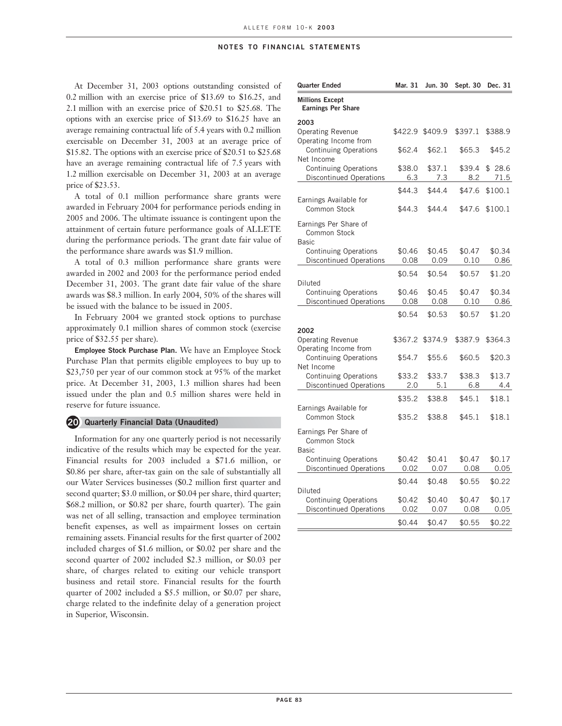At December 31, 2003 options outstanding consisted of 0.2 million with an exercise price of \$13.69 to \$16.25, and 2.1 million with an exercise price of \$20.51 to \$25.68. The options with an exercise price of \$13.69 to \$16.25 have an average remaining contractual life of 5.4 years with 0.2 million exercisable on December 31, 2003 at an average price of \$15.82. The options with an exercise price of \$20.51 to \$25.68 have an average remaining contractual life of 7.5 years with 1.2 million exercisable on December 31, 2003 at an average price of \$23.53.

A total of 0.1 million performance share grants were awarded in February 2004 for performance periods ending in 2005 and 2006. The ultimate issuance is contingent upon the attainment of certain future performance goals of ALLETE during the performance periods. The grant date fair value of the performance share awards was \$1.9 million.

A total of 0.3 million performance share grants were awarded in 2002 and 2003 for the performance period ended December 31, 2003. The grant date fair value of the share awards was \$8.3 million. In early 2004, 50% of the shares will be issued with the balance to be issued in 2005.

In February 2004 we granted stock options to purchase approximately 0.1 million shares of common stock (exercise price of \$32.55 per share).

**Employee Stock Purchase Plan.** We have an Employee Stock Purchase Plan that permits eligible employees to buy up to \$23,750 per year of our common stock at 95% of the market price. At December 31, 2003, 1.3 million shares had been issued under the plan and 0.5 million shares were held in reserve for future issuance.

### **20 Quarterly Financial Data (Unaudited)**

Information for any one quarterly period is not necessarily indicative of the results which may be expected for the year. Financial results for 2003 included a \$71.6 million, or \$0.86 per share, after-tax gain on the sale of substantially all our Water Services businesses (\$0.2 million first quarter and second quarter; \$3.0 million, or \$0.04 per share, third quarter; \$68.2 million, or \$0.82 per share, fourth quarter). The gain was net of all selling, transaction and employee termination benefit expenses, as well as impairment losses on certain remaining assets. Financial results for the first quarter of 2002 included charges of \$1.6 million, or \$0.02 per share and the second quarter of 2002 included \$2.3 million, or \$0.03 per share, of charges related to exiting our vehicle transport business and retail store. Financial results for the fourth quarter of 2002 included a \$5.5 million, or \$0.07 per share, charge related to the indefinite delay of a generation project in Superior, Wisconsin.

| <b>Quarter Ended</b>                                           | Mar. 31       | Jun. 30       | Sept. 30      | Dec. 31        |
|----------------------------------------------------------------|---------------|---------------|---------------|----------------|
| <b>Millions Except</b><br><b>Earnings Per Share</b>            |               |               |               |                |
| 2003                                                           |               |               |               |                |
| <b>Operating Revenue</b><br>Operating Income from              | \$422.9       | \$409.9       | \$397.1       | \$388.9        |
| Continuing Operations<br>Net Income                            | \$62.4        | \$62.1        | \$65.3        | \$45.2         |
| <b>Continuing Operations</b><br><b>Discontinued Operations</b> | \$38.0<br>6.3 | \$37.1<br>7.3 | \$39.4<br>8.2 | \$28.6<br>71.5 |
|                                                                |               |               |               |                |
| Earnings Available for                                         | \$44.3        | \$44.4        | \$47.6        | \$100.1        |
| Common Stock                                                   | \$44.3        | \$44.4        | \$47.6        | \$100.1        |
| Earnings Per Share of<br>Common Stock<br><b>Basic</b>          |               |               |               |                |
| <b>Continuing Operations</b>                                   | \$0.46        | \$0.45        | \$0.47        | \$0.34         |
| <b>Discontinued Operations</b>                                 | 0.08          | 0.09          | 0.10          | 0.86           |
| Diluted                                                        | \$0.54        | \$0.54        | \$0.57        | \$1.20         |
| <b>Continuing Operations</b>                                   | \$0.46        | \$0.45        | \$0.47        | \$0.34         |
| <b>Discontinued Operations</b>                                 | 0.08          | 0.08          | 0.10          | 0.86           |
|                                                                | \$0.54        | \$0.53        | \$0.57        | \$1.20         |
| 2002                                                           |               |               |               |                |
| <b>Operating Revenue</b><br>Operating Income from              | \$367.2       | \$374.9       | \$387.9       | \$364.3        |
| <b>Continuing Operations</b><br>Net Income                     | \$54.7        | \$55.6        | \$60.5        | \$20.3         |
| <b>Continuing Operations</b>                                   | \$33.2        | \$33.7        | \$38.3        | \$13.7         |
| <b>Discontinued Operations</b>                                 | 2.0           | 5.1           | 6.8           | 4.4            |
|                                                                | \$35.2        | \$38.8        | \$45.1        | \$18.1         |
| Earnings Available for<br>Common Stock                         | \$35.2        | \$38.8        | \$45.1        | \$18.1         |
| Earnings Per Share of<br>Common Stock<br>Basic                 |               |               |               |                |
| Continuing Operations                                          | \$0.42        | \$0.41        | \$0.47        | \$0.17         |
| <b>Discontinued Operations</b>                                 | 0.02          | 0.07          | 0.08          | 0.05           |
| Diluted                                                        | \$0.44        | \$0.48        | \$0.55        | \$0.22         |
| <b>Continuing Operations</b>                                   | \$0.42        | \$0.40        | \$0.47        | \$0.17         |
| <b>Discontinued Operations</b>                                 | 0.02          | 0.07          | 0.08          | 0.05           |
|                                                                | \$0.44        | \$0.47        | \$0.55        | \$0.22         |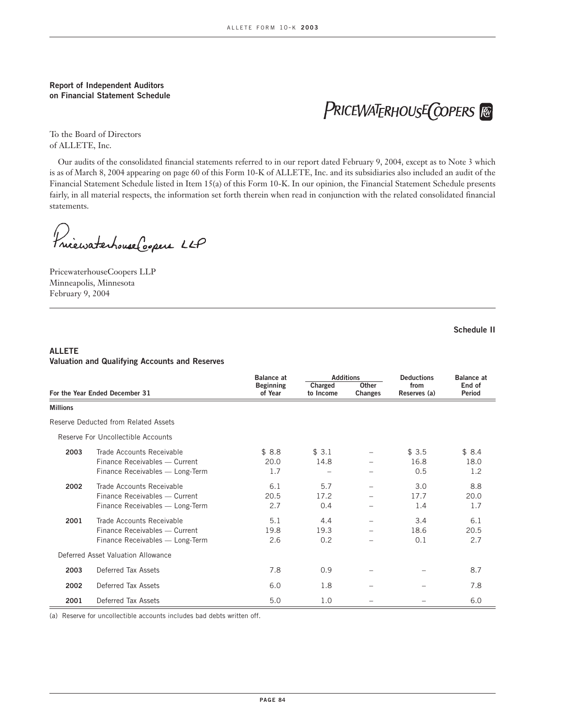## **Report of Independent Auditors on Financial Statement Schedule**

PRICEWATERHOUSE COPERS FO

To the Board of Directors of ALLETE, Inc.

Our audits of the consolidated financial statements referred to in our report dated February 9, 2004, except as to Note 3 which is as of March 8, 2004 appearing on page 60 of this Form 10-K of ALLETE, Inc. and its subsidiaries also included an audit of the Financial Statement Schedule listed in Item 15(a) of this Form 10-K. In our opinion, the Financial Statement Schedule presents fairly, in all material respects, the information set forth therein when read in conjunction with the related consolidated financial statements.

Princewaterhouse Coopers LLP

PricewaterhouseCoopers LLP Minneapolis, Minnesota February 9, 2004

**Schedule II**

# **ALLETE Valuation and Qualifying Accounts and Reserves**

|                 |                                                                                               | <b>Balance at</b>           | <b>Additions</b>                         |  | <b>Deductions</b>    | <b>Balance at</b>       |
|-----------------|-----------------------------------------------------------------------------------------------|-----------------------------|------------------------------------------|--|----------------------|-------------------------|
|                 | For the Year Ended December 31                                                                | <b>Beginning</b><br>of Year | Other<br>Charged<br>to Income<br>Changes |  | from<br>Reserves (a) | End of<br><b>Period</b> |
| <b>Millions</b> |                                                                                               |                             |                                          |  |                      |                         |
|                 | Reserve Deducted from Related Assets                                                          |                             |                                          |  |                      |                         |
|                 | Reserve For Uncollectible Accounts                                                            |                             |                                          |  |                      |                         |
| 2003            | Trade Accounts Receivable<br>Finance Receivables - Current<br>Finance Receivables - Long-Term | \$8.8<br>20.0<br>1.7        | \$3.1<br>14.8                            |  | \$3.5<br>16.8<br>0.5 | \$8.4<br>18.0<br>1.2    |
| 2002            | Trade Accounts Receivable<br>Finance Receivables - Current<br>Finance Receivables - Long-Term | 6.1<br>20.5<br>2.7          | 5.7<br>17.2<br>0.4                       |  | 3.0<br>17.7<br>1.4   | 8.8<br>20.0<br>1.7      |
| 2001            | Trade Accounts Receivable<br>Finance Receivables - Current<br>Finance Receivables - Long-Term | 5.1<br>19.8<br>2.6          | 4.4<br>19.3<br>0.2                       |  | 3.4<br>18.6<br>0.1   | 6.1<br>20.5<br>2.7      |
|                 | Deferred Asset Valuation Allowance                                                            |                             |                                          |  |                      |                         |
| 2003            | Deferred Tax Assets                                                                           | 7.8                         | 0.9                                      |  |                      | 8.7                     |
| 2002            | Deferred Tax Assets                                                                           | 6.0                         | 1.8                                      |  |                      | 7.8                     |
| 2001            | Deferred Tax Assets                                                                           | 5.0                         | 1.0                                      |  |                      | 6.0                     |

(a) Reserve for uncollectible accounts includes bad debts written off.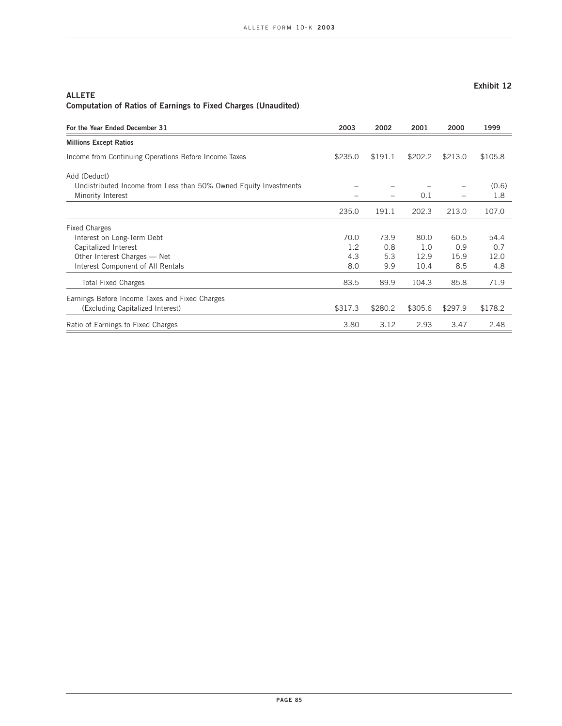## **ALLETE Computation of Ratios of Earnings to Fixed Charges (Unaudited)**

| For the Year Ended December 31                                   | 2003    | 2002    | 2001    | 2000    | 1999    |
|------------------------------------------------------------------|---------|---------|---------|---------|---------|
| <b>Millions Except Ratios</b>                                    |         |         |         |         |         |
| Income from Continuing Operations Before Income Taxes            | \$235.0 | \$191.1 | \$202.2 | \$213.0 | \$105.8 |
| Add (Deduct)                                                     |         |         |         |         |         |
| Undistributed Income from Less than 50% Owned Equity Investments |         |         |         |         | (0.6)   |
| Minority Interest                                                |         |         | 0.1     |         | 1.8     |
|                                                                  | 235.0   | 191.1   | 202.3   | 213.0   | 107.0   |
| <b>Fixed Charges</b>                                             |         |         |         |         |         |
| Interest on Long-Term Debt                                       | 70.0    | 73.9    | 80.0    | 60.5    | 54.4    |
| Capitalized Interest                                             | 1.2     | 0.8     | 1.0     | 0.9     | 0.7     |
| Other Interest Charges — Net                                     | 4.3     | 5.3     | 12.9    | 15.9    | 12.0    |
| Interest Component of All Rentals                                | 8.0     | 9.9     | 10.4    | 8.5     | 4.8     |
| <b>Total Fixed Charges</b>                                       | 83.5    | 89.9    | 104.3   | 85.8    | 71.9    |
| Earnings Before Income Taxes and Fixed Charges                   |         |         |         |         |         |
| (Excluding Capitalized Interest)                                 | \$317.3 | \$280.2 | \$305.6 | \$297.9 | \$178.2 |
| Ratio of Earnings to Fixed Charges                               | 3.80    | 3.12    | 2.93    | 3.47    | 2.48    |

# **Exhibit 12**